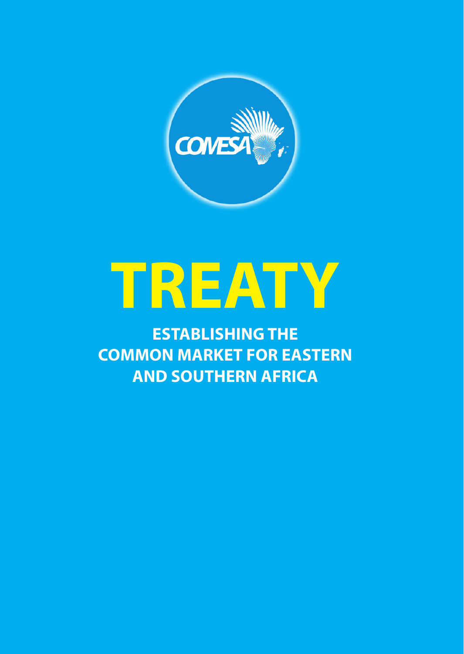

# **TREATY**

**ESTABLISHING THE COMMON MARKET FOR EASTERN AND SOUTHERN AFRICA**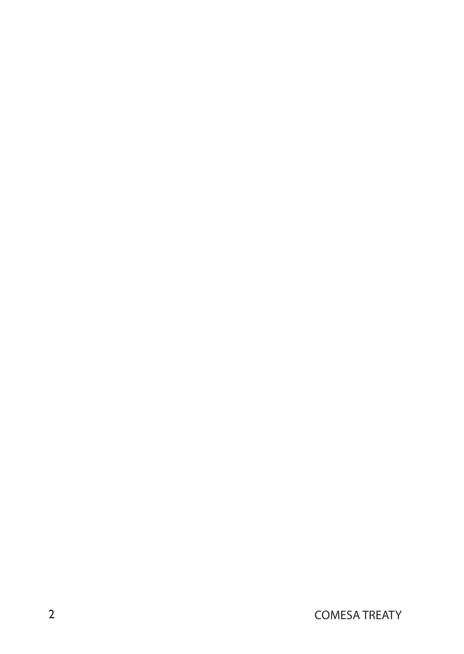## COMESA TREATY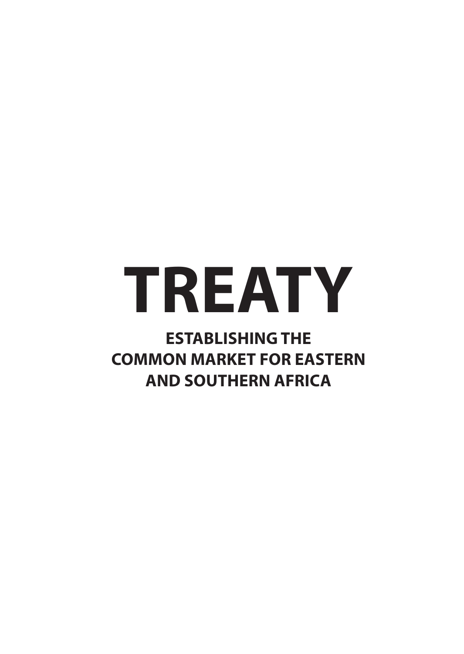# **TREATY**

## **ESTABLISHING THE COMMON MARKET FOR EASTERN AND SOUTHERN AFRICA**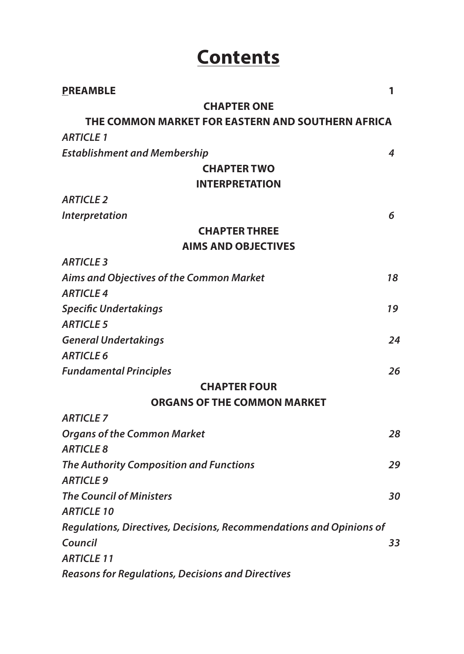## **Contents**

| <b>PREAMBLE</b>                                                     | 1  |
|---------------------------------------------------------------------|----|
| <b>CHAPTER ONE</b>                                                  |    |
| THE COMMON MARKET FOR EASTERN AND SOUTHERN AFRICA                   |    |
| <b>ARTICLE 1</b>                                                    |    |
| <b>Establishment and Membership</b>                                 | 4  |
| <b>CHAPTER TWO</b>                                                  |    |
| <b>INTERPRETATION</b>                                               |    |
| <b>ARTICLE 2</b>                                                    |    |
| Interpretation                                                      | 6  |
| <b>CHAPTER THREE</b>                                                |    |
| <b>AIMS AND OBJECTIVES</b>                                          |    |
| <b>ARTICLE 3</b>                                                    |    |
| Aims and Objectives of the Common Market                            | 18 |
| <b>ARTICLE 4</b>                                                    |    |
| <b>Specific Undertakings</b>                                        | 19 |
| <b>ARTICLE 5</b>                                                    |    |
| <b>General Undertakings</b>                                         | 24 |
| <b>ARTICLE 6</b>                                                    |    |
| <b>Fundamental Principles</b>                                       | 26 |
| <b>CHAPTER FOUR</b>                                                 |    |
| <b>ORGANS OF THE COMMON MARKET</b>                                  |    |
| <b>ARTICLE 7</b>                                                    |    |
| <b>Organs of the Common Market</b>                                  | 28 |
| <b>ARTICLE 8</b>                                                    |    |
| The Authority Composition and Functions                             | 29 |
| <b>ARTICLE 9</b>                                                    |    |
| <b>The Council of Ministers</b>                                     | 30 |
| <b>ARTICLE 10</b>                                                   |    |
| Regulations, Directives, Decisions, Recommendations and Opinions of |    |
| Council                                                             | 33 |
| <b>ARTICLE 11</b>                                                   |    |
| Reasons for Regulations, Decisions and Directives                   |    |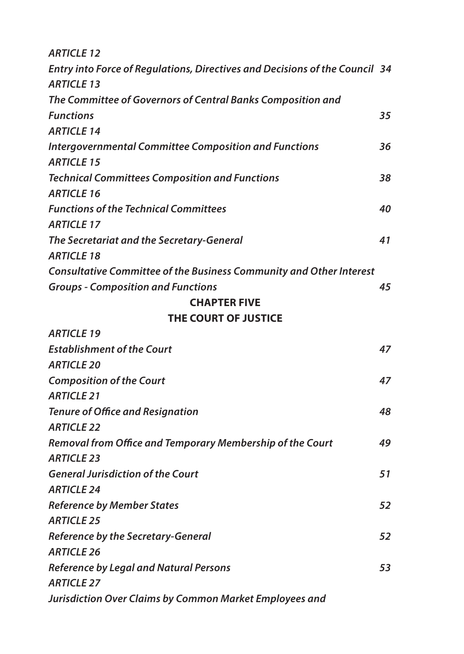| <b>ARTICLE 12</b>                                                           |    |
|-----------------------------------------------------------------------------|----|
| Entry into Force of Regulations, Directives and Decisions of the Council 34 |    |
| <b>ARTICLE 13</b>                                                           |    |
| The Committee of Governors of Central Banks Composition and                 |    |
| <b>Functions</b>                                                            | 35 |
| <b>ARTICLE 14</b>                                                           |    |
| <b>Intergovernmental Committee Composition and Functions</b>                | 36 |
| <b>ARTICLE 15</b>                                                           |    |
| <b>Technical Committees Composition and Functions</b>                       | 38 |
| <b>ARTICLE 16</b>                                                           |    |
| <b>Functions of the Technical Committees</b>                                | 40 |
| <b>ARTICLE 17</b>                                                           |    |
| The Secretariat and the Secretary-General                                   | 41 |
| <b>ARTICLE 18</b>                                                           |    |
| Consultative Committee of the Business Community and Other Interest         |    |
| <b>Groups - Composition and Functions</b>                                   | 45 |
| <b>CHAPTER FIVE</b>                                                         |    |
| THE COURT OF JUSTICE                                                        |    |
| <b>ARTICLE 19</b>                                                           |    |
| <b>Establishment of the Court</b>                                           | 47 |
| <b>ARTICLE 20</b>                                                           |    |
| <b>Composition of the Court</b>                                             | 47 |
| <b>ARTICLE 21</b>                                                           |    |
| <b>Tenure of Office and Resignation</b>                                     | 48 |
| <b>ARTICLE 22</b>                                                           |    |
| Removal from Office and Temporary Membership of the Court                   | 49 |
| <b>ARTICLE 23</b>                                                           |    |
| <b>General Jurisdiction of the Court</b>                                    | 51 |
| <b>ARTICLE 24</b>                                                           |    |
| <b>Reference by Member States</b>                                           | 52 |
| <b>ARTICLE 25</b>                                                           |    |
| Reference by the Secretary-General                                          | 52 |
| <b>ARTICLE 26</b>                                                           |    |
| Reference by Legal and Natural Persons                                      | 53 |
| <b>ARTICLE 27</b>                                                           |    |
| Jurisdiction Over Claims by Common Market Employees and                     |    |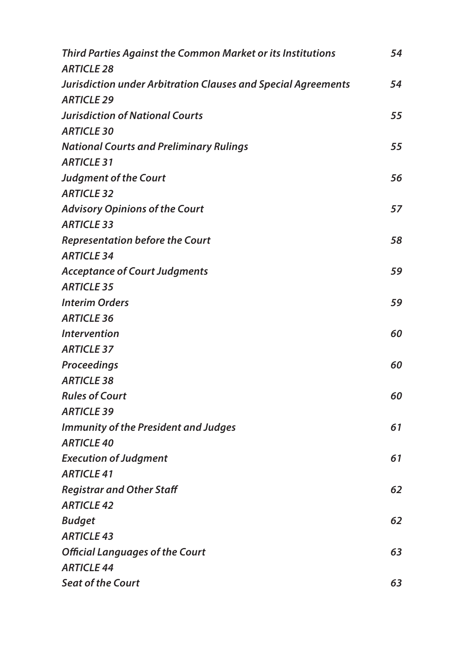| Third Parties Against the Common Market or its Institutions   | 54 |
|---------------------------------------------------------------|----|
| <b>ARTICLE 28</b>                                             |    |
| Jurisdiction under Arbitration Clauses and Special Agreements | 54 |
| <b>ARTICLE 29</b>                                             |    |
| <b>Jurisdiction of National Courts</b>                        | 55 |
| <b>ARTICLE 30</b>                                             |    |
| <b>National Courts and Preliminary Rulings</b>                | 55 |
| <b>ARTICLE 31</b>                                             |    |
| <b>Judgment of the Court</b>                                  | 56 |
| <b>ARTICLE 32</b>                                             |    |
| <b>Advisory Opinions of the Court</b>                         | 57 |
| <b>ARTICLE 33</b>                                             |    |
| <b>Representation before the Court</b>                        | 58 |
| <b>ARTICLE 34</b>                                             |    |
| <b>Acceptance of Court Judgments</b>                          | 59 |
| <b>ARTICLE 35</b>                                             |    |
| <b>Interim Orders</b>                                         | 59 |
| <b>ARTICLE 36</b>                                             |    |
| <b>Intervention</b>                                           | 60 |
| <b>ARTICLE 37</b>                                             |    |
| Proceedings                                                   | 60 |
| <b>ARTICLE 38</b>                                             |    |
| <b>Rules of Court</b>                                         | 60 |
| <b>ARTICLE 39</b>                                             |    |
| Immunity of the President and Judges                          | 61 |
| <b>ARTICLE 40</b>                                             |    |
| <b>Execution of Judgment</b>                                  | 61 |
| <b>ARTICLE 41</b>                                             |    |
| <b>Registrar and Other Staff</b>                              | 62 |
| <b>ARTICLE 42</b>                                             |    |
| <b>Budget</b>                                                 | 62 |
| <b>ARTICLE 43</b>                                             |    |
| <b>Official Languages of the Court</b>                        | 63 |
| <b>ARTICLE 44</b>                                             |    |
| <b>Seat of the Court</b>                                      | 63 |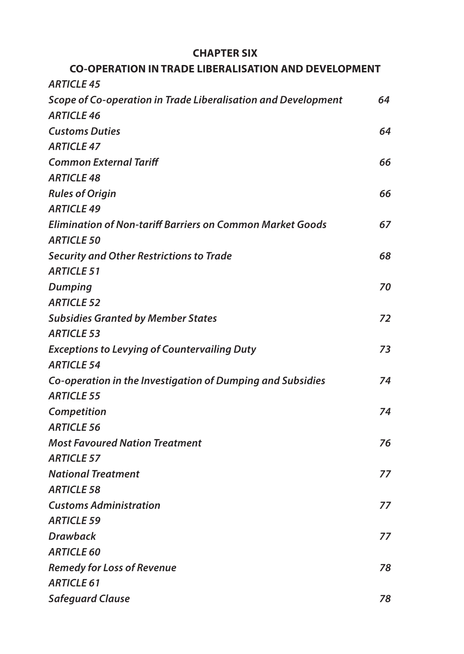#### **CHAPTER SIX**

| <b>CO-OPERATION IN TRADE LIBERALISATION AND DEVELOPMENT</b>      |    |
|------------------------------------------------------------------|----|
| <b>ARTICLE 45</b>                                                |    |
| Scope of Co-operation in Trade Liberalisation and Development    | 64 |
| <b>ARTICLE 46</b>                                                |    |
| <b>Customs Duties</b>                                            | 64 |
| <b>ARTICLE 47</b>                                                |    |
| <b>Common External Tariff</b>                                    | 66 |
| <b>ARTICLE 48</b>                                                |    |
| <b>Rules of Origin</b>                                           | 66 |
| <b>ARTICLE 49</b>                                                |    |
| <b>Elimination of Non-tariff Barriers on Common Market Goods</b> | 67 |
| <b>ARTICLE 50</b>                                                |    |
| Security and Other Restrictions to Trade                         | 68 |
| <b>ARTICLE 51</b>                                                |    |
| Dumping                                                          | 70 |
| <b>ARTICLE 52</b>                                                |    |
| <b>Subsidies Granted by Member States</b>                        | 72 |
| <b>ARTICLE 53</b>                                                |    |
| <b>Exceptions to Levying of Countervailing Duty</b>              | 73 |
| <b>ARTICLE 54</b>                                                |    |
| Co-operation in the Investigation of Dumping and Subsidies       | 74 |
| <b>ARTICLE 55</b>                                                |    |
| Competition                                                      | 74 |
| <b>ARTICLE 56</b>                                                |    |
| <b>Most Favoured Nation Treatment</b>                            | 76 |
| <b>ARTICLE 57</b>                                                |    |
| <b>National Treatment</b>                                        | 77 |
| <b>ARTICLE 58</b>                                                |    |
| <b>Customs Administration</b>                                    | 77 |
| <b>ARTICLE 59</b>                                                |    |
| <b>Drawback</b>                                                  | 77 |
| <b>ARTICLE 60</b>                                                |    |
| <b>Remedy for Loss of Revenue</b>                                | 78 |
| <b>ARTICLE 61</b>                                                |    |
| <b>Safequard Clause</b>                                          | 78 |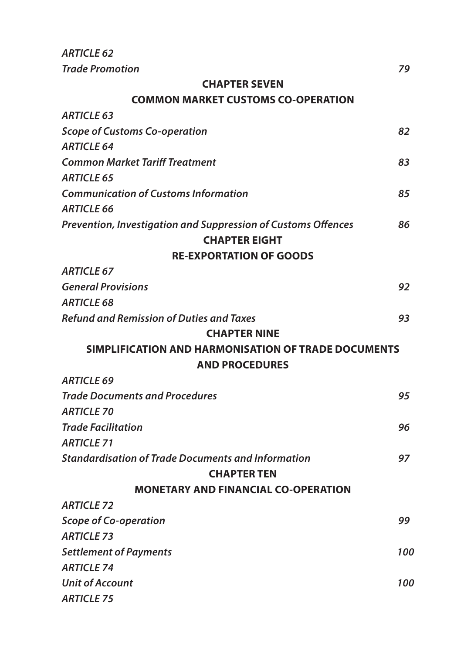**ARTICLE 62** *Trade Promotion 79* **CHAPTER SEVEN COMMON MARKET CUSTOMS CO-OPERATION** *ARTICLE 63 Scope of Customs Co-operation 82* **ARTICLE 64** *Common Market Tariff Treatment 83 ARTICLE 65 Communication of Customs Information 85 ARTICLE 66 Prevention, Investigation and Suppression of Customs Offences 86* **CHAPTER EIGHT RE-EXPORTATION OF GOODS ARTICLE 67** *General Provisions 92 ARTICLE 68 Refund and Remission of Duties and Taxes 93* **CHAPTER NINE SIMPLIFICATION AND HARMONISATION OF TRADE DOCUMENTS AND PROCEDURES** *ARTICLE 69 Trade Documents and Procedures 95 ARTICLE 70 Trade Facilitation 96 ARTICLE 71 Standardisation of Trade Documents and Information 97* **CHAPTER TEN MONETARY AND FINANCIAL CO-OPERATION ARTICLE 72** *Scope of Co-operation 99 ARTICLE 73 Settlement of Payments 100 ARTICLE 74 Unit of Account 100* **ARTICLE 75**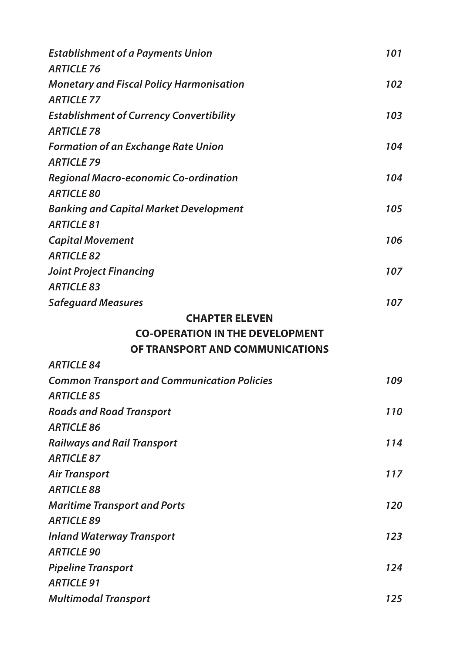| <b>Establishment of a Payments Union</b>           | 101 |
|----------------------------------------------------|-----|
| <b>ARTICLE 76</b>                                  |     |
| <b>Monetary and Fiscal Policy Harmonisation</b>    | 102 |
| <b>ARTICLE 77</b>                                  |     |
| <b>Establishment of Currency Convertibility</b>    | 103 |
| <b>ARTICLE 78</b>                                  |     |
| Formation of an Exchange Rate Union                | 104 |
| <b>ARTICLE 79</b>                                  |     |
| Regional Macro-economic Co-ordination              | 104 |
| <b>ARTICLE 80</b>                                  |     |
| <b>Banking and Capital Market Development</b>      | 105 |
| <b>ARTICLE 81</b>                                  |     |
| <b>Capital Movement</b>                            | 106 |
| <b>ARTICLE 82</b>                                  |     |
| <b>Joint Project Financing</b>                     | 107 |
| <b>ARTICLE 83</b>                                  |     |
| <b>Safeguard Measures</b>                          | 107 |
| <b>CHAPTER ELEVEN</b>                              |     |
| <b>CO-OPERATION IN THE DEVELOPMENT</b>             |     |
| OF TRANSPORT AND COMMUNICATIONS                    |     |
| <b>ARTICLE 84</b>                                  |     |
| <b>Common Transport and Communication Policies</b> | 109 |
| <b>ARTICLE 85</b>                                  |     |
| <b>Roads and Road Transport</b>                    | 110 |
| <b>ARTICLE 86</b>                                  |     |
| <b>Railways and Rail Transport</b>                 | 114 |
| <b>ARTICLE 87</b>                                  |     |
| <b>Air Transport</b>                               | 117 |
| <b>ARTICLE 88</b>                                  |     |
| <b>Maritime Transport and Ports</b>                | 120 |
| <b>ARTICLE 89</b>                                  |     |
| <b>Inland Waterway Transport</b>                   | 123 |
| <b>ARTICLE 90</b>                                  |     |
| <b>Pipeline Transport</b>                          | 124 |
| <b>ARTICLE 91</b>                                  |     |
| <b>Multimodal Transport</b>                        | 125 |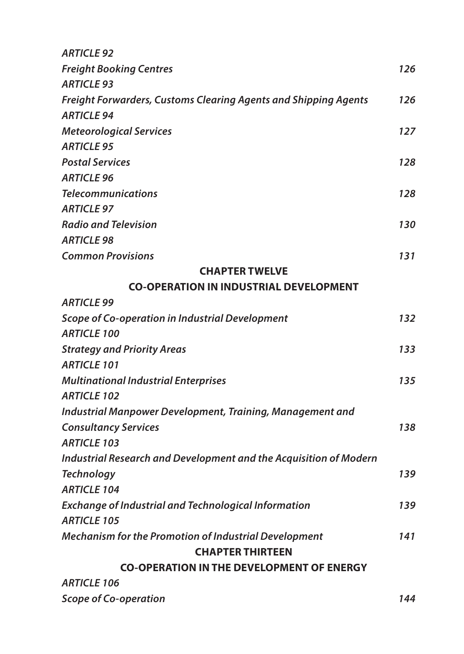| <b>ARTICLE 92</b>                                                 |     |
|-------------------------------------------------------------------|-----|
| <b>Freight Booking Centres</b>                                    | 126 |
| <b>ARTICLE 93</b>                                                 |     |
| Freight Forwarders, Customs Clearing Agents and Shipping Agents   | 126 |
| <b>ARTICLE 94</b>                                                 |     |
| <b>Meteorological Services</b>                                    | 127 |
| <b>ARTICLE 95</b>                                                 |     |
| <b>Postal Services</b>                                            | 128 |
| <b>ARTICLE 96</b>                                                 |     |
| <b>Telecommunications</b>                                         | 128 |
| <b>ARTICLE 97</b>                                                 |     |
| <b>Radio and Television</b>                                       | 130 |
| <b>ARTICLE 98</b>                                                 |     |
| <b>Common Provisions</b>                                          | 131 |
| <b>CHAPTER TWELVE</b>                                             |     |
| <b>CO-OPERATION IN INDUSTRIAL DEVELOPMENT</b>                     |     |
| <b>ARTICLE 99</b>                                                 |     |
| Scope of Co-operation in Industrial Development                   | 132 |
| <b>ARTICLE 100</b>                                                |     |
| <b>Strategy and Priority Areas</b>                                | 133 |
| <b>ARTICLE 101</b>                                                |     |
| <b>Multinational Industrial Enterprises</b>                       | 135 |
| <b>ARTICLE 102</b>                                                |     |
| Industrial Manpower Development, Training, Management and         |     |
| <b>Consultancy Services</b>                                       | 138 |
| <b>ARTICLE 103</b>                                                |     |
| Industrial Research and Development and the Acquisition of Modern |     |
| <b>Technology</b>                                                 | 139 |
| <b>ARTICLE 104</b>                                                |     |
| Exchange of Industrial and Technological Information              | 139 |
| <b>ARTICLE 105</b>                                                |     |
| Mechanism for the Promotion of Industrial Development             | 141 |
| <b>CHAPTER THIRTEEN</b>                                           |     |
| <b>CO-OPERATION IN THE DEVELOPMENT OF ENERGY</b>                  |     |
| <b>ARTICLE 106</b>                                                |     |
| <b>Scope of Co-operation</b>                                      | 144 |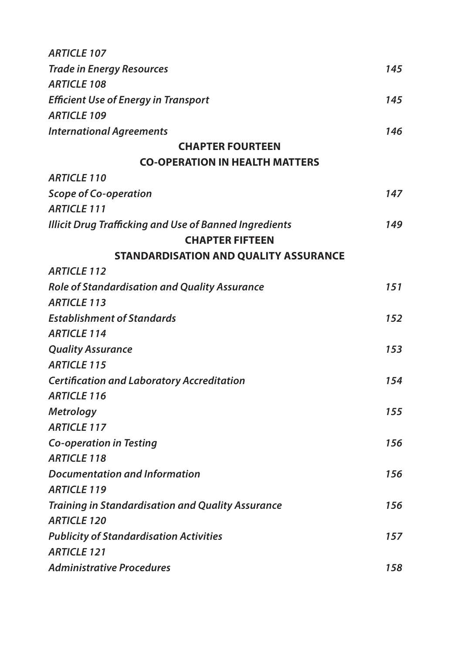| <b>ARTICLE 107</b>                                                               |     |
|----------------------------------------------------------------------------------|-----|
| <b>Trade in Energy Resources</b>                                                 | 145 |
| <b>ARTICLE 108</b>                                                               |     |
| <b>Efficient Use of Energy in Transport</b>                                      | 145 |
| <b>ARTICLE 109</b>                                                               |     |
| <b>International Agreements</b>                                                  | 146 |
| <b>CHAPTER FOURTEEN</b>                                                          |     |
| <b>CO-OPERATION IN HEALTH MATTERS</b>                                            |     |
| <b>ARTICLE 110</b>                                                               |     |
| <b>Scope of Co-operation</b>                                                     | 147 |
| <b>ARTICLE 111</b>                                                               |     |
| Illicit Drug Trafficking and Use of Banned Ingredients<br><b>CHAPTER FIFTEEN</b> | 149 |
| <b>STANDARDISATION AND QUALITY ASSURANCE</b>                                     |     |
| <b>ARTICLE 112</b>                                                               |     |
| Role of Standardisation and Quality Assurance                                    | 151 |
| <b>ARTICI F 113</b>                                                              |     |
| <b>Establishment of Standards</b>                                                | 152 |
| <b>ARTICLE 114</b>                                                               |     |
| <b>Quality Assurance</b>                                                         | 153 |
| <b>ARTICLE 115</b>                                                               |     |
| Certification and Laboratory Accreditation                                       | 154 |
| <b>ARTICLE 116</b>                                                               |     |
| Metrology                                                                        | 155 |
| <b>ARTICLE 117</b>                                                               |     |
| <b>Co-operation in Testing</b>                                                   | 156 |
| <b>ARTICLE 118</b>                                                               |     |
| Documentation and Information                                                    | 156 |
| <b>ARTICLE 119</b>                                                               |     |
| Training in Standardisation and Quality Assurance                                | 156 |
| <b>ARTICLE 120</b>                                                               |     |
| <b>Publicity of Standardisation Activities</b>                                   | 157 |
| <b>ARTICLE 121</b>                                                               |     |
| <b>Administrative Procedures</b>                                                 | 158 |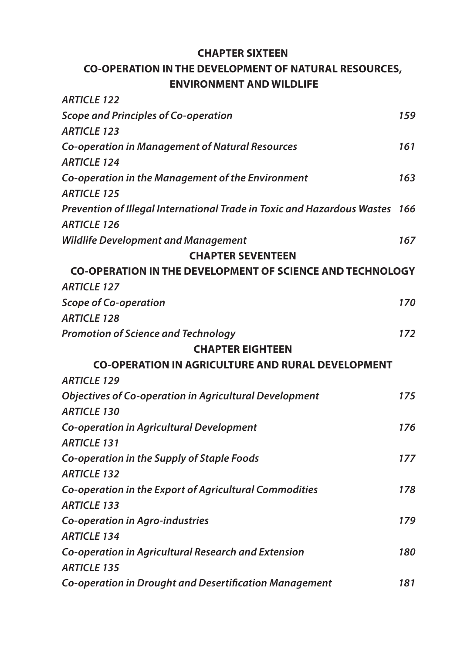#### **CHAPTER SIXTEEN**

#### **CO-OPERATION IN THE DEVELOPMENT OF NATURAL RESOURCES, ENVIRONMENT AND WILDLIFE**

| <b>ARTICLE 122</b>                                                      |     |
|-------------------------------------------------------------------------|-----|
| Scope and Principles of Co-operation                                    | 159 |
| <b>ARTICLE 123</b>                                                      |     |
| Co-operation in Management of Natural Resources                         | 161 |
| <b>ARTICLE 124</b>                                                      |     |
| Co-operation in the Management of the Environment                       | 163 |
| <b>ARTICLE 125</b>                                                      |     |
| Prevention of Illegal International Trade in Toxic and Hazardous Wastes | 166 |
| <b>ARTICLE 126</b>                                                      |     |
| <b>Wildlife Development and Management</b>                              | 167 |
| <b>CHAPTER SEVENTEEN</b>                                                |     |
| <b>CO-OPERATION IN THE DEVELOPMENT OF SCIENCE AND TECHNOLOGY</b>        |     |
| <b>ARTICLE 127</b>                                                      |     |
| <b>Scope of Co-operation</b>                                            | 170 |
| <b>ARTICLE 128</b>                                                      |     |
| Promotion of Science and Technology                                     | 172 |
| <b>CHAPTER EIGHTEEN</b>                                                 |     |
| <b>CO-OPERATION IN AGRICULTURE AND RURAL DEVELOPMENT</b>                |     |
| <b>ARTICLE 129</b>                                                      |     |
| Objectives of Co-operation in Agricultural Development                  | 175 |
| <b>ARTICLE 130</b>                                                      |     |
| Co-operation in Agricultural Development                                | 176 |
| <b>ARTICLE 131</b>                                                      |     |
| Co-operation in the Supply of Staple Foods                              | 177 |
| <b>ARTICLE 132</b>                                                      |     |
| Co-operation in the Export of Agricultural Commodities                  | 178 |
| <b>ARTICLE 133</b>                                                      |     |
| Co-operation in Agro-industries                                         | 179 |
| <b>ARTICLE 134</b>                                                      |     |
| Co-operation in Agricultural Research and Extension                     | 180 |
| <b>ARTICLE 135</b>                                                      |     |
| Co-operation in Drought and Desertification Management                  | 181 |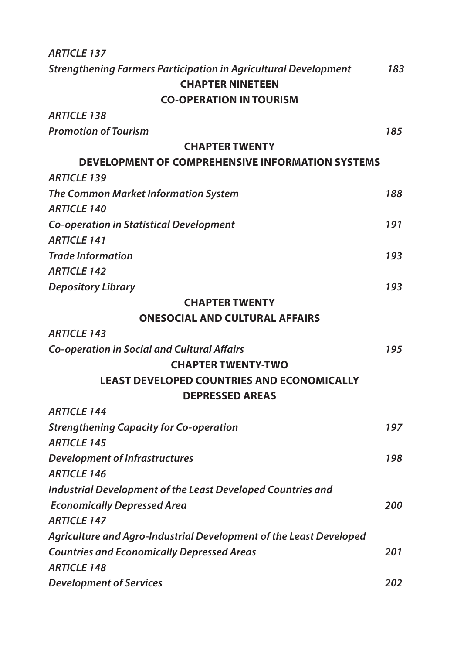| <b>ARTICLE 137</b>                                                                                |     |
|---------------------------------------------------------------------------------------------------|-----|
| <b>Strengthening Farmers Participation in Agricultural Development</b><br><b>CHAPTER NINETEEN</b> | 183 |
| <b>CO-OPERATION IN TOURISM</b>                                                                    |     |
| <b>ARTICLE 138</b>                                                                                |     |
| <b>Promotion of Tourism</b>                                                                       | 185 |
| <b>CHAPTER TWENTY</b>                                                                             |     |
| <b>DEVELOPMENT OF COMPREHENSIVE INFORMATION SYSTEMS</b>                                           |     |
| <b>ARTICLE 139</b>                                                                                |     |
| <b>The Common Market Information System</b>                                                       | 188 |
| <b>ARTICLE 140</b>                                                                                |     |
| Co-operation in Statistical Development                                                           | 191 |
| <b>ARTICLE 141</b>                                                                                |     |
| <b>Trade Information</b>                                                                          | 193 |
| <b>ARTICLE 142</b>                                                                                |     |
| <b>Depository Library</b>                                                                         | 193 |
| <b>CHAPTER TWENTY</b>                                                                             |     |
| <b>ONESOCIAL AND CULTURAL AFFAIRS</b>                                                             |     |
| <b>ARTICLE 143</b>                                                                                |     |
| Co-operation in Social and Cultural Affairs                                                       | 195 |
| <b>CHAPTER TWENTY-TWO</b>                                                                         |     |
| <b>LEAST DEVELOPED COUNTRIES AND ECONOMICALLY</b>                                                 |     |
| <b>DEPRESSED AREAS</b>                                                                            |     |
| <b>ARTICLE 144</b>                                                                                |     |
| <b>Strengthening Capacity for Co-operation</b>                                                    | 197 |
| <b>ARTICLE 145</b>                                                                                |     |
| <b>Development of Infrastructures</b>                                                             | 198 |
| <b>ARTICLE 146</b>                                                                                |     |
| Industrial Development of the Least Developed Countries and                                       |     |
| <b>Economically Depressed Area</b>                                                                | 200 |
| <b>ARTICLE 147</b>                                                                                |     |
| Agriculture and Agro-Industrial Development of the Least Developed                                |     |
| <b>Countries and Economically Depressed Areas</b>                                                 | 201 |
| <b>ARTICI F 148</b>                                                                               |     |
| <b>Development of Services</b>                                                                    | 202 |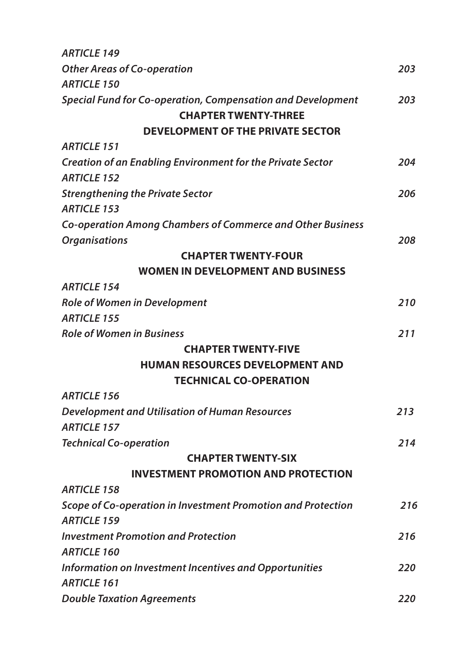| <b>ARTICLE 149</b>                                                                 |     |
|------------------------------------------------------------------------------------|-----|
| <b>Other Areas of Co-operation</b>                                                 | 203 |
| <b>ARTICLE 150</b>                                                                 |     |
| Special Fund for Co-operation, Compensation and Development                        | 203 |
| <b>CHAPTER TWENTY-THREE</b>                                                        |     |
| <b>DEVELOPMENT OF THE PRIVATE SECTOR</b>                                           |     |
| <b>ARTICLE 151</b>                                                                 |     |
| Creation of an Enabling Environment for the Private Sector                         | 204 |
| <b>ARTICLE 152</b>                                                                 |     |
| <b>Strengthening the Private Sector</b>                                            | 206 |
| <b>ARTICLE 153</b>                                                                 |     |
| Co-operation Among Chambers of Commerce and Other Business                         |     |
| <b>Organisations</b>                                                               | 208 |
| <b>CHAPTER TWENTY-FOUR</b>                                                         |     |
| <b>WOMEN IN DEVELOPMENT AND BUSINESS</b>                                           |     |
| <b>ARTICLE 154</b>                                                                 |     |
| <b>Role of Women in Development</b>                                                | 210 |
| <b>ARTICLE 155</b>                                                                 |     |
| <b>Role of Women in Business</b>                                                   | 211 |
| <b>CHAPTER TWENTY-FIVE</b>                                                         |     |
| <b>HUMAN RESOURCES DEVELOPMENT AND</b>                                             |     |
| <b>TECHNICAL CO-OPERATION</b>                                                      |     |
| <b>ARTICLE 156</b>                                                                 |     |
| <b>Development and Utilisation of Human Resources</b>                              | 213 |
| <b>ARTICLE 157</b>                                                                 |     |
| <b>Technical Co-operation</b>                                                      | 214 |
| <b>CHAPTER TWENTY-SIX</b>                                                          |     |
| <b>INVESTMENT PROMOTION AND PROTECTION</b>                                         |     |
| <b>ARTICLE 158</b>                                                                 | 216 |
| Scope of Co-operation in Investment Promotion and Protection<br><b>ARTICLE 159</b> |     |
| <b>Investment Promotion and Protection</b>                                         | 216 |
| <b>ARTICLE 160</b>                                                                 |     |
| Information on Investment Incentives and Opportunities                             | 220 |
| <b>ARTICLE 161</b>                                                                 |     |
| <b>Double Taxation Agreements</b>                                                  | 220 |
|                                                                                    |     |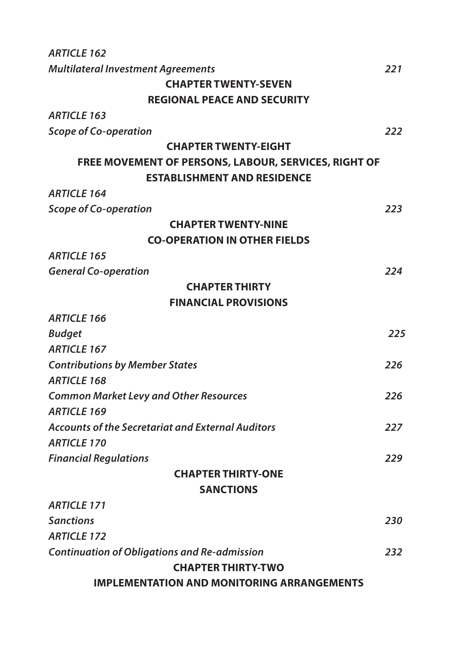| <b>ARTICLE 162</b>                                       |     |
|----------------------------------------------------------|-----|
| <b>Multilateral Investment Agreements</b>                | 221 |
| <b>CHAPTER TWENTY-SEVEN</b>                              |     |
| <b>REGIONAL PEACE AND SECURITY</b>                       |     |
| <b>ARTICLE 163</b>                                       |     |
| <b>Scope of Co-operation</b>                             | 222 |
| <b>CHAPTER TWENTY-EIGHT</b>                              |     |
| FREE MOVEMENT OF PERSONS, LABOUR, SERVICES, RIGHT OF     |     |
| <b>ESTABLISHMENT AND RESIDENCE</b>                       |     |
| <b>ARTICLE 164</b>                                       |     |
| <b>Scope of Co-operation</b>                             | 223 |
| <b>CHAPTER TWENTY-NINE</b>                               |     |
| <b>CO-OPERATION IN OTHER FIELDS</b>                      |     |
| <b>ARTICLE 165</b>                                       |     |
| <b>General Co-operation</b>                              | 224 |
| <b>CHAPTER THIRTY</b>                                    |     |
| <b>FINANCIAL PROVISIONS</b>                              |     |
| <b>ARTICLE 166</b>                                       |     |
| <b>Budget</b>                                            | 225 |
| <b>ARTICLE 167</b>                                       |     |
| <b>Contributions by Member States</b>                    | 226 |
| <b>ARTICLE 168</b>                                       |     |
| <b>Common Market Levy and Other Resources</b>            | 226 |
| <b>ARTICLE 169</b>                                       |     |
| <b>Accounts of the Secretariat and External Auditors</b> | 227 |
| <b>ARTICLE 170</b>                                       |     |
| <b>Financial Regulations</b>                             | 229 |
| <b>CHAPTER THIRTY-ONE</b>                                |     |
| <b>SANCTIONS</b>                                         |     |
| <b>ARTICLE 171</b>                                       |     |
| <b>Sanctions</b>                                         | 230 |
| <b>ARTICLE 172</b>                                       |     |
| Continuation of Obligations and Re-admission             | 232 |
| <b>CHAPTER THIRTY-TWO</b>                                |     |
| <b>IMPLEMENTATION AND MONITORING ARRANGEMENTS</b>        |     |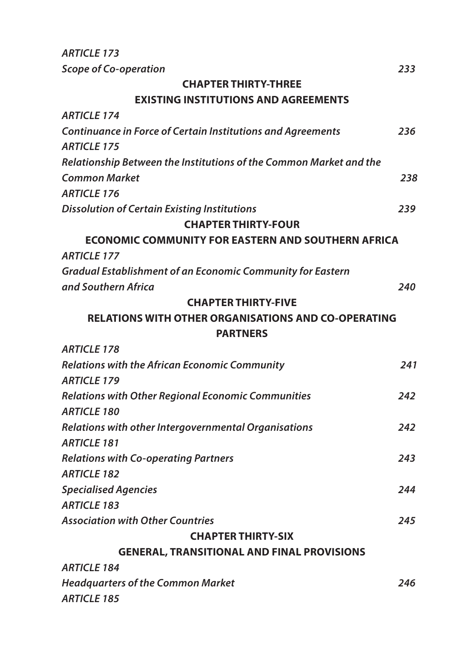| <b>ARTICLE 173</b>                                                 |     |
|--------------------------------------------------------------------|-----|
| <b>Scope of Co-operation</b>                                       | 233 |
| <b>CHAPTER THIRTY-THREE</b>                                        |     |
| <b>EXISTING INSTITUTIONS AND AGREEMENTS</b>                        |     |
| <b>ARTICLE 174</b>                                                 |     |
| Continuance in Force of Certain Institutions and Agreements        | 236 |
| <b>ARTICLE 175</b>                                                 |     |
| Relationship Between the Institutions of the Common Market and the |     |
| <b>Common Market</b>                                               | 238 |
| <b>ARTICLE 176</b>                                                 |     |
| <b>Dissolution of Certain Existing Institutions</b>                | 239 |
| <b>CHAPTER THIRTY-FOUR</b>                                         |     |
| <b>ECONOMIC COMMUNITY FOR EASTERN AND SOUTHERN AFRICA</b>          |     |
| <b>ARTICLE 177</b>                                                 |     |
| Gradual Establishment of an Economic Community for Eastern         |     |
| and Southern Africa                                                | 240 |
| <b>CHAPTER THIRTY-FIVE</b>                                         |     |
| <b>RELATIONS WITH OTHER ORGANISATIONS AND CO-OPERATING</b>         |     |
| <b>PARTNERS</b>                                                    |     |
| <b>ARTICLE 178</b>                                                 |     |
| Relations with the African Economic Community                      | 241 |
| <b>ARTICLE 179</b>                                                 |     |
| <b>Relations with Other Regional Economic Communities</b>          | 242 |
| <b>ARTICLE 180</b>                                                 |     |
| Relations with other Intergovernmental Organisations               | 242 |
| <b>ARTICI F 181</b>                                                |     |
| <b>Relations with Co-operating Partners</b>                        | 243 |
| <b>ARTICLE 182</b>                                                 | 244 |
| <b>Specialised Agencies</b><br><b>ARTICLE 183</b>                  |     |
| <b>Association with Other Countries</b>                            | 245 |
| <b>CHAPTER THIRTY-SIX</b>                                          |     |
| <b>GENERAL, TRANSITIONAL AND FINAL PROVISIONS</b>                  |     |
| <b>ARTICLE 184</b>                                                 |     |
| <b>Headquarters of the Common Market</b>                           | 246 |
| <b>ARTICLE 185</b>                                                 |     |
|                                                                    |     |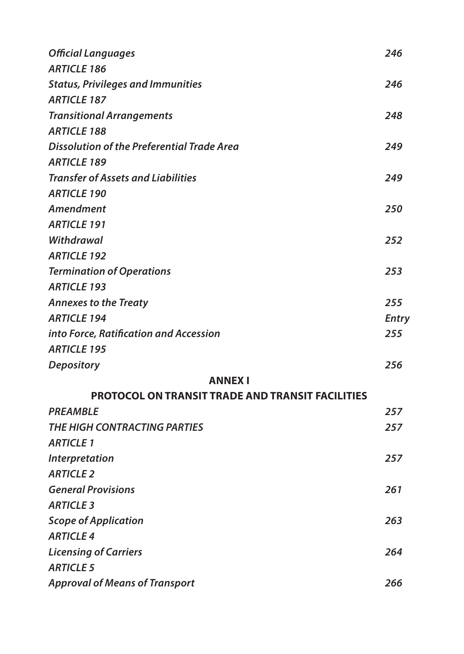| <b>Official Languages</b>                               | 246   |
|---------------------------------------------------------|-------|
| <b>ARTICLE 186</b>                                      |       |
| <b>Status, Privileges and Immunities</b>                | 246   |
| <b>ARTICLE 187</b>                                      |       |
| <b>Transitional Arrangements</b>                        | 248   |
| <b>ARTICLE 188</b>                                      |       |
| Dissolution of the Preferential Trade Area              | 249   |
| <b>ARTICLE 189</b>                                      |       |
| <b>Transfer of Assets and Liabilities</b>               | 249   |
| <b>ARTICLE 190</b>                                      |       |
| Amendment                                               | 250   |
| <b>ARTICLE 191</b>                                      |       |
| Withdrawal                                              | 252   |
| <b>ARTICLE 192</b>                                      |       |
| <b>Termination of Operations</b>                        | 253   |
| <b>ARTICLE 193</b>                                      |       |
| <b>Annexes to the Treaty</b>                            | 255   |
| <b>ARTICLE 194</b>                                      | Entry |
| into Force, Ratification and Accession                  | 255   |
| <b>ARTICLE 195</b>                                      |       |
| <b>Depository</b>                                       | 256   |
| <b>ANNEXI</b>                                           |       |
| <b>PROTOCOL ON TRANSIT TRADE AND TRANSIT FACILITIES</b> |       |
| PREAMBLE                                                | 257   |
| THE HIGH CONTRACTING PARTIES                            | 257   |
| <b>ARTICLE 1</b>                                        |       |
| <b>Interpretation</b>                                   | 257   |
| <b>ARTICLE 2</b>                                        |       |
| <b>General Provisions</b>                               | 261   |
| <b>ARTICLE 3</b>                                        |       |
| <b>Scope of Application</b>                             | 263   |
| <b>ARTICLE 4</b>                                        |       |
| <b>Licensing of Carriers</b>                            | 264   |
| <b>ARTICLE 5</b>                                        |       |
| <b>Approval of Means of Transport</b>                   | 266   |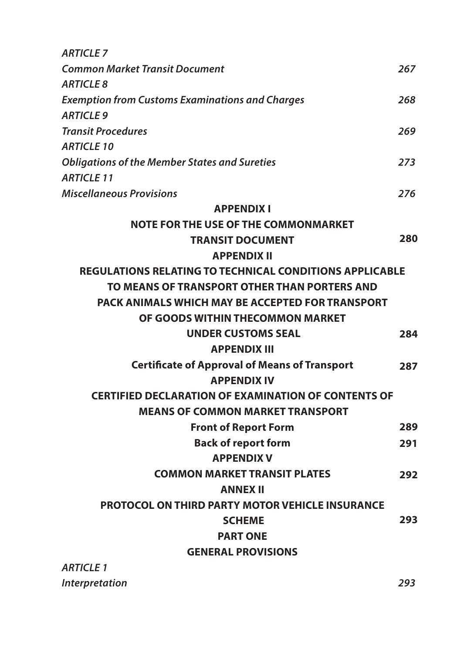| <b>ARTICLE 7</b>                                               |     |
|----------------------------------------------------------------|-----|
| <b>Common Market Transit Document</b>                          | 267 |
| <b>ARTICI F 8</b>                                              |     |
| <b>Exemption from Customs Examinations and Charges</b>         | 268 |
| <b>ARTICLE 9</b>                                               |     |
| <b>Transit Procedures</b>                                      | 269 |
| <b>ARTICLE 10</b>                                              |     |
| <b>Obligations of the Member States and Sureties</b>           | 273 |
| <b>ARTICLE 11</b>                                              |     |
| <b>Miscellaneous Provisions</b>                                | 276 |
| <b>APPENDIX I</b>                                              |     |
| NOTE FOR THE USE OF THE COMMONMARKET                           |     |
| <b>TRANSIT DOCUMENT</b>                                        | 280 |
| <b>APPENDIX II</b>                                             |     |
| <b>REGULATIONS RELATING TO TECHNICAL CONDITIONS APPLICABLE</b> |     |
| TO MEANS OF TRANSPORT OTHER THAN PORTERS AND                   |     |
| PACK ANIMALS WHICH MAY BE ACCEPTED FOR TRANSPORT               |     |
| OF GOODS WITHIN THECOMMON MARKET                               |     |
| <b>UNDER CUSTOMS SEAL</b>                                      | 284 |
| <b>APPENDIX III</b>                                            |     |
| <b>Certificate of Approval of Means of Transport</b>           | 287 |
| <b>APPENDIX IV</b>                                             |     |
| <b>CERTIFIED DECLARATION OF EXAMINATION OF CONTENTS OF</b>     |     |
| <b>MEANS OF COMMON MARKET TRANSPORT</b>                        |     |
| <b>Front of Report Form</b>                                    | 289 |
| <b>Back of report form</b>                                     | 291 |
| <b>APPENDIX V</b>                                              |     |
| <b>COMMON MARKET TRANSIT PLATES</b>                            | 292 |
| <b>ANNEX II</b>                                                |     |
| <b>PROTOCOL ON THIRD PARTY MOTOR VEHICLE INSURANCE</b>         |     |
| <b>SCHEME</b>                                                  | 293 |
| <b>PART ONE</b>                                                |     |
| <b>GENERAL PROVISIONS</b>                                      |     |
| <b>ARTICLE 1</b>                                               |     |
| <i><u><b>Interpretation</b></u></i>                            | 293 |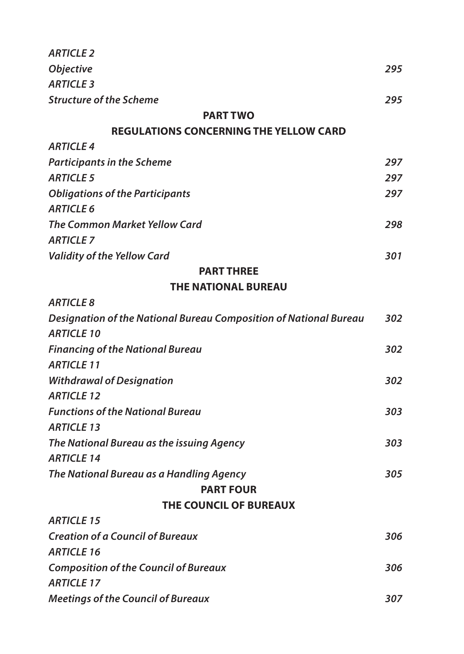| <b>ARTICLE 2</b>                                                  |     |
|-------------------------------------------------------------------|-----|
| <b>Objective</b>                                                  | 295 |
| <b>ARTICLE 3</b>                                                  |     |
| <b>Structure of the Scheme</b>                                    | 295 |
| <b>PART TWO</b>                                                   |     |
| <b>REGULATIONS CONCERNING THE YELLOW CARD</b>                     |     |
| <b>ARTICLE 4</b>                                                  |     |
| <b>Participants in the Scheme</b>                                 | 297 |
| <b>ARTICLE 5</b>                                                  | 297 |
| <b>Obligations of the Participants</b>                            | 297 |
| <b>ARTICLE 6</b>                                                  |     |
| <b>The Common Market Yellow Card</b>                              | 298 |
| <b>ARTICLE 7</b>                                                  |     |
| Validity of the Yellow Card                                       | 301 |
| <b>PART THREE</b>                                                 |     |
| THE NATIONAL BUREAU                                               |     |
| <b>ARTICLE 8</b>                                                  |     |
| Designation of the National Bureau Composition of National Bureau | 302 |
| <b>ARTICLE 10</b>                                                 |     |
| <b>Financing of the National Bureau</b>                           | 302 |
| <b>ARTICLE 11</b>                                                 |     |
| <b>Withdrawal of Designation</b>                                  | 302 |
| <b>ARTICLE 12</b>                                                 |     |
| <b>Functions of the National Bureau</b>                           | 303 |
| <b>ARTICLE 13</b>                                                 |     |
| The National Bureau as the issuing Agency                         | 303 |
| <b>ARTICLE 14</b>                                                 |     |
| The National Bureau as a Handling Agency                          | 305 |
| <b>PART FOUR</b>                                                  |     |
| THE COUNCIL OF BUREAUX                                            |     |
| <b>ARTICLE 15</b>                                                 |     |
| <b>Creation of a Council of Bureaux</b>                           | 306 |
| <b>ARTICLE 16</b>                                                 |     |
| <b>Composition of the Council of Bureaux</b>                      | 306 |
| <b>ARTICLE 17</b>                                                 |     |
| <b>Meetings of the Council of Bureaux</b>                         | 307 |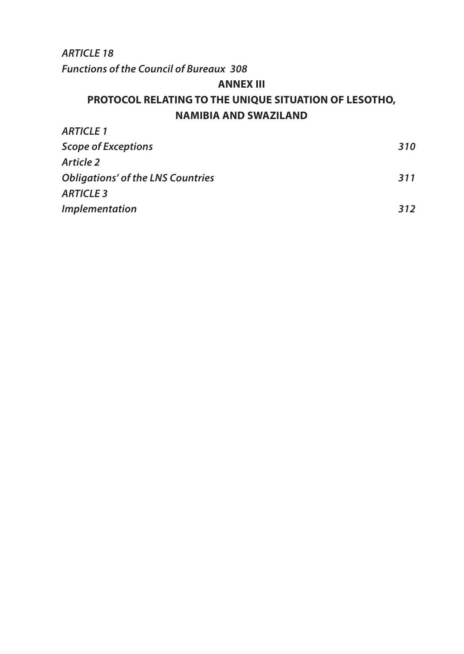*ARTICLE 18 Functions of the Council of Bureaux 308*

#### **ANNEX III**

#### **PROTOCOL RELATING TO THE UNIQUE SITUATION OF LESOTHO, NAMIBIA AND SWAZILAND**

| <b>ARTICLE 1</b>                         |     |
|------------------------------------------|-----|
| <b>Scope of Exceptions</b>               | 310 |
| Article 2                                |     |
| <b>Obligations' of the LNS Countries</b> | 311 |
| <b>ARTICLE 3</b>                         |     |
| <i>Implementation</i>                    | 312 |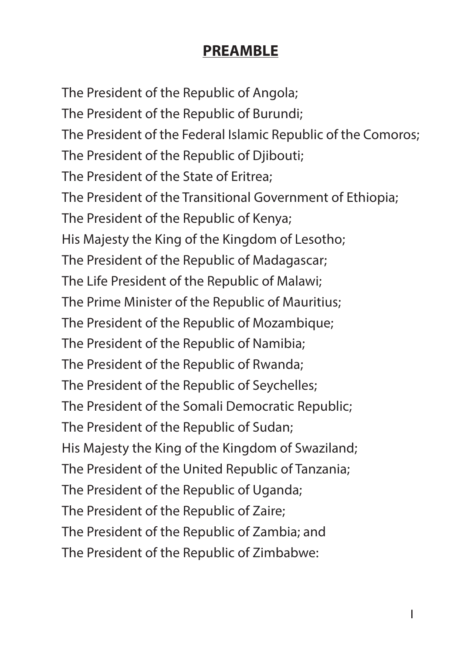## **PREAMBLE**

The President of the Republic of Angola; The President of the Republic of Burundi; The President of the Federal Islamic Republic of the Comoros; The President of the Republic of Djibouti; The President of the State of Eritrea; The President of the Transitional Government of Ethiopia; The President of the Republic of Kenya; His Majesty the King of the Kingdom of Lesotho; The President of the Republic of Madagascar; The Life President of the Republic of Malawi; The Prime Minister of the Republic of Mauritius; The President of the Republic of Mozambique; The President of the Republic of Namibia; The President of the Republic of Rwanda; The President of the Republic of Seychelles; The President of the Somali Democratic Republic; The President of the Republic of Sudan; His Majesty the King of the Kingdom of Swaziland; The President of the United Republic of Tanzania; The President of the Republic of Uganda; The President of the Republic of Zaire; The President of the Republic of Zambia; and The President of the Republic of Zimbabwe: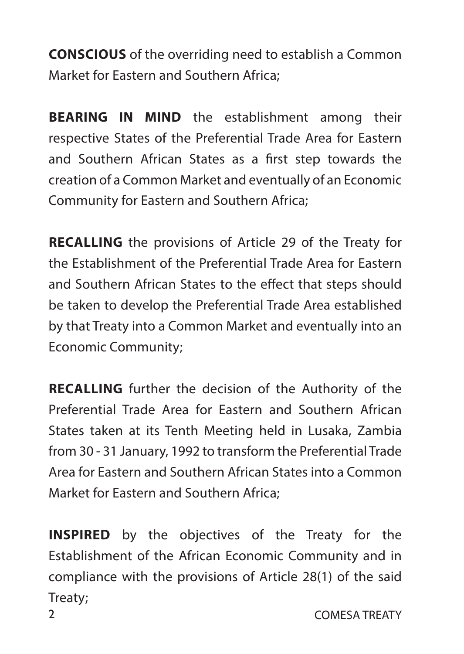**CONSCIOUS** of the overriding need to establish a Common Market for Eastern and Southern Africa;

**BEARING IN MIND** the establishment among their respective States of the Preferential Trade Area for Eastern and Southern African States as a first step towards the creation of a Common Market and eventually of an Economic Community for Eastern and Southern Africa;

**RECALLING** the provisions of Article 29 of the Treaty for the Establishment of the Preferential Trade Area for Eastern and Southern African States to the effect that steps should be taken to develop the Preferential Trade Area established by that Treaty into a Common Market and eventually into an Economic Community;

**RECALLING** further the decision of the Authority of the Preferential Trade Area for Eastern and Southern African States taken at its Tenth Meeting held in Lusaka, Zambia from 30 - 31 January, 1992 to transform the Preferential Trade Area for Eastern and Southern African States into a Common Market for Eastern and Southern Africa;

2 COMESA TREATY **INSPIRED** by the objectives of the Treaty for the Establishment of the African Economic Community and in compliance with the provisions of Article 28(1) of the said Treaty;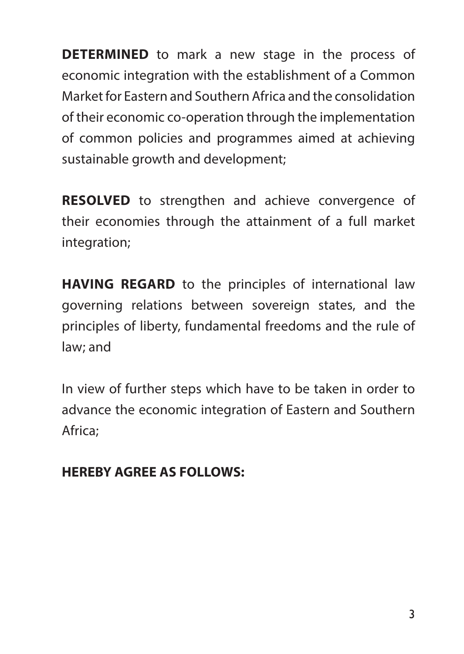**DETERMINED** to mark a new stage in the process of economic integration with the establishment of a Common Market for Eastern and Southern Africa and the consolidation of their economic co-operation through the implementation of common policies and programmes aimed at achieving sustainable growth and development;

**RESOLVED** to strengthen and achieve convergence of their economies through the attainment of a full market integration;

**HAVING REGARD** to the principles of international law governing relations between sovereign states, and the principles of liberty, fundamental freedoms and the rule of law; and

In view of further steps which have to be taken in order to advance the economic integration of Eastern and Southern Africa;

### **HEREBY AGREE AS FOLLOWS:**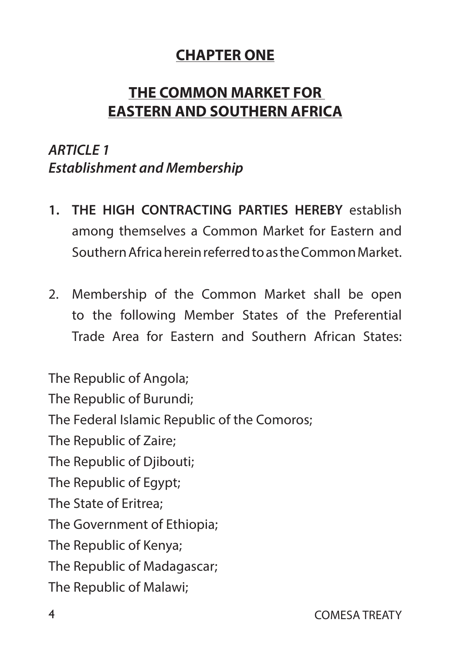## **CHAPTER ONE**

## **THE COMMON MARKET FOR EASTERN AND SOUTHERN AFRICA**

## *ARTICLE 1 Establishment and Membership*

- **1. THE HIGH CONTRACTING PARTIES HEREBY** establish among themselves a Common Market for Eastern and Southern Africa herein referred to as the Common Market.
- 2. Membership of the Common Market shall be open to the following Member States of the Preferential Trade Area for Eastern and Southern African States:

The Republic of Angola; The Republic of Burundi; The Federal Islamic Republic of the Comoros; The Republic of Zaire; The Republic of Djibouti; The Republic of Egypt; The State of Eritrea; The Government of Ethiopia; The Republic of Kenya; The Republic of Madagascar; The Republic of Malawi;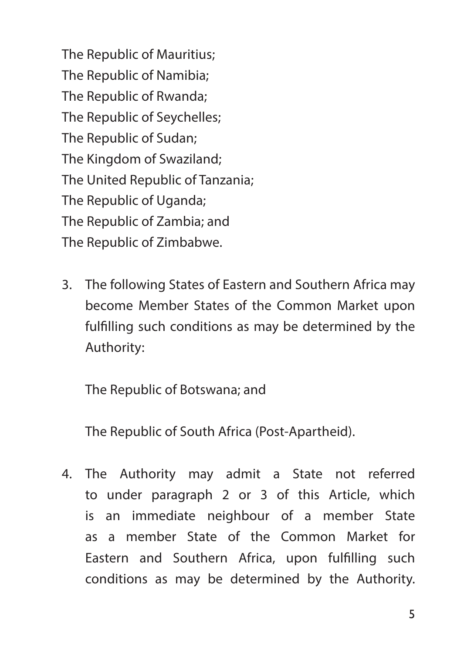The Republic of Mauritius; The Republic of Namibia; The Republic of Rwanda; The Republic of Seychelles; The Republic of Sudan; The Kingdom of Swaziland; The United Republic of Tanzania; The Republic of Uganda; The Republic of Zambia; and The Republic of Zimbabwe.

3. The following States of Eastern and Southern Africa may become Member States of the Common Market upon fulfilling such conditions as may be determined by the Authority:

The Republic of Botswana; and

The Republic of South Africa (Post-Apartheid).

4. The Authority may admit a State not referred to under paragraph 2 or 3 of this Article, which is an immediate neighbour of a member State as a member State of the Common Market for Eastern and Southern Africa, upon fulfilling such conditions as may be determined by the Authority.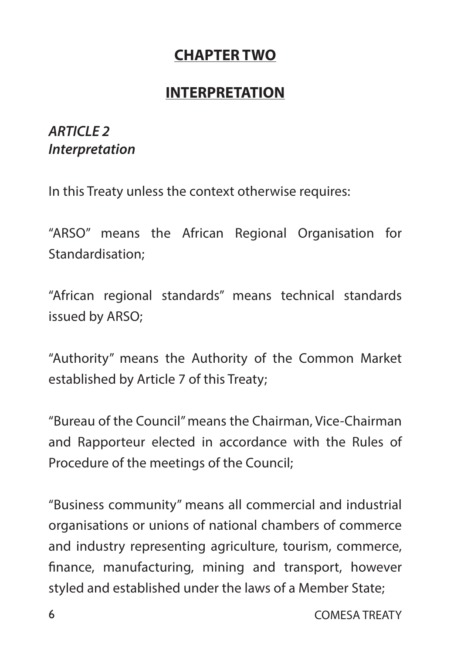## **CHAPTER TWO**

## **INTERPRETATION**

## *ARTICLE 2 Interpretation*

In this Treaty unless the context otherwise requires:

"ARSO" means the African Regional Organisation for Standardisation;

"African regional standards" means technical standards issued by ARSO;

"Authority" means the Authority of the Common Market established by Article 7 of this Treaty;

"Bureau of the Council" means the Chairman, Vice-Chairman and Rapporteur elected in accordance with the Rules of Procedure of the meetings of the Council;

"Business community" means all commercial and industrial organisations or unions of national chambers of commerce and industry representing agriculture, tourism, commerce, finance, manufacturing, mining and transport, however styled and established under the laws of a Member State;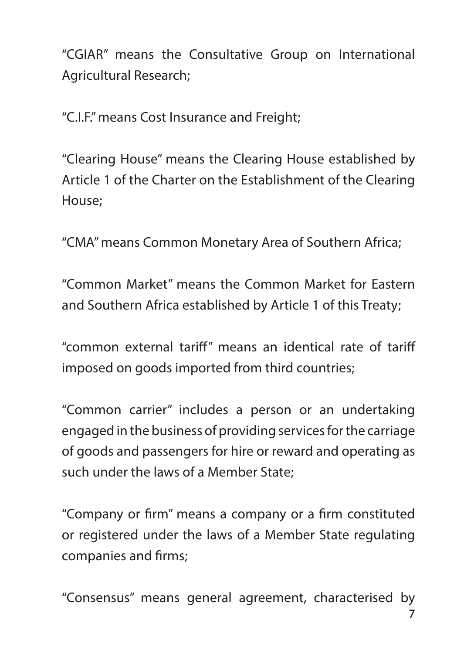"CGIAR" means the Consultative Group on International Agricultural Research;

"C.I.F." means Cost Insurance and Freight;

"Clearing House" means the Clearing House established by Article 1 of the Charter on the Establishment of the Clearing House;

"CMA" means Common Monetary Area of Southern Africa;

"Common Market" means the Common Market for Eastern and Southern Africa established by Article 1 of this Treaty;

"common external tariff" means an identical rate of tariff imposed on goods imported from third countries;

"Common carrier" includes a person or an undertaking engaged in the business of providing services for the carriage of goods and passengers for hire or reward and operating as such under the laws of a Member State;

"Company or firm" means a company or a firm constituted or registered under the laws of a Member State regulating companies and firms;

"Consensus" means general agreement, characterised by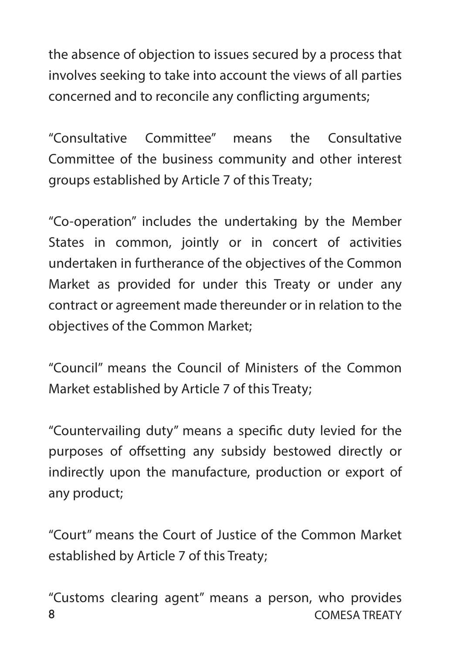the absence of objection to issues secured by a process that involves seeking to take into account the views of all parties concerned and to reconcile any conflicting arguments;

"Consultative Committee" means the Consultative Committee of the business community and other interest groups established by Article 7 of this Treaty;

"Co-operation" includes the undertaking by the Member States in common, jointly or in concert of activities undertaken in furtherance of the objectives of the Common Market as provided for under this Treaty or under any contract or agreement made thereunder or in relation to the objectives of the Common Market;

"Council" means the Council of Ministers of the Common Market established by Article 7 of this Treaty;

"Countervailing duty" means a specific duty levied for the purposes of offsetting any subsidy bestowed directly or indirectly upon the manufacture, production or export of any product;

"Court" means the Court of Justice of the Common Market established by Article 7 of this Treaty;

8 COMESA TREATY "Customs clearing agent" means a person, who provides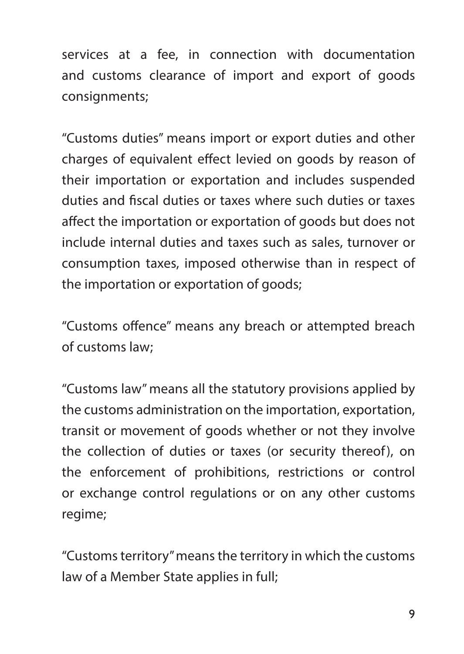services at a fee, in connection with documentation and customs clearance of import and export of goods consignments:

"Customs duties" means import or export duties and other charges of equivalent effect levied on goods by reason of their importation or exportation and includes suspended duties and fiscal duties or taxes where such duties or taxes affect the importation or exportation of goods but does not include internal duties and taxes such as sales, turnover or consumption taxes, imposed otherwise than in respect of the importation or exportation of goods;

"Customs offence" means any breach or attempted breach of customs law;

"Customs law" means all the statutory provisions applied by the customs administration on the importation, exportation, transit or movement of goods whether or not they involve the collection of duties or taxes (or security thereof), on the enforcement of prohibitions, restrictions or control or exchange control regulations or on any other customs regime;

"Customs territory" means the territory in which the customs law of a Member State applies in full;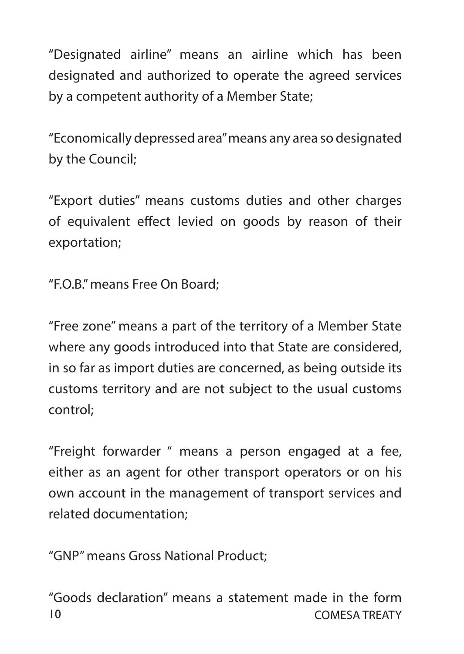"Designated airline" means an airline which has been designated and authorized to operate the agreed services by a competent authority of a Member State;

"Economically depressed area" means any area so designated by the Council;

"Export duties" means customs duties and other charges of equivalent effect levied on goods by reason of their exportation;

"F.O.B." means Free On Board;

"Free zone" means a part of the territory of a Member State where any goods introduced into that State are considered, in so far as import duties are concerned, as being outside its customs territory and are not subject to the usual customs control;

"Freight forwarder " means a person engaged at a fee, either as an agent for other transport operators or on his own account in the management of transport services and related documentation;

"GNP" means Gross National Product;

10 COMESA TREATY "Goods declaration" means a statement made in the form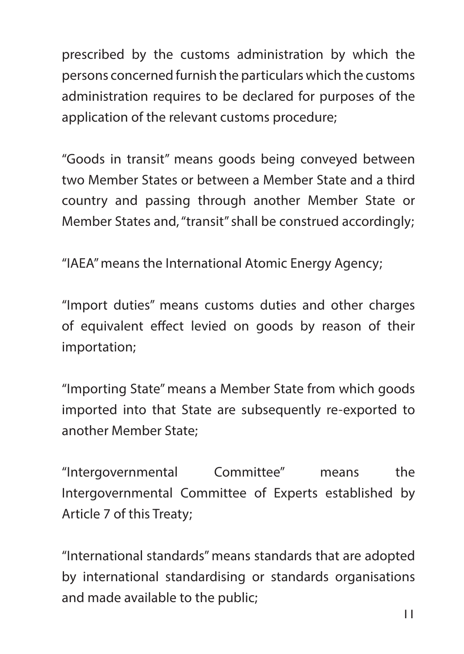prescribed by the customs administration by which the persons concerned furnish the particulars which the customs administration requires to be declared for purposes of the application of the relevant customs procedure;

"Goods in transit" means goods being conveyed between two Member States or between a Member State and a third country and passing through another Member State or Member States and, "transit" shall be construed accordingly;

"IAEA" means the International Atomic Energy Agency;

"Import duties" means customs duties and other charges of equivalent effect levied on goods by reason of their importation;

"Importing State" means a Member State from which goods imported into that State are subsequently re-exported to another Member State;

"Intergovernmental Committee" means the Intergovernmental Committee of Experts established by Article 7 of this Treaty;

"International standards" means standards that are adopted by international standardising or standards organisations and made available to the public;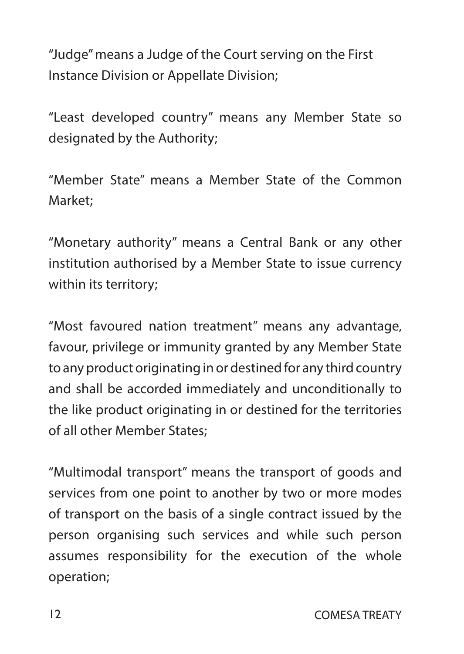"Judge" means a Judge of the Court serving on the First Instance Division or Appellate Division;

"Least developed country" means any Member State so designated by the Authority;

"Member State" means a Member State of the Common Market;

"Monetary authority" means a Central Bank or any other institution authorised by a Member State to issue currency within its territory;

"Most favoured nation treatment" means any advantage, favour, privilege or immunity granted by any Member State to any product originating in or destined for any third country and shall be accorded immediately and unconditionally to the like product originating in or destined for the territories of all other Member States;

"Multimodal transport" means the transport of goods and services from one point to another by two or more modes of transport on the basis of a single contract issued by the person organising such services and while such person assumes responsibility for the execution of the whole operation;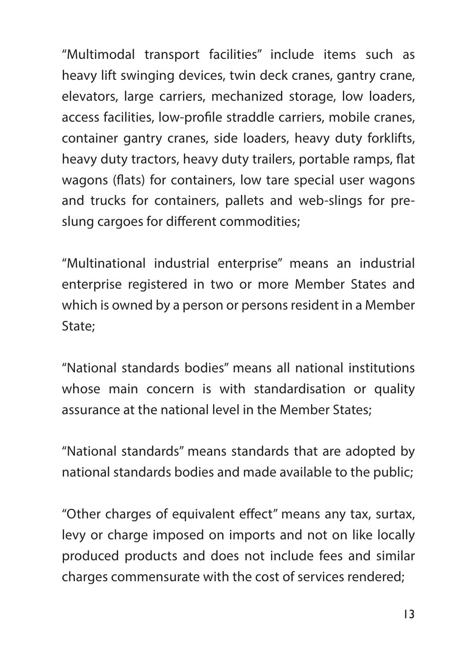"Multimodal transport facilities" include items such as heavy lift swinging devices, twin deck cranes, gantry crane, elevators, large carriers, mechanized storage, low loaders, access facilities, low-profile straddle carriers, mobile cranes, container gantry cranes, side loaders, heavy duty forklifts, heavy duty tractors, heavy duty trailers, portable ramps, flat wagons (flats) for containers, low tare special user wagons and trucks for containers, pallets and web-slings for preslung cargoes for different commodities;

"Multinational industrial enterprise" means an industrial enterprise registered in two or more Member States and which is owned by a person or persons resident in a Member State;

"National standards bodies" means all national institutions whose main concern is with standardisation or quality assurance at the national level in the Member States;

"National standards" means standards that are adopted by national standards bodies and made available to the public;

"Other charges of equivalent effect" means any tax, surtax, levy or charge imposed on imports and not on like locally produced products and does not include fees and similar charges commensurate with the cost of services rendered;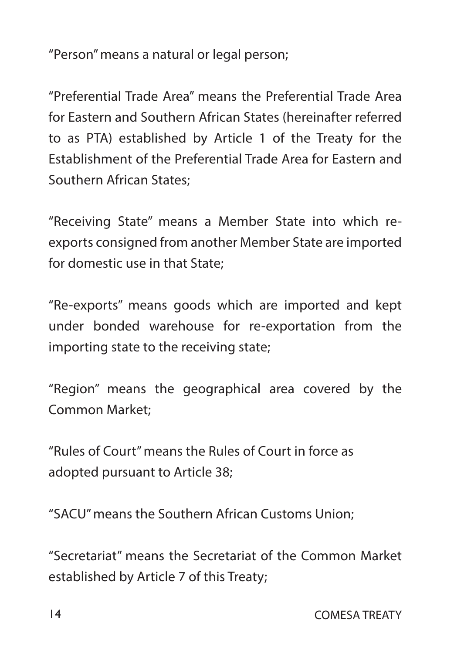"Person" means a natural or legal person;

"Preferential Trade Area" means the Preferential Trade Area for Eastern and Southern African States (hereinafter referred to as PTA) established by Article 1 of the Treaty for the Establishment of the Preferential Trade Area for Eastern and Southern African States;

"Receiving State" means a Member State into which reexports consigned from another Member State are imported for domestic use in that State;

"Re-exports" means goods which are imported and kept under bonded warehouse for re-exportation from the importing state to the receiving state;

"Region" means the geographical area covered by the Common Market;

"Rules of Court" means the Rules of Court in force as adopted pursuant to Article 38;

"SACU" means the Southern African Customs Union;

"Secretariat" means the Secretariat of the Common Market established by Article 7 of this Treaty;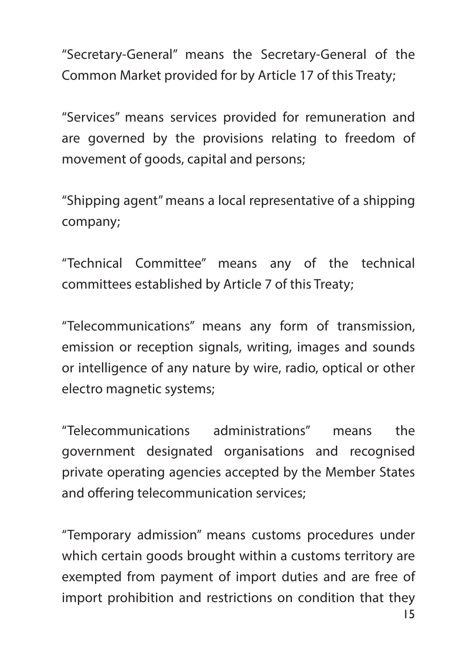"Secretary-General" means the Secretary-General of the Common Market provided for by Article 17 of this Treaty;

"Services" means services provided for remuneration and are governed by the provisions relating to freedom of movement of goods, capital and persons;

"Shipping agent" means a local representative of a shipping company;

"Technical Committee" means any of the technical committees established by Article 7 of this Treaty;

"Telecommunications" means any form of transmission, emission or reception signals, writing, images and sounds or intelligence of any nature by wire, radio, optical or other electro magnetic systems;

"Telecommunications administrations" means the government designated organisations and recognised private operating agencies accepted by the Member States and offering telecommunication services;

"Temporary admission" means customs procedures under which certain goods brought within a customs territory are exempted from payment of import duties and are free of import prohibition and restrictions on condition that they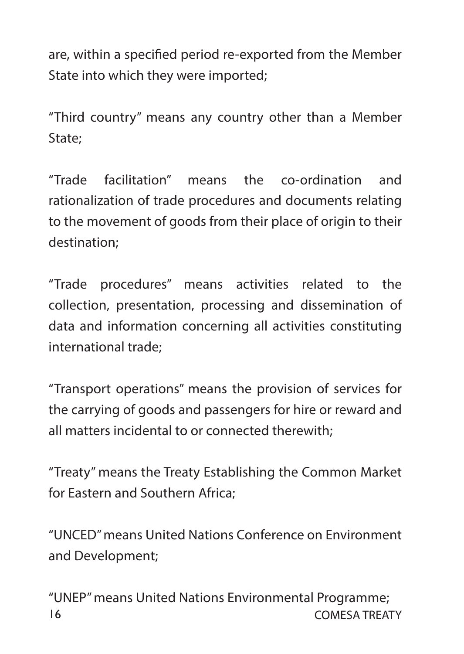are, within a specified period re-exported from the Member State into which they were imported;

"Third country" means any country other than a Member State;

"Trade facilitation" means the co-ordination and rationalization of trade procedures and documents relating to the movement of goods from their place of origin to their destination;

"Trade procedures" means activities related to the collection, presentation, processing and dissemination of data and information concerning all activities constituting international trade;

"Transport operations" means the provision of services for the carrying of goods and passengers for hire or reward and all matters incidental to or connected therewith;

"Treaty" means the Treaty Establishing the Common Market for Eastern and Southern Africa;

"UNCED" means United Nations Conference on Environment and Development;

16 COMESA TREATY "UNEP" means United Nations Environmental Programme;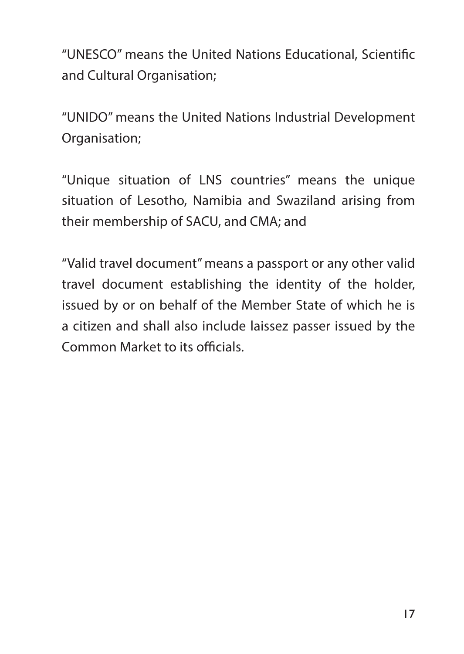"UNESCO" means the United Nations Educational, Scientific and Cultural Organisation;

"UNIDO" means the United Nations Industrial Development Organisation;

"Unique situation of LNS countries" means the unique situation of Lesotho, Namibia and Swaziland arising from their membership of SACU, and CMA; and

"Valid travel document" means a passport or any other valid travel document establishing the identity of the holder, issued by or on behalf of the Member State of which he is a citizen and shall also include laissez passer issued by the Common Market to its officials.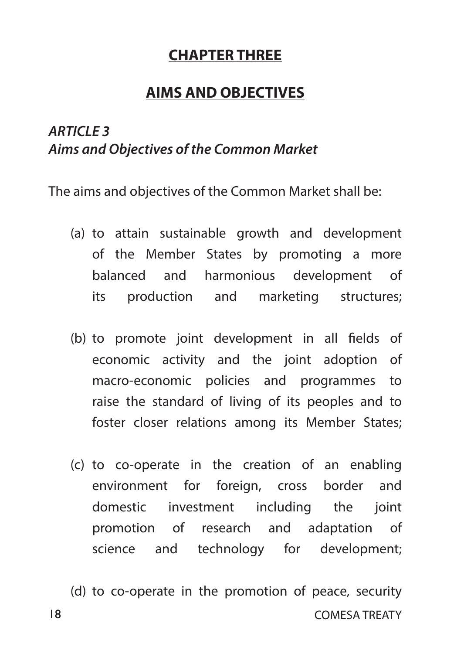### **CHAPTER THREE**

#### **AIMS AND OBJECTIVES**

# *ARTICLE 3 Aims and Objectives of the Common Market*

The aims and objectives of the Common Market shall be:

- (a) to attain sustainable growth and development of the Member States by promoting a more balanced and harmonious development of its production and marketing structures;
- (b) to promote joint development in all fields of economic activity and the joint adoption of macro-economic policies and programmes to raise the standard of living of its peoples and to foster closer relations among its Member States;
- (c) to co-operate in the creation of an enabling environment for foreign, cross border and domestic investment including the joint promotion of research and adaptation of science and technology for development;

18 COMESA TREATY (d) to co-operate in the promotion of peace, security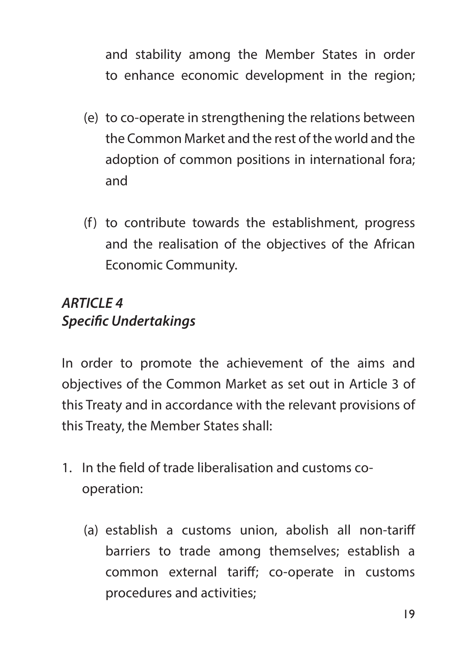and stability among the Member States in order to enhance economic development in the region;

- (e) to co-operate in strengthening the relations between the Common Market and the rest of the world and the adoption of common positions in international fora; and
- (f) to contribute towards the establishment, progress and the realisation of the objectives of the African Economic Community.

# *ARTICLE 4 Specific Undertakings*

In order to promote the achievement of the aims and objectives of the Common Market as set out in Article 3 of this Treaty and in accordance with the relevant provisions of this Treaty, the Member States shall:

- 1. In the field of trade liberalisation and customs cooperation:
	- (a) establish a customs union, abolish all non-tariff barriers to trade among themselves; establish a common external tariff; co-operate in customs procedures and activities;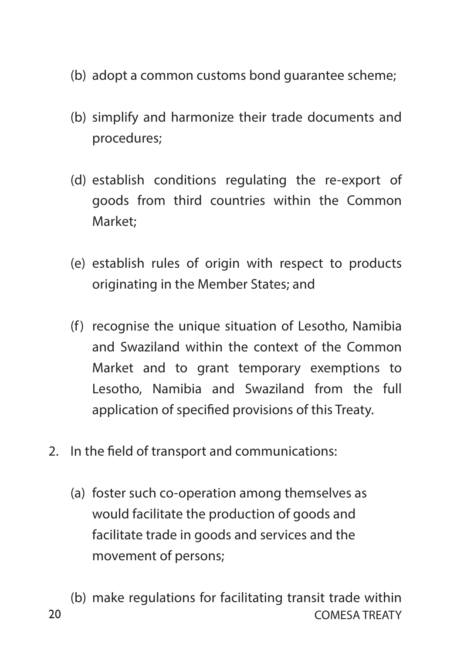- (b) adopt a common customs bond guarantee scheme;
- (b) simplify and harmonize their trade documents and procedures;
- (d) establish conditions regulating the re-export of goods from third countries within the Common Market;
- (e) establish rules of origin with respect to products originating in the Member States; and
- (f) recognise the unique situation of Lesotho, Namibia and Swaziland within the context of the Common Market and to grant temporary exemptions to Lesotho, Namibia and Swaziland from the full application of specified provisions of this Treaty.
- 2. In the field of transport and communications:
	- (a) foster such co-operation among themselves as would facilitate the production of goods and facilitate trade in goods and services and the movement of persons;

20 COMESA TREATY (b) make regulations for facilitating transit trade within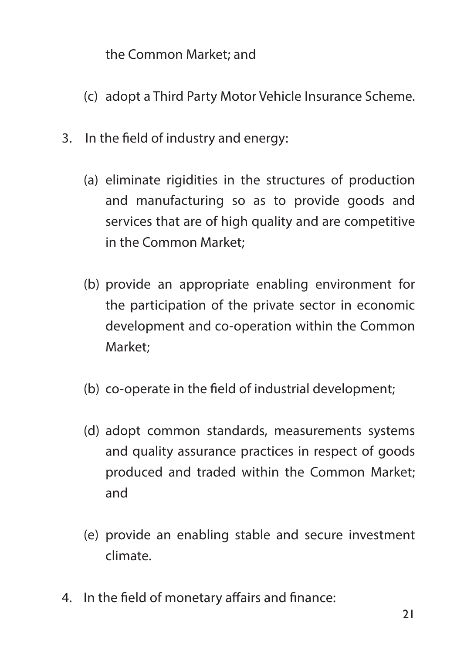the Common Market; and

- (c) adopt a Third Party Motor Vehicle Insurance Scheme.
- 3. In the field of industry and energy:
	- (a) eliminate rigidities in the structures of production and manufacturing so as to provide goods and services that are of high quality and are competitive in the Common Market;
	- (b) provide an appropriate enabling environment for the participation of the private sector in economic development and co-operation within the Common Market;
	- (b) co-operate in the field of industrial development;
	- (d) adopt common standards, measurements systems and quality assurance practices in respect of goods produced and traded within the Common Market; and
	- (e) provide an enabling stable and secure investment climate.
- 4. In the field of monetary affairs and finance: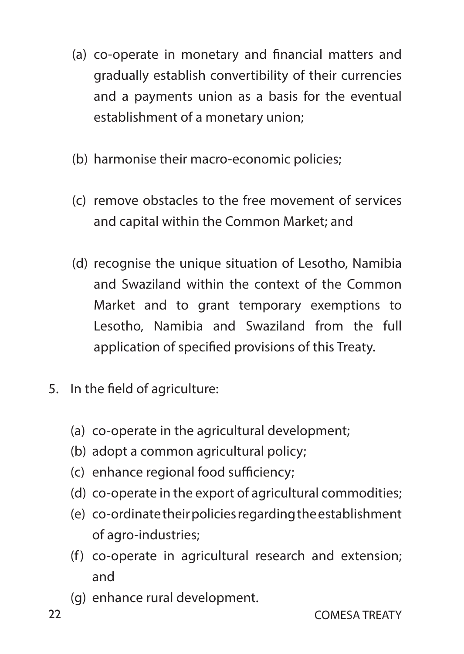- (a) co-operate in monetary and financial matters and gradually establish convertibility of their currencies and a payments union as a basis for the eventual establishment of a monetary union;
- (b) harmonise their macro-economic policies;
- (c) remove obstacles to the free movement of services and capital within the Common Market; and
- (d) recognise the unique situation of Lesotho, Namibia and Swaziland within the context of the Common Market and to grant temporary exemptions to Lesotho, Namibia and Swaziland from the full application of specified provisions of this Treaty.
- 5. In the field of agriculture:
	- (a) co-operate in the agricultural development;
	- (b) adopt a common agricultural policy;
	- (c) enhance regional food sufficiency;
	- (d) co-operate in the export of agricultural commodities;
	- (e) co-ordinate their policies regarding the establishment of agro-industries;
	- (f) co-operate in agricultural research and extension; and
	- (g) enhance rural development.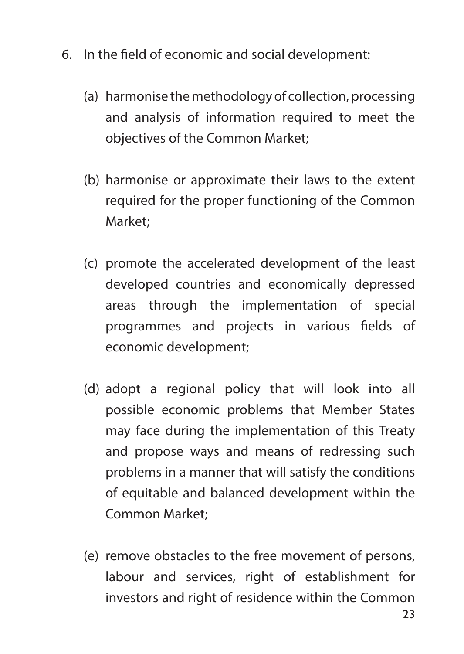- 6. In the field of economic and social development:
	- (a) harmonise the methodology of collection, processing and analysis of information required to meet the objectives of the Common Market;
	- (b) harmonise or approximate their laws to the extent required for the proper functioning of the Common Market;
	- (c) promote the accelerated development of the least developed countries and economically depressed areas through the implementation of special programmes and projects in various fields of economic development;
	- (d) adopt a regional policy that will look into all possible economic problems that Member States may face during the implementation of this Treaty and propose ways and means of redressing such problems in a manner that will satisfy the conditions of equitable and balanced development within the Common Market;
	- (e) remove obstacles to the free movement of persons, labour and services, right of establishment for investors and right of residence within the Common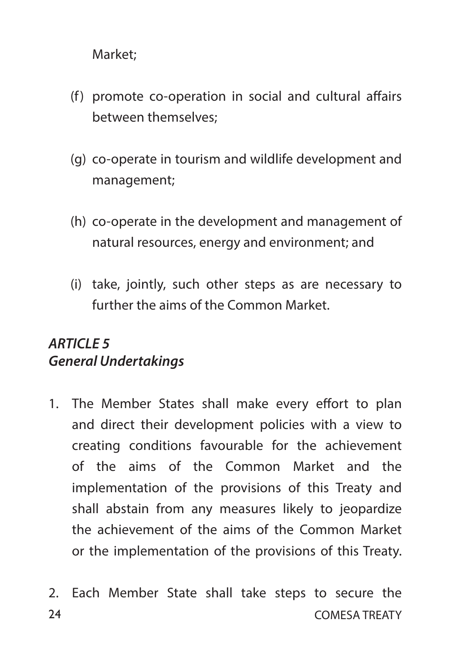Market;

- (f) promote co-operation in social and cultural affairs between themselves;
- (g) co-operate in tourism and wildlife development and management;
- (h) co-operate in the development and management of natural resources, energy and environment; and
- (i) take, jointly, such other steps as are necessary to further the aims of the Common Market.

# *ARTICLE 5 General Undertakings*

- 1. The Member States shall make every effort to plan and direct their development policies with a view to creating conditions favourable for the achievement of the aims of the Common Market and the implementation of the provisions of this Treaty and shall abstain from any measures likely to jeopardize the achievement of the aims of the Common Market or the implementation of the provisions of this Treaty.
- 24 COMESA TREATY 2. Each Member State shall take steps to secure the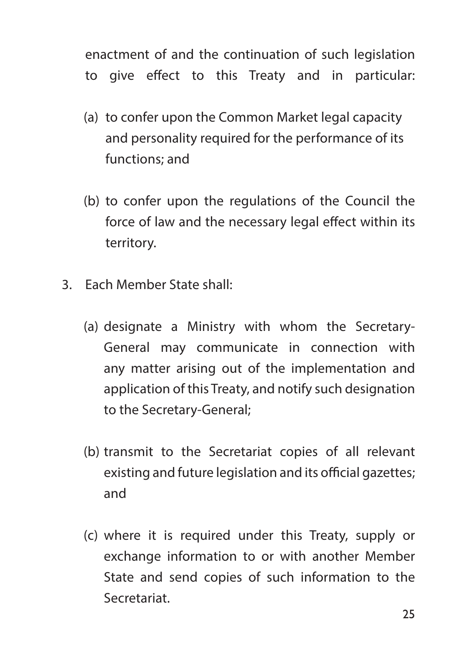enactment of and the continuation of such legislation to give effect to this Treaty and in particular:

- (a) to confer upon the Common Market legal capacity and personality required for the performance of its functions; and
- (b) to confer upon the regulations of the Council the force of law and the necessary legal effect within its territory.
- 3. Each Member State shall:
	- (a) designate a Ministry with whom the Secretary-General may communicate in connection with any matter arising out of the implementation and application of this Treaty, and notify such designation to the Secretary-General;
	- (b) transmit to the Secretariat copies of all relevant existing and future legislation and its official gazettes; and
	- (c) where it is required under this Treaty, supply or exchange information to or with another Member State and send copies of such information to the Secretariat.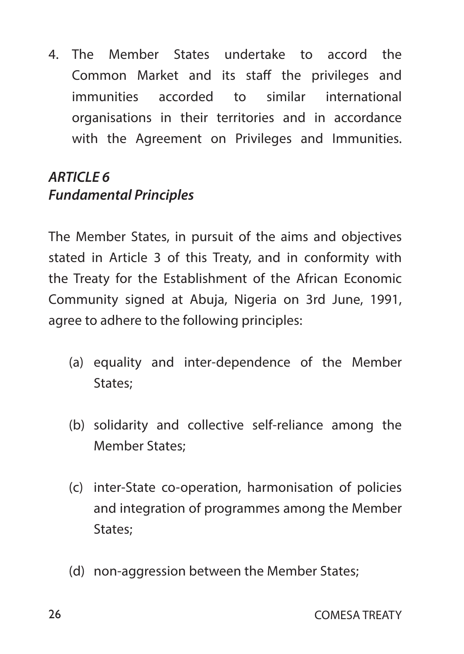4. The Member States undertake to accord the Common Market and its staff the privileges and immunities accorded to similar international organisations in their territories and in accordance with the Agreement on Privileges and Immunities.

# *ARTICLE 6 Fundamental Principles*

The Member States, in pursuit of the aims and objectives stated in Article 3 of this Treaty, and in conformity with the Treaty for the Establishment of the African Economic Community signed at Abuja, Nigeria on 3rd June, 1991, agree to adhere to the following principles:

- (a) equality and inter-dependence of the Member States;
- (b) solidarity and collective self-reliance among the Member States;
- (c) inter-State co-operation, harmonisation of policies and integration of programmes among the Member States;
- (d) non-aggression between the Member States;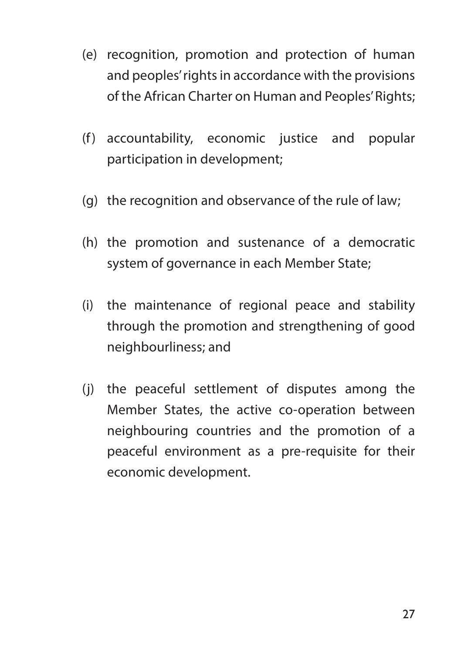- (e) recognition, promotion and protection of human and peoples' rights in accordance with the provisions of the African Charter on Human and Peoples' Rights:
- (f) accountability, economic justice and popular participation in development;
- (g) the recognition and observance of the rule of law;
- (h) the promotion and sustenance of a democratic system of governance in each Member State;
- (i) the maintenance of regional peace and stability through the promotion and strengthening of good neighbourliness; and
- (j) the peaceful settlement of disputes among the Member States, the active co-operation between neighbouring countries and the promotion of a peaceful environment as a pre-requisite for their economic development.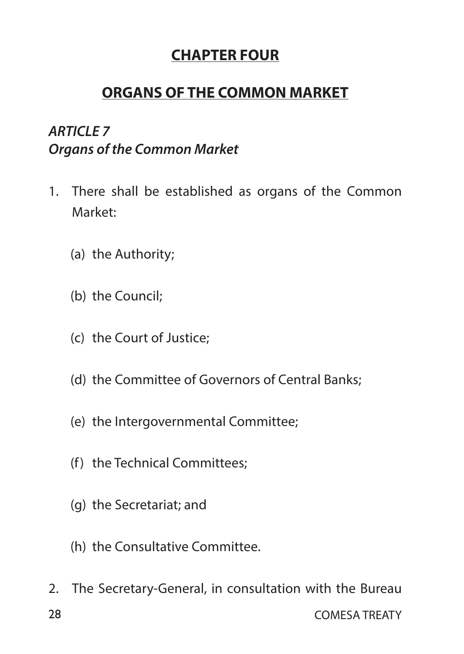# **CHAPTER FOUR**

### **ORGANS OF THE COMMON MARKET**

# *ARTICLE 7 Organs of the Common Market*

- 1. There shall be established as organs of the Common Market:
	- (a) the Authority;
	- (b) the Council;
	- (c) the Court of Justice;
	- (d) the Committee of Governors of Central Banks;
	- (e) the Intergovernmental Committee;
	- (f) the Technical Committees;
	- (g) the Secretariat; and
	- (h) the Consultative Committee.
- 28 COMESA TREATY 2. The Secretary-General, in consultation with the Bureau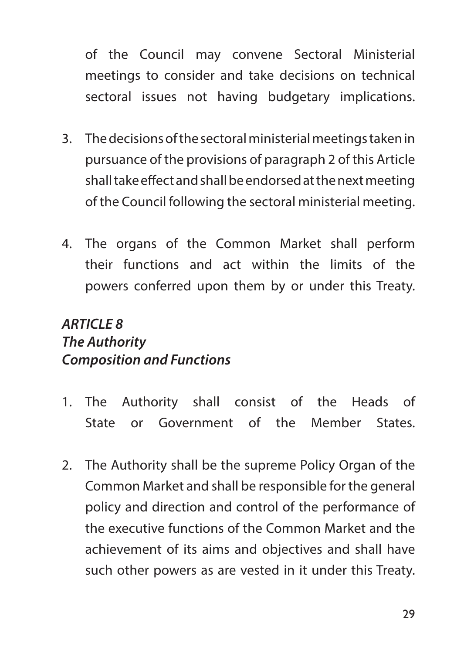of the Council may convene Sectoral Ministerial meetings to consider and take decisions on technical sectoral issues not having budgetary implications.

- 3. The decisions of the sectoral ministerial meetings taken in pursuance of the provisions of paragraph 2 of this Article shall take effect and shall be endorsed at the next meeting of the Council following the sectoral ministerial meeting.
- 4. The organs of the Common Market shall perform their functions and act within the limits of the powers conferred upon them by or under this Treaty.

#### *ARTICLE 8 The Authority Composition and Functions*

- 1. The Authority shall consist of the Heads of State or Government of the Member States.
- 2. The Authority shall be the supreme Policy Organ of the Common Market and shall be responsible for the general policy and direction and control of the performance of the executive functions of the Common Market and the achievement of its aims and objectives and shall have such other powers as are vested in it under this Treaty.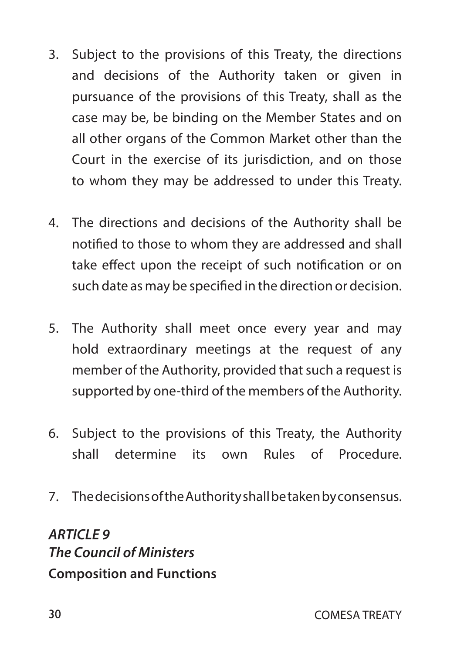- 3. Subject to the provisions of this Treaty, the directions and decisions of the Authority taken or given in pursuance of the provisions of this Treaty, shall as the case may be, be binding on the Member States and on all other organs of the Common Market other than the Court in the exercise of its jurisdiction, and on those to whom they may be addressed to under this Treaty.
- 4. The directions and decisions of the Authority shall be notified to those to whom they are addressed and shall take effect upon the receipt of such notification or on such date as may be specified in the direction or decision.
- 5. The Authority shall meet once every year and may hold extraordinary meetings at the request of any member of the Authority, provided that such a request is supported by one-third of the members of the Authority.
- 6. Subject to the provisions of this Treaty, the Authority shall determine its own Rules of Procedure.
- 7. The decisions of the Authority shall be taken by consensus.

# *ARTICLE 9 The Council of Ministers* **Composition and Functions**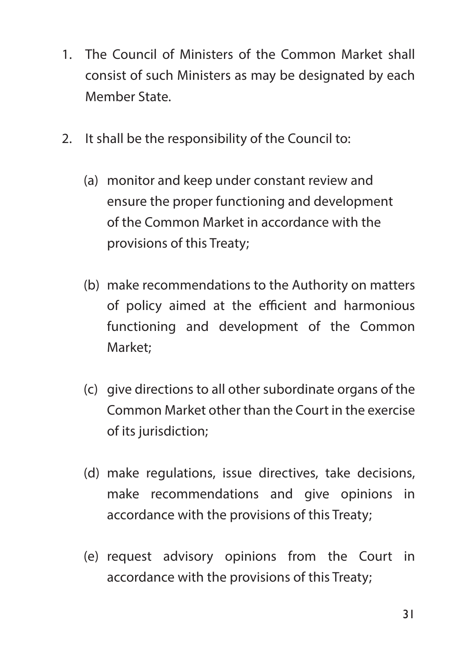- 1. The Council of Ministers of the Common Market shall consist of such Ministers as may be designated by each Member State.
- 2. It shall be the responsibility of the Council to:
	- (a) monitor and keep under constant review and ensure the proper functioning and development of the Common Market in accordance with the provisions of this Treaty;
	- (b) make recommendations to the Authority on matters of policy aimed at the efficient and harmonious functioning and development of the Common Market;
	- (c) give directions to all other subordinate organs of the Common Market other than the Court in the exercise of its jurisdiction;
	- (d) make regulations, issue directives, take decisions, make recommendations and give opinions in accordance with the provisions of this Treaty;
	- (e) request advisory opinions from the Court in accordance with the provisions of this Treaty;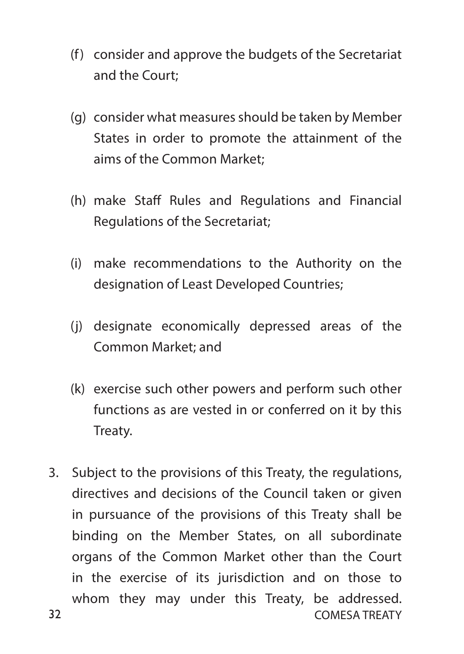- (f) consider and approve the budgets of the Secretariat and the Court;
- (g) consider what measures should be taken by Member States in order to promote the attainment of the aims of the Common Market;
- (h) make Staff Rules and Regulations and Financial Regulations of the Secretariat;
- (i) make recommendations to the Authority on the designation of Least Developed Countries;
- (j) designate economically depressed areas of the Common Market; and
- (k) exercise such other powers and perform such other functions as are vested in or conferred on it by this Treaty.
- 32 COMESA TREATY 3. Subject to the provisions of this Treaty, the regulations, directives and decisions of the Council taken or given in pursuance of the provisions of this Treaty shall be binding on the Member States, on all subordinate organs of the Common Market other than the Court in the exercise of its jurisdiction and on those to whom they may under this Treaty, be addressed.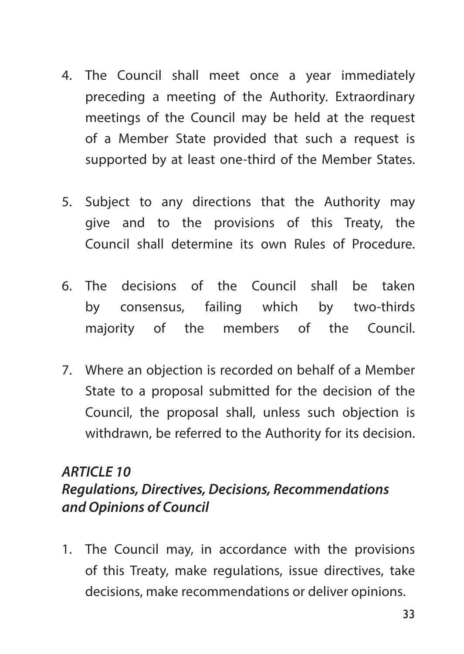- 4. The Council shall meet once a year immediately preceding a meeting of the Authority. Extraordinary meetings of the Council may be held at the request of a Member State provided that such a request is supported by at least one-third of the Member States.
- 5. Subject to any directions that the Authority may give and to the provisions of this Treaty, the Council shall determine its own Rules of Procedure.
- 6. The decisions of the Council shall be taken by consensus, failing which by two-thirds majority of the members of the Council.
- 7. Where an objection is recorded on behalf of a Member State to a proposal submitted for the decision of the Council, the proposal shall, unless such objection is withdrawn, be referred to the Authority for its decision.

#### *ARTICLE 10*

# *Regulations, Directives, Decisions, Recommendations and Opinions of Council*

1. The Council may, in accordance with the provisions of this Treaty, make regulations, issue directives, take decisions, make recommendations or deliver opinions.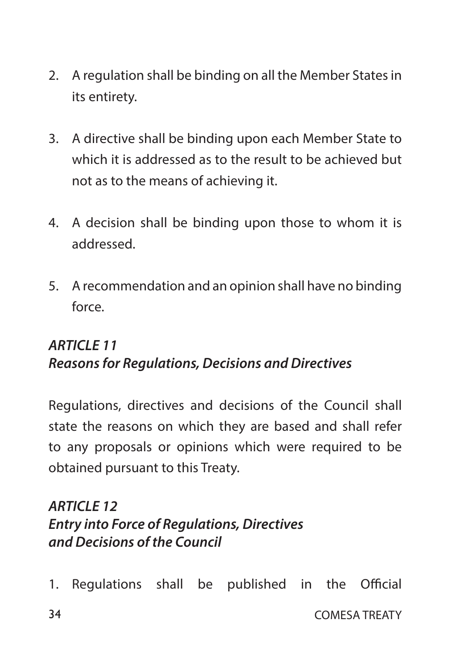- 2. A regulation shall be binding on all the Member States in its entirety.
- 3. A directive shall be binding upon each Member State to which it is addressed as to the result to be achieved but not as to the means of achieving it.
- 4. A decision shall be binding upon those to whom it is addressed.
- 5. A recommendation and an opinion shall have no binding force.

# *ARTICLE 11 Reasons for Regulations, Decisions and Directives*

Regulations, directives and decisions of the Council shall state the reasons on which they are based and shall refer to any proposals or opinions which were required to be obtained pursuant to this Treaty.

### *ARTICLE 12 Entry into Force of Regulations, Directives and Decisions of the Council*

1. Regulations shall be published in the Official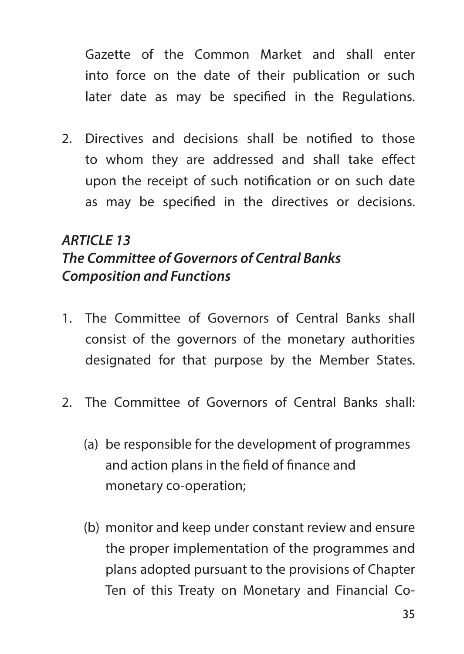Gazette of the Common Market and shall enter into force on the date of their publication or such later date as may be specified in the Regulations.

2. Directives and decisions shall be notified to those to whom they are addressed and shall take effect upon the receipt of such notification or on such date as may be specified in the directives or decisions.

#### *ARTICLE 13 The Committee of Governors of Central Banks Composition and Functions*

- 1. The Committee of Governors of Central Banks shall consist of the governors of the monetary authorities designated for that purpose by the Member States.
- 2. The Committee of Governors of Central Banks shall:
	- (a) be responsible for the development of programmes and action plans in the field of finance and monetary co-operation;
	- (b) monitor and keep under constant review and ensure the proper implementation of the programmes and plans adopted pursuant to the provisions of Chapter Ten of this Treaty on Monetary and Financial Co-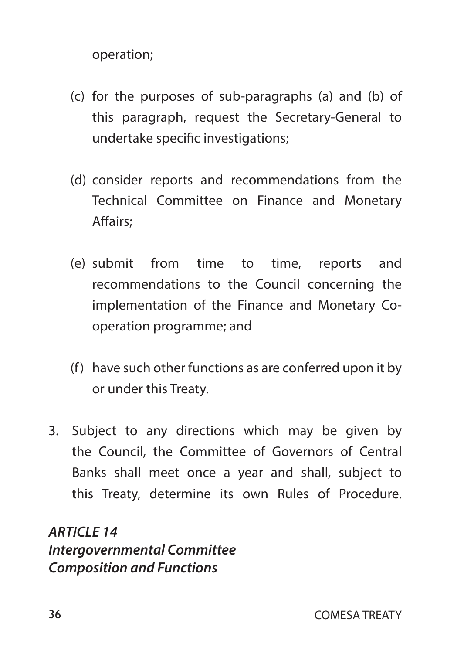operation;

- (c) for the purposes of sub-paragraphs (a) and (b) of this paragraph, request the Secretary-General to undertake specific investigations;
- (d) consider reports and recommendations from the Technical Committee on Finance and Monetary Affairs;
- (e) submit from time to time, reports and recommendations to the Council concerning the implementation of the Finance and Monetary Cooperation programme; and
- (f) have such other functions as are conferred upon it by or under this Treaty.
- 3. Subject to any directions which may be given by the Council, the Committee of Governors of Central Banks shall meet once a year and shall, subject to this Treaty, determine its own Rules of Procedure.

**ARTICLE 14** *Intergovernmental Committee Composition and Functions*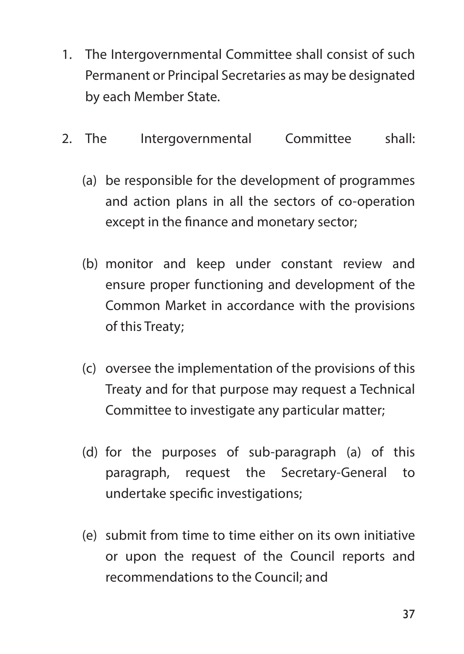- 1. The Intergovernmental Committee shall consist of such Permanent or Principal Secretaries as may be designated by each Member State.
- 2. The Intergovernmental Committee shall:
	- (a) be responsible for the development of programmes and action plans in all the sectors of co-operation except in the finance and monetary sector;
	- (b) monitor and keep under constant review and ensure proper functioning and development of the Common Market in accordance with the provisions of this Treaty;
	- (c) oversee the implementation of the provisions of this Treaty and for that purpose may request a Technical Committee to investigate any particular matter;
	- (d) for the purposes of sub-paragraph (a) of this paragraph, request the Secretary-General to undertake specific investigations;
	- (e) submit from time to time either on its own initiative or upon the request of the Council reports and recommendations to the Council; and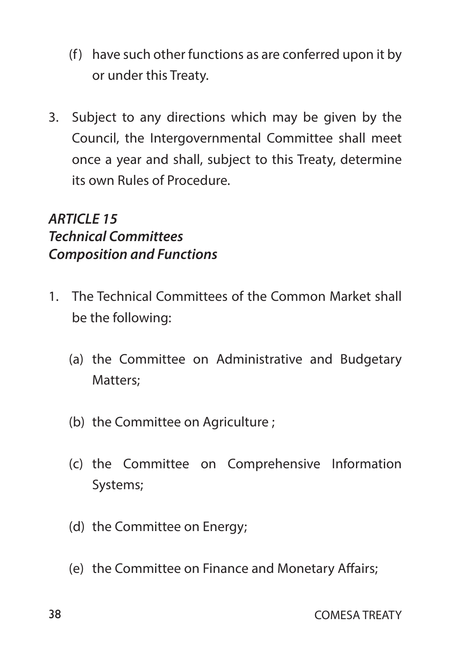- (f) have such other functions as are conferred upon it by or under this Treaty.
- 3. Subject to any directions which may be given by the Council, the Intergovernmental Committee shall meet once a year and shall, subject to this Treaty, determine its own Rules of Procedure.

### **ARTICLE 15** *Technical Committees Composition and Functions*

- 1. The Technical Committees of the Common Market shall be the following:
	- (a) the Committee on Administrative and Budgetary Matters;
	- (b) the Committee on Agriculture ;
	- (c) the Committee on Comprehensive Information Systems;
	- (d) the Committee on Energy;
	- (e) the Committee on Finance and Monetary Affairs;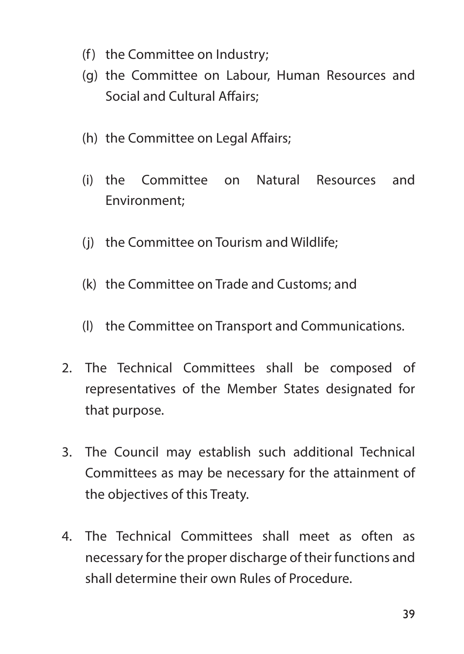- (f) the Committee on Industry;
- (g) the Committee on Labour, Human Resources and Social and Cultural Affairs;
- (h) the Committee on Legal Affairs;
- (i) the Committee on Natural Resources and Environment;
- (j) the Committee on Tourism and Wildlife;
- (k) the Committee on Trade and Customs; and
- (l) the Committee on Transport and Communications.
- 2. The Technical Committees shall be composed of representatives of the Member States designated for that purpose.
- 3. The Council may establish such additional Technical Committees as may be necessary for the attainment of the objectives of this Treaty.
- 4. The Technical Committees shall meet as often as necessary for the proper discharge of their functions and shall determine their own Rules of Procedure.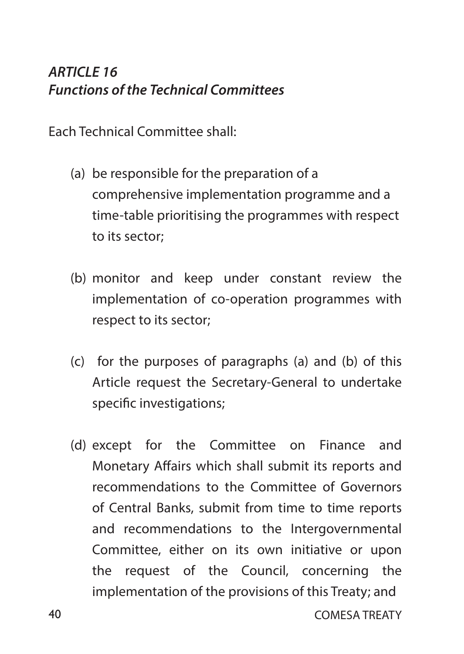# *ARTICLE 16 Functions of the Technical Committees*

Each Technical Committee shall:

- (a) be responsible for the preparation of a comprehensive implementation programme and a time-table prioritising the programmes with respect to its sector;
- (b) monitor and keep under constant review the implementation of co-operation programmes with respect to its sector;
- (c) for the purposes of paragraphs (a) and (b) of this Article request the Secretary-General to undertake specific investigations;
- (d) except for the Committee on Finance and Monetary Affairs which shall submit its reports and recommendations to the Committee of Governors of Central Banks, submit from time to time reports and recommendations to the Intergovernmental Committee, either on its own initiative or upon the request of the Council, concerning the implementation of the provisions of this Treaty; and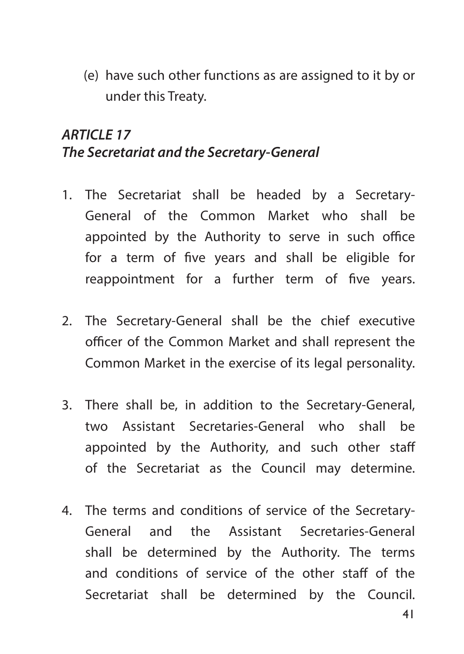(e) have such other functions as are assigned to it by or under this Treaty.

### **ARTICLE 17** *The Secretariat and the Secretary-General*

- 1. The Secretariat shall be headed by a Secretary-General of the Common Market who shall be appointed by the Authority to serve in such office for a term of five years and shall be eligible for reappointment for a further term of five years.
- 2. The Secretary-General shall be the chief executive officer of the Common Market and shall represent the Common Market in the exercise of its legal personality.
- 3. There shall be, in addition to the Secretary-General, two Assistant Secretaries-General who shall be appointed by the Authority, and such other staff of the Secretariat as the Council may determine.
- 4. The terms and conditions of service of the Secretary-General and the Assistant Secretaries-General shall be determined by the Authority. The terms and conditions of service of the other staff of the Secretariat shall be determined by the Council.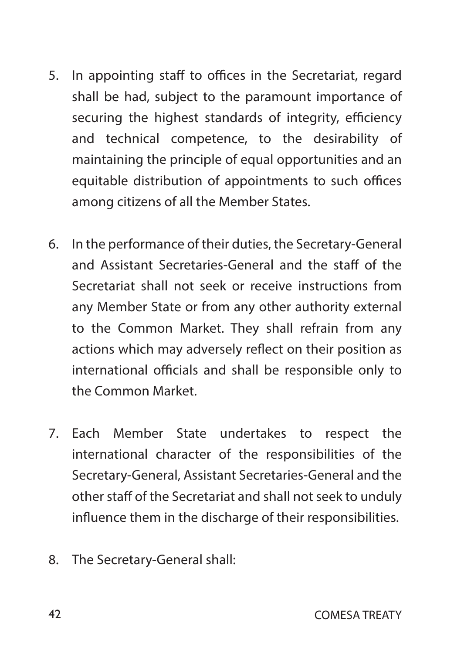- 5. In appointing staff to offices in the Secretariat, regard shall be had, subject to the paramount importance of securing the highest standards of integrity, efficiency and technical competence, to the desirability of maintaining the principle of equal opportunities and an equitable distribution of appointments to such offices among citizens of all the Member States.
- 6. In the performance of their duties, the Secretary-General and Assistant Secretaries-General and the staff of the Secretariat shall not seek or receive instructions from any Member State or from any other authority external to the Common Market. They shall refrain from any actions which may adversely reflect on their position as international officials and shall be responsible only to the Common Market.
- 7. Each Member State undertakes to respect the international character of the responsibilities of the Secretary-General, Assistant Secretaries-General and the other staff of the Secretariat and shall not seek to unduly influence them in the discharge of their responsibilities.
- 8. The Secretary-General shall: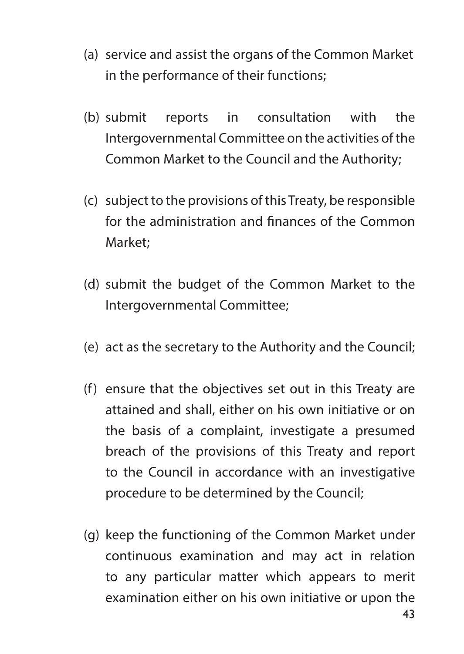- (a) service and assist the organs of the Common Market in the performance of their functions;
- (b) submit reports in consultation with the Intergovernmental Committee on the activities of the Common Market to the Council and the Authority;
- (c) subject to the provisions of this Treaty, be responsible for the administration and finances of the Common Market;
- (d) submit the budget of the Common Market to the Intergovernmental Committee;
- (e) act as the secretary to the Authority and the Council;
- (f) ensure that the objectives set out in this Treaty are attained and shall, either on his own initiative or on the basis of a complaint, investigate a presumed breach of the provisions of this Treaty and report to the Council in accordance with an investigative procedure to be determined by the Council;
- (g) keep the functioning of the Common Market under continuous examination and may act in relation to any particular matter which appears to merit examination either on his own initiative or upon the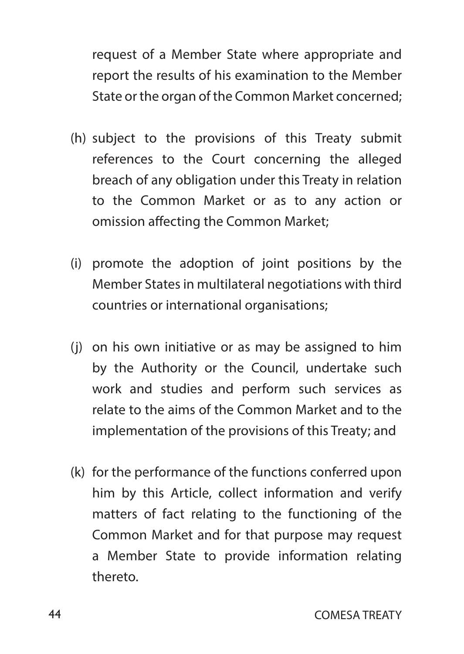request of a Member State where appropriate and report the results of his examination to the Member State or the organ of the Common Market concerned;

- (h) subject to the provisions of this Treaty submit references to the Court concerning the alleged breach of any obligation under this Treaty in relation to the Common Market or as to any action or omission affecting the Common Market;
- (i) promote the adoption of joint positions by the Member States in multilateral negotiations with third countries or international organisations;
- (j) on his own initiative or as may be assigned to him by the Authority or the Council, undertake such work and studies and perform such services as relate to the aims of the Common Market and to the implementation of the provisions of this Treaty; and
- (k) for the performance of the functions conferred upon him by this Article, collect information and verify matters of fact relating to the functioning of the Common Market and for that purpose may request a Member State to provide information relating thereto.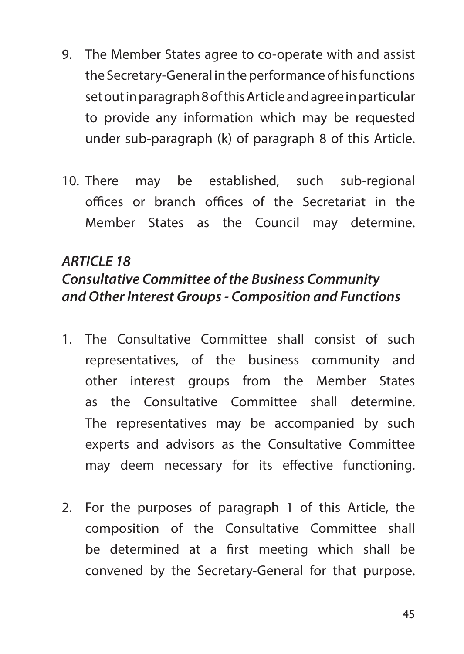- 9. The Member States agree to co-operate with and assist the Secretary-General in the performance of his functions set out in paragraph 8 of this Article and agree in particular to provide any information which may be requested under sub-paragraph (k) of paragraph 8 of this Article.
- 10. There may be established, such sub-regional offices or branch offices of the Secretariat in the Member States as the Council may determine.

#### *ARTICLE 18*

# *Consultative Committee of the Business Community and Other Interest Groups - Composition and Functions*

- 1. The Consultative Committee shall consist of such representatives, of the business community and other interest groups from the Member States as the Consultative Committee shall determine. The representatives may be accompanied by such experts and advisors as the Consultative Committee may deem necessary for its effective functioning.
- 2. For the purposes of paragraph 1 of this Article, the composition of the Consultative Committee shall be determined at a first meeting which shall be convened by the Secretary-General for that purpose.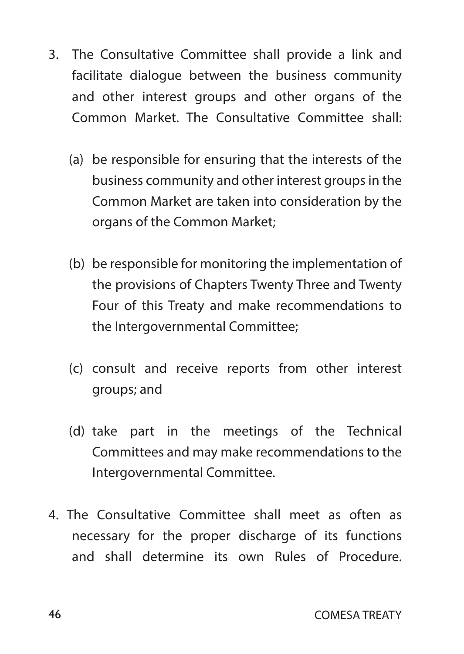- 3. The Consultative Committee shall provide a link and facilitate dialogue between the business community and other interest groups and other organs of the Common Market. The Consultative Committee shall:
	- (a) be responsible for ensuring that the interests of the business community and other interest groups in the Common Market are taken into consideration by the organs of the Common Market;
	- (b) be responsible for monitoring the implementation of the provisions of Chapters Twenty Three and Twenty Four of this Treaty and make recommendations to the Intergovernmental Committee;
	- (c) consult and receive reports from other interest groups; and
	- (d) take part in the meetings of the Technical Committees and may make recommendations to the Intergovernmental Committee.
- 4. The Consultative Committee shall meet as often as necessary for the proper discharge of its functions and shall determine its own Rules of Procedure.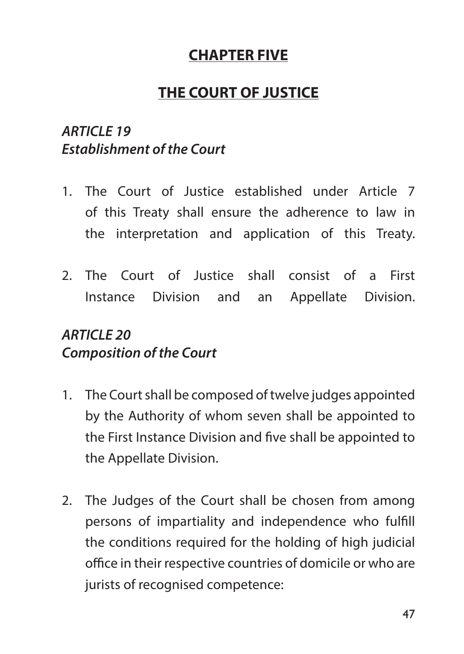# **CHAPTER FIVE**

### **THE COURT OF JUSTICE**

#### **ARTICLE 19** *Establishment of the Court*

- 1. The Court of Justice established under Article 7 of this Treaty shall ensure the adherence to law in the interpretation and application of this Treaty.
- 2. The Court of Justice shall consist of a First Instance Division and an Appellate Division.

### *ARTICLE 20 Composition of the Court*

- 1. The Court shall be composed of twelve judges appointed by the Authority of whom seven shall be appointed to the First Instance Division and five shall be appointed to the Appellate Division.
- 2. The Judges of the Court shall be chosen from among persons of impartiality and independence who fulfill the conditions required for the holding of high judicial office in their respective countries of domicile or who are jurists of recognised competence: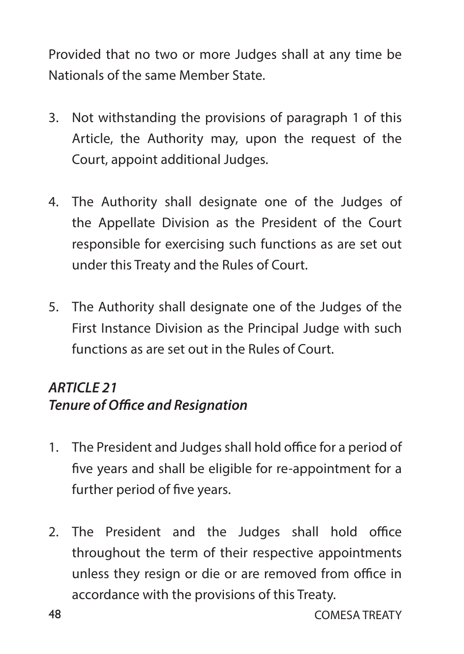Provided that no two or more Judges shall at any time be Nationals of the same Member State.

- 3. Not withstanding the provisions of paragraph 1 of this Article, the Authority may, upon the request of the Court, appoint additional Judges.
- 4. The Authority shall designate one of the Judges of the Appellate Division as the President of the Court responsible for exercising such functions as are set out under this Treaty and the Rules of Court.
- 5. The Authority shall designate one of the Judges of the First Instance Division as the Principal Judge with such functions as are set out in the Rules of Court.

# *ARTICLE 21 Tenure of Office and Resignation*

- 1. The President and Judges shall hold office for a period of five years and shall be eligible for re-appointment for a further period of five years.
- 2. The President and the Judges shall hold office throughout the term of their respective appointments unless they resign or die or are removed from office in accordance with the provisions of this Treaty.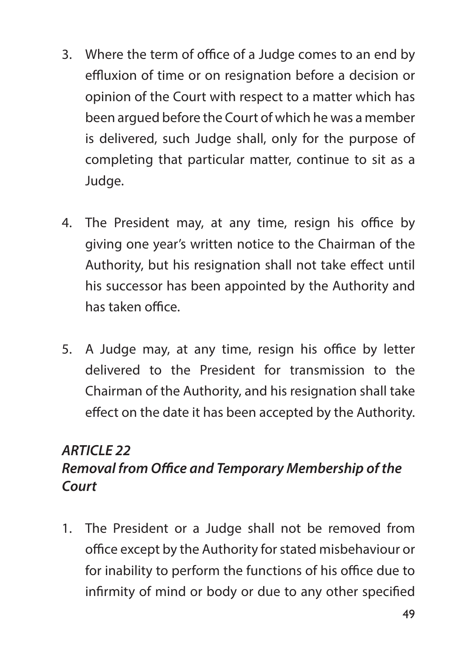- 3. Where the term of office of a Judge comes to an end by effluxion of time or on resignation before a decision or opinion of the Court with respect to a matter which has been argued before the Court of which he was a member is delivered, such Judge shall, only for the purpose of completing that particular matter, continue to sit as a Judge.
- 4. The President may, at any time, resign his office by giving one year's written notice to the Chairman of the Authority, but his resignation shall not take effect until his successor has been appointed by the Authority and has taken office.
- 5. A Judge may, at any time, resign his office by letter delivered to the President for transmission to the Chairman of the Authority, and his resignation shall take effect on the date it has been accepted by the Authority.

### *ARTICLE 22*

# *Removal from Office and Temporary Membership of the Court*

1. The President or a Judge shall not be removed from office except by the Authority for stated misbehaviour or for inability to perform the functions of his office due to infirmity of mind or body or due to any other specified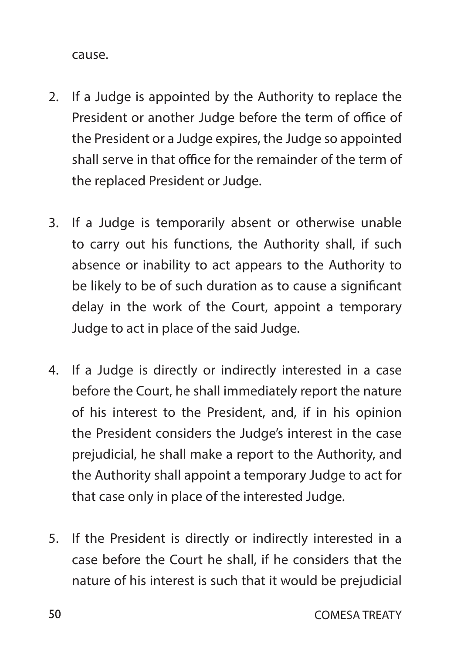cause.

- 2. If a Judge is appointed by the Authority to replace the President or another Judge before the term of office of the President or a Judge expires, the Judge so appointed shall serve in that office for the remainder of the term of the replaced President or Judge.
- 3. If a Judge is temporarily absent or otherwise unable to carry out his functions, the Authority shall, if such absence or inability to act appears to the Authority to be likely to be of such duration as to cause a significant delay in the work of the Court, appoint a temporary Judge to act in place of the said Judge.
- 4. If a Judge is directly or indirectly interested in a case before the Court, he shall immediately report the nature of his interest to the President, and, if in his opinion the President considers the Judge's interest in the case prejudicial, he shall make a report to the Authority, and the Authority shall appoint a temporary Judge to act for that case only in place of the interested Judge.
- 5. If the President is directly or indirectly interested in a case before the Court he shall, if he considers that the nature of his interest is such that it would be prejudicial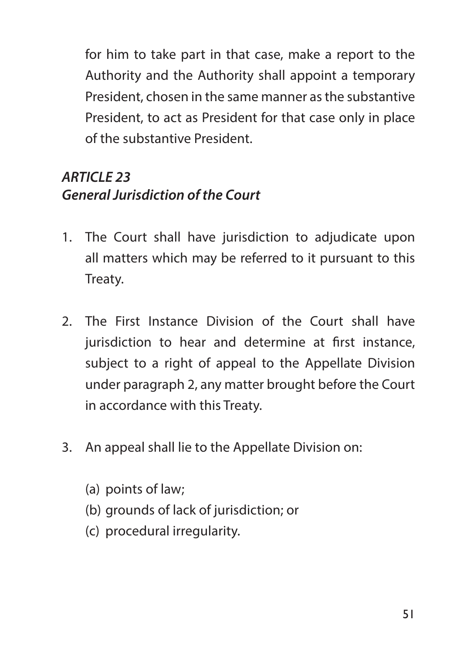for him to take part in that case, make a report to the Authority and the Authority shall appoint a temporary President, chosen in the same manner as the substantive President, to act as President for that case only in place of the substantive President.

### *ARTICLE 23 General Jurisdiction of the Court*

- 1. The Court shall have jurisdiction to adjudicate upon all matters which may be referred to it pursuant to this Treaty.
- 2. The First Instance Division of the Court shall have jurisdiction to hear and determine at first instance, subiect to a right of appeal to the Appellate Division under paragraph 2, any matter brought before the Court in accordance with this Treaty.
- 3. An appeal shall lie to the Appellate Division on:
	- (a) points of law;
	- (b) grounds of lack of jurisdiction; or
	- (c) procedural irregularity.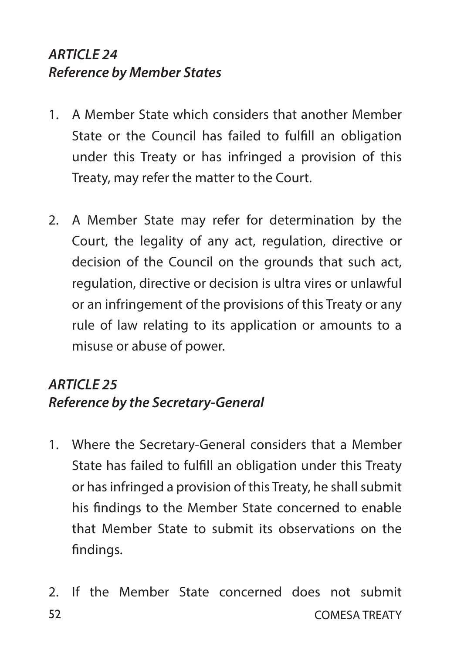# *ARTICLE 24 Reference by Member States*

- 1. A Member State which considers that another Member State or the Council has failed to fulfill an obligation under this Treaty or has infringed a provision of this Treaty, may refer the matter to the Court.
- 2. A Member State may refer for determination by the Court, the legality of any act, regulation, directive or decision of the Council on the grounds that such act, regulation, directive or decision is ultra vires or unlawful or an infringement of the provisions of this Treaty or any rule of law relating to its application or amounts to a misuse or abuse of power.

### *ARTICLE 25 Reference by the Secretary-General*

- 1. Where the Secretary-General considers that a Member State has failed to fulfill an obligation under this Treaty or has infringed a provision of this Treaty, he shall submit his findings to the Member State concerned to enable that Member State to submit its observations on the findings.
- 52 COMESA TREATY 2. If the Member State concerned does not submit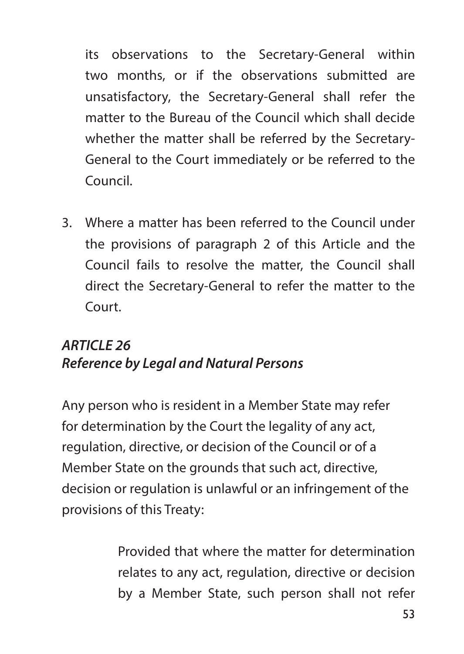its observations to the Secretary-General within two months, or if the observations submitted are unsatisfactory, the Secretary-General shall refer the matter to the Bureau of the Council which shall decide whether the matter shall be referred by the Secretary-General to the Court immediately or be referred to the Council.

3. Where a matter has been referred to the Council under the provisions of paragraph 2 of this Article and the Council fails to resolve the matter, the Council shall direct the Secretary-General to refer the matter to the Court.

# *ARTICLE 26 Reference by Legal and Natural Persons*

Any person who is resident in a Member State may refer for determination by the Court the legality of any act, regulation, directive, or decision of the Council or of a Member State on the grounds that such act, directive, decision or regulation is unlawful or an infringement of the provisions of this Treaty:

> Provided that where the matter for determination relates to any act, regulation, directive or decision by a Member State, such person shall not refer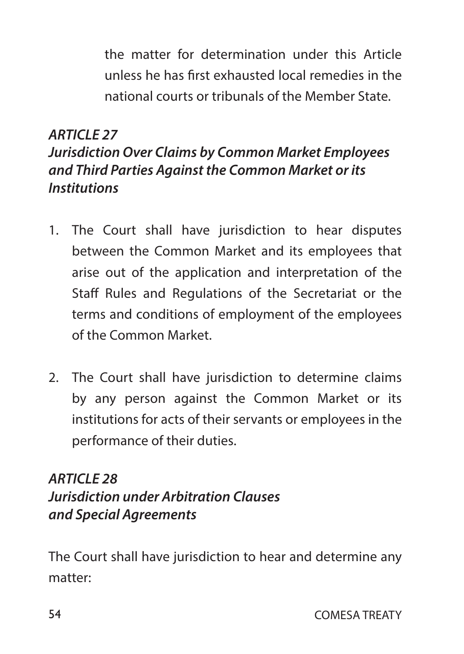the matter for determination under this Article unless he has first exhausted local remedies in the national courts or tribunals of the Member State.

### *ARTICLE 27 Jurisdiction Over Claims by Common Market Employees and Third Parties Against the Common Market or its Institutions*

- 1. The Court shall have jurisdiction to hear disputes between the Common Market and its employees that arise out of the application and interpretation of the Staff Rules and Regulations of the Secretariat or the terms and conditions of employment of the employees of the Common Market.
- 2. The Court shall have jurisdiction to determine claims by any person against the Common Market or its institutions for acts of their servants or employees in the performance of their duties.

### *ARTICLE 28 Jurisdiction under Arbitration Clauses and Special Agreements*

The Court shall have jurisdiction to hear and determine any matter: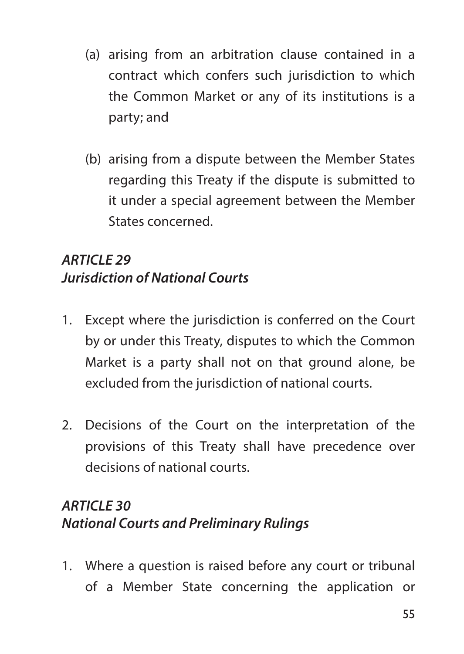- (a) arising from an arbitration clause contained in a contract which confers such jurisdiction to which the Common Market or any of its institutions is a party; and
- (b) arising from a dispute between the Member States regarding this Treaty if the dispute is submitted to it under a special agreement between the Member States concerned.

# **ARTICLE 29** *Jurisdiction of National Courts*

- 1. Except where the jurisdiction is conferred on the Court by or under this Treaty, disputes to which the Common Market is a party shall not on that ground alone, be excluded from the jurisdiction of national courts.
- 2. Decisions of the Court on the interpretation of the provisions of this Treaty shall have precedence over decisions of national courts.

### *ARTICLE 30 National Courts and Preliminary Rulings*

1. Where a question is raised before any court or tribunal of a Member State concerning the application or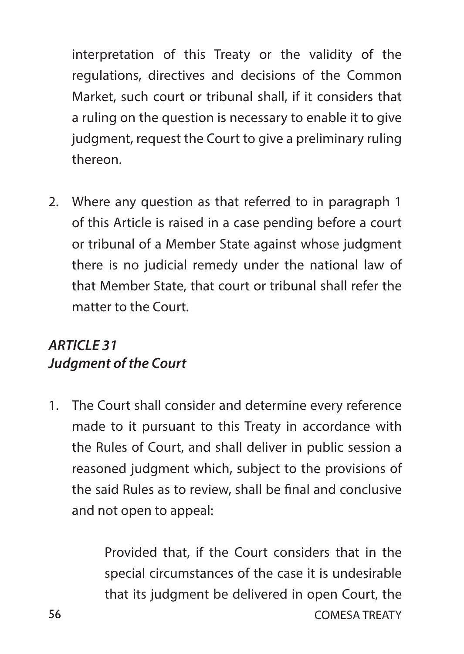interpretation of this Treaty or the validity of the regulations, directives and decisions of the Common Market, such court or tribunal shall, if it considers that a ruling on the question is necessary to enable it to give judgment, request the Court to give a preliminary ruling thereon.

2. Where any question as that referred to in paragraph 1 of this Article is raised in a case pending before a court or tribunal of a Member State against whose judgment there is no judicial remedy under the national law of that Member State, that court or tribunal shall refer the matter to the Court.

### *ARTICLE 31 Judgment of the Court*

1. The Court shall consider and determine every reference made to it pursuant to this Treaty in accordance with the Rules of Court, and shall deliver in public session a reasoned judgment which, subject to the provisions of the said Rules as to review, shall be final and conclusive and not open to appeal:

56 COMESA TREATY Provided that, if the Court considers that in the special circumstances of the case it is undesirable that its judgment be delivered in open Court, the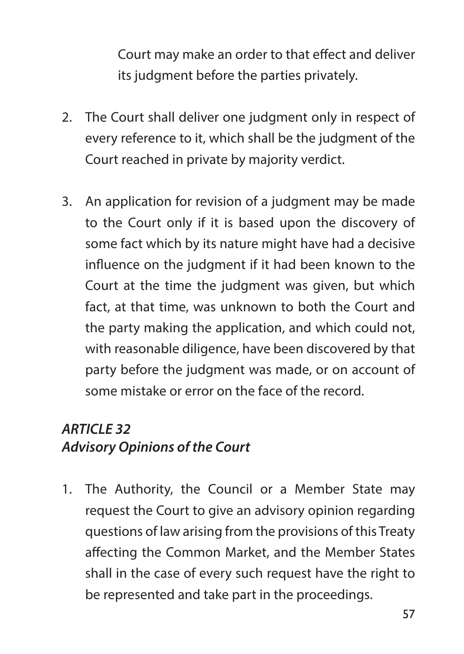Court may make an order to that effect and deliver its judgment before the parties privately.

- 2. The Court shall deliver one judgment only in respect of every reference to it, which shall be the judgment of the Court reached in private by majority verdict.
- 3. An application for revision of a judgment may be made to the Court only if it is based upon the discovery of some fact which by its nature might have had a decisive influence on the judgment if it had been known to the Court at the time the judgment was given, but which fact, at that time, was unknown to both the Court and the party making the application, and which could not, with reasonable diligence, have been discovered by that party before the judgment was made, or on account of some mistake or error on the face of the record.

# *ARTICLE 32 Advisory Opinions of the Court*

1. The Authority, the Council or a Member State may request the Court to give an advisory opinion regarding questions of law arising from the provisions of this Treaty affecting the Common Market, and the Member States shall in the case of every such request have the right to be represented and take part in the proceedings.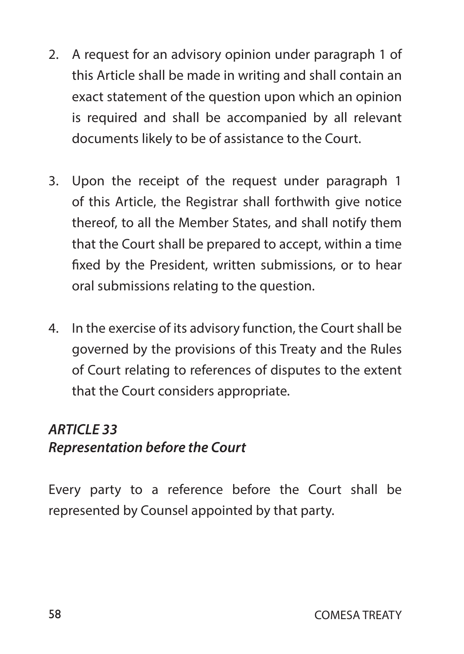- 2. A request for an advisory opinion under paragraph 1 of this Article shall be made in writing and shall contain an exact statement of the question upon which an opinion is required and shall be accompanied by all relevant documents likely to be of assistance to the Court.
- 3. Upon the receipt of the request under paragraph 1 of this Article, the Registrar shall forthwith give notice thereof, to all the Member States, and shall notify them that the Court shall be prepared to accept, within a time fixed by the President, written submissions, or to hear oral submissions relating to the question.
- 4. In the exercise of its advisory function, the Court shall be governed by the provisions of this Treaty and the Rules of Court relating to references of disputes to the extent that the Court considers appropriate.

# *ARTICLE 33 Representation before the Court*

Every party to a reference before the Court shall be represented by Counsel appointed by that party.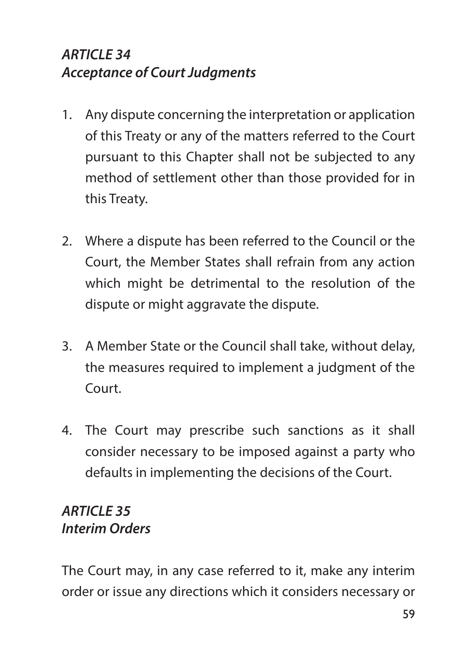# **ARTICLE 34** *Acceptance of Court Judgments*

- 1. Any dispute concerning the interpretation or application of this Treaty or any of the matters referred to the Court pursuant to this Chapter shall not be subjected to any method of settlement other than those provided for in this Treaty.
- 2. Where a dispute has been referred to the Council or the Court, the Member States shall refrain from any action which might be detrimental to the resolution of the dispute or might aggravate the dispute.
- 3. A Member State or the Council shall take, without delay, the measures required to implement a judgment of the Court.
- 4. The Court may prescribe such sanctions as it shall consider necessary to be imposed against a party who defaults in implementing the decisions of the Court.

### *ARTICLE 35 Interim Orders*

The Court may, in any case referred to it, make any interim order or issue any directions which it considers necessary or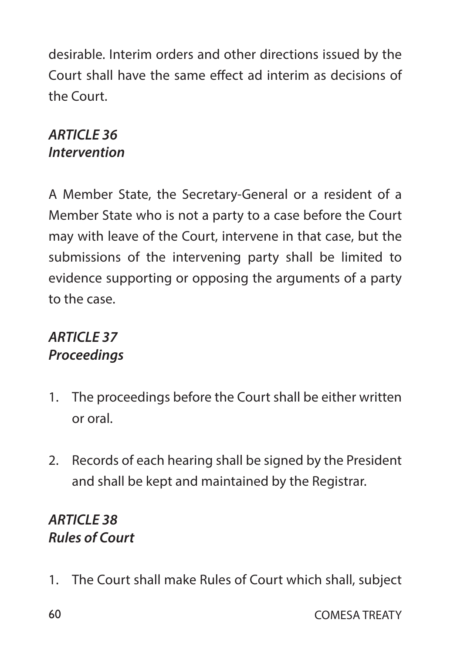desirable. Interim orders and other directions issued by the Court shall have the same effect ad interim as decisions of the Court.

### *ARTICLE 36 Intervention*

A Member State, the Secretary-General or a resident of a Member State who is not a party to a case before the Court may with leave of the Court, intervene in that case, but the submissions of the intervening party shall be limited to evidence supporting or opposing the arguments of a party to the case.

### **ARTICLE 37** *Proceedings*

- 1. The proceedings before the Court shall be either written or oral.
- 2. Records of each hearing shall be signed by the President and shall be kept and maintained by the Registrar.

# **ARTICLE 38** *Rules of Court*

1. The Court shall make Rules of Court which shall, subject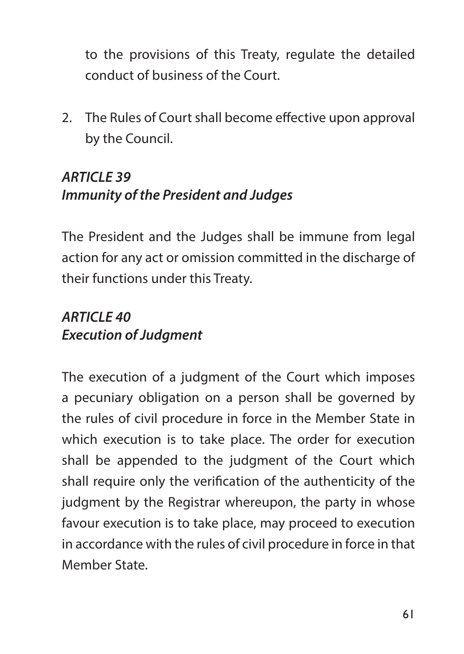to the provisions of this Treaty, regulate the detailed conduct of business of the Court.

2. The Rules of Court shall become effective upon approval by the Council.

# *ARTICLE 39 Immunity of the President and Judges*

The President and the Judges shall be immune from legal action for any act or omission committed in the discharge of their functions under this Treaty.

# *ARTICLE 40 Execution of Judgment*

The execution of a judgment of the Court which imposes a pecuniary obligation on a person shall be governed by the rules of civil procedure in force in the Member State in which execution is to take place. The order for execution shall be appended to the judgment of the Court which shall require only the verification of the authenticity of the judgment by the Registrar whereupon, the party in whose favour execution is to take place, may proceed to execution in accordance with the rules of civil procedure in force in that Member State.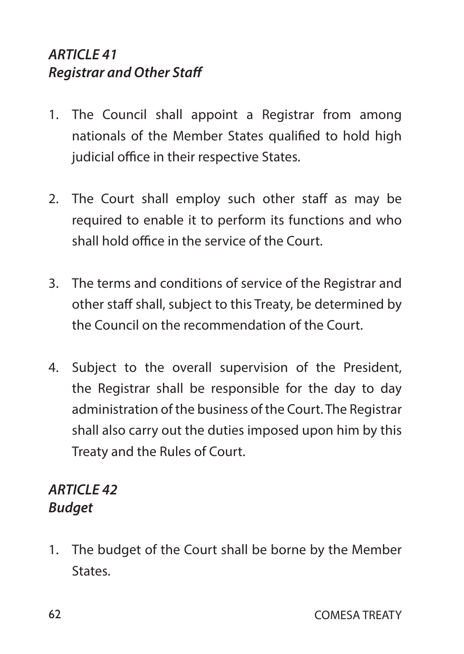# *ARTICLE 41 Registrar and Other Staff*

- 1. The Council shall appoint a Registrar from among nationals of the Member States qualified to hold high judicial office in their respective States.
- 2. The Court shall employ such other staff as may be required to enable it to perform its functions and who shall hold office in the service of the Court.
- 3. The terms and conditions of service of the Registrar and other staff shall, subject to this Treaty, be determined by the Council on the recommendation of the Court.
- 4. Subject to the overall supervision of the President, the Registrar shall be responsible for the day to day administration of the business of the Court. The Registrar shall also carry out the duties imposed upon him by this Treaty and the Rules of Court.

### *ARTICLE 42 Budget*

1. The budget of the Court shall be borne by the Member **States**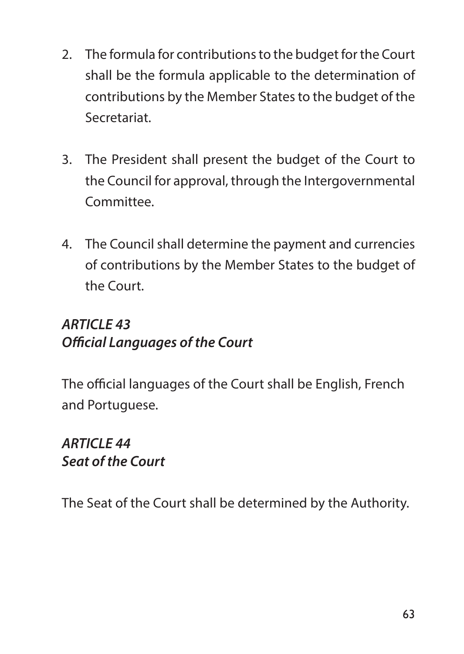- 2. The formula for contributions to the budget for the Court shall be the formula applicable to the determination of contributions by the Member States to the budget of the Secretariat.
- 3. The President shall present the budget of the Court to the Council for approval, through the Intergovernmental Committee.
- 4. The Council shall determine the payment and currencies of contributions by the Member States to the budget of the Court.

# *ARTICLE 43 Official Languages of the Court*

The official languages of the Court shall be English, French and Portuguese.

# **ARTICI F44** *Seat of the Court*

The Seat of the Court shall be determined by the Authority.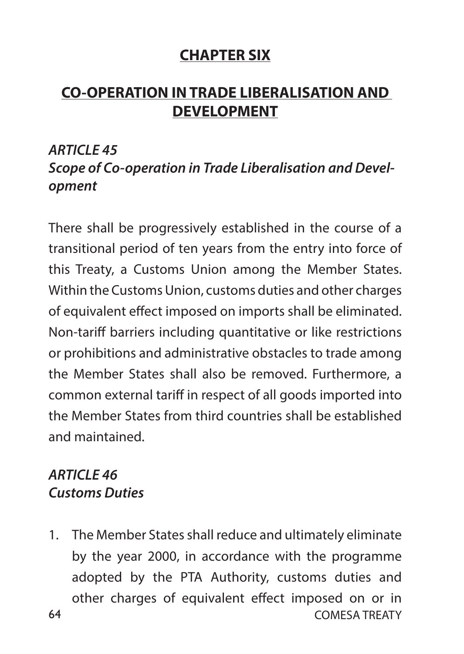# **CHAPTER SIX**

# **CO-OPERATION IN TRADE LIBERALISATION AND DEVELOPMENT**

#### **ARTICLE 45**

### *Scope of Co-operation in Trade Liberalisation and Development*

There shall be progressively established in the course of a transitional period of ten years from the entry into force of this Treaty, a Customs Union among the Member States. Within the Customs Union, customs duties and other charges of equivalent effect imposed on imports shall be eliminated. Non-tariff barriers including quantitative or like restrictions or prohibitions and administrative obstacles to trade among the Member States shall also be removed. Furthermore, a common external tariff in respect of all goods imported into the Member States from third countries shall be established and maintained.

#### *ARTICLE 46 Customs Duties*

64 COMESA TREATY 1. The Member States shall reduce and ultimately eliminate by the year 2000, in accordance with the programme adopted by the PTA Authority, customs duties and other charges of equivalent effect imposed on or in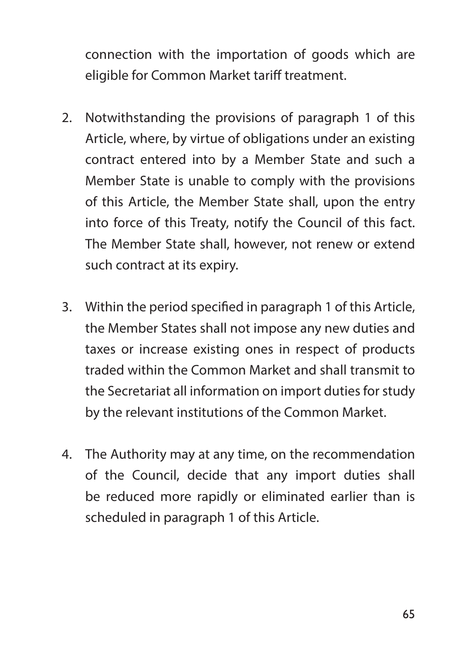connection with the importation of goods which are eligible for Common Market tariff treatment.

- 2. Notwithstanding the provisions of paragraph 1 of this Article, where, by virtue of obligations under an existing contract entered into by a Member State and such a Member State is unable to comply with the provisions of this Article, the Member State shall, upon the entry into force of this Treaty, notify the Council of this fact. The Member State shall, however, not renew or extend such contract at its expiry.
- 3. Within the period specified in paragraph 1 of this Article, the Member States shall not impose any new duties and taxes or increase existing ones in respect of products traded within the Common Market and shall transmit to the Secretariat all information on import duties for study by the relevant institutions of the Common Market.
- 4. The Authority may at any time, on the recommendation of the Council, decide that any import duties shall be reduced more rapidly or eliminated earlier than is scheduled in paragraph 1 of this Article.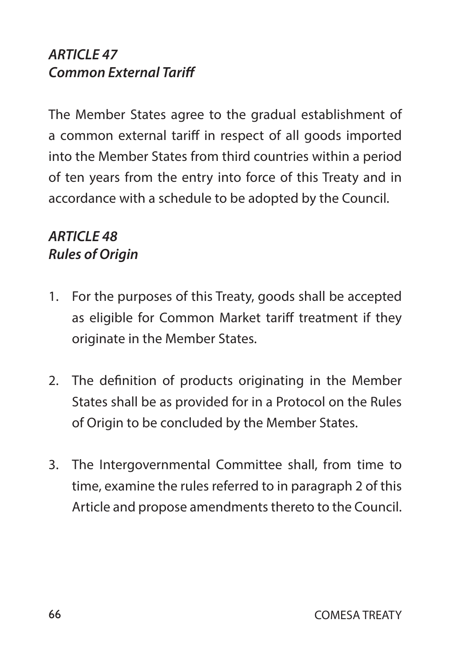# **ARTICLE 47** *Common External Tariff*

The Member States agree to the gradual establishment of a common external tariff in respect of all goods imported into the Member States from third countries within a period of ten years from the entry into force of this Treaty and in accordance with a schedule to be adopted by the Council.

### **ARTICLE 48** *Rules of Origin*

- 1. For the purposes of this Treaty, goods shall be accepted as eligible for Common Market tariff treatment if they originate in the Member States.
- 2. The definition of products originating in the Member States shall be as provided for in a Protocol on the Rules of Origin to be concluded by the Member States.
- 3. The Intergovernmental Committee shall, from time to time, examine the rules referred to in paragraph 2 of this Article and propose amendments thereto to the Council.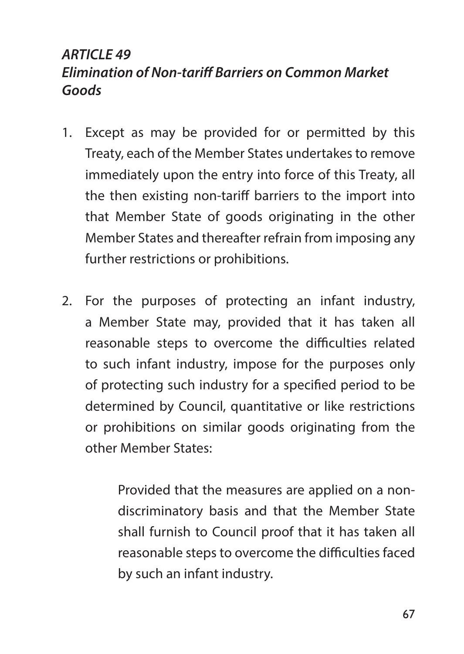# *ARTICLE 49 Elimination of Non-tariff Barriers on Common Market Goods*

- 1. Except as may be provided for or permitted by this Treaty, each of the Member States undertakes to remove immediately upon the entry into force of this Treaty, all the then existing non-tariff barriers to the import into that Member State of goods originating in the other Member States and thereafter refrain from imposing any further restrictions or prohibitions.
- 2. For the purposes of protecting an infant industry, a Member State may, provided that it has taken all reasonable steps to overcome the difficulties related to such infant industry, impose for the purposes only of protecting such industry for a specified period to be determined by Council, quantitative or like restrictions or prohibitions on similar goods originating from the other Member States:

Provided that the measures are applied on a nondiscriminatory basis and that the Member State shall furnish to Council proof that it has taken all reasonable steps to overcome the difficulties faced by such an infant industry.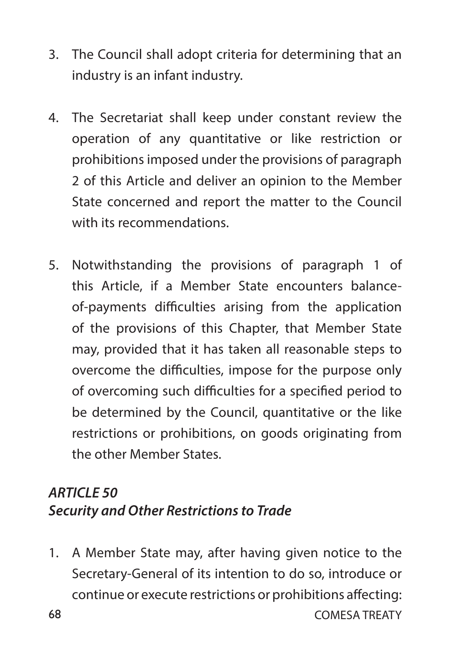- 3. The Council shall adopt criteria for determining that an industry is an infant industry.
- 4. The Secretariat shall keep under constant review the operation of any quantitative or like restriction or prohibitions imposed under the provisions of paragraph 2 of this Article and deliver an opinion to the Member State concerned and report the matter to the Council with its recommendations.
- 5. Notwithstanding the provisions of paragraph 1 of this Article, if a Member State encounters balanceof-payments difficulties arising from the application of the provisions of this Chapter, that Member State may, provided that it has taken all reasonable steps to overcome the difficulties, impose for the purpose only of overcoming such difficulties for a specified period to be determined by the Council, quantitative or the like restrictions or prohibitions, on goods originating from the other Member States.

# *ARTICLE 50 Security and Other Restrictions to Trade*

1. A Member State may, after having given notice to the Secretary-General of its intention to do so, introduce or continue or execute restrictions or prohibitions affecting: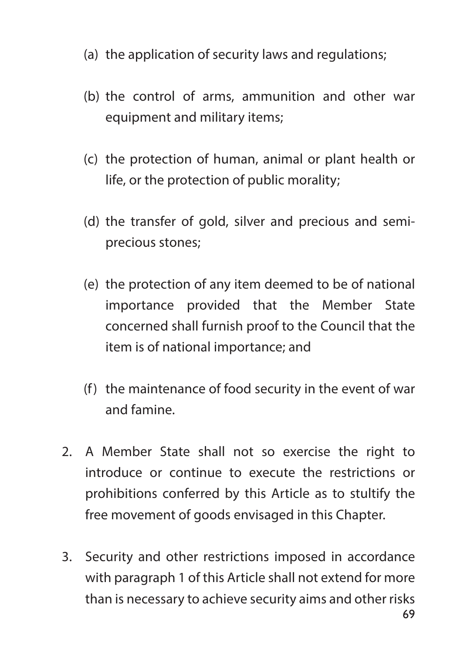- (a) the application of security laws and regulations;
- (b) the control of arms, ammunition and other war equipment and military items;
- (c) the protection of human, animal or plant health or life, or the protection of public morality;
- (d) the transfer of gold, silver and precious and semiprecious stones;
- (e) the protection of any item deemed to be of national importance provided that the Member State concerned shall furnish proof to the Council that the item is of national importance; and
- (f) the maintenance of food security in the event of war and famine.
- 2. A Member State shall not so exercise the right to introduce or continue to execute the restrictions or prohibitions conferred by this Article as to stultify the free movement of goods envisaged in this Chapter.
- 3. Security and other restrictions imposed in accordance with paragraph 1 of this Article shall not extend for more than is necessary to achieve security aims and other risks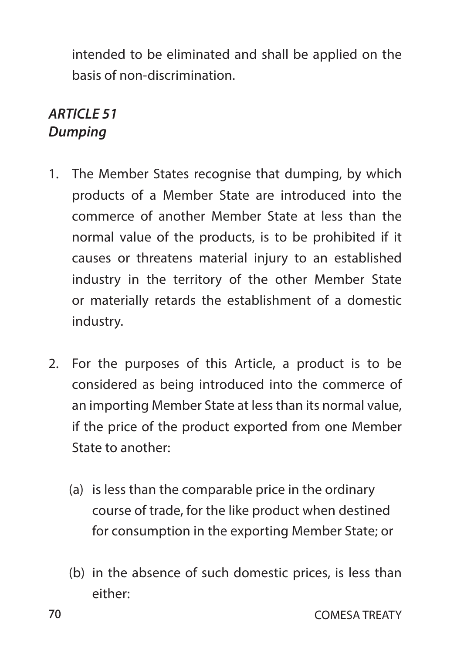intended to be eliminated and shall be applied on the basis of non-discrimination.

### *ARTICLE 51 Dumping*

- 1. The Member States recognise that dumping, by which products of a Member State are introduced into the commerce of another Member State at less than the normal value of the products, is to be prohibited if it causes or threatens material injury to an established industry in the territory of the other Member State or materially retards the establishment of a domestic industry.
- 2. For the purposes of this Article, a product is to be considered as being introduced into the commerce of an importing Member State at less than its normal value, if the price of the product exported from one Member State to another:
	- (a) is less than the comparable price in the ordinary course of trade, for the like product when destined for consumption in the exporting Member State; or
	- (b) in the absence of such domestic prices, is less than either: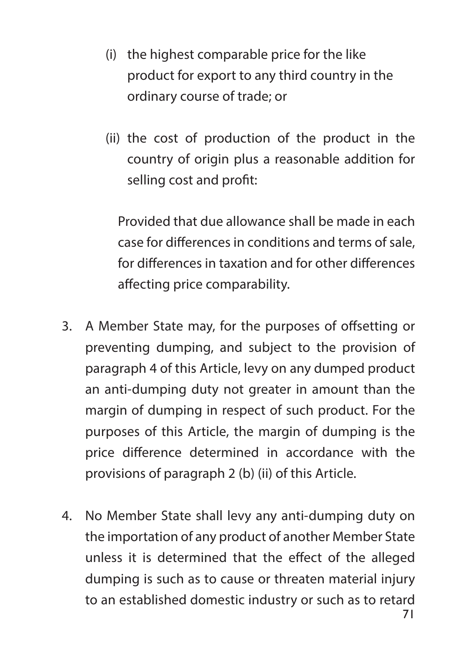- (i) the highest comparable price for the like product for export to any third country in the ordinary course of trade; or
- (ii) the cost of production of the product in the country of origin plus a reasonable addition for selling cost and profit:

Provided that due allowance shall be made in each case for differences in conditions and terms of sale, for differences in taxation and for other differences affecting price comparability.

- 3. A Member State may, for the purposes of offsetting or preventing dumping, and subject to the provision of paragraph 4 of this Article, levy on any dumped product an anti-dumping duty not greater in amount than the margin of dumping in respect of such product. For the purposes of this Article, the margin of dumping is the price difference determined in accordance with the provisions of paragraph 2 (b) (ii) of this Article.
- 71 4. No Member State shall levy any anti-dumping duty on the importation of any product of another Member State unless it is determined that the effect of the alleged dumping is such as to cause or threaten material injury to an established domestic industry or such as to retard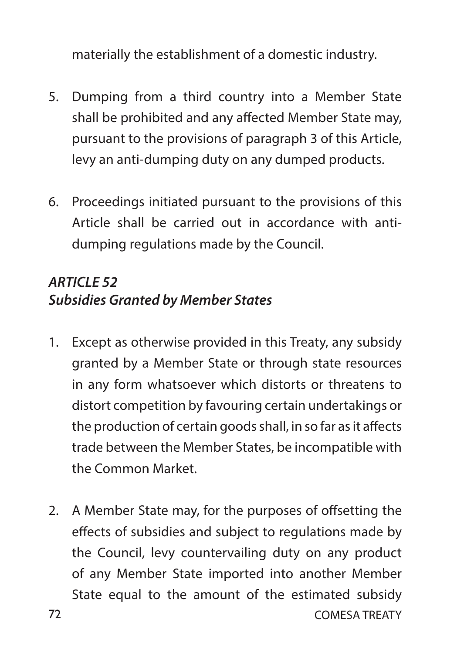materially the establishment of a domestic industry.

- 5. Dumping from a third country into a Member State shall be prohibited and any affected Member State may, pursuant to the provisions of paragraph 3 of this Article, levy an anti-dumping duty on any dumped products.
- 6. Proceedings initiated pursuant to the provisions of this Article shall be carried out in accordance with antidumping regulations made by the Council.

### *ARTICLE 52 Subsidies Granted by Member States*

- 1. Except as otherwise provided in this Treaty, any subsidy granted by a Member State or through state resources in any form whatsoever which distorts or threatens to distort competition by favouring certain undertakings or the production of certain goods shall, in so far as it affects trade between the Member States, be incompatible with the Common Market.
- 72 COMESA TREATY 2. A Member State may, for the purposes of offsetting the effects of subsidies and subject to regulations made by the Council, levy countervailing duty on any product of any Member State imported into another Member State equal to the amount of the estimated subsidy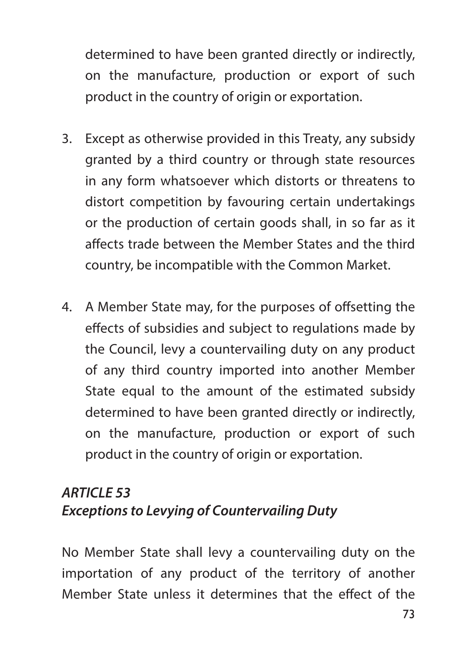determined to have been granted directly or indirectly, on the manufacture, production or export of such product in the country of origin or exportation.

- 3. Except as otherwise provided in this Treaty, any subsidy granted by a third country or through state resources in any form whatsoever which distorts or threatens to distort competition by favouring certain undertakings or the production of certain goods shall, in so far as it affects trade between the Member States and the third country, be incompatible with the Common Market.
- 4. A Member State may, for the purposes of offsetting the effects of subsidies and subject to regulations made by the Council, levy a countervailing duty on any product of any third country imported into another Member State equal to the amount of the estimated subsidy determined to have been granted directly or indirectly, on the manufacture, production or export of such product in the country of origin or exportation.

# *ARTICLE 53 Exceptions to Levying of Countervailing Duty*

No Member State shall levy a countervailing duty on the importation of any product of the territory of another Member State unless it determines that the effect of the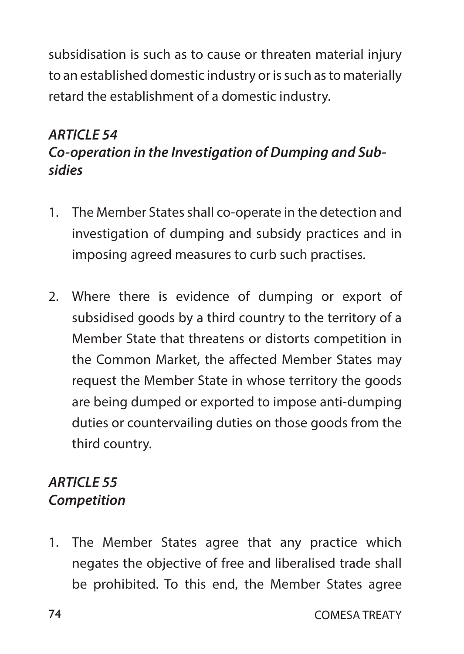subsidisation is such as to cause or threaten material injury to an established domestic industry or is such as to materially retard the establishment of a domestic industry.

### *ARTICLE 54 Co-operation in the Investigation of Dumping and Subsidies*

- 1. The Member States shall co-operate in the detection and investigation of dumping and subsidy practices and in imposing agreed measures to curb such practises.
- 2. Where there is evidence of dumping or export of subsidised goods by a third country to the territory of a Member State that threatens or distorts competition in the Common Market, the affected Member States may request the Member State in whose territory the goods are being dumped or exported to impose anti-dumping duties or countervailing duties on those goods from the third country.

### *ARTICLE 55 Competition*

1. The Member States agree that any practice which negates the objective of free and liberalised trade shall be prohibited. To this end, the Member States agree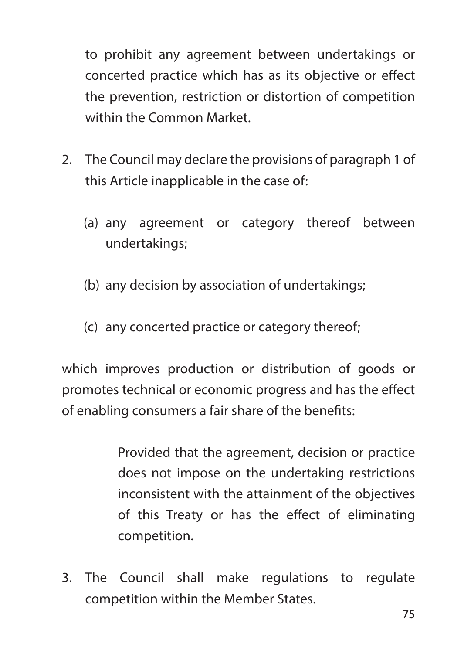to prohibit any agreement between undertakings or concerted practice which has as its objective or effect the prevention, restriction or distortion of competition within the Common Market.

- 2. The Council may declare the provisions of paragraph 1 of this Article inapplicable in the case of:
	- (a) any agreement or category thereof between undertakings;
	- (b) any decision by association of undertakings;
	- (c) any concerted practice or category thereof;

which improves production or distribution of goods or promotes technical or economic progress and has the effect of enabling consumers a fair share of the benefits:

> Provided that the agreement, decision or practice does not impose on the undertaking restrictions inconsistent with the attainment of the objectives of this Treaty or has the effect of eliminating competition.

3. The Council shall make regulations to regulate competition within the Member States.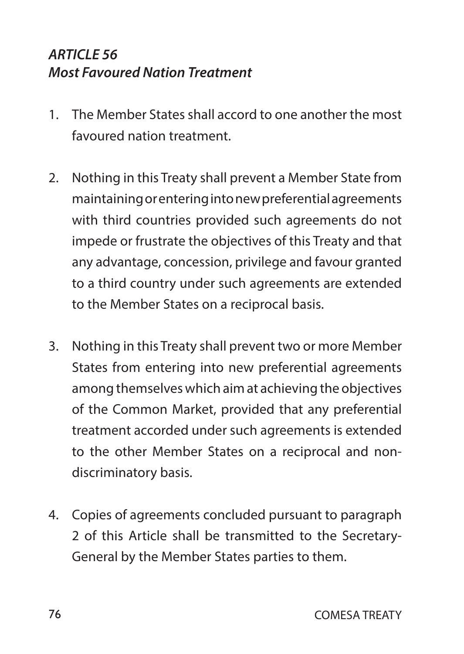### *ARTICLE 56 Most Favoured Nation Treatment*

- 1. The Member States shall accord to one another the most favoured nation treatment.
- 2. Nothing in this Treaty shall prevent a Member State from maintaining or entering into new preferential agreements with third countries provided such agreements do not impede or frustrate the objectives of this Treaty and that any advantage, concession, privilege and favour granted to a third country under such agreements are extended to the Member States on a reciprocal basis.
- 3. Nothing in this Treaty shall prevent two or more Member States from entering into new preferential agreements among themselves which aim at achieving the objectives of the Common Market, provided that any preferential treatment accorded under such agreements is extended to the other Member States on a reciprocal and nondiscriminatory basis.
- 4. Copies of agreements concluded pursuant to paragraph 2 of this Article shall be transmitted to the Secretary-General by the Member States parties to them.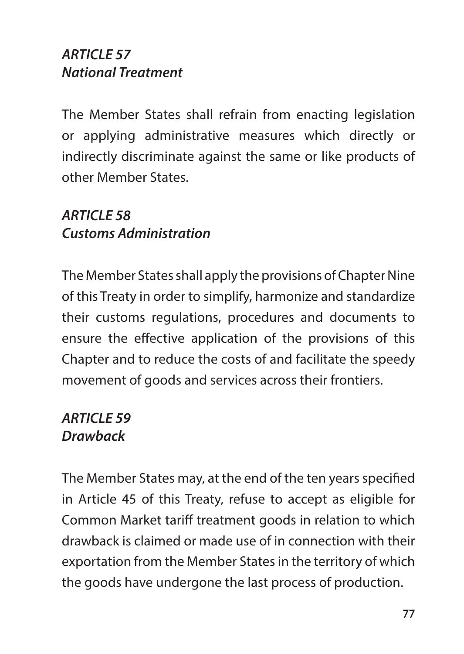# **ARTICLE 57** *National Treatment*

The Member States shall refrain from enacting legislation or applying administrative measures which directly or indirectly discriminate against the same or like products of other Member States.

### *ARTICLE 58 Customs Administration*

The Member States shall apply the provisions of Chapter Nine of this Treaty in order to simplify, harmonize and standardize their customs regulations, procedures and documents to ensure the effective application of the provisions of this Chapter and to reduce the costs of and facilitate the speedy movement of goods and services across their frontiers.

# **ARTICLE 59** *Drawback*

The Member States may, at the end of the ten years specified in Article 45 of this Treaty, refuse to accept as eligible for Common Market tariff treatment goods in relation to which drawback is claimed or made use of in connection with their exportation from the Member States in the territory of which the goods have undergone the last process of production.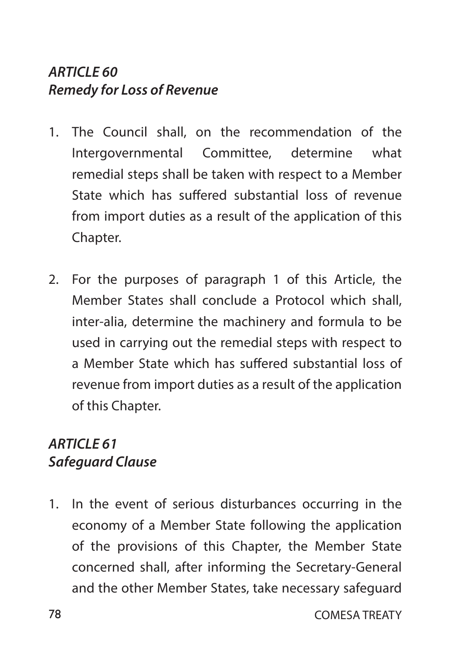# *ARTICLE 60 Remedy for Loss of Revenue*

- 1. The Council shall, on the recommendation of the Intergovernmental Committee, determine what remedial steps shall be taken with respect to a Member State which has suffered substantial loss of revenue from import duties as a result of the application of this Chapter.
- 2. For the purposes of paragraph 1 of this Article, the Member States shall conclude a Protocol which shall, inter-alia, determine the machinery and formula to be used in carrying out the remedial steps with respect to a Member State which has suffered substantial loss of revenue from import duties as a result of the application of this Chapter.

### *ARTICLE 61 Safeguard Clause*

1. In the event of serious disturbances occurring in the economy of a Member State following the application of the provisions of this Chapter, the Member State concerned shall, after informing the Secretary-General and the other Member States, take necessary safeguard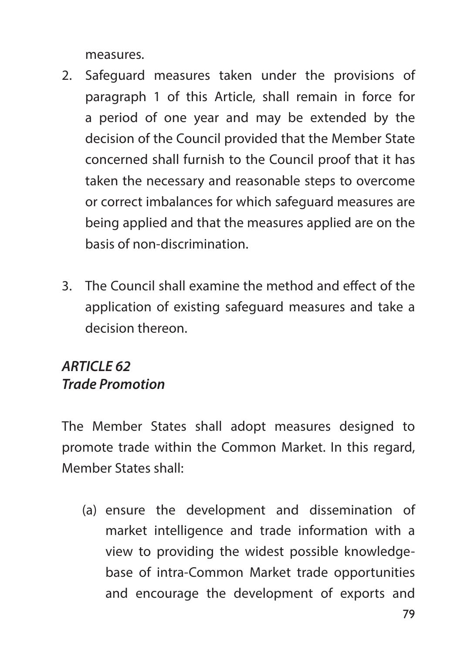measures.

- 2. Safeguard measures taken under the provisions of paragraph 1 of this Article, shall remain in force for a period of one year and may be extended by the decision of the Council provided that the Member State concerned shall furnish to the Council proof that it has taken the necessary and reasonable steps to overcome or correct imbalances for which safeguard measures are being applied and that the measures applied are on the basis of non-discrimination.
- 3. The Council shall examine the method and effect of the application of existing safeguard measures and take a decision thereon.

### *ARTICLE 62 Trade Promotion*

The Member States shall adopt measures designed to promote trade within the Common Market. In this regard, Member States shall:

(a) ensure the development and dissemination of market intelligence and trade information with a view to providing the widest possible knowledgebase of intra-Common Market trade opportunities and encourage the development of exports and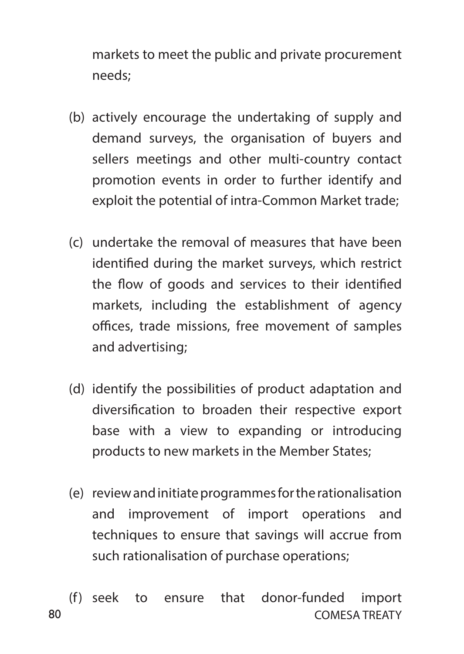markets to meet the public and private procurement needs;

- (b) actively encourage the undertaking of supply and demand surveys, the organisation of buyers and sellers meetings and other multi-country contact promotion events in order to further identify and exploit the potential of intra-Common Market trade;
- (c) undertake the removal of measures that have been identified during the market surveys, which restrict the flow of goods and services to their identified markets, including the establishment of agency offices, trade missions, free movement of samples and advertising;
- (d) identify the possibilities of product adaptation and diversification to broaden their respective export base with a view to expanding or introducing products to new markets in the Member States;
- (e) review and initiate programmes for the rationalisation and improvement of import operations and techniques to ensure that savings will accrue from such rationalisation of purchase operations;

80 COMESA TREATY (f) seek to ensure that donor-funded import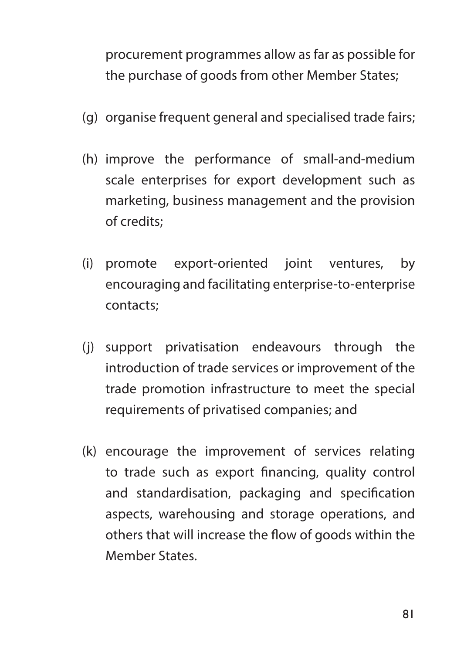procurement programmes allow as far as possible for the purchase of goods from other Member States;

- (g) organise frequent general and specialised trade fairs;
- (h) improve the performance of small-and-medium scale enterprises for export development such as marketing, business management and the provision of credits;
- (i) promote export-oriented joint ventures, by encouraging and facilitating enterprise-to-enterprise contacts;
- (j) support privatisation endeavours through the introduction of trade services or improvement of the trade promotion infrastructure to meet the special requirements of privatised companies; and
- (k) encourage the improvement of services relating to trade such as export financing, quality control and standardisation, packaging and specification aspects, warehousing and storage operations, and others that will increase the flow of goods within the Member States.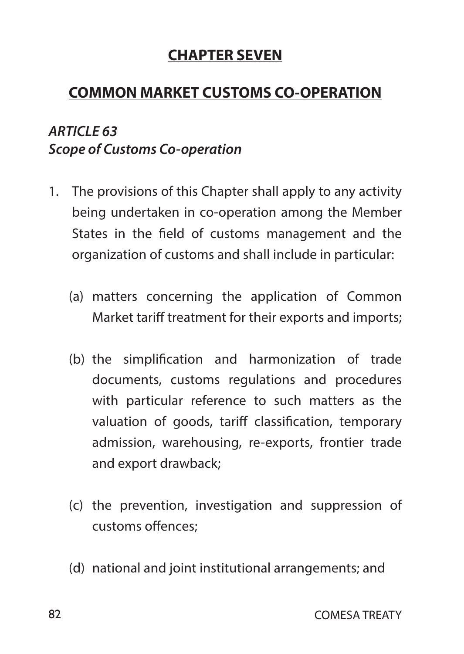### **CHAPTER SEVEN**

### **COMMON MARKET CUSTOMS CO-OPERATION**

### *ARTICLE 63 Scope of Customs Co-operation*

- 1. The provisions of this Chapter shall apply to any activity being undertaken in co-operation among the Member States in the field of customs management and the organization of customs and shall include in particular:
	- (a) matters concerning the application of Common Market tariff treatment for their exports and imports;
	- (b) the simplification and harmonization of trade documents, customs regulations and procedures with particular reference to such matters as the valuation of goods, tariff classification, temporary admission, warehousing, re-exports, frontier trade and export drawback;
	- (c) the prevention, investigation and suppression of customs offences;
	- (d) national and joint institutional arrangements; and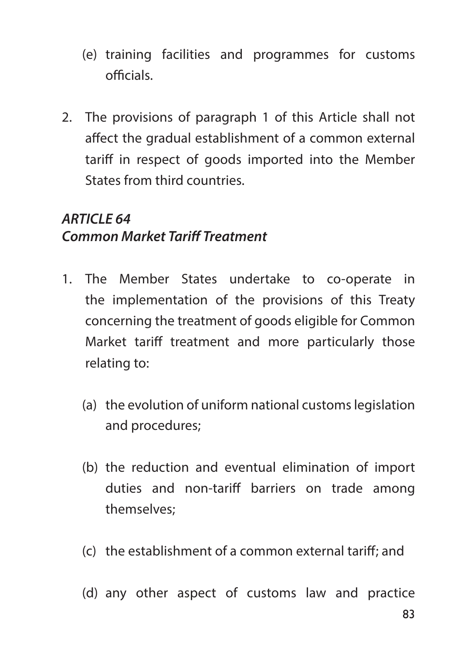- (e) training facilities and programmes for customs officials.
- 2. The provisions of paragraph 1 of this Article shall not affect the gradual establishment of a common external tariff in respect of goods imported into the Member States from third countries

# *ARTICLE 64 Common Market Tariff Treatment*

- 1. The Member States undertake to co-operate in the implementation of the provisions of this Treaty concerning the treatment of goods eligible for Common Market tariff treatment and more particularly those relating to:
	- (a) the evolution of uniform national customs legislation and procedures;
	- (b) the reduction and eventual elimination of import duties and non-tariff barriers on trade among themselves;
	- (c) the establishment of a common external tariff; and
	- (d) any other aspect of customs law and practice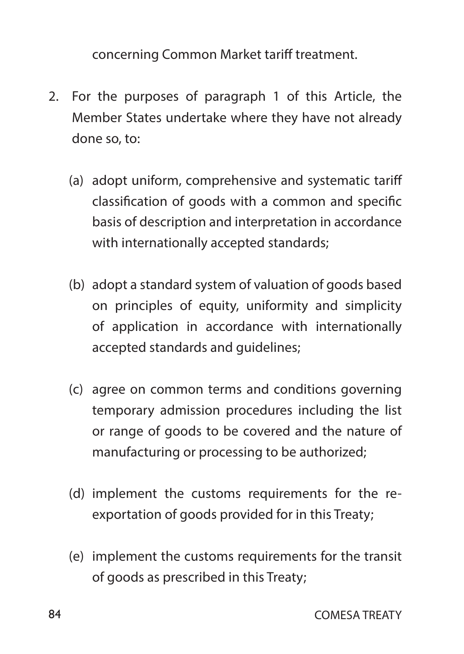concerning Common Market tariff treatment.

- 2. For the purposes of paragraph 1 of this Article, the Member States undertake where they have not already done so, to:
	- (a) adopt uniform, comprehensive and systematic tariff classification of goods with a common and specific basis of description and interpretation in accordance with internationally accepted standards;
	- (b) adopt a standard system of valuation of goods based on principles of equity, uniformity and simplicity of application in accordance with internationally accepted standards and guidelines;
	- (c) agree on common terms and conditions governing temporary admission procedures including the list or range of goods to be covered and the nature of manufacturing or processing to be authorized;
	- (d) implement the customs requirements for the reexportation of goods provided for in this Treaty;
	- (e) implement the customs requirements for the transit of goods as prescribed in this Treaty;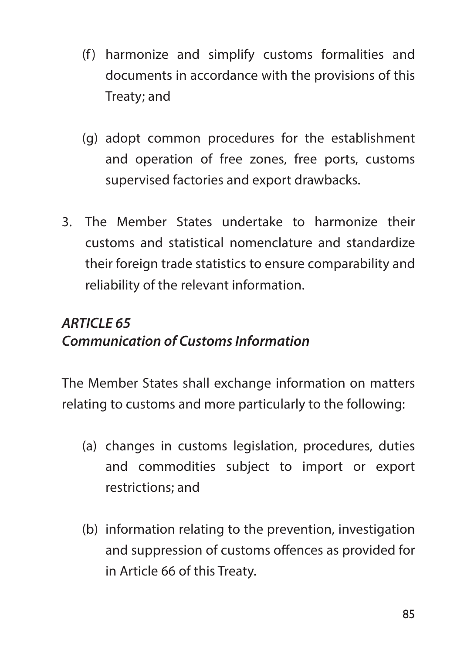- (f) harmonize and simplify customs formalities and documents in accordance with the provisions of this Treaty; and
- (g) adopt common procedures for the establishment and operation of free zones, free ports, customs supervised factories and export drawbacks.
- 3. The Member States undertake to harmonize their customs and statistical nomenclature and standardize their foreign trade statistics to ensure comparability and reliability of the relevant information.

# *ARTICLE 65 Communication of Customs Information*

The Member States shall exchange information on matters relating to customs and more particularly to the following:

- (a) changes in customs legislation, procedures, duties and commodities subject to import or export restrictions; and
- (b) information relating to the prevention, investigation and suppression of customs offences as provided for in Article 66 of this Treaty.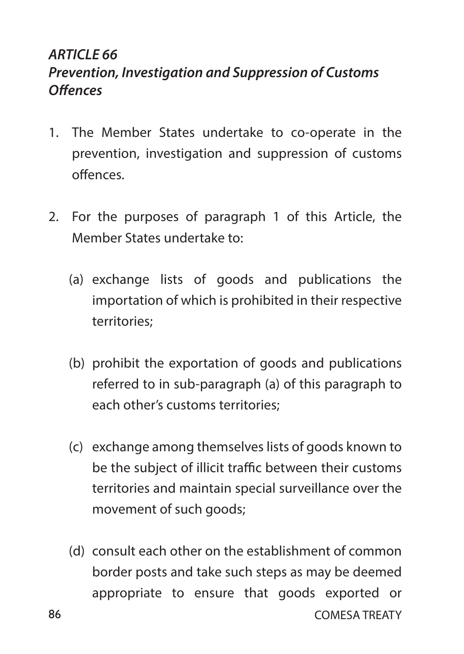# *ARTICLE 66 Prevention, Investigation and Suppression of Customs Offences*

- 1. The Member States undertake to co-operate in the prevention, investigation and suppression of customs offences.
- 2. For the purposes of paragraph 1 of this Article, the Member States undertake to:
	- (a) exchange lists of goods and publications the importation of which is prohibited in their respective territories;
	- (b) prohibit the exportation of goods and publications referred to in sub-paragraph (a) of this paragraph to each other's customs territories;
	- (c) exchange among themselves lists of goods known to be the subject of illicit traffic between their customs territories and maintain special surveillance over the movement of such goods;
- 86 COMESA TREATY (d) consult each other on the establishment of common border posts and take such steps as may be deemed appropriate to ensure that goods exported or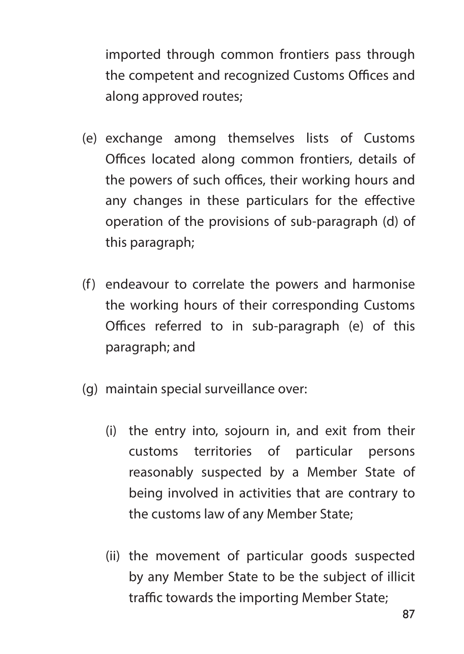imported through common frontiers pass through the competent and recognized Customs Offices and along approved routes;

- (e) exchange among themselves lists of Customs Offices located along common frontiers, details of the powers of such offices, their working hours and any changes in these particulars for the effective operation of the provisions of sub-paragraph (d) of this paragraph;
- (f) endeavour to correlate the powers and harmonise the working hours of their corresponding Customs Offices referred to in sub-paragraph (e) of this paragraph; and
- (g) maintain special surveillance over:
	- (i) the entry into, sojourn in, and exit from their customs territories of particular persons reasonably suspected by a Member State of being involved in activities that are contrary to the customs law of any Member State;
	- (ii) the movement of particular goods suspected by any Member State to be the subject of illicit traffic towards the importing Member State;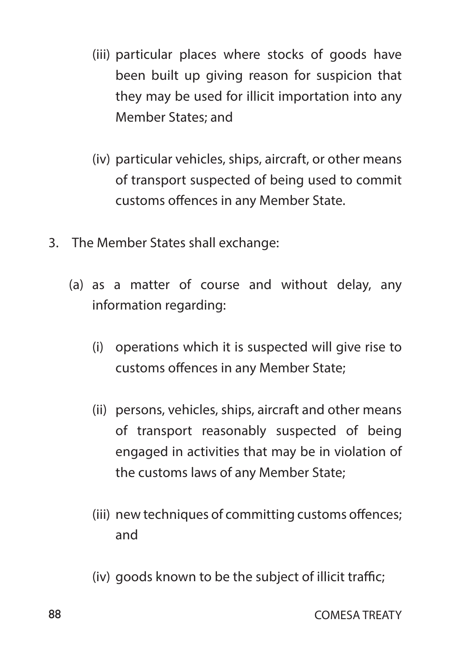- (iii) particular places where stocks of goods have been built up giving reason for suspicion that they may be used for illicit importation into any Member States; and
- (iv) particular vehicles, ships, aircraft, or other means of transport suspected of being used to commit customs offences in any Member State.
- 3. The Member States shall exchange:
	- (a) as a matter of course and without delay, any information regarding:
		- (i) operations which it is suspected will give rise to customs offences in any Member State;
		- (ii) persons, vehicles, ships, aircraft and other means of transport reasonably suspected of being engaged in activities that may be in violation of the customs laws of any Member State;
		- (iii) new techniques of committing customs offences; and
		- (iv) goods known to be the subject of illicit traffic;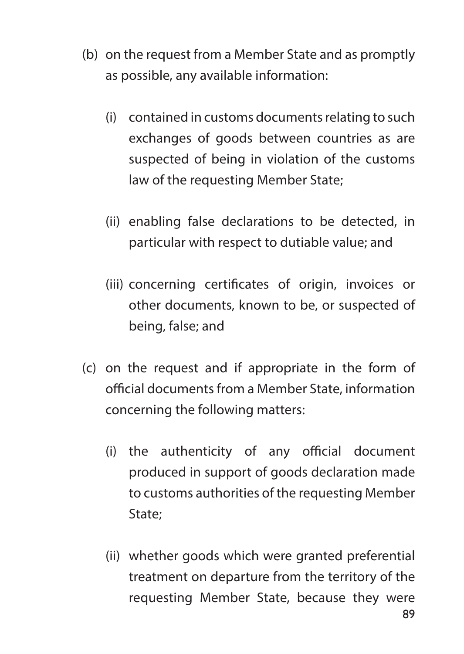- (b) on the request from a Member State and as promptly as possible, any available information:
	- (i) contained in customs documents relating to such exchanges of goods between countries as are suspected of being in violation of the customs law of the requesting Member State;
	- (ii) enabling false declarations to be detected, in particular with respect to dutiable value; and
	- (iii) concerning certificates of origin, invoices or other documents, known to be, or suspected of being, false; and
- (c) on the request and if appropriate in the form of official documents from a Member State, information concerning the following matters:
	- (i) the authenticity of any official document produced in support of goods declaration made to customs authorities of the requesting Member State;
	- (ii) whether goods which were granted preferential treatment on departure from the territory of the requesting Member State, because they were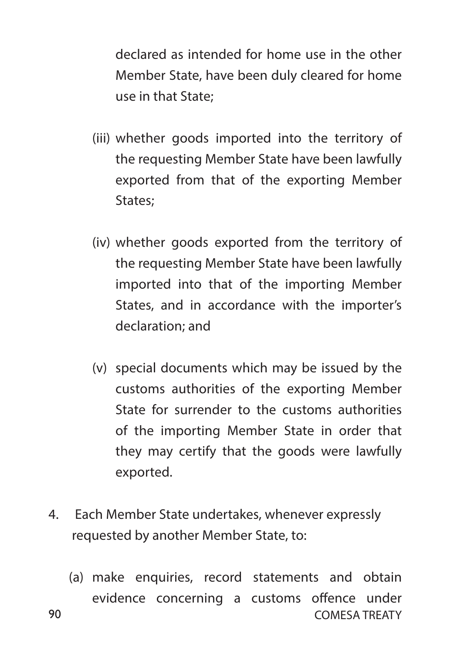declared as intended for home use in the other Member State, have been duly cleared for home use in that State;

- (iii) whether goods imported into the territory of the requesting Member State have been lawfully exported from that of the exporting Member States;
- (iv) whether goods exported from the territory of the requesting Member State have been lawfully imported into that of the importing Member States, and in accordance with the importer's declaration; and
- (v) special documents which may be issued by the customs authorities of the exporting Member State for surrender to the customs authorities of the importing Member State in order that they may certify that the goods were lawfully exported.
- 4. Each Member State undertakes, whenever expressly requested by another Member State, to:
- 90 COMESA TREATY (a) make enquiries, record statements and obtain evidence concerning a customs offence under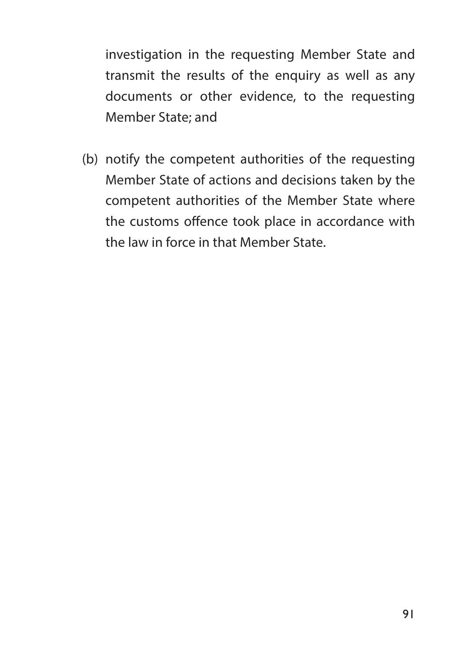investigation in the requesting Member State and transmit the results of the enquiry as well as any documents or other evidence, to the requesting Member State; and

(b) notify the competent authorities of the requesting Member State of actions and decisions taken by the competent authorities of the Member State where the customs offence took place in accordance with the law in force in that Member State.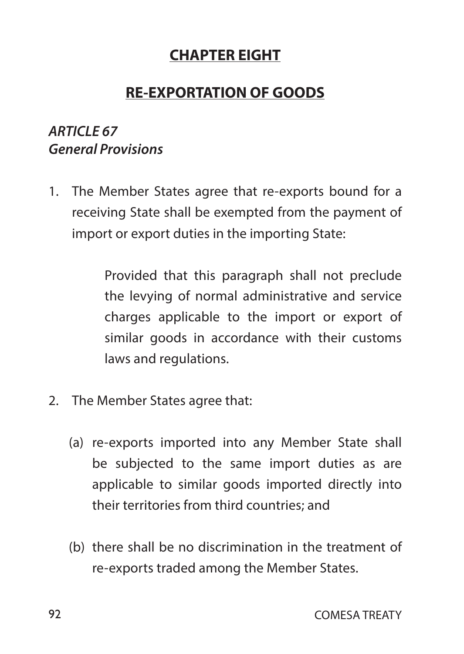# **CHAPTER EIGHT**

#### **RE-EXPORTATION OF GOODS**

#### *ARTICLE 67 General Provisions*

1. The Member States agree that re-exports bound for a receiving State shall be exempted from the payment of import or export duties in the importing State:

> Provided that this paragraph shall not preclude the levying of normal administrative and service charges applicable to the import or export of similar goods in accordance with their customs laws and regulations.

- 2. The Member States agree that:
	- (a) re-exports imported into any Member State shall be subjected to the same import duties as are applicable to similar goods imported directly into their territories from third countries; and
	- (b) there shall be no discrimination in the treatment of re-exports traded among the Member States.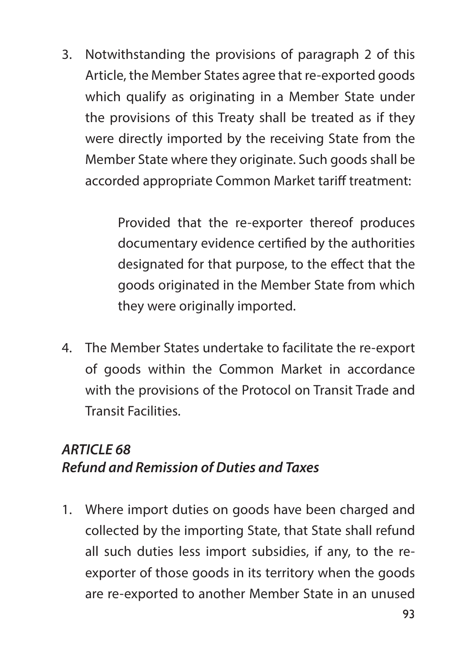3. Notwithstanding the provisions of paragraph 2 of this Article, the Member States agree that re-exported goods which qualify as originating in a Member State under the provisions of this Treaty shall be treated as if they were directly imported by the receiving State from the Member State where they originate. Such goods shall be accorded appropriate Common Market tariff treatment:

> Provided that the re-exporter thereof produces documentary evidence certified by the authorities designated for that purpose, to the effect that the goods originated in the Member State from which they were originally imported.

4. The Member States undertake to facilitate the re-export of goods within the Common Market in accordance with the provisions of the Protocol on Transit Trade and Transit Facilities.

#### *ARTICLE 68 Refund and Remission of Duties and Taxes*

1. Where import duties on goods have been charged and collected by the importing State, that State shall refund all such duties less import subsidies, if any, to the reexporter of those goods in its territory when the goods are re-exported to another Member State in an unused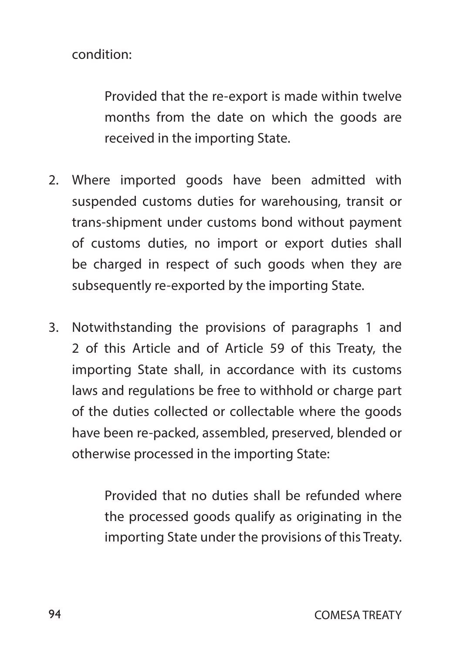condition:

Provided that the re-export is made within twelve months from the date on which the goods are received in the importing State.

- 2. Where imported goods have been admitted with suspended customs duties for warehousing, transit or trans-shipment under customs bond without payment of customs duties, no import or export duties shall be charged in respect of such goods when they are subsequently re-exported by the importing State.
- 3. Notwithstanding the provisions of paragraphs 1 and 2 of this Article and of Article 59 of this Treaty, the importing State shall, in accordance with its customs laws and regulations be free to withhold or charge part of the duties collected or collectable where the goods have been re-packed, assembled, preserved, blended or otherwise processed in the importing State:

Provided that no duties shall be refunded where the processed goods qualify as originating in the importing State under the provisions of this Treaty.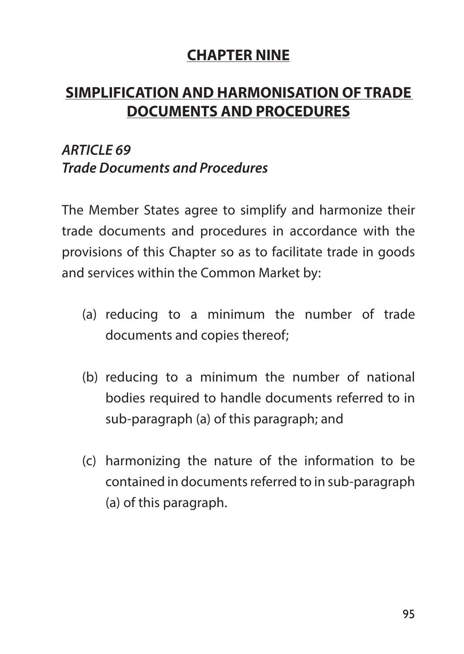# **CHAPTER NINE**

# **SIMPLIFICATION AND HARMONISATION OF TRADE DOCUMENTS AND PROCEDURES**

#### *ARTICLE 69 Trade Documents and Procedures*

The Member States agree to simplify and harmonize their trade documents and procedures in accordance with the provisions of this Chapter so as to facilitate trade in goods and services within the Common Market by:

- (a) reducing to a minimum the number of trade documents and copies thereof;
- (b) reducing to a minimum the number of national bodies required to handle documents referred to in sub-paragraph (a) of this paragraph; and
- (c) harmonizing the nature of the information to be contained in documents referred to in sub-paragraph (a) of this paragraph.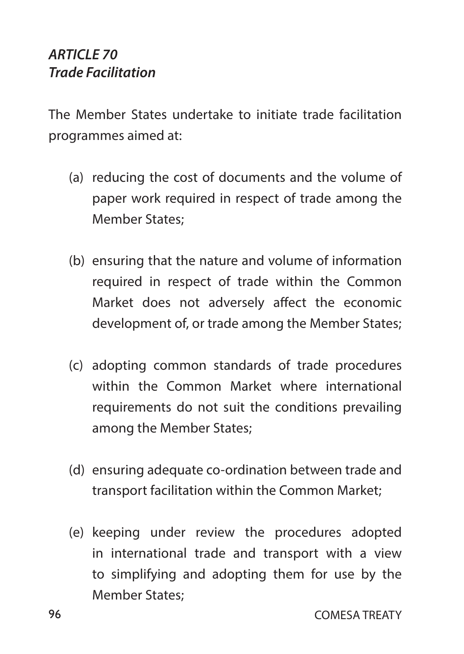#### *ARTICLE 70 Trade Facilitation*

The Member States undertake to initiate trade facilitation programmes aimed at:

- (a) reducing the cost of documents and the volume of paper work required in respect of trade among the Member States;
- (b) ensuring that the nature and volume of information required in respect of trade within the Common Market does not adversely affect the economic development of, or trade among the Member States;
- (c) adopting common standards of trade procedures within the Common Market where international requirements do not suit the conditions prevailing among the Member States;
- (d) ensuring adequate co-ordination between trade and transport facilitation within the Common Market;
- (e) keeping under review the procedures adopted in international trade and transport with a view to simplifying and adopting them for use by the Member States;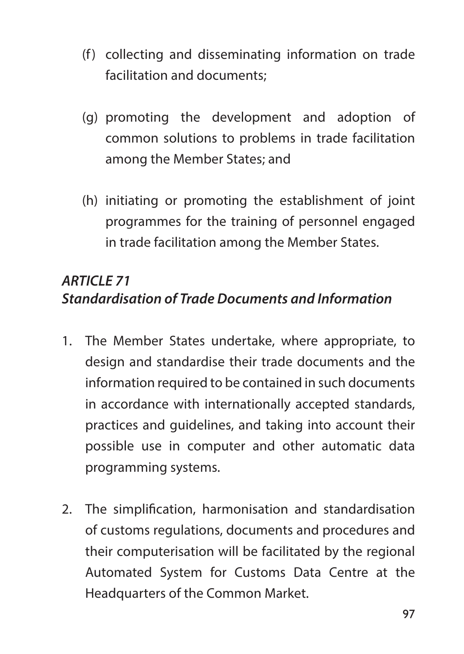- (f) collecting and disseminating information on trade facilitation and documents;
- (g) promoting the development and adoption of common solutions to problems in trade facilitation among the Member States; and
- (h) initiating or promoting the establishment of joint programmes for the training of personnel engaged in trade facilitation among the Member States.

# *ARTICLE 71 Standardisation of Trade Documents and Information*

- 1. The Member States undertake, where appropriate, to design and standardise their trade documents and the information required to be contained in such documents in accordance with internationally accepted standards, practices and guidelines, and taking into account their possible use in computer and other automatic data programming systems.
- 2. The simplification, harmonisation and standardisation of customs regulations, documents and procedures and their computerisation will be facilitated by the regional Automated System for Customs Data Centre at the Headquarters of the Common Market.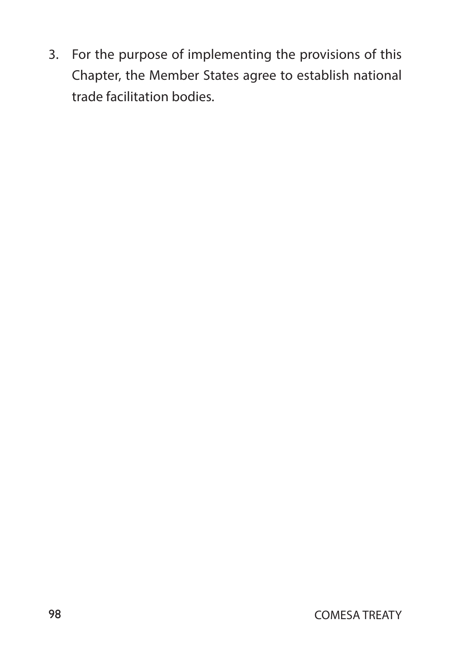3. For the purpose of implementing the provisions of this Chapter, the Member States agree to establish national trade facilitation bodies.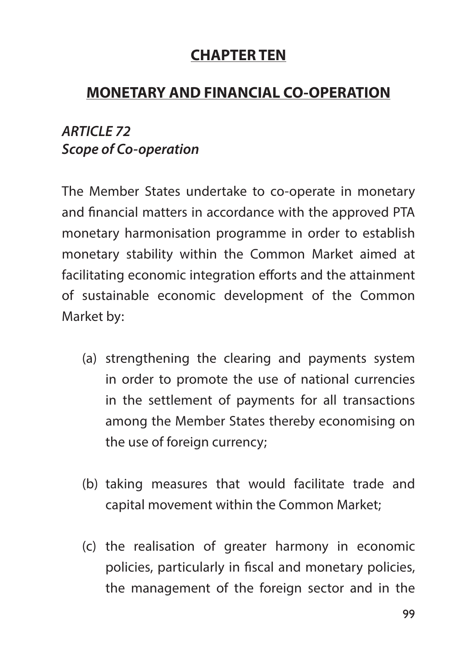# **CHAPTER TEN**

# **MONETARY AND FINANCIAL CO-OPERATION**

# *ARTICLE 72 Scope of Co-operation*

The Member States undertake to co-operate in monetary and financial matters in accordance with the approved PTA monetary harmonisation programme in order to establish monetary stability within the Common Market aimed at facilitating economic integration efforts and the attainment of sustainable economic development of the Common Market by:

- (a) strengthening the clearing and payments system in order to promote the use of national currencies in the settlement of payments for all transactions among the Member States thereby economising on the use of foreign currency;
- (b) taking measures that would facilitate trade and capital movement within the Common Market;
- (c) the realisation of greater harmony in economic policies, particularly in fiscal and monetary policies, the management of the foreign sector and in the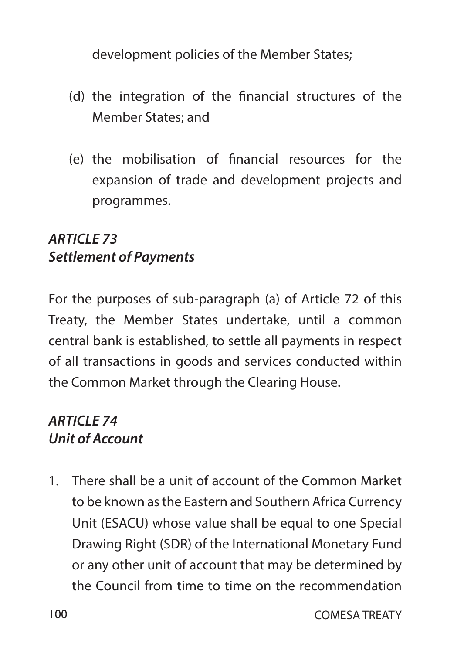development policies of the Member States;

- (d) the integration of the financial structures of the Member States; and
- (e) the mobilisation of financial resources for the expansion of trade and development projects and programmes.

### *ARTICLE 73 Settlement of Payments*

For the purposes of sub-paragraph (a) of Article 72 of this Treaty, the Member States undertake, until a common central bank is established, to settle all payments in respect of all transactions in goods and services conducted within the Common Market through the Clearing House.

### *ARTICLE 74 Unit of Account*

1. There shall be a unit of account of the Common Market to be known as the Eastern and Southern Africa Currency Unit (ESACU) whose value shall be equal to one Special Drawing Right (SDR) of the International Monetary Fund or any other unit of account that may be determined by the Council from time to time on the recommendation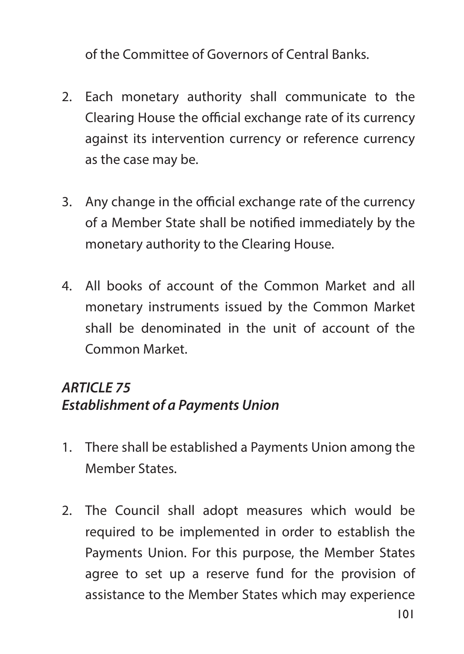of the Committee of Governors of Central Banks.

- 2. Each monetary authority shall communicate to the Clearing House the official exchange rate of its currency against its intervention currency or reference currency as the case may be.
- 3. Any change in the official exchange rate of the currency of a Member State shall be notified immediately by the monetary authority to the Clearing House.
- 4. All books of account of the Common Market and all monetary instruments issued by the Common Market shall be denominated in the unit of account of the Common Market.

### *ARTICLE 75 Establishment of a Payments Union*

- 1. There shall be established a Payments Union among the Member States.
- 2. The Council shall adopt measures which would be required to be implemented in order to establish the Payments Union. For this purpose, the Member States agree to set up a reserve fund for the provision of assistance to the Member States which may experience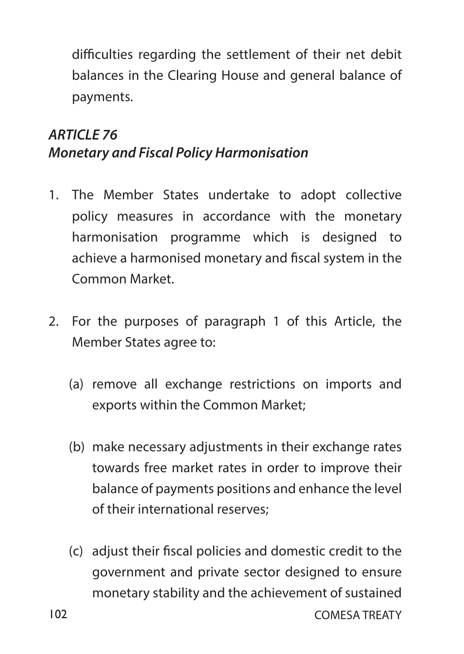difficulties regarding the settlement of their net debit balances in the Clearing House and general balance of payments.

#### *ARTICLE 76 Monetary and Fiscal Policy Harmonisation*

- 1. The Member States undertake to adopt collective policy measures in accordance with the monetary harmonisation programme which is designed to achieve a harmonised monetary and fiscal system in the Common Market.
- 2. For the purposes of paragraph 1 of this Article, the Member States agree to:
	- (a) remove all exchange restrictions on imports and exports within the Common Market;
	- (b) make necessary adjustments in their exchange rates towards free market rates in order to improve their balance of payments positions and enhance the level of their international reserves;
	- (c) adjust their fiscal policies and domestic credit to the government and private sector designed to ensure monetary stability and the achievement of sustained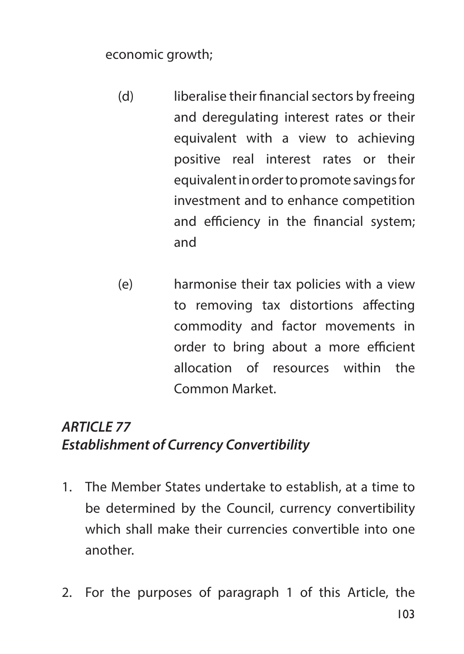economic growth;

- (d) liberalise their financial sectors by freeing and deregulating interest rates or their equivalent with a view to achieving positive real interest rates or their equivalent in order to promote savings for investment and to enhance competition and efficiency in the financial system; and
- (e) harmonise their tax policies with a view to removing tax distortions affecting commodity and factor movements in order to bring about a more efficient allocation of resources within the Common Market.

# *ARTICLE 77 Establishment of Currency Convertibility*

- 1. The Member States undertake to establish, at a time to be determined by the Council, currency convertibility which shall make their currencies convertible into one another.
- 2. For the purposes of paragraph 1 of this Article, the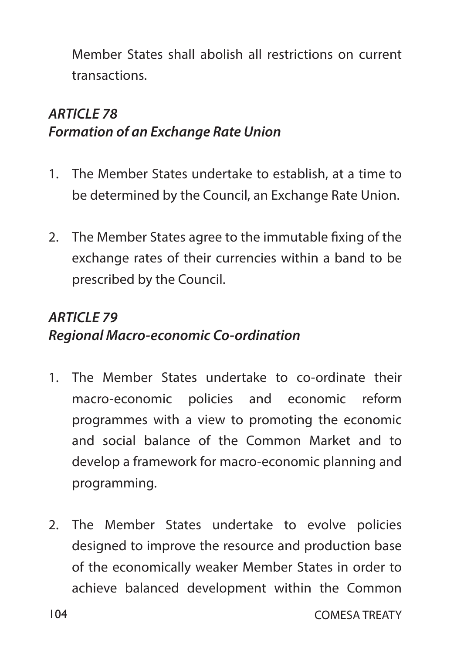Member States shall abolish all restrictions on current transactions.

# *ARTICLE 78 Formation of an Exchange Rate Union*

- 1. The Member States undertake to establish, at a time to be determined by the Council, an Exchange Rate Union.
- 2. The Member States agree to the immutable fixing of the exchange rates of their currencies within a band to be prescribed by the Council.

# *ARTICLE 79 Regional Macro-economic Co-ordination*

- 1. The Member States undertake to co-ordinate their macro-economic policies and economic reform programmes with a view to promoting the economic and social balance of the Common Market and to develop a framework for macro-economic planning and programming.
- 2. The Member States undertake to evolve policies designed to improve the resource and production base of the economically weaker Member States in order to achieve balanced development within the Common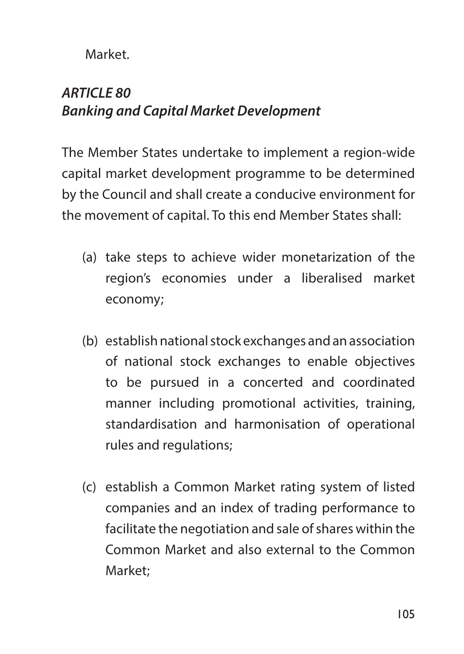Market.

#### *ARTICLE 80 Banking and Capital Market Development*

The Member States undertake to implement a region-wide capital market development programme to be determined by the Council and shall create a conducive environment for the movement of capital. To this end Member States shall:

- (a) take steps to achieve wider monetarization of the region's economies under a liberalised market economy;
- (b) establish national stock exchanges and an association of national stock exchanges to enable objectives to be pursued in a concerted and coordinated manner including promotional activities, training, standardisation and harmonisation of operational rules and regulations;
- (c) establish a Common Market rating system of listed companies and an index of trading performance to facilitate the negotiation and sale of shares within the Common Market and also external to the Common Market;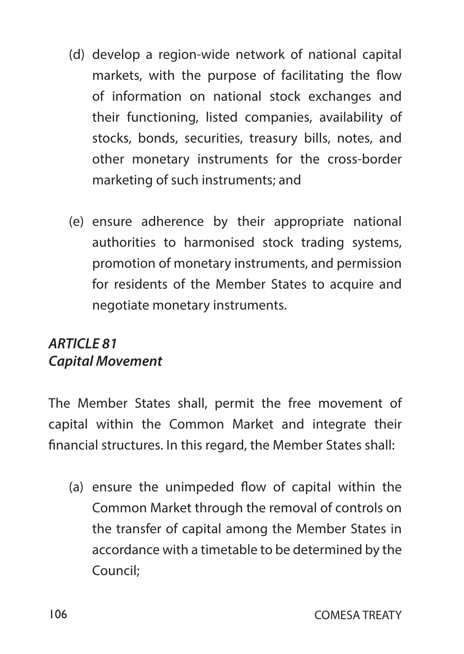- (d) develop a region-wide network of national capital markets, with the purpose of facilitating the flow of information on national stock exchanges and their functioning, listed companies, availability of stocks, bonds, securities, treasury bills, notes, and other monetary instruments for the cross-border marketing of such instruments; and
- (e) ensure adherence by their appropriate national authorities to harmonised stock trading systems, promotion of monetary instruments, and permission for residents of the Member States to acquire and negotiate monetary instruments.

### *ARTICLE 81 Capital Movement*

The Member States shall, permit the free movement of capital within the Common Market and integrate their financial structures. In this regard, the Member States shall:

(a) ensure the unimpeded flow of capital within the Common Market through the removal of controls on the transfer of capital among the Member States in accordance with a timetable to be determined by the Council;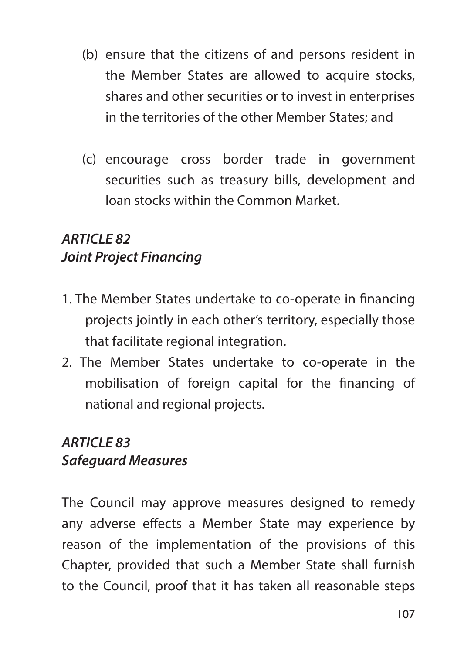- (b) ensure that the citizens of and persons resident in the Member States are allowed to acquire stocks, shares and other securities or to invest in enterprises in the territories of the other Member States; and
- (c) encourage cross border trade in government securities such as treasury bills, development and loan stocks within the Common Market.

#### *ARTICLE 82 Joint Project Financing*

- 1. The Member States undertake to co-operate in financing projects jointly in each other's territory, especially those that facilitate regional integration.
- 2. The Member States undertake to co-operate in the mobilisation of foreign capital for the financing of national and regional projects.

### *ARTICLE 83 Safeguard Measures*

The Council may approve measures designed to remedy any adverse effects a Member State may experience by reason of the implementation of the provisions of this Chapter, provided that such a Member State shall furnish to the Council, proof that it has taken all reasonable steps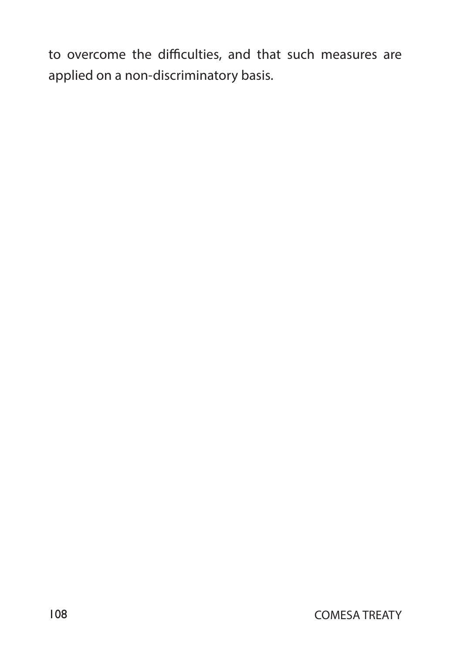to overcome the difficulties, and that such measures are applied on a non-discriminatory basis.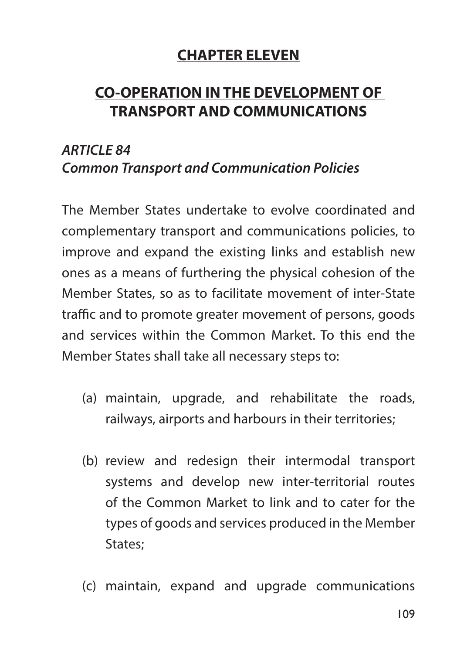## **CHAPTER ELEVEN**

# **CO-OPERATION IN THE DEVELOPMENT OF TRANSPORT AND COMMUNICATIONS**

### *ARTICLE 84 Common Transport and Communication Policies*

The Member States undertake to evolve coordinated and complementary transport and communications policies, to improve and expand the existing links and establish new ones as a means of furthering the physical cohesion of the Member States, so as to facilitate movement of inter-State traffic and to promote greater movement of persons, goods and services within the Common Market. To this end the Member States shall take all necessary steps to:

- (a) maintain, upgrade, and rehabilitate the roads, railways, airports and harbours in their territories;
- (b) review and redesign their intermodal transport systems and develop new inter-territorial routes of the Common Market to link and to cater for the types of goods and services produced in the Member States;
- (c) maintain, expand and upgrade communications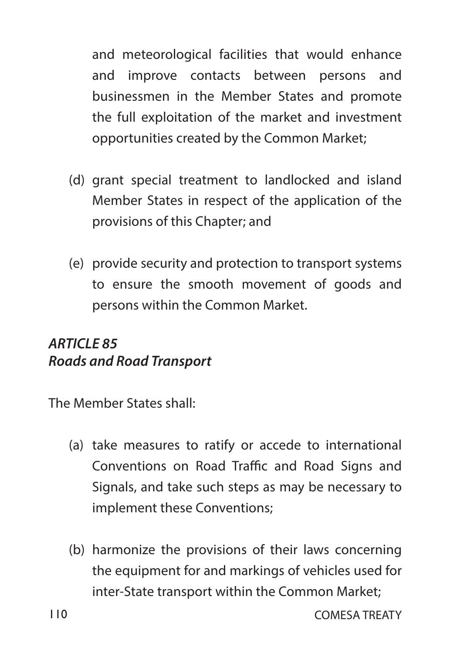and meteorological facilities that would enhance and improve contacts between persons and businessmen in the Member States and promote the full exploitation of the market and investment opportunities created by the Common Market;

- (d) grant special treatment to landlocked and island Member States in respect of the application of the provisions of this Chapter; and
- (e) provide security and protection to transport systems to ensure the smooth movement of goods and persons within the Common Market.

### *ARTICLE 85 Roads and Road Transport*

The Member States shall:

- (a) take measures to ratify or accede to international Conventions on Road Traffic and Road Signs and Signals, and take such steps as may be necessary to implement these Conventions;
- (b) harmonize the provisions of their laws concerning the equipment for and markings of vehicles used for inter-State transport within the Common Market;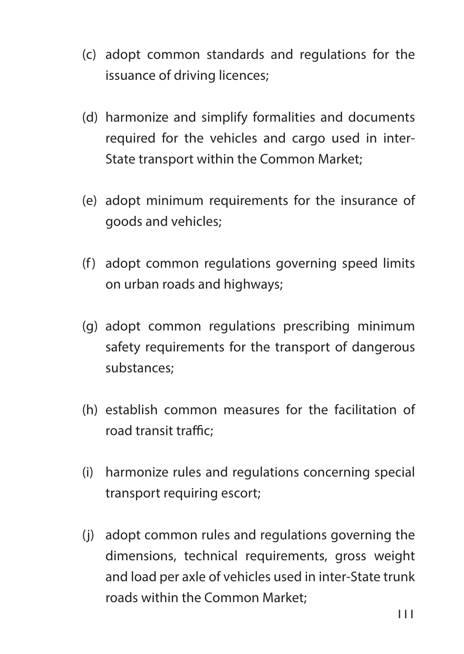- (c) adopt common standards and regulations for the issuance of driving licences;
- (d) harmonize and simplify formalities and documents required for the vehicles and cargo used in inter-State transport within the Common Market;
- (e) adopt minimum requirements for the insurance of goods and vehicles;
- (f) adopt common regulations governing speed limits on urban roads and highways;
- (g) adopt common regulations prescribing minimum safety requirements for the transport of dangerous substances;
- (h) establish common measures for the facilitation of road transit traffic;
- (i) harmonize rules and regulations concerning special transport requiring escort;
- (j) adopt common rules and regulations governing the dimensions, technical requirements, gross weight and load per axle of vehicles used in inter-State trunk roads within the Common Market;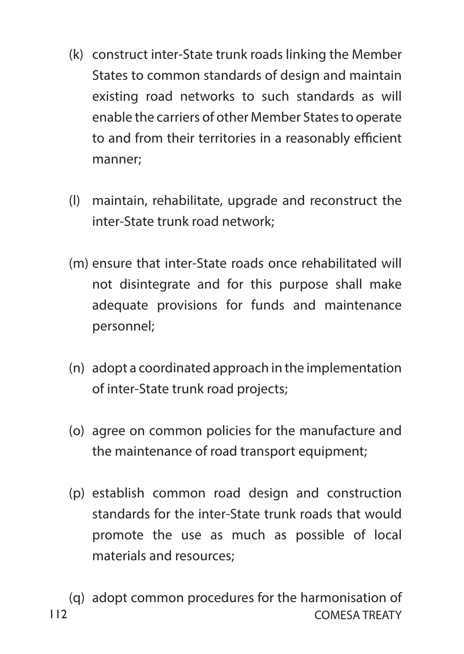- (k) construct inter-State trunk roads linking the Member States to common standards of design and maintain existing road networks to such standards as will enable the carriers of other Member States to operate to and from their territories in a reasonably efficient manner;
- (l) maintain, rehabilitate, upgrade and reconstruct the inter-State trunk road network;
- (m) ensure that inter-State roads once rehabilitated will not disintegrate and for this purpose shall make adequate provisions for funds and maintenance personnel;
- (n) adopt a coordinated approach in the implementation of inter-State trunk road projects;
- (o) agree on common policies for the manufacture and the maintenance of road transport equipment;
- (p) establish common road design and construction standards for the inter-State trunk roads that would promote the use as much as possible of local materials and resources;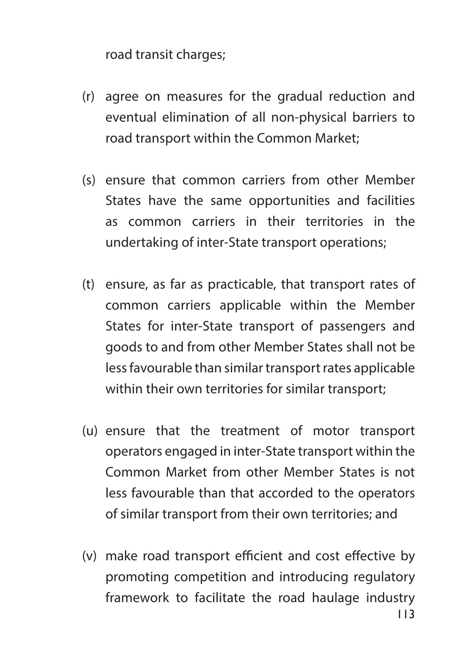road transit charges;

- (r) agree on measures for the gradual reduction and eventual elimination of all non-physical barriers to road transport within the Common Market;
- (s) ensure that common carriers from other Member States have the same opportunities and facilities as common carriers in their territories in the undertaking of inter-State transport operations;
- (t) ensure, as far as practicable, that transport rates of common carriers applicable within the Member States for inter-State transport of passengers and goods to and from other Member States shall not be less favourable than similar transport rates applicable within their own territories for similar transport;
- (u) ensure that the treatment of motor transport operators engaged in inter-State transport within the Common Market from other Member States is not less favourable than that accorded to the operators of similar transport from their own territories; and
- (v) make road transport efficient and cost effective by promoting competition and introducing regulatory framework to facilitate the road haulage industry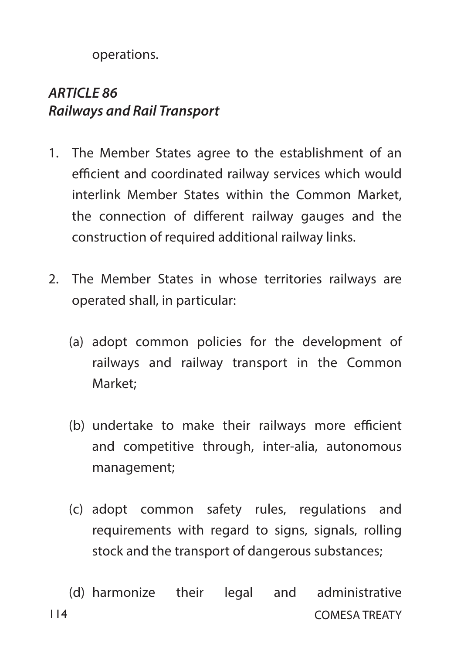operations.

#### *ARTICLE 86 Railways and Rail Transport*

- 1. The Member States agree to the establishment of an efficient and coordinated railway services which would interlink Member States within the Common Market, the connection of different railway gauges and the construction of required additional railway links.
- 2. The Member States in whose territories railways are operated shall, in particular:
	- (a) adopt common policies for the development of railways and railway transport in the Common Market;
	- (b) undertake to make their railways more efficient and competitive through, inter-alia, autonomous management;
	- (c) adopt common safety rules, regulations and requirements with regard to signs, signals, rolling stock and the transport of dangerous substances;

114 COMESA TREATY (d) harmonize their legal and administrative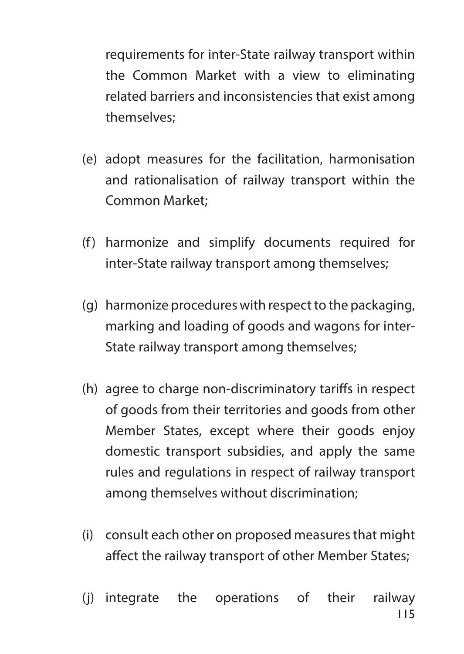requirements for inter-State railway transport within the Common Market with a view to eliminating related barriers and inconsistencies that exist among themselves;

- (e) adopt measures for the facilitation, harmonisation and rationalisation of railway transport within the Common Market;
- (f) harmonize and simplify documents required for inter-State railway transport among themselves;
- (g) harmonize procedures with respect to the packaging, marking and loading of goods and wagons for inter-State railway transport among themselves;
- (h) agree to charge non-discriminatory tariffs in respect of goods from their territories and goods from other Member States, except where their goods enjoy domestic transport subsidies, and apply the same rules and regulations in respect of railway transport among themselves without discrimination;
- (i) consult each other on proposed measures that might affect the railway transport of other Member States;
- 115 (j) integrate the operations of their railway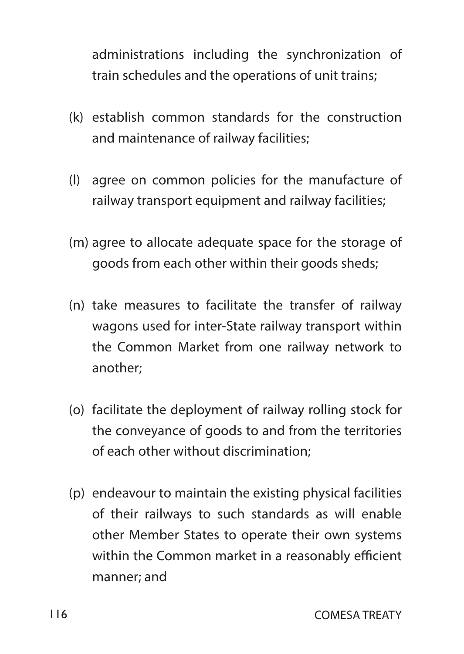administrations including the synchronization of train schedules and the operations of unit trains;

- (k) establish common standards for the construction and maintenance of railway facilities;
- (l) agree on common policies for the manufacture of railway transport equipment and railway facilities;
- (m) agree to allocate adequate space for the storage of goods from each other within their goods sheds;
- (n) take measures to facilitate the transfer of railway wagons used for inter-State railway transport within the Common Market from one railway network to another;
- (o) facilitate the deployment of railway rolling stock for the conveyance of goods to and from the territories of each other without discrimination;
- (p) endeavour to maintain the existing physical facilities of their railways to such standards as will enable other Member States to operate their own systems within the Common market in a reasonably efficient manner; and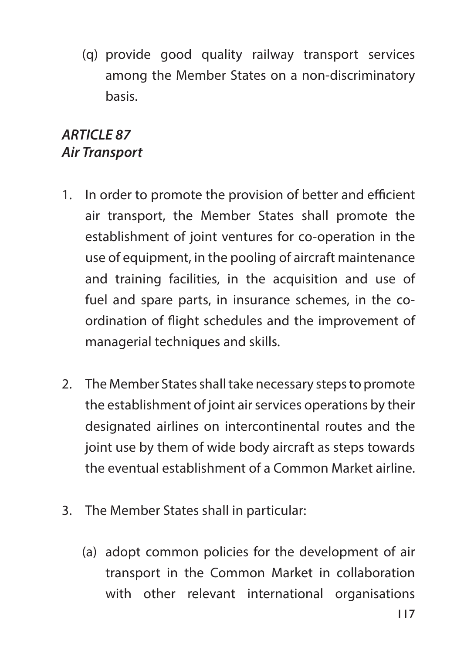(q) provide good quality railway transport services among the Member States on a non-discriminatory basis.

#### *ARTICLE 87 Air Transport*

- 1. In order to promote the provision of better and efficient air transport, the Member States shall promote the establishment of joint ventures for co-operation in the use of equipment, in the pooling of aircraft maintenance and training facilities, in the acquisition and use of fuel and spare parts, in insurance schemes, in the coordination of flight schedules and the improvement of managerial techniques and skills.
- 2. The Member States shall take necessary steps to promote the establishment of joint air services operations by their designated airlines on intercontinental routes and the joint use by them of wide body aircraft as steps towards the eventual establishment of a Common Market airline.
- 3. The Member States shall in particular:
	- (a) adopt common policies for the development of air transport in the Common Market in collaboration with other relevant international organisations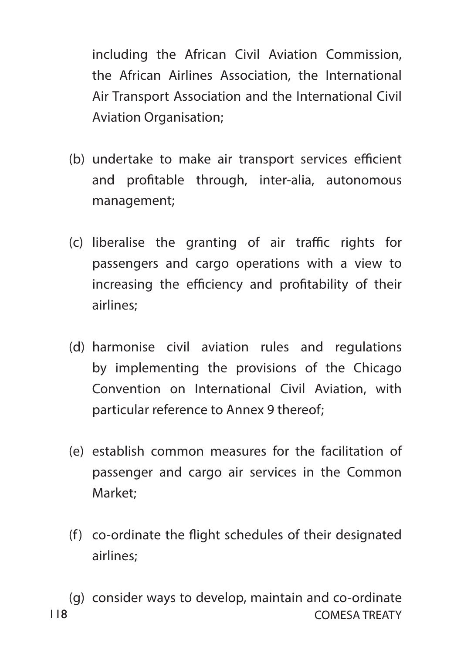including the African Civil Aviation Commission, the African Airlines Association, the International Air Transport Association and the International Civil Aviation Organisation;

- (b) undertake to make air transport services efficient and profitable through, inter-alia, autonomous management;
- (c) liberalise the granting of air traffic rights for passengers and cargo operations with a view to increasing the efficiency and profitability of their airlines;
- (d) harmonise civil aviation rules and regulations by implementing the provisions of the Chicago Convention on International Civil Aviation, with particular reference to Annex 9 thereof;
- (e) establish common measures for the facilitation of passenger and cargo air services in the Common Market;
- (f) co-ordinate the flight schedules of their designated airlines;

118 COMESA TREATY (g) consider ways to develop, maintain and co-ordinate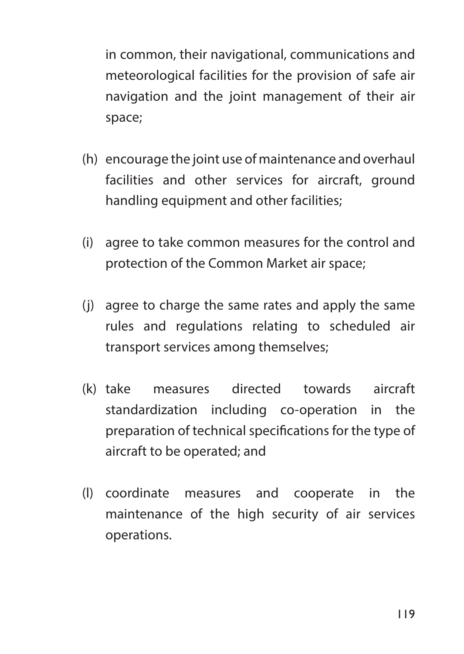in common, their navigational, communications and meteorological facilities for the provision of safe air navigation and the joint management of their air space;

- (h) encourage the joint use of maintenance and overhaul facilities and other services for aircraft, ground handling equipment and other facilities;
- (i) agree to take common measures for the control and protection of the Common Market air space;
- (j) agree to charge the same rates and apply the same rules and regulations relating to scheduled air transport services among themselves;
- (k) take measures directed towards aircraft standardization including co-operation in the preparation of technical specifications for the type of aircraft to be operated; and
- (l) coordinate measures and cooperate in the maintenance of the high security of air services operations.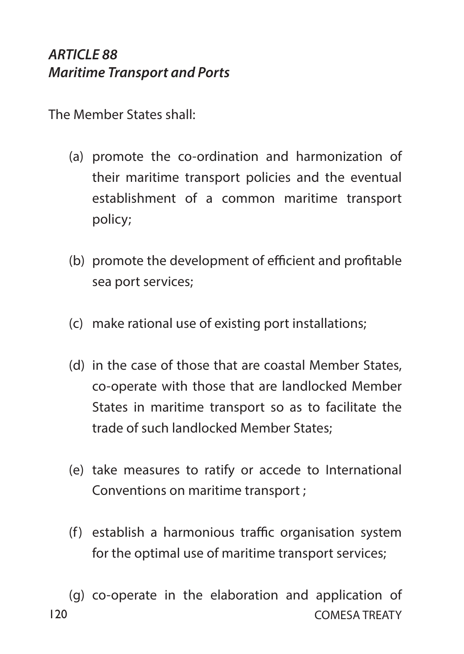The Member States shall:

- (a) promote the co-ordination and harmonization of their maritime transport policies and the eventual establishment of a common maritime transport policy;
- (b) promote the development of efficient and profitable sea port services;
- (c) make rational use of existing port installations;
- (d) in the case of those that are coastal Member States, co-operate with those that are landlocked Member States in maritime transport so as to facilitate the trade of such landlocked Member States;
- (e) take measures to ratify or accede to International Conventions on maritime transport ;
- (f) establish a harmonious traffic organisation system for the optimal use of maritime transport services;

120 COMESA TREATY (g) co-operate in the elaboration and application of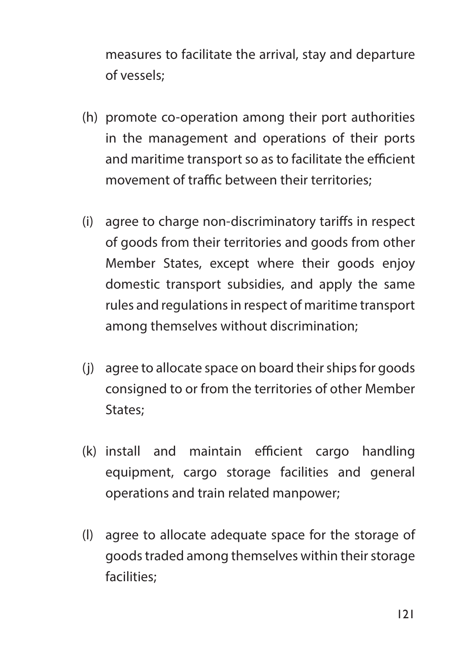measures to facilitate the arrival, stay and departure of vessels;

- (h) promote co-operation among their port authorities in the management and operations of their ports and maritime transport so as to facilitate the efficient movement of traffic between their territories;
- (i) agree to charge non-discriminatory tariffs in respect of goods from their territories and goods from other Member States, except where their goods enjoy domestic transport subsidies, and apply the same rules and regulations in respect of maritime transport among themselves without discrimination;
- (j) agree to allocate space on board their ships for goods consigned to or from the territories of other Member States;
- (k) install and maintain efficient cargo handling equipment, cargo storage facilities and general operations and train related manpower;
- (l) agree to allocate adequate space for the storage of goods traded among themselves within their storage facilities;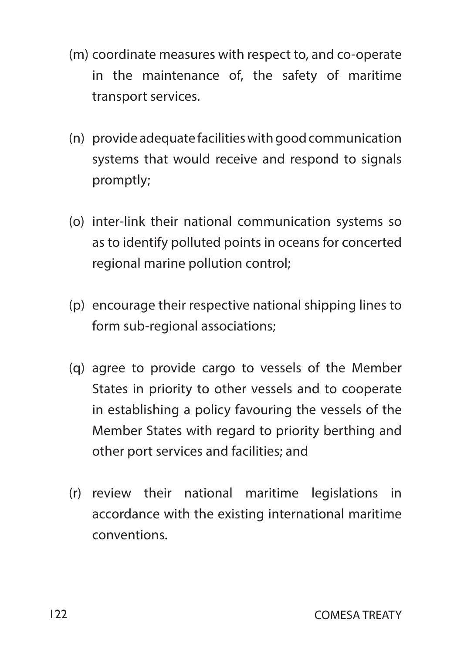- (m) coordinate measures with respect to, and co-operate in the maintenance of, the safety of maritime transport services.
- (n) provide adequate facilities with good communication systems that would receive and respond to signals promptly;
- (o) inter-link their national communication systems so as to identify polluted points in oceans for concerted regional marine pollution control;
- (p) encourage their respective national shipping lines to form sub-regional associations;
- (q) agree to provide cargo to vessels of the Member States in priority to other vessels and to cooperate in establishing a policy favouring the vessels of the Member States with regard to priority berthing and other port services and facilities; and
- (r) review their national maritime legislations in accordance with the existing international maritime conventions.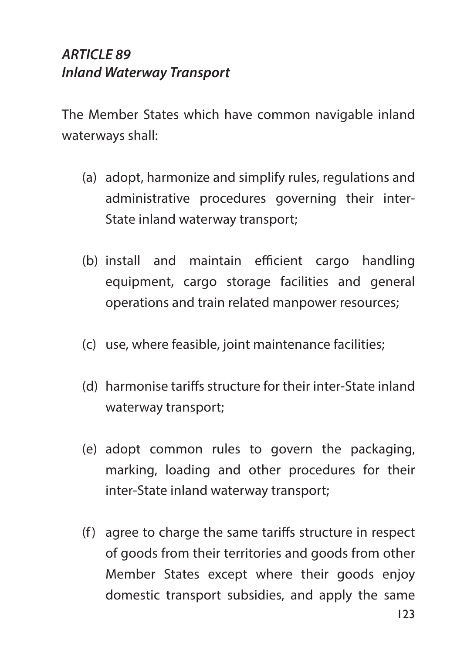## **ARTICLE 89** *Inland Waterway Transport*

The Member States which have common navigable inland waterways shall:

- (a) adopt, harmonize and simplify rules, regulations and administrative procedures governing their inter-State inland waterway transport;
- (b) install and maintain efficient cargo handling equipment, cargo storage facilities and general operations and train related manpower resources;
- (c) use, where feasible, joint maintenance facilities;
- (d) harmonise tariffs structure for their inter-State inland waterway transport;
- (e) adopt common rules to govern the packaging, marking, loading and other procedures for their inter-State inland waterway transport;
- (f) agree to charge the same tariffs structure in respect of goods from their territories and goods from other Member States except where their goods enjoy domestic transport subsidies, and apply the same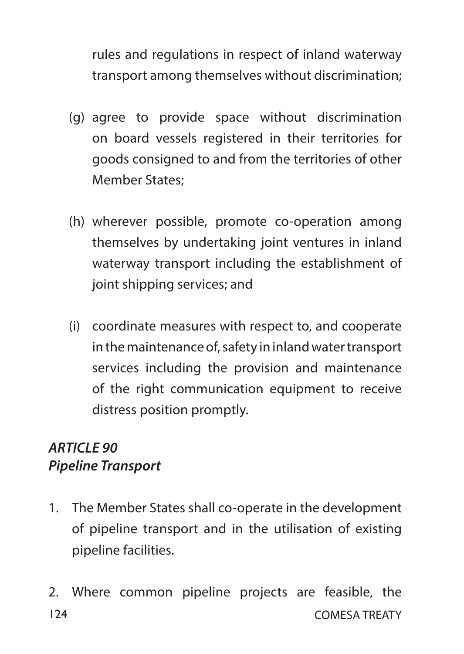rules and regulations in respect of inland waterway transport among themselves without discrimination;

- (g) agree to provide space without discrimination on board vessels registered in their territories for goods consigned to and from the territories of other Member States;
- (h) wherever possible, promote co-operation among themselves by undertaking joint ventures in inland waterway transport including the establishment of joint shipping services; and
- (i) coordinate measures with respect to, and cooperate in the maintenance of, safety in inland water transport services including the provision and maintenance of the right communication equipment to receive distress position promptly.

#### *ARTICLE 90 Pipeline Transport*

- 1. The Member States shall co-operate in the development of pipeline transport and in the utilisation of existing pipeline facilities.
- 124 COMESA TREATY 2. Where common pipeline projects are feasible, the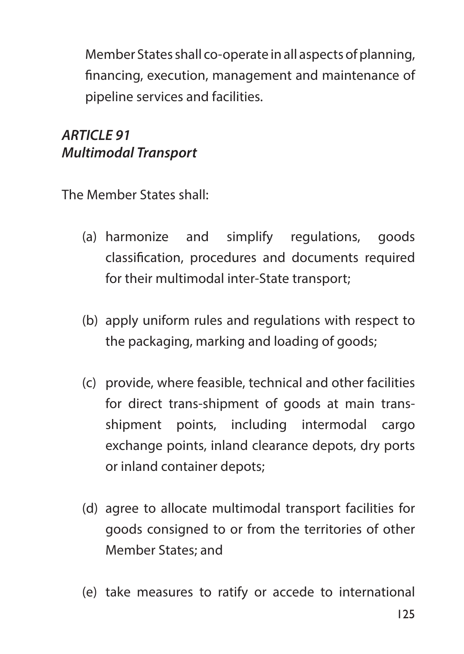Member States shall co-operate in all aspects of planning, financing, execution, management and maintenance of pipeline services and facilities.

#### *ARTICLE 91 Multimodal Transport*

- (a) harmonize and simplify regulations, goods classification, procedures and documents required for their multimodal inter-State transport;
- (b) apply uniform rules and regulations with respect to the packaging, marking and loading of goods;
- (c) provide, where feasible, technical and other facilities for direct trans-shipment of goods at main transshipment points, including intermodal cargo exchange points, inland clearance depots, dry ports or inland container depots;
- (d) agree to allocate multimodal transport facilities for goods consigned to or from the territories of other Member States; and
- (e) take measures to ratify or accede to international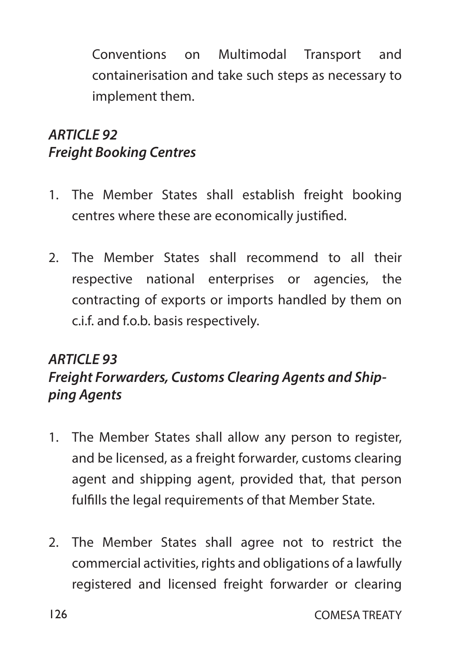Conventions on Multimodal Transport and containerisation and take such steps as necessary to implement them.

### *ARTICLE 92 Freight Booking Centres*

- 1. The Member States shall establish freight booking centres where these are economically justified.
- 2. The Member States shall recommend to all their respective national enterprises or agencies, the contracting of exports or imports handled by them on c.i.f. and f.o.b. basis respectively.

#### *ARTICLE 93 Freight Forwarders, Customs Clearing Agents and Shipping Agents*

- 1. The Member States shall allow any person to register, and be licensed, as a freight forwarder, customs clearing agent and shipping agent, provided that, that person fulfills the legal requirements of that Member State.
- 2. The Member States shall agree not to restrict the commercial activities, rights and obligations of a lawfully registered and licensed freight forwarder or clearing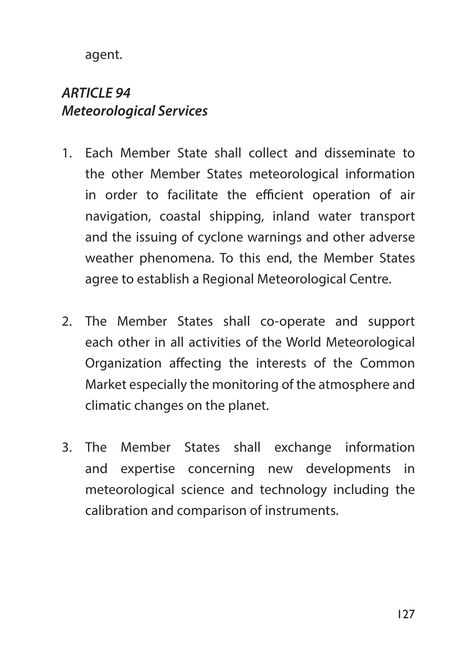agent.

#### *ARTICLE 94 Meteorological Services*

- 1. Each Member State shall collect and disseminate to the other Member States meteorological information in order to facilitate the efficient operation of air navigation, coastal shipping, inland water transport and the issuing of cyclone warnings and other adverse weather phenomena. To this end, the Member States agree to establish a Regional Meteorological Centre.
- 2. The Member States shall co-operate and support each other in all activities of the World Meteorological Organization affecting the interests of the Common Market especially the monitoring of the atmosphere and climatic changes on the planet.
- 3. The Member States shall exchange information and expertise concerning new developments in meteorological science and technology including the calibration and comparison of instruments.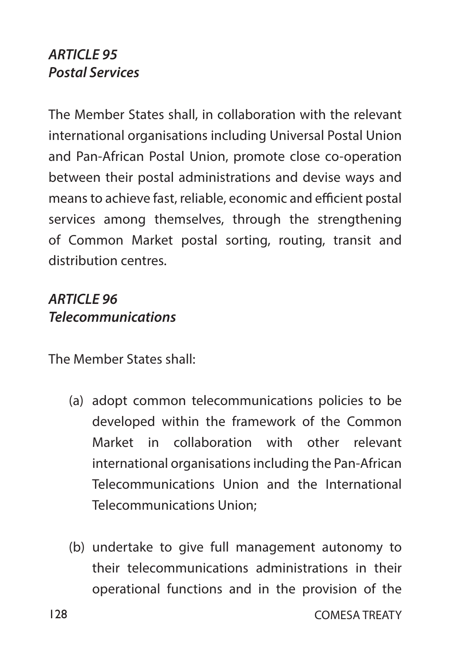## *ARTICLE 95 Postal Services*

The Member States shall, in collaboration with the relevant international organisations including Universal Postal Union and Pan-African Postal Union, promote close co-operation between their postal administrations and devise ways and means to achieve fast, reliable, economic and efficient postal services among themselves, through the strengthening of Common Market postal sorting, routing, transit and distribution centres.

## *ARTICLE 96 Telecommunications*

- (a) adopt common telecommunications policies to be developed within the framework of the Common Market in collaboration with other relevant international organisations including the Pan-African Telecommunications Union and the International Telecommunications Union;
- (b) undertake to give full management autonomy to their telecommunications administrations in their operational functions and in the provision of the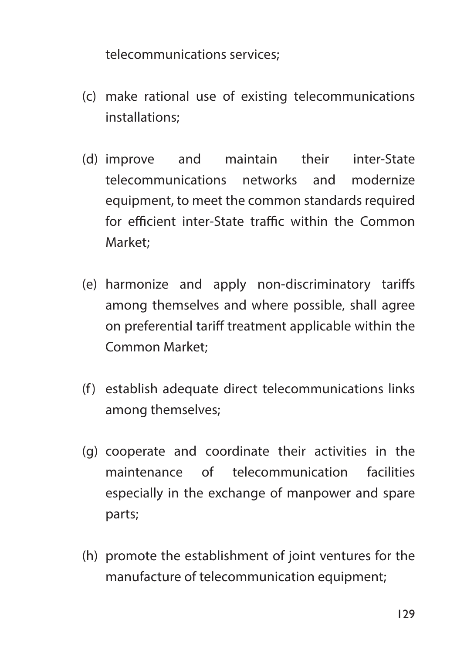telecommunications services;

- (c) make rational use of existing telecommunications installations;
- (d) improve and maintain their inter-State telecommunications networks and modernize equipment, to meet the common standards required for efficient inter-State traffic within the Common Market;
- (e) harmonize and apply non-discriminatory tariffs among themselves and where possible, shall agree on preferential tariff treatment applicable within the Common Market;
- (f) establish adequate direct telecommunications links among themselves;
- (g) cooperate and coordinate their activities in the maintenance of telecommunication facilities especially in the exchange of manpower and spare parts;
- (h) promote the establishment of joint ventures for the manufacture of telecommunication equipment;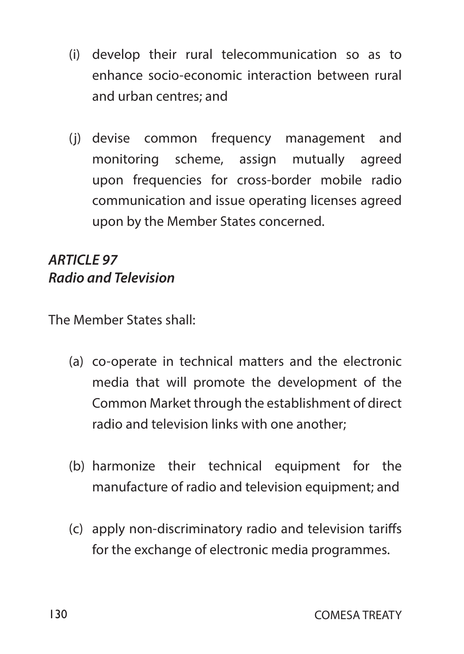- (i) develop their rural telecommunication so as to enhance socio-economic interaction between rural and urban centres; and
- (j) devise common frequency management and monitoring scheme, assign mutually agreed upon frequencies for cross-border mobile radio communication and issue operating licenses agreed upon by the Member States concerned.

## **ARTICLE 97** *Radio and Television*

- (a) co-operate in technical matters and the electronic media that will promote the development of the Common Market through the establishment of direct radio and television links with one another;
- (b) harmonize their technical equipment for the manufacture of radio and television equipment; and
- (c) apply non-discriminatory radio and television tariffs for the exchange of electronic media programmes.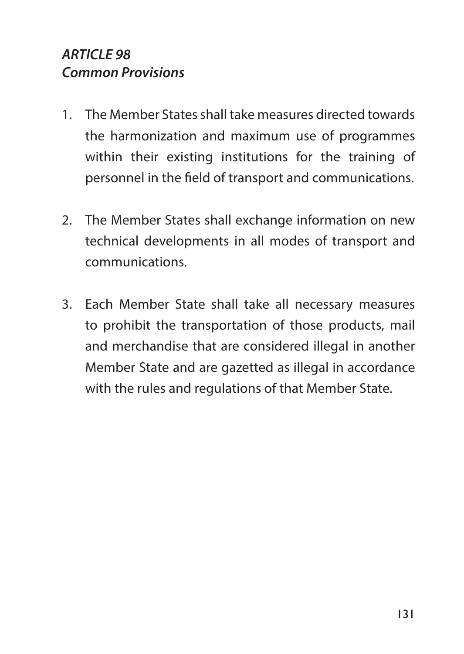## **ARTICLE 98** *Common Provisions*

- 1. The Member States shall take measures directed towards the harmonization and maximum use of programmes within their existing institutions for the training of personnel in the field of transport and communications.
- 2. The Member States shall exchange information on new technical developments in all modes of transport and communications.
- 3. Each Member State shall take all necessary measures to prohibit the transportation of those products, mail and merchandise that are considered illegal in another Member State and are gazetted as illegal in accordance with the rules and regulations of that Member State.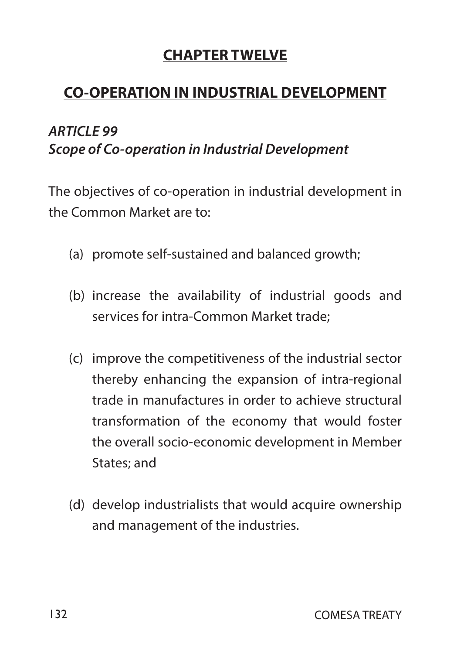## **CHAPTER TWELVE**

## **CO-OPERATION IN INDUSTRIAL DEVELOPMENT**

## *ARTICLE 99 Scope of Co-operation in Industrial Development*

The objectives of co-operation in industrial development in the Common Market are to:

- (a) promote self-sustained and balanced growth;
- (b) increase the availability of industrial goods and services for intra-Common Market trade;
- (c) improve the competitiveness of the industrial sector thereby enhancing the expansion of intra-regional trade in manufactures in order to achieve structural transformation of the economy that would foster the overall socio-economic development in Member States; and
- (d) develop industrialists that would acquire ownership and management of the industries.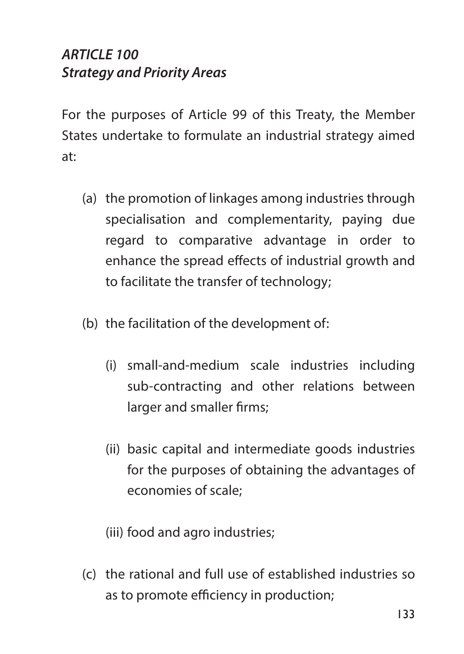# *ARTICLE 100 Strategy and Priority Areas*

For the purposes of Article 99 of this Treaty, the Member States undertake to formulate an industrial strategy aimed at:

- (a) the promotion of linkages among industries through specialisation and complementarity, paying due regard to comparative advantage in order to enhance the spread effects of industrial growth and to facilitate the transfer of technology;
- (b) the facilitation of the development of:
	- (i) small-and-medium scale industries including sub-contracting and other relations between larger and smaller firms;
	- (ii) basic capital and intermediate goods industries for the purposes of obtaining the advantages of economies of scale;
	- (iii) food and agro industries;
- (c) the rational and full use of established industries so as to promote efficiency in production;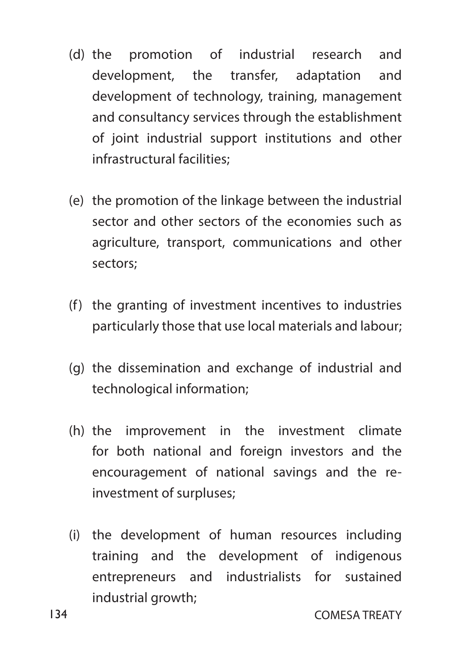- (d) the promotion of industrial research and development, the transfer, adaptation and development of technology, training, management and consultancy services through the establishment of joint industrial support institutions and other infrastructural facilities;
- (e) the promotion of the linkage between the industrial sector and other sectors of the economies such as agriculture, transport, communications and other sectors;
- (f) the granting of investment incentives to industries particularly those that use local materials and labour;
- (g) the dissemination and exchange of industrial and technological information;
- (h) the improvement in the investment climate for both national and foreign investors and the encouragement of national savings and the reinvestment of surpluses;
- (i) the development of human resources including training and the development of indigenous entrepreneurs and industrialists for sustained industrial growth;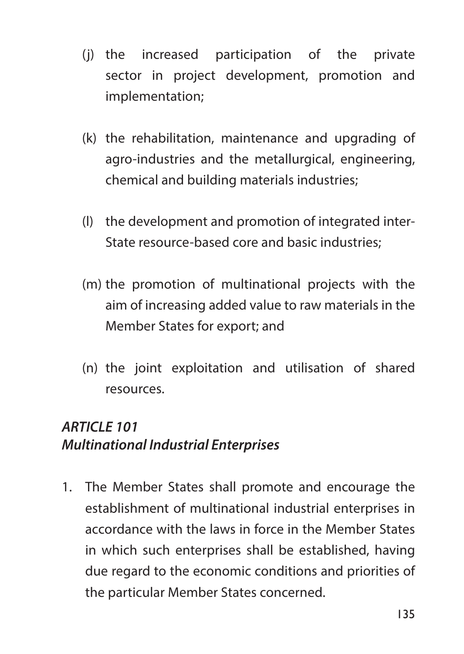- (j) the increased participation of the private sector in project development, promotion and implementation;
- (k) the rehabilitation, maintenance and upgrading of agro-industries and the metallurgical, engineering, chemical and building materials industries;
- (l) the development and promotion of integrated inter-State resource-based core and basic industries;
- (m) the promotion of multinational projects with the aim of increasing added value to raw materials in the Member States for export; and
- (n) the joint exploitation and utilisation of shared resources.

## *ARTICLE 101 Multinational Industrial Enterprises*

1. The Member States shall promote and encourage the establishment of multinational industrial enterprises in accordance with the laws in force in the Member States in which such enterprises shall be established, having due regard to the economic conditions and priorities of the particular Member States concerned.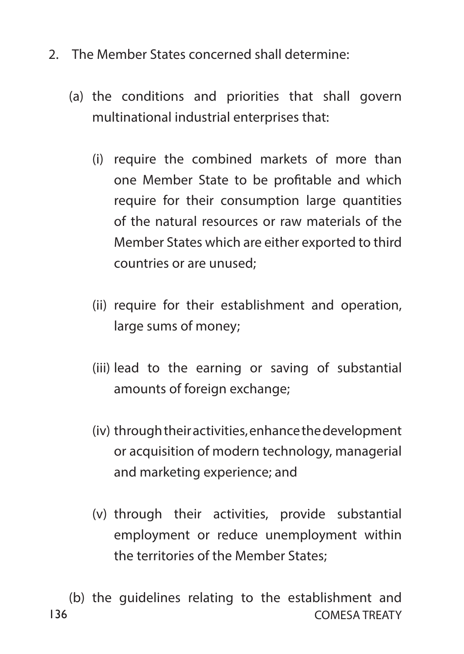- 2. The Member States concerned shall determine:
	- (a) the conditions and priorities that shall govern multinational industrial enterprises that:
		- (i) require the combined markets of more than one Member State to be profitable and which require for their consumption large quantities of the natural resources or raw materials of the Member States which are either exported to third countries or are unused;
		- (ii) require for their establishment and operation, large sums of money;
		- (iii) lead to the earning or saving of substantial amounts of foreign exchange;
		- (iv) through their activities, enhance the development or acquisition of modern technology, managerial and marketing experience; and
		- (v) through their activities, provide substantial employment or reduce unemployment within the territories of the Member States;

136 COMESA TREATY (b) the guidelines relating to the establishment and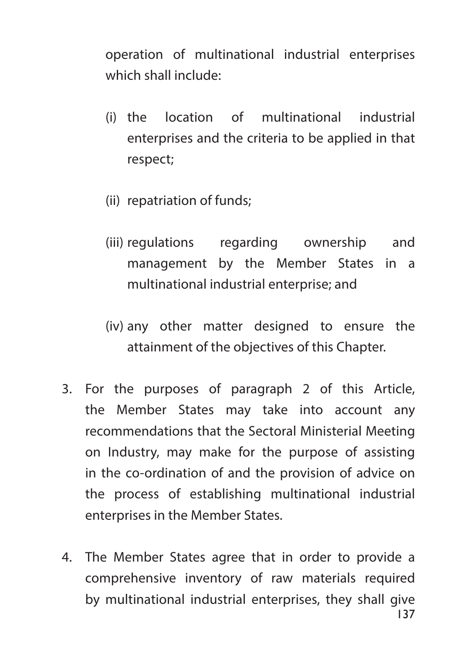operation of multinational industrial enterprises which shall include:

- (i) the location of multinational industrial enterprises and the criteria to be applied in that respect;
- (ii) repatriation of funds;
- (iii) regulations regarding ownership and management by the Member States in a multinational industrial enterprise; and
- (iv) any other matter designed to ensure the attainment of the objectives of this Chapter.
- 3. For the purposes of paragraph 2 of this Article, the Member States may take into account any recommendations that the Sectoral Ministerial Meeting on Industry, may make for the purpose of assisting in the co-ordination of and the provision of advice on the process of establishing multinational industrial enterprises in the Member States.
- 137 4. The Member States agree that in order to provide a comprehensive inventory of raw materials required by multinational industrial enterprises, they shall give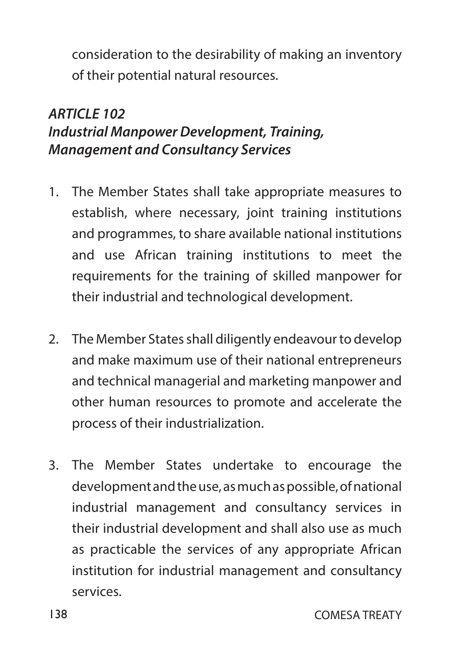consideration to the desirability of making an inventory of their potential natural resources.

### *ARTICLE 102 Industrial Manpower Development, Training, Management and Consultancy Services*

- 1. The Member States shall take appropriate measures to establish, where necessary, joint training institutions and programmes, to share available national institutions and use African training institutions to meet the requirements for the training of skilled manpower for their industrial and technological development.
- 2. The Member States shall diligently endeavour to develop and make maximum use of their national entrepreneurs and technical managerial and marketing manpower and other human resources to promote and accelerate the process of their industrialization.
- 3. The Member States undertake to encourage the development and the use, as much as possible, of national industrial management and consultancy services in their industrial development and shall also use as much as practicable the services of any appropriate African institution for industrial management and consultancy services.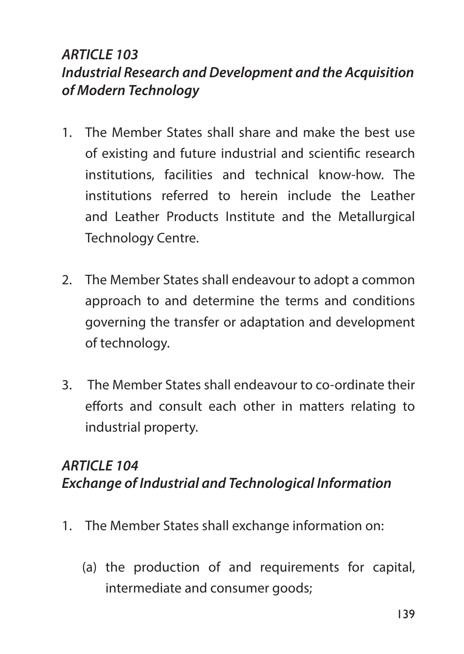## *ARTICLE 103 Industrial Research and Development and the Acquisition of Modern Technology*

- 1. The Member States shall share and make the best use of existing and future industrial and scientific research institutions, facilities and technical know-how. The institutions referred to herein include the Leather and Leather Products Institute and the Metallurgical Technology Centre.
- 2. The Member States shall endeavour to adopt a common approach to and determine the terms and conditions governing the transfer or adaptation and development of technology.
- 3. The Member States shall endeavour to co-ordinate their efforts and consult each other in matters relating to industrial property.

## *ARTICLE 104 Exchange of Industrial and Technological Information*

- 1. The Member States shall exchange information on:
	- (a) the production of and requirements for capital, intermediate and consumer goods;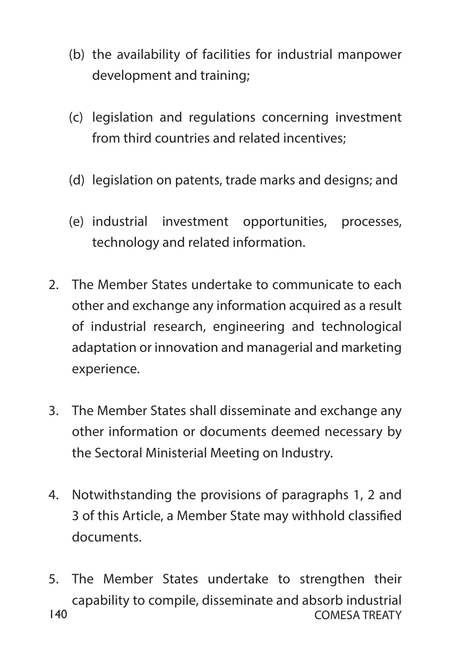- (b) the availability of facilities for industrial manpower development and training;
- (c) legislation and regulations concerning investment from third countries and related incentives;
- (d) legislation on patents, trade marks and designs; and
- (e) industrial investment opportunities, processes, technology and related information.
- 2. The Member States undertake to communicate to each other and exchange any information acquired as a result of industrial research, engineering and technological adaptation or innovation and managerial and marketing experience.
- 3. The Member States shall disseminate and exchange any other information or documents deemed necessary by the Sectoral Ministerial Meeting on Industry.
- 4. Notwithstanding the provisions of paragraphs 1, 2 and 3 of this Article, a Member State may withhold classified documents.
- 140 COMESA TREATY 5. The Member States undertake to strengthen their capability to compile, disseminate and absorb industrial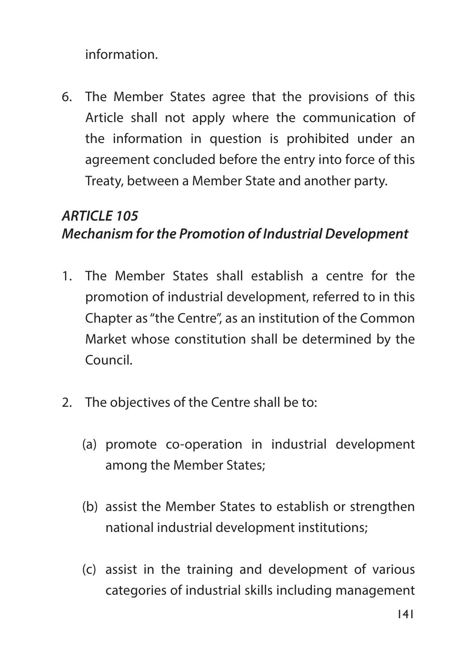information.

6. The Member States agree that the provisions of this Article shall not apply where the communication of the information in question is prohibited under an agreement concluded before the entry into force of this Treaty, between a Member State and another party.

### **ARTICLE 105** *Mechanism for the Promotion of Industrial Development*

- 1. The Member States shall establish a centre for the promotion of industrial development, referred to in this Chapter as "the Centre", as an institution of the Common Market whose constitution shall be determined by the Council.
- 2. The objectives of the Centre shall be to:
	- (a) promote co-operation in industrial development among the Member States;
	- (b) assist the Member States to establish or strengthen national industrial development institutions;
	- (c) assist in the training and development of various categories of industrial skills including management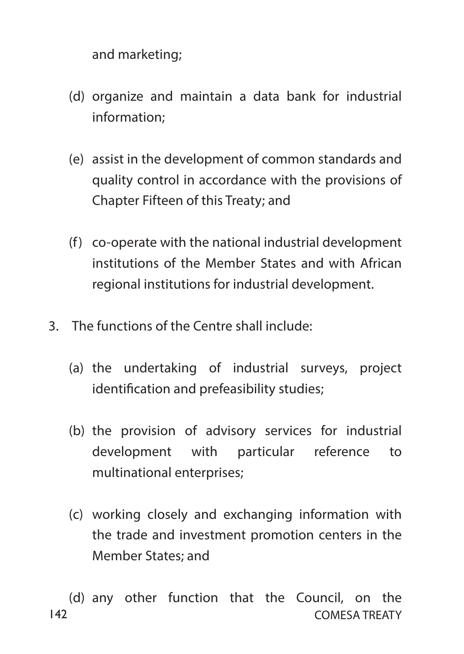and marketing;

- (d) organize and maintain a data bank for industrial information;
- (e) assist in the development of common standards and quality control in accordance with the provisions of Chapter Fifteen of this Treaty; and
- (f) co-operate with the national industrial development institutions of the Member States and with African regional institutions for industrial development.
- 3. The functions of the Centre shall include:
	- (a) the undertaking of industrial surveys, project identification and prefeasibility studies;
	- (b) the provision of advisory services for industrial development with particular reference to multinational enterprises;
	- (c) working closely and exchanging information with the trade and investment promotion centers in the Member States; and

142 COMESA TREATY (d) any other function that the Council, on the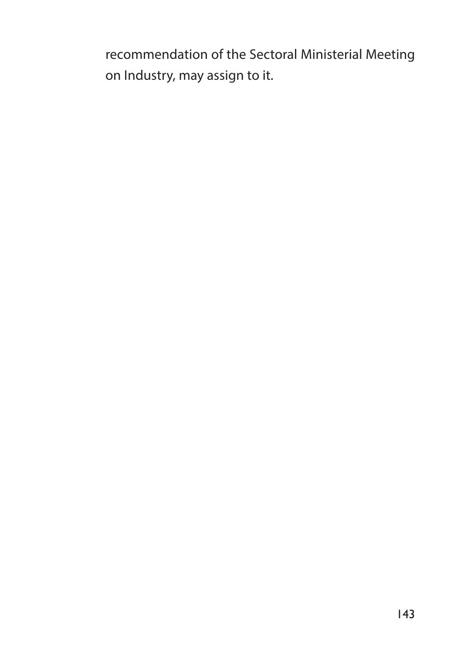recommendation of the Sectoral Ministerial Meeting on Industry, may assign to it.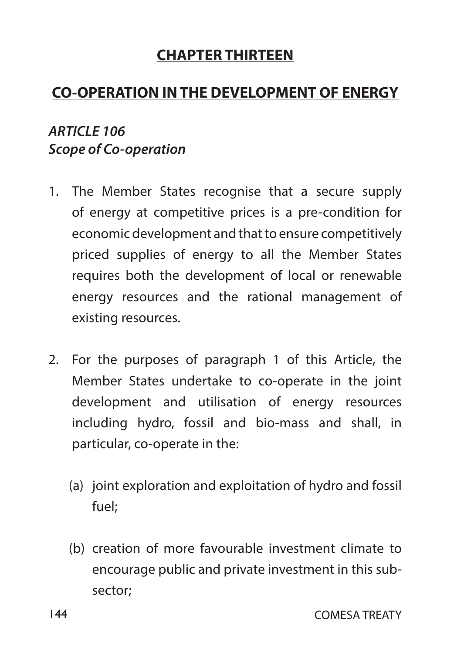## **CHAPTER THIRTEEN**

#### **CO-OPERATION IN THE DEVELOPMENT OF ENERGY**

#### *ARTICLE 106 Scope of Co-operation*

- 1. The Member States recognise that a secure supply of energy at competitive prices is a pre-condition for economic development and that to ensure competitively priced supplies of energy to all the Member States requires both the development of local or renewable energy resources and the rational management of existing resources.
- 2. For the purposes of paragraph 1 of this Article, the Member States undertake to co-operate in the joint development and utilisation of energy resources including hydro, fossil and bio-mass and shall, in particular, co-operate in the:
	- (a) joint exploration and exploitation of hydro and fossil fuel;
	- (b) creation of more favourable investment climate to encourage public and private investment in this subsector;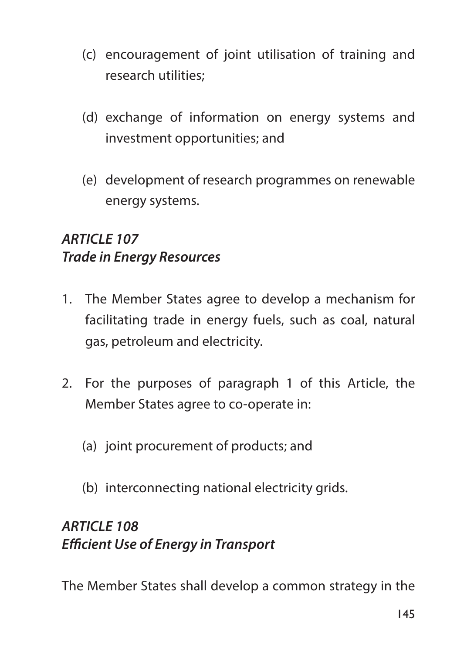- (c) encouragement of joint utilisation of training and research utilities;
- (d) exchange of information on energy systems and investment opportunities; and
- (e) development of research programmes on renewable energy systems.

# *ARTICLE 107 Trade in Energy Resources*

- 1. The Member States agree to develop a mechanism for facilitating trade in energy fuels, such as coal, natural gas, petroleum and electricity.
- 2. For the purposes of paragraph 1 of this Article, the Member States agree to co-operate in:
	- (a) joint procurement of products; and
	- (b) interconnecting national electricity grids.

## *ARTICLE 108 Efficient Use of Energy in Transport*

The Member States shall develop a common strategy in the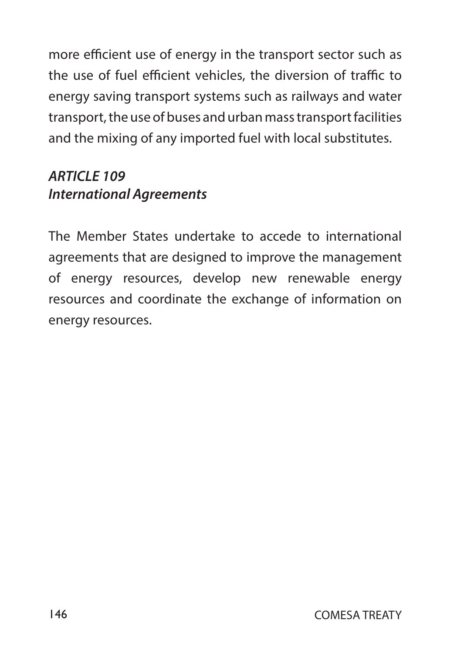more efficient use of energy in the transport sector such as the use of fuel efficient vehicles, the diversion of traffic to energy saving transport systems such as railways and water transport, the use of buses and urban mass transport facilities and the mixing of any imported fuel with local substitutes.

## *ARTICLE 109 International Agreements*

The Member States undertake to accede to international agreements that are designed to improve the management of energy resources, develop new renewable energy resources and coordinate the exchange of information on energy resources.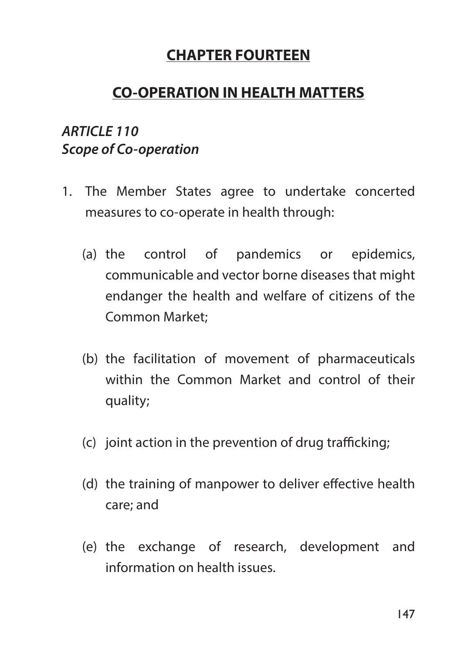## **CHAPTER FOURTEEN**

#### **CO-OPERATION IN HEALTH MATTERS**

### *ARTICLE 110 Scope of Co-operation*

- 1. The Member States agree to undertake concerted measures to co-operate in health through:
	- (a) the control of pandemics or epidemics, communicable and vector borne diseases that might endanger the health and welfare of citizens of the Common Market;
	- (b) the facilitation of movement of pharmaceuticals within the Common Market and control of their quality;
	- (c) joint action in the prevention of drug trafficking;
	- (d) the training of manpower to deliver effective health care; and
	- (e) the exchange of research, development and information on health issues.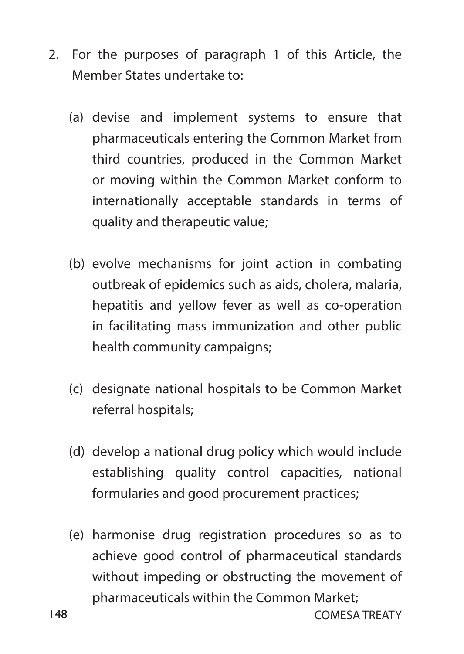- 2. For the purposes of paragraph 1 of this Article, the Member States undertake to:
	- (a) devise and implement systems to ensure that pharmaceuticals entering the Common Market from third countries, produced in the Common Market or moving within the Common Market conform to internationally acceptable standards in terms of quality and therapeutic value;
	- (b) evolve mechanisms for joint action in combating outbreak of epidemics such as aids, cholera, malaria, hepatitis and yellow fever as well as co-operation in facilitating mass immunization and other public health community campaigns;
	- (c) designate national hospitals to be Common Market referral hospitals;
	- (d) develop a national drug policy which would include establishing quality control capacities, national formularies and good procurement practices;
	- (e) harmonise drug registration procedures so as to achieve good control of pharmaceutical standards without impeding or obstructing the movement of pharmaceuticals within the Common Market;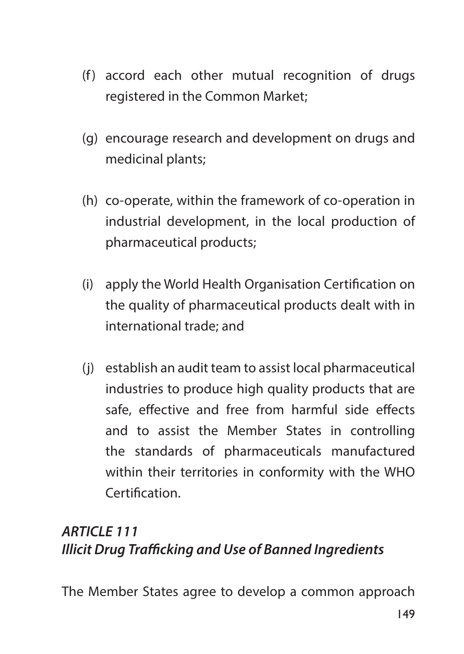- (f) accord each other mutual recognition of drugs registered in the Common Market;
- (g) encourage research and development on drugs and medicinal plants;
- (h) co-operate, within the framework of co-operation in industrial development, in the local production of pharmaceutical products;
- (i) apply the World Health Organisation Certification on the quality of pharmaceutical products dealt with in international trade; and
- (j) establish an audit team to assist local pharmaceutical industries to produce high quality products that are safe, effective and free from harmful side effects and to assist the Member States in controlling the standards of pharmaceuticals manufactured within their territories in conformity with the WHO **Certification**

# *ARTICLE 111 Illicit Drug Trafficking and Use of Banned Ingredients*

The Member States agree to develop a common approach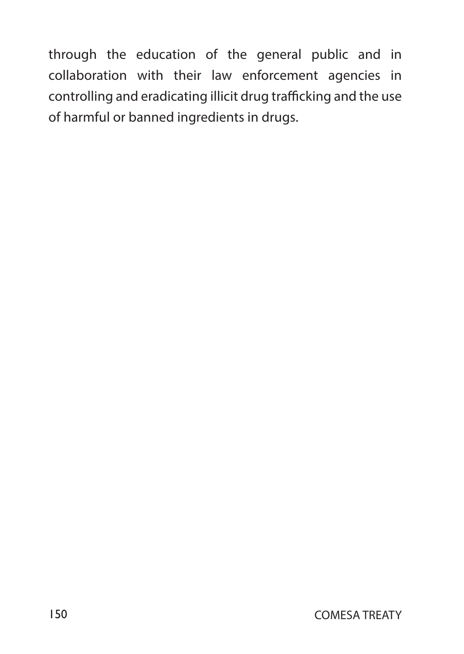through the education of the general public and in collaboration with their law enforcement agencies in controlling and eradicating illicit drug trafficking and the use of harmful or banned ingredients in drugs.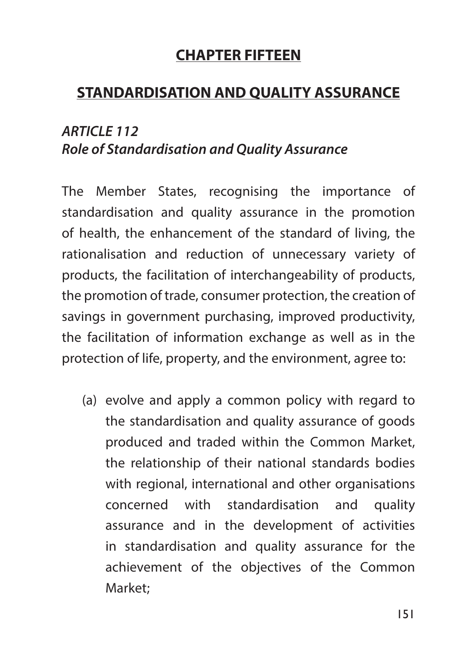### **CHAPTER FIFTEEN**

#### **STANDARDISATION AND QUALITY ASSURANCE**

### *ARTICLE 112 Role of Standardisation and Quality Assurance*

The Member States, recognising the importance of standardisation and quality assurance in the promotion of health, the enhancement of the standard of living, the rationalisation and reduction of unnecessary variety of products, the facilitation of interchangeability of products, the promotion of trade, consumer protection, the creation of savings in government purchasing, improved productivity, the facilitation of information exchange as well as in the protection of life, property, and the environment, agree to:

(a) evolve and apply a common policy with regard to the standardisation and quality assurance of goods produced and traded within the Common Market, the relationship of their national standards bodies with regional, international and other organisations concerned with standardisation and quality assurance and in the development of activities in standardisation and quality assurance for the achievement of the objectives of the Common Market;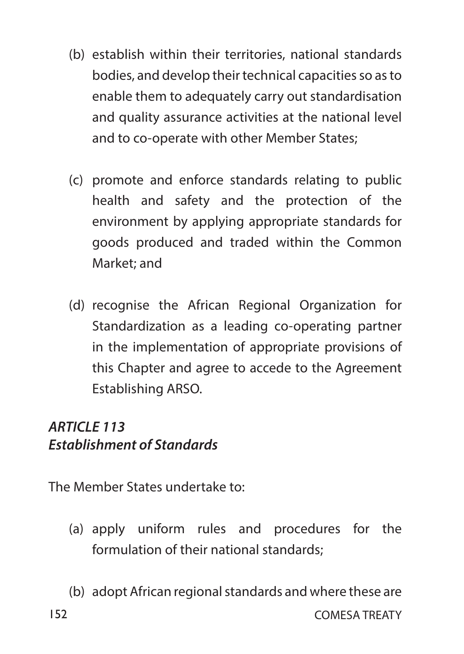- (b) establish within their territories, national standards bodies, and develop their technical capacities so as to enable them to adequately carry out standardisation and quality assurance activities at the national level and to co-operate with other Member States;
- (c) promote and enforce standards relating to public health and safety and the protection of the environment by applying appropriate standards for goods produced and traded within the Common Market; and
- (d) recognise the African Regional Organization for Standardization as a leading co-operating partner in the implementation of appropriate provisions of this Chapter and agree to accede to the Agreement Establishing ARSO.

## *ARTICLE 113 Establishment of Standards*

The Member States undertake to:

- (a) apply uniform rules and procedures for the formulation of their national standards;
- 152 COMESA TREATY (b) adopt African regional standards and where these are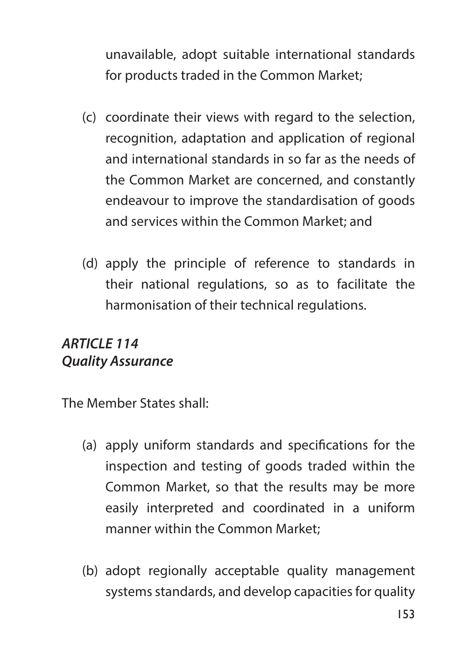unavailable, adopt suitable international standards for products traded in the Common Market;

- (c) coordinate their views with regard to the selection, recognition, adaptation and application of regional and international standards in so far as the needs of the Common Market are concerned, and constantly endeavour to improve the standardisation of goods and services within the Common Market; and
- (d) apply the principle of reference to standards in their national regulations, so as to facilitate the harmonisation of their technical regulations.

## *ARTICLE 114 Quality Assurance*

- (a) apply uniform standards and specifications for the inspection and testing of goods traded within the Common Market, so that the results may be more easily interpreted and coordinated in a uniform manner within the Common Market;
- (b) adopt regionally acceptable quality management systems standards, and develop capacities for quality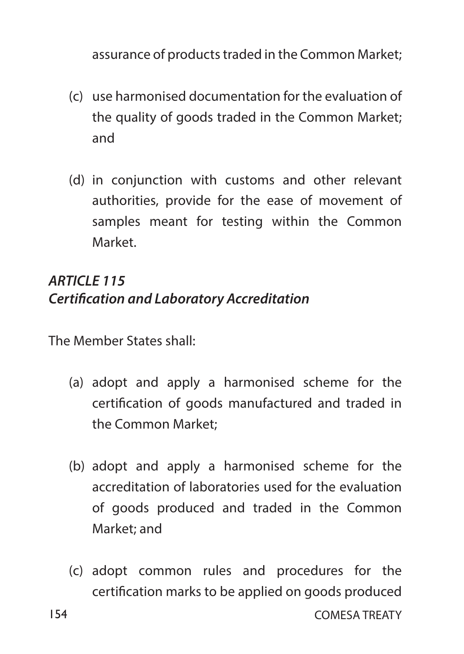assurance of products traded in the Common Market;

- (c) use harmonised documentation for the evaluation of the quality of goods traded in the Common Market; and
- (d) in conjunction with customs and other relevant authorities, provide for the ease of movement of samples meant for testing within the Common Market.

### *ARTICLE 115 Certification and Laboratory Accreditation*

- (a) adopt and apply a harmonised scheme for the certification of goods manufactured and traded in the Common Market;
- (b) adopt and apply a harmonised scheme for the accreditation of laboratories used for the evaluation of goods produced and traded in the Common Market; and
- (c) adopt common rules and procedures for the certification marks to be applied on goods produced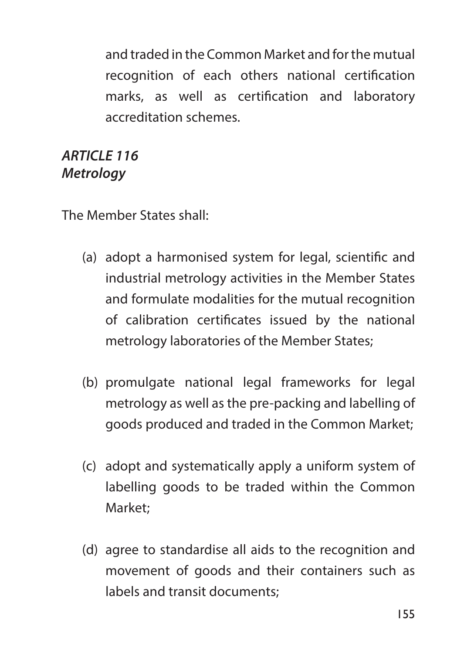and traded in the Common Market and for the mutual recognition of each others national certification marks, as well as certification and laboratory accreditation schemes.

#### *ARTICLE 116 Metrology*

- (a) adopt a harmonised system for legal, scientific and industrial metrology activities in the Member States and formulate modalities for the mutual recognition of calibration certificates issued by the national metrology laboratories of the Member States;
- (b) promulgate national legal frameworks for legal metrology as well as the pre-packing and labelling of goods produced and traded in the Common Market;
- (c) adopt and systematically apply a uniform system of labelling goods to be traded within the Common Market;
- (d) agree to standardise all aids to the recognition and movement of goods and their containers such as labels and transit documents;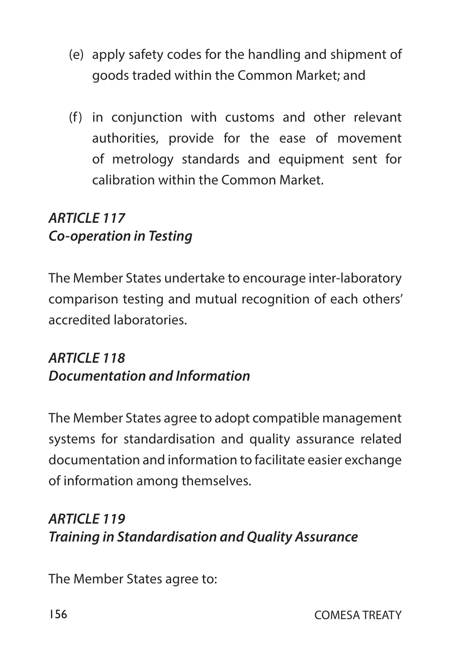- (e) apply safety codes for the handling and shipment of goods traded within the Common Market; and
- (f) in conjunction with customs and other relevant authorities, provide for the ease of movement of metrology standards and equipment sent for calibration within the Common Market.

#### *ARTICLE 117 Co-operation in Testing*

The Member States undertake to encourage inter-laboratory comparison testing and mutual recognition of each others' accredited laboratories.

## *ARTICLE 118 Documentation and Information*

The Member States agree to adopt compatible management systems for standardisation and quality assurance related documentation and information to facilitate easier exchange of information among themselves.

## *ARTICLE 119 Training in Standardisation and Quality Assurance*

The Member States agree to: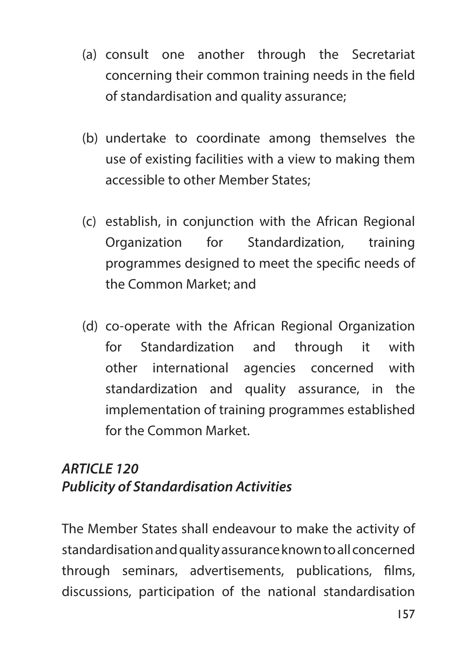- (a) consult one another through the Secretariat concerning their common training needs in the field of standardisation and quality assurance;
- (b) undertake to coordinate among themselves the use of existing facilities with a view to making them accessible to other Member States;
- (c) establish, in conjunction with the African Regional Organization for Standardization, training programmes designed to meet the specific needs of the Common Market; and
- (d) co-operate with the African Regional Organization for Standardization and through it with other international agencies concerned with standardization and quality assurance, in the implementation of training programmes established for the Common Market.

# *ARTICLE 120 Publicity of Standardisation Activities*

The Member States shall endeavour to make the activity of standardisation and quality assurance known to all concerned through seminars, advertisements, publications, films, discussions, participation of the national standardisation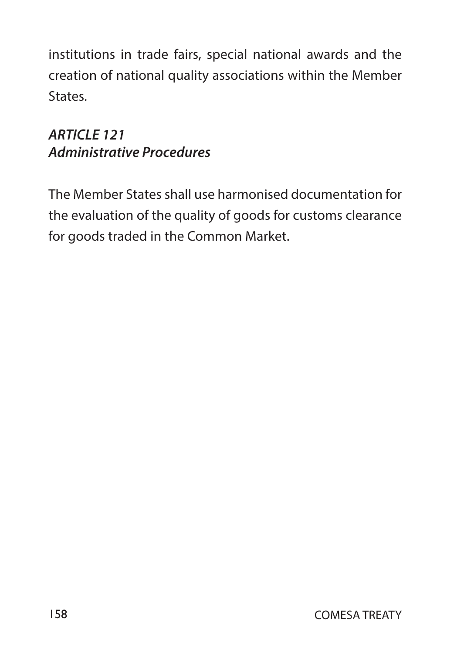institutions in trade fairs, special national awards and the creation of national quality associations within the Member States.

### *ARTICLE 121 Administrative Procedures*

The Member States shall use harmonised documentation for the evaluation of the quality of goods for customs clearance for goods traded in the Common Market.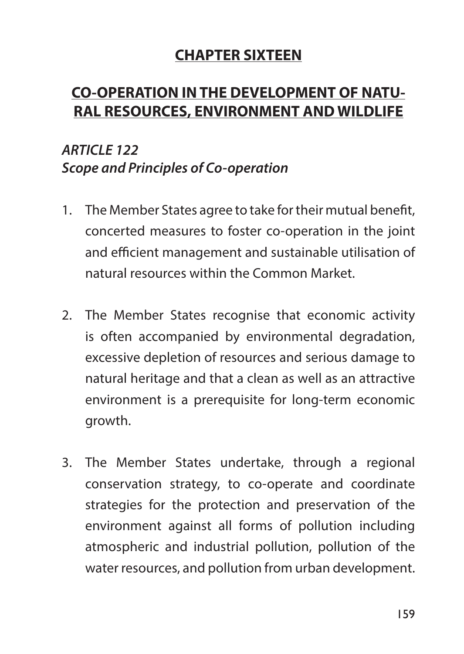## **CHAPTER SIXTEEN**

## **CO-OPERATION IN THE DEVELOPMENT OF NATU-RAL RESOURCES, ENVIRONMENT AND WILDLIFE**

## *ARTICLE 122 Scope and Principles of Co-operation*

- 1. The Member States agree to take for their mutual benefit, concerted measures to foster co-operation in the joint and efficient management and sustainable utilisation of natural resources within the Common Market.
- 2. The Member States recognise that economic activity is often accompanied by environmental degradation, excessive depletion of resources and serious damage to natural heritage and that a clean as well as an attractive environment is a prerequisite for long-term economic growth.
- 3. The Member States undertake, through a regional conservation strategy, to co-operate and coordinate strategies for the protection and preservation of the environment against all forms of pollution including atmospheric and industrial pollution, pollution of the water resources, and pollution from urban development.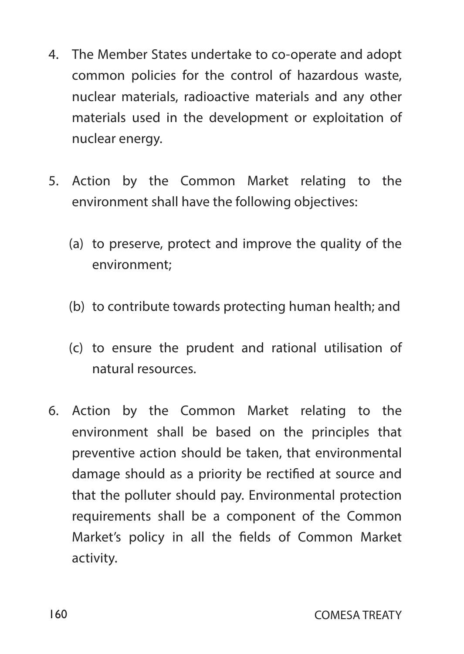- 4. The Member States undertake to co-operate and adopt common policies for the control of hazardous waste, nuclear materials, radioactive materials and any other materials used in the development or exploitation of nuclear energy.
- 5. Action by the Common Market relating to the environment shall have the following objectives:
	- (a) to preserve, protect and improve the quality of the environment;
	- (b) to contribute towards protecting human health; and
	- (c) to ensure the prudent and rational utilisation of natural resources.
- 6. Action by the Common Market relating to the environment shall be based on the principles that preventive action should be taken, that environmental damage should as a priority be rectified at source and that the polluter should pay. Environmental protection requirements shall be a component of the Common Market's policy in all the fields of Common Market activity.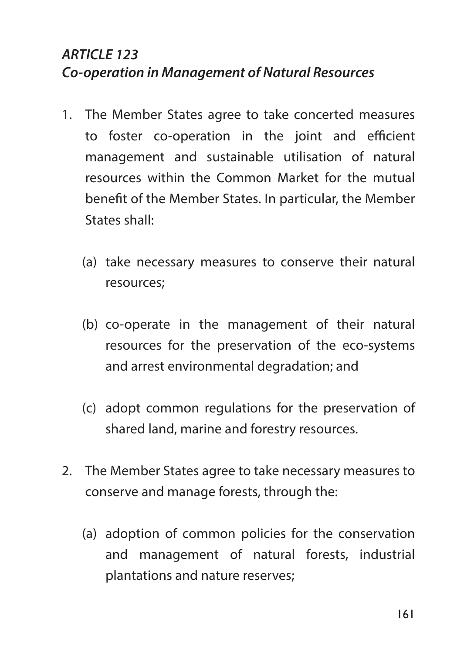## *ARTICLE 123 Co-operation in Management of Natural Resources*

- 1. The Member States agree to take concerted measures to foster co-operation in the joint and efficient management and sustainable utilisation of natural resources within the Common Market for the mutual benefit of the Member States. In particular, the Member States shall:
	- (a) take necessary measures to conserve their natural resources;
	- (b) co-operate in the management of their natural resources for the preservation of the eco-systems and arrest environmental degradation; and
	- (c) adopt common regulations for the preservation of shared land, marine and forestry resources.
- 2. The Member States agree to take necessary measures to conserve and manage forests, through the:
	- (a) adoption of common policies for the conservation and management of natural forests, industrial plantations and nature reserves;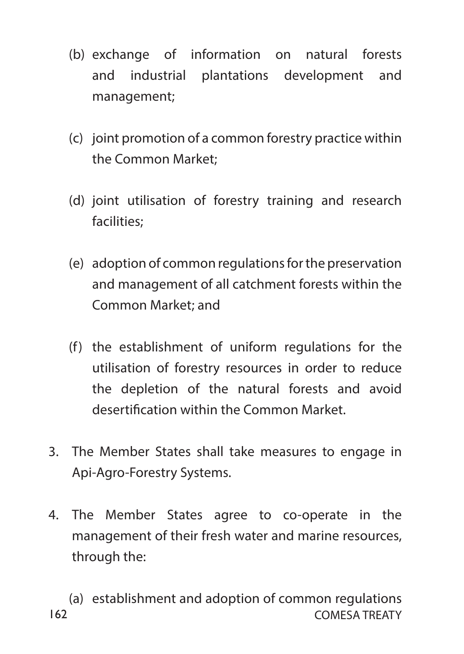- (b) exchange of information on natural forests and industrial plantations development and management;
- (c) joint promotion of a common forestry practice within the Common Market;
- (d) joint utilisation of forestry training and research facilities;
- (e) adoption of common regulations for the preservation and management of all catchment forests within the Common Market; and
- (f) the establishment of uniform regulations for the utilisation of forestry resources in order to reduce the depletion of the natural forests and avoid desertification within the Common Market.
- 3. The Member States shall take measures to engage in Api-Agro-Forestry Systems.
- 4. The Member States agree to co-operate in the management of their fresh water and marine resources, through the:

162 COMESA TREATY (a) establishment and adoption of common regulations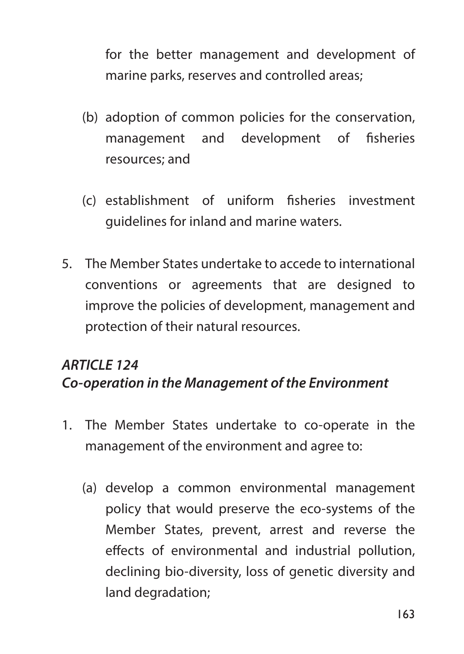for the better management and development of marine parks, reserves and controlled areas;

- (b) adoption of common policies for the conservation, management and development of fisheries resources; and
- (c) establishment of uniform fisheries investment guidelines for inland and marine waters.
- 5. The Member States undertake to accede to international conventions or agreements that are designed to improve the policies of development, management and protection of their natural resources.

## *ARTICLE 124 Co-operation in the Management of the Environment*

- 1. The Member States undertake to co-operate in the management of the environment and agree to:
	- (a) develop a common environmental management policy that would preserve the eco-systems of the Member States, prevent, arrest and reverse the effects of environmental and industrial pollution, declining bio-diversity, loss of genetic diversity and land degradation;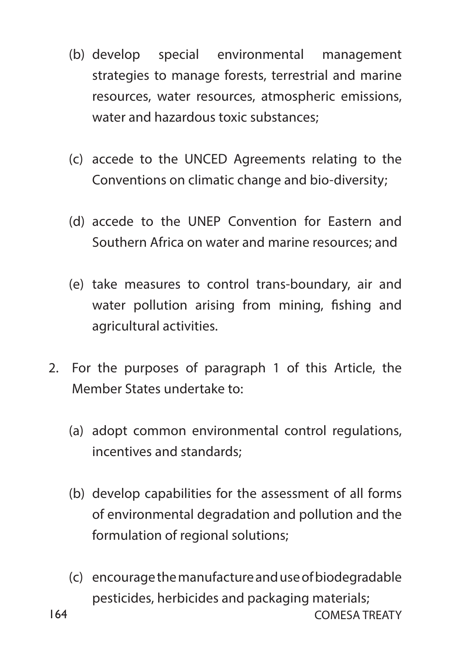- (b) develop special environmental management strategies to manage forests, terrestrial and marine resources, water resources, atmospheric emissions, water and hazardous toxic substances;
- (c) accede to the UNCED Agreements relating to the Conventions on climatic change and bio-diversity;
- (d) accede to the UNEP Convention for Eastern and Southern Africa on water and marine resources; and
- (e) take measures to control trans-boundary, air and water pollution arising from mining, fishing and agricultural activities.
- 2. For the purposes of paragraph 1 of this Article, the Member States undertake to:
	- (a) adopt common environmental control regulations, incentives and standards;
	- (b) develop capabilities for the assessment of all forms of environmental degradation and pollution and the formulation of regional solutions;
- 164 COMESA TREATY (c) encourage the manufacture and use of biodegradable pesticides, herbicides and packaging materials;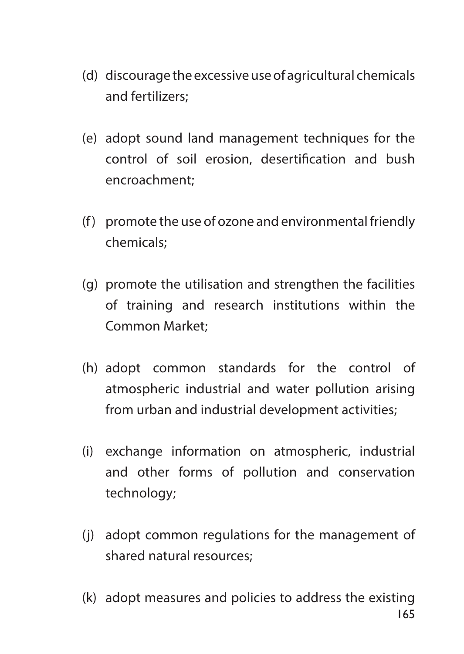- (d) discourage the excessive use of agricultural chemicals and fertilizers;
- (e) adopt sound land management techniques for the control of soil erosion, desertification and bush encroachment;
- (f) promote the use of ozone and environmental friendly chemicals;
- (g) promote the utilisation and strengthen the facilities of training and research institutions within the Common Market;
- (h) adopt common standards for the control of atmospheric industrial and water pollution arising from urban and industrial development activities;
- (i) exchange information on atmospheric, industrial and other forms of pollution and conservation technology;
- (j) adopt common regulations for the management of shared natural resources;
- 165 (k) adopt measures and policies to address the existing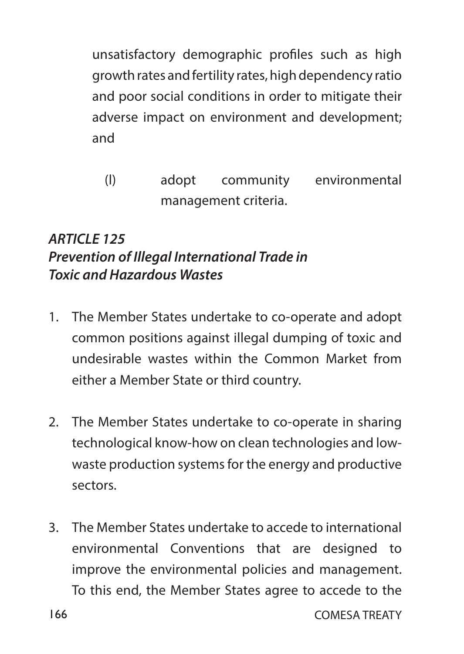unsatisfactory demographic profiles such as high growth rates and fertility rates, high dependency ratio and poor social conditions in order to mitigate their adverse impact on environment and development; and

(l) adopt community environmental management criteria.

### **ARTICLE 125** *Prevention of Illegal International Trade in Toxic and Hazardous Wastes*

- 1. The Member States undertake to co-operate and adopt common positions against illegal dumping of toxic and undesirable wastes within the Common Market from either a Member State or third country.
- 2. The Member States undertake to co-operate in sharing technological know-how on clean technologies and lowwaste production systems for the energy and productive sectors.
- 3. The Member States undertake to accede to international environmental Conventions that are designed to improve the environmental policies and management. To this end, the Member States agree to accede to the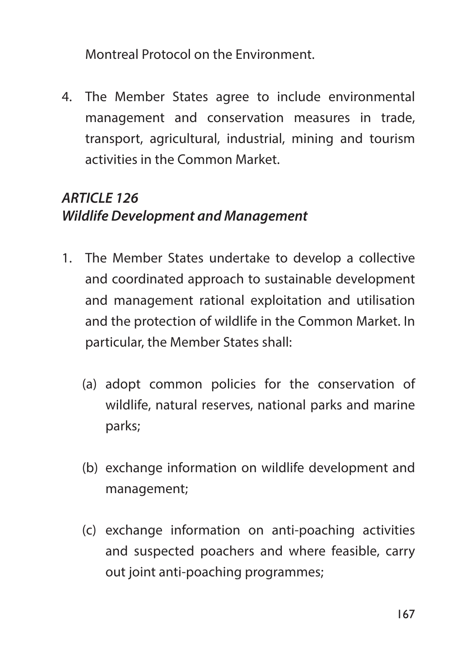Montreal Protocol on the Environment.

4. The Member States agree to include environmental management and conservation measures in trade, transport, agricultural, industrial, mining and tourism activities in the Common Market.

## *ARTICLE 126 Wildlife Development and Management*

- 1. The Member States undertake to develop a collective and coordinated approach to sustainable development and management rational exploitation and utilisation and the protection of wildlife in the Common Market. In particular, the Member States shall:
	- (a) adopt common policies for the conservation of wildlife, natural reserves, national parks and marine parks;
	- (b) exchange information on wildlife development and management;
	- (c) exchange information on anti-poaching activities and suspected poachers and where feasible, carry out joint anti-poaching programmes;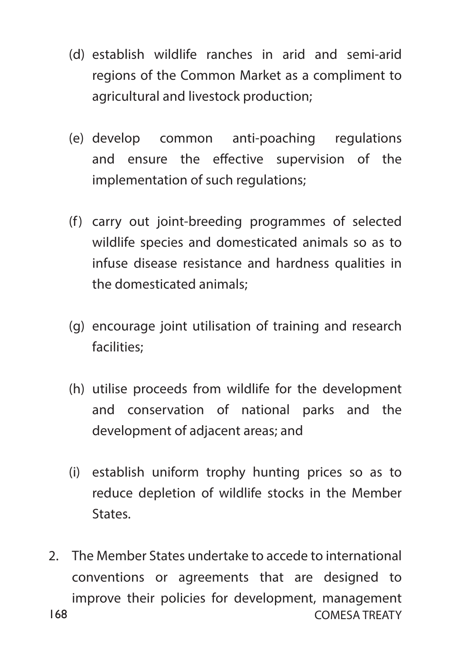- (d) establish wildlife ranches in arid and semi-arid regions of the Common Market as a compliment to agricultural and livestock production;
- (e) develop common anti-poaching regulations and ensure the effective supervision of the implementation of such regulations;
- (f) carry out joint-breeding programmes of selected wildlife species and domesticated animals so as to infuse disease resistance and hardness qualities in the domesticated animals;
- (g) encourage joint utilisation of training and research facilities;
- (h) utilise proceeds from wildlife for the development and conservation of national parks and the development of adjacent areas; and
- (i) establish uniform trophy hunting prices so as to reduce depletion of wildlife stocks in the Member States.
- 168 COMESA TREATY 2. The Member States undertake to accede to international conventions or agreements that are designed to improve their policies for development, management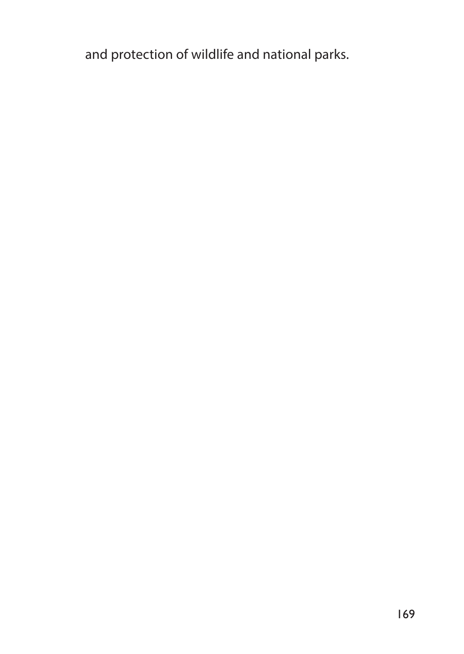and protection of wildlife and national parks.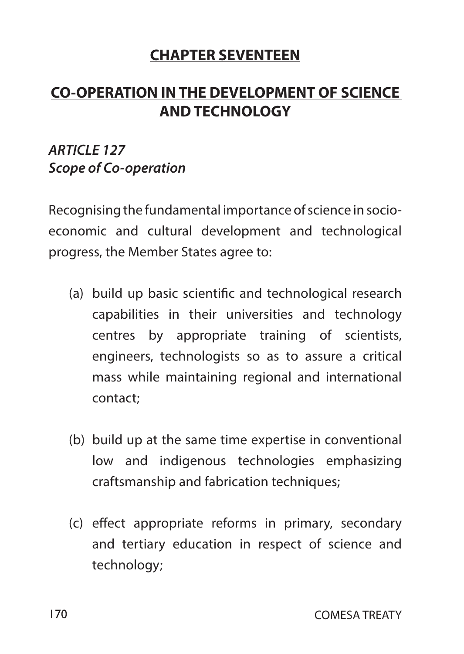## **CHAPTER SEVENTEEN**

# **CO-OPERATION IN THE DEVELOPMENT OF SCIENCE AND TECHNOLOGY**

### *ARTICLE 127 Scope of Co-operation*

Recognising the fundamental importance of science in socioeconomic and cultural development and technological progress, the Member States agree to:

- (a) build up basic scientific and technological research capabilities in their universities and technology centres by appropriate training of scientists, engineers, technologists so as to assure a critical mass while maintaining regional and international contact;
- (b) build up at the same time expertise in conventional low and indigenous technologies emphasizing craftsmanship and fabrication techniques;
- (c) effect appropriate reforms in primary, secondary and tertiary education in respect of science and technology;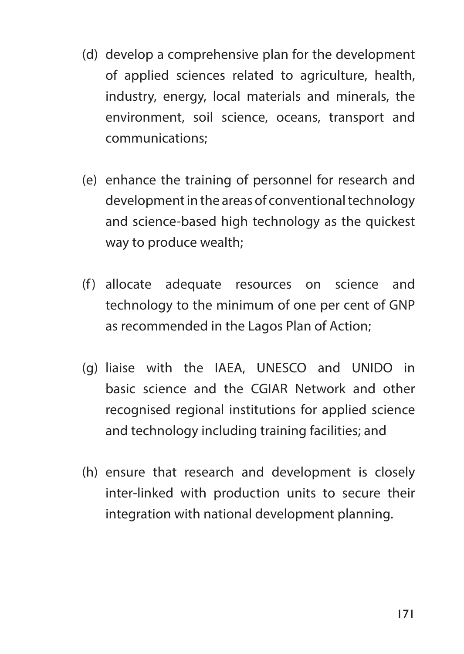- (d) develop a comprehensive plan for the development of applied sciences related to agriculture, health, industry, energy, local materials and minerals, the environment, soil science, oceans, transport and communications;
- (e) enhance the training of personnel for research and development in the areas of conventional technology and science-based high technology as the quickest way to produce wealth;
- (f) allocate adequate resources on science and technology to the minimum of one per cent of GNP as recommended in the Lagos Plan of Action;
- (g) liaise with the IAEA, UNESCO and UNIDO in basic science and the CGIAR Network and other recognised regional institutions for applied science and technology including training facilities; and
- (h) ensure that research and development is closely inter-linked with production units to secure their integration with national development planning.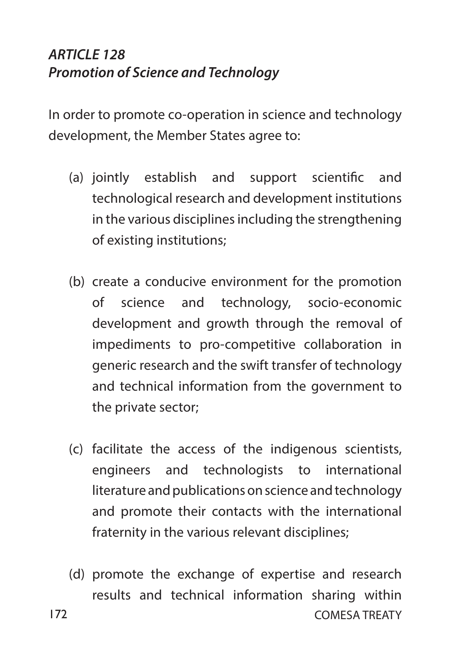## *ARTICLE 128 Promotion of Science and Technology*

In order to promote co-operation in science and technology development, the Member States agree to:

- (a) jointly establish and support scientific and technological research and development institutions in the various disciplines including the strengthening of existing institutions;
- (b) create a conducive environment for the promotion of science and technology, socio-economic development and growth through the removal of impediments to pro-competitive collaboration in generic research and the swift transfer of technology and technical information from the government to the private sector;
- (c) facilitate the access of the indigenous scientists, engineers and technologists to international literature and publications on science and technology and promote their contacts with the international fraternity in the various relevant disciplines;
- 172 COMESA TREATY (d) promote the exchange of expertise and research results and technical information sharing within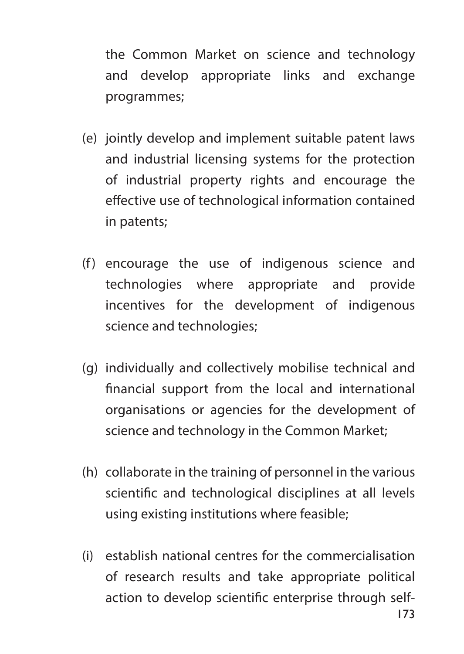the Common Market on science and technology and develop appropriate links and exchange programmes;

- (e) jointly develop and implement suitable patent laws and industrial licensing systems for the protection of industrial property rights and encourage the effective use of technological information contained in patents;
- (f) encourage the use of indigenous science and technologies where appropriate and provide incentives for the development of indigenous science and technologies;
- (g) individually and collectively mobilise technical and financial support from the local and international organisations or agencies for the development of science and technology in the Common Market;
- (h) collaborate in the training of personnel in the various scientific and technological disciplines at all levels using existing institutions where feasible;
- (i) establish national centres for the commercialisation of research results and take appropriate political action to develop scientific enterprise through self-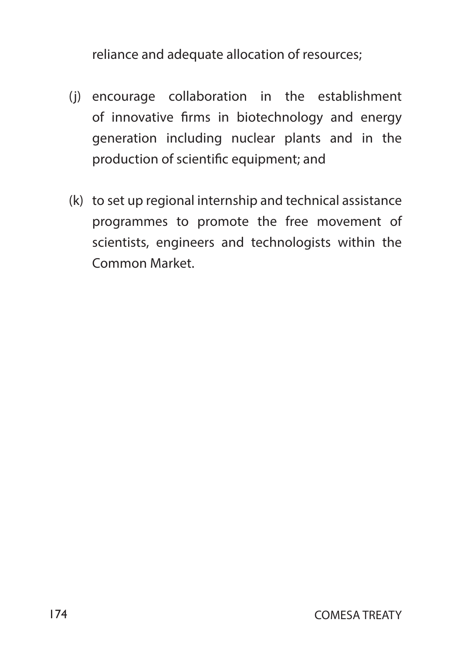reliance and adequate allocation of resources;

- (j) encourage collaboration in the establishment of innovative firms in biotechnology and energy generation including nuclear plants and in the production of scientific equipment; and
- (k) to set up regional internship and technical assistance programmes to promote the free movement of scientists, engineers and technologists within the Common Market.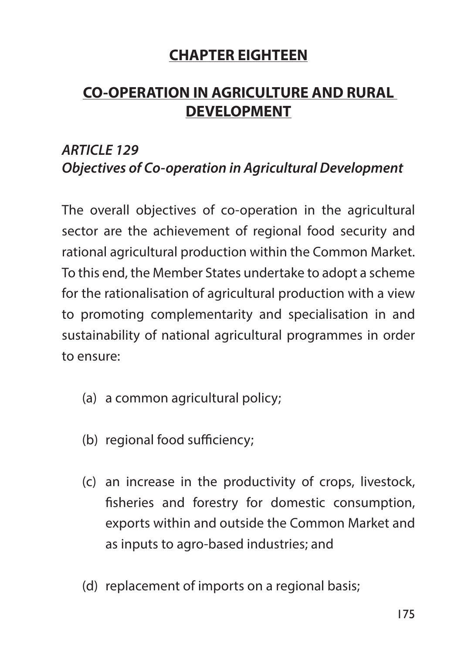# **CHAPTER EIGHTEEN**

## **CO-OPERATION IN AGRICULTURE AND RURAL DEVELOPMENT**

## *ARTICLE 129 Objectives of Co-operation in Agricultural Development*

The overall objectives of co-operation in the agricultural sector are the achievement of regional food security and rational agricultural production within the Common Market. To this end, the Member States undertake to adopt a scheme for the rationalisation of agricultural production with a view to promoting complementarity and specialisation in and sustainability of national agricultural programmes in order to ensure:

- (a) a common agricultural policy;
- (b) regional food sufficiency;
- (c) an increase in the productivity of crops, livestock, fisheries and forestry for domestic consumption, exports within and outside the Common Market and as inputs to agro-based industries; and
- (d) replacement of imports on a regional basis;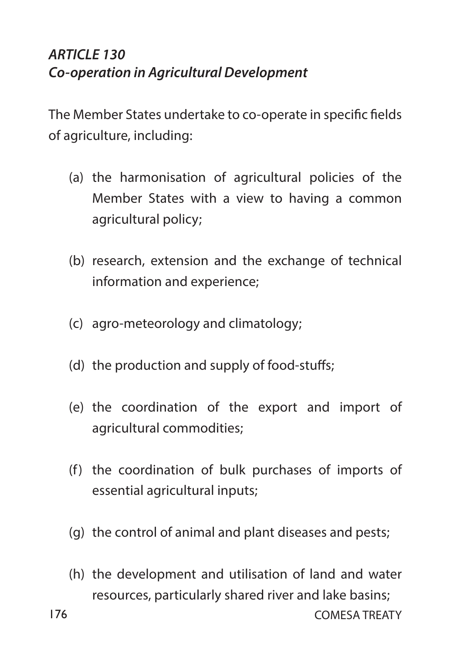## *ARTICLE 130 Co-operation in Agricultural Development*

The Member States undertake to co-operate in specific fields of agriculture, including:

- (a) the harmonisation of agricultural policies of the Member States with a view to having a common agricultural policy;
- (b) research, extension and the exchange of technical information and experience;
- (c) agro-meteorology and climatology;
- (d) the production and supply of food-stuffs;
- (e) the coordination of the export and import of agricultural commodities;
- (f) the coordination of bulk purchases of imports of essential agricultural inputs;
- (g) the control of animal and plant diseases and pests;
- 176 COMESA TREATY (h) the development and utilisation of land and water resources, particularly shared river and lake basins;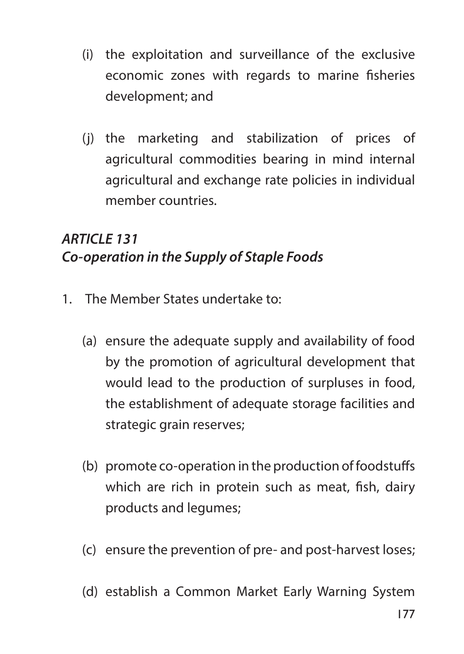- (i) the exploitation and surveillance of the exclusive economic zones with regards to marine fisheries development; and
- (j) the marketing and stabilization of prices of agricultural commodities bearing in mind internal agricultural and exchange rate policies in individual member countries.

## *ARTICLE 131 Co-operation in the Supply of Staple Foods*

- 1. The Member States undertake to:
	- (a) ensure the adequate supply and availability of food by the promotion of agricultural development that would lead to the production of surpluses in food, the establishment of adequate storage facilities and strategic grain reserves;
	- (b) promote co-operation in the production of foodstuffs which are rich in protein such as meat, fish, dairy products and legumes;
	- (c) ensure the prevention of pre- and post-harvest loses;
	- (d) establish a Common Market Early Warning System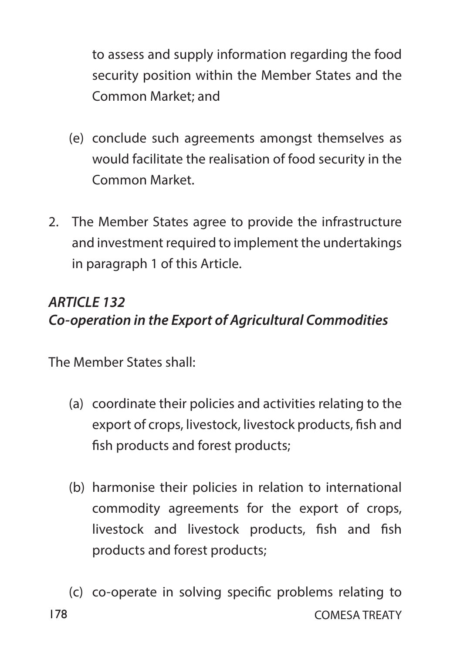to assess and supply information regarding the food security position within the Member States and the Common Market; and

- (e) conclude such agreements amongst themselves as would facilitate the realisation of food security in the Common Market.
- 2. The Member States agree to provide the infrastructure and investment required to implement the undertakings in paragraph 1 of this Article.

# **ARTICLE 132** *Co-operation in the Export of Agricultural Commodities*

The Member States shall:

- (a) coordinate their policies and activities relating to the export of crops, livestock, livestock products, fish and fish products and forest products;
- (b) harmonise their policies in relation to international commodity agreements for the export of crops, livestock and livestock products, fish and fish products and forest products;

178 COMESA TREATY (c) co-operate in solving specific problems relating to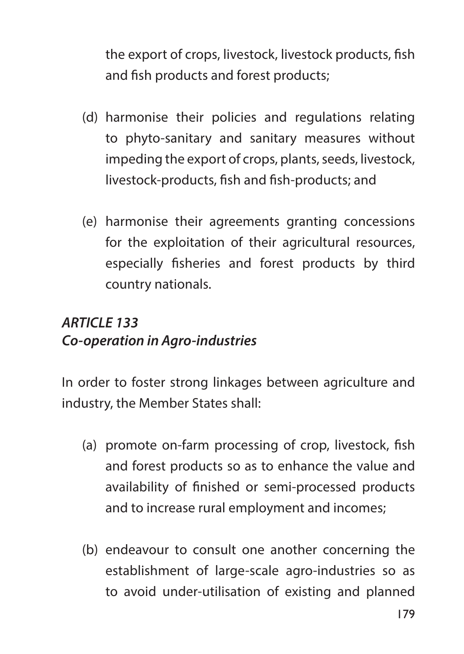the export of crops, livestock, livestock products, fish and fish products and forest products;

- (d) harmonise their policies and regulations relating to phyto-sanitary and sanitary measures without impeding the export of crops, plants, seeds, livestock, livestock-products, fish and fish-products; and
- (e) harmonise their agreements granting concessions for the exploitation of their agricultural resources, especially fisheries and forest products by third country nationals.

# *ARTICLE 133 Co-operation in Agro-industries*

In order to foster strong linkages between agriculture and industry, the Member States shall:

- (a) promote on-farm processing of crop, livestock, fish and forest products so as to enhance the value and availability of finished or semi-processed products and to increase rural employment and incomes;
- (b) endeavour to consult one another concerning the establishment of large-scale agro-industries so as to avoid under-utilisation of existing and planned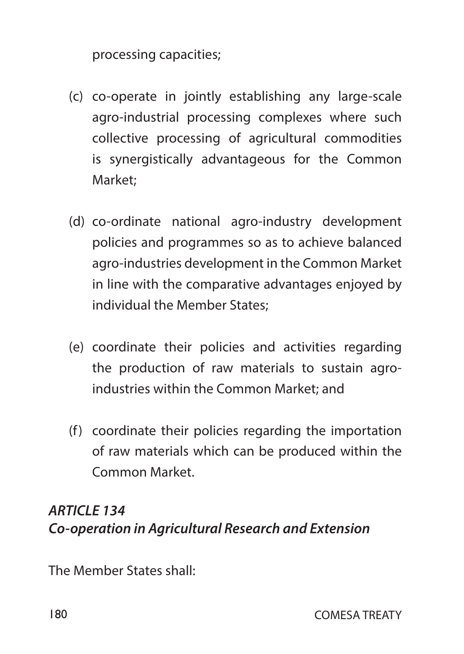processing capacities;

- (c) co-operate in jointly establishing any large-scale agro-industrial processing complexes where such collective processing of agricultural commodities is synergistically advantageous for the Common Market;
- (d) co-ordinate national agro-industry development policies and programmes so as to achieve balanced agro-industries development in the Common Market in line with the comparative advantages enjoyed by individual the Member States;
- (e) coordinate their policies and activities regarding the production of raw materials to sustain agroindustries within the Common Market; and
- (f) coordinate their policies regarding the importation of raw materials which can be produced within the Common Market.

#### *ARTICLE 134*

*Co-operation in Agricultural Research and Extension*

The Member States shall: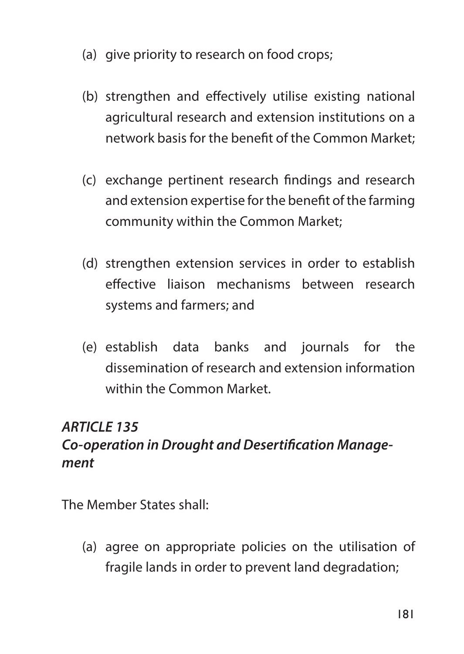- (a) give priority to research on food crops;
- (b) strengthen and effectively utilise existing national agricultural research and extension institutions on a network basis for the benefit of the Common Market;
- (c) exchange pertinent research findings and research and extension expertise for the benefit of the farming community within the Common Market;
- (d) strengthen extension services in order to establish effective liaison mechanisms between research systems and farmers; and
- (e) establish data banks and journals for the dissemination of research and extension information within the Common Market.

### *ARTICLE 135*

# *Co-operation in Drought and Desertification Management*

The Member States shall:

(a) agree on appropriate policies on the utilisation of fragile lands in order to prevent land degradation;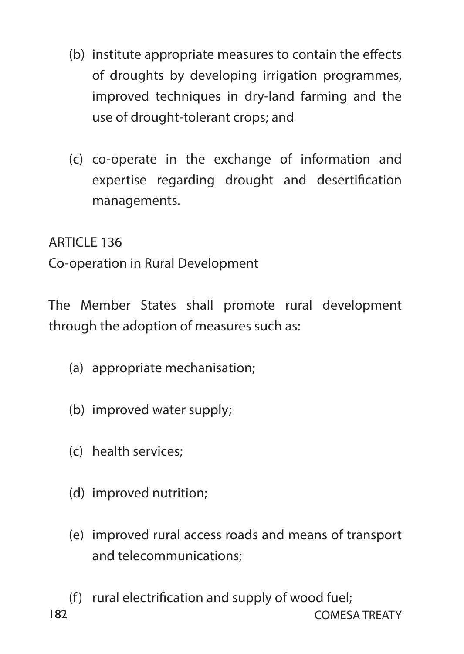- (b) institute appropriate measures to contain the effects of droughts by developing irrigation programmes, improved techniques in dry-land farming and the use of drought-tolerant crops; and
- (c) co-operate in the exchange of information and expertise regarding drought and desertification managements.

### ARTICLE 136

Co-operation in Rural Development

The Member States shall promote rural development through the adoption of measures such as:

- (a) appropriate mechanisation;
- (b) improved water supply;
- (c) health services;
- (d) improved nutrition;
- (e) improved rural access roads and means of transport and telecommunications;
- 182 COMESA TREATY (f) rural electrification and supply of wood fuel;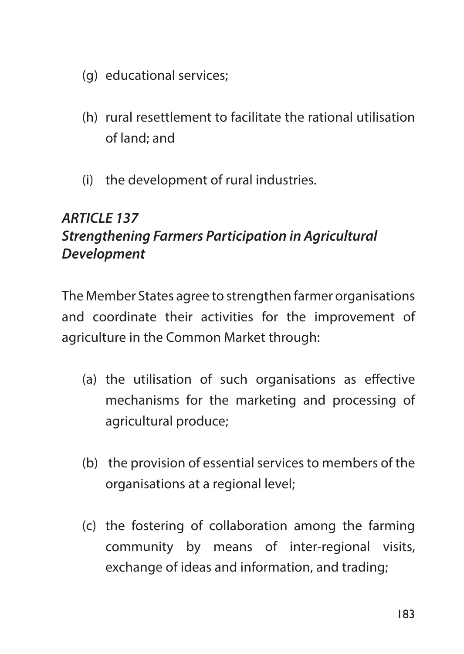- (g) educational services;
- (h) rural resettlement to facilitate the rational utilisation of land; and
- (i) the development of rural industries.

## *ARTICLE 137 Strengthening Farmers Participation in Agricultural Development*

The Member States agree to strengthen farmer organisations and coordinate their activities for the improvement of agriculture in the Common Market through:

- (a) the utilisation of such organisations as effective mechanisms for the marketing and processing of agricultural produce;
- (b) the provision of essential services to members of the organisations at a regional level;
- (c) the fostering of collaboration among the farming community by means of inter-regional visits, exchange of ideas and information, and trading;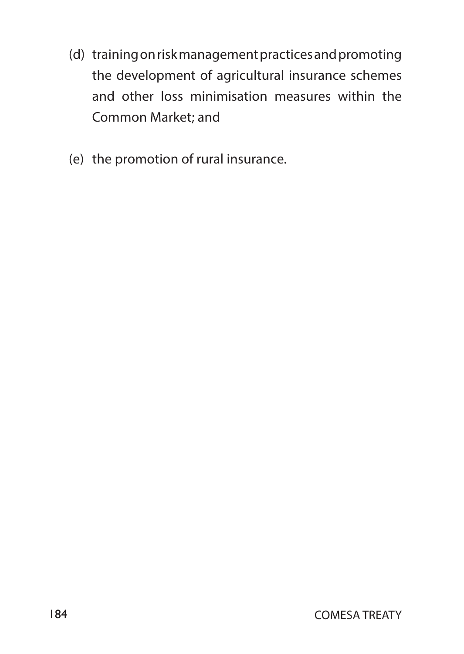- (d) training on risk management practices and promoting the development of agricultural insurance schemes and other loss minimisation measures within the Common Market; and
- (e) the promotion of rural insurance.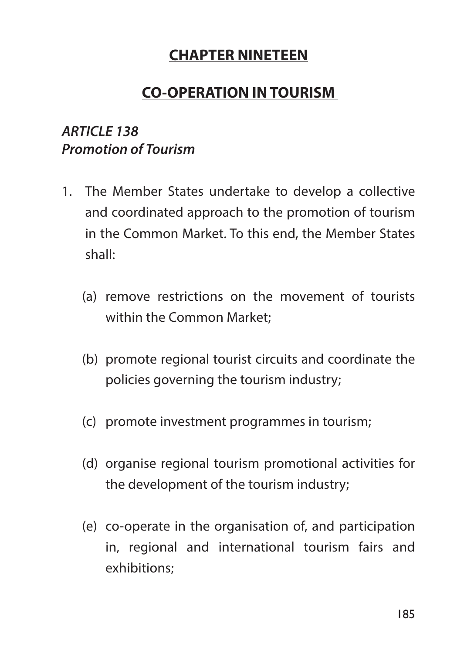## **CHAPTER NINETEEN**

### **CO-OPERATION IN TOURISM**

### *ARTICLE 138 Promotion of Tourism*

- 1. The Member States undertake to develop a collective and coordinated approach to the promotion of tourism in the Common Market. To this end, the Member States shall:
	- (a) remove restrictions on the movement of tourists within the Common Market;
	- (b) promote regional tourist circuits and coordinate the policies governing the tourism industry;
	- (c) promote investment programmes in tourism;
	- (d) organise regional tourism promotional activities for the development of the tourism industry;
	- (e) co-operate in the organisation of, and participation in, regional and international tourism fairs and exhibitions;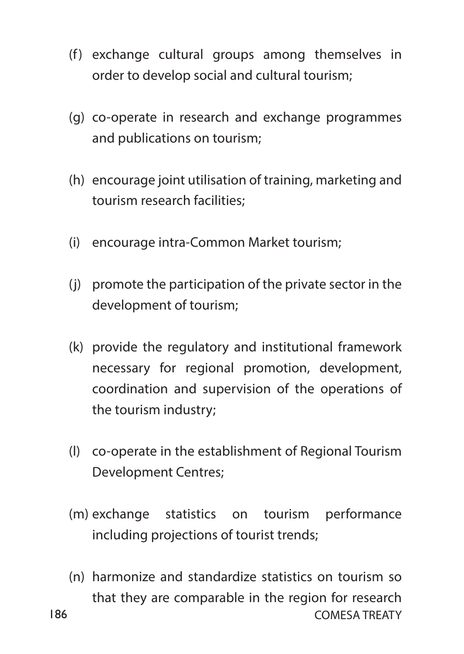- (f) exchange cultural groups among themselves in order to develop social and cultural tourism;
- (g) co-operate in research and exchange programmes and publications on tourism;
- (h) encourage joint utilisation of training, marketing and tourism research facilities;
- (i) encourage intra-Common Market tourism;
- (j) promote the participation of the private sector in the development of tourism;
- (k) provide the regulatory and institutional framework necessary for regional promotion, development, coordination and supervision of the operations of the tourism industry;
- (l) co-operate in the establishment of Regional Tourism Development Centres;
- (m) exchange statistics on tourism performance including projections of tourist trends;
- 186 COMESA TREATY (n) harmonize and standardize statistics on tourism so that they are comparable in the region for research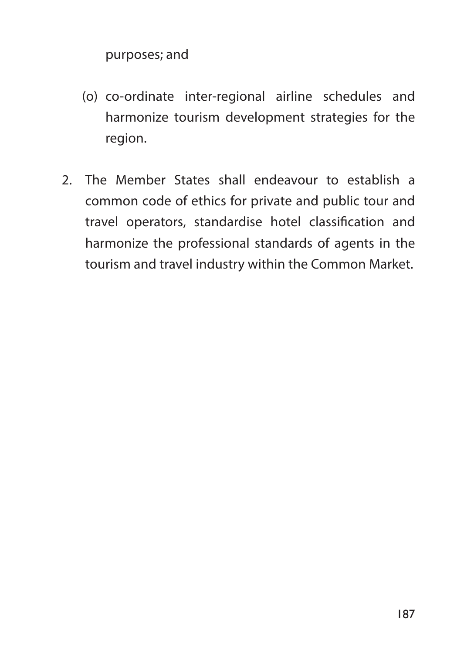purposes; and

- (o) co-ordinate inter-regional airline schedules and harmonize tourism development strategies for the region.
- 2. The Member States shall endeavour to establish a common code of ethics for private and public tour and travel operators, standardise hotel classification and harmonize the professional standards of agents in the tourism and travel industry within the Common Market.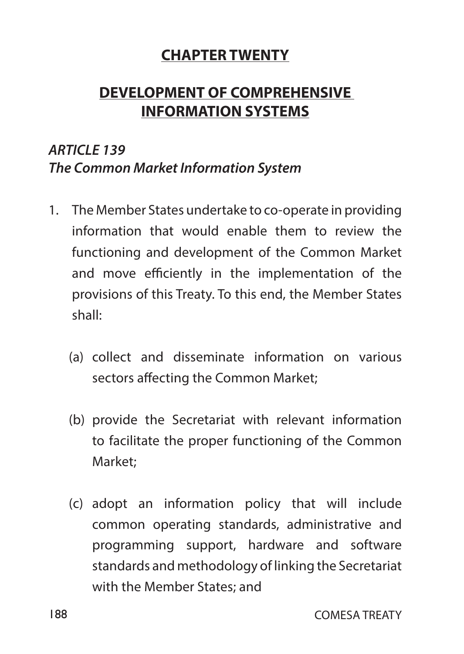## **CHAPTER TWENTY**

## **DEVELOPMENT OF COMPREHENSIVE INFORMATION SYSTEMS**

## *ARTICLE 139 The Common Market Information System*

- 1. The Member States undertake to co-operate in providing information that would enable them to review the functioning and development of the Common Market and move efficiently in the implementation of the provisions of this Treaty. To this end, the Member States shall:
	- (a) collect and disseminate information on various sectors affecting the Common Market;
	- (b) provide the Secretariat with relevant information to facilitate the proper functioning of the Common Market;
	- (c) adopt an information policy that will include common operating standards, administrative and programming support, hardware and software standards and methodology of linking the Secretariat with the Member States; and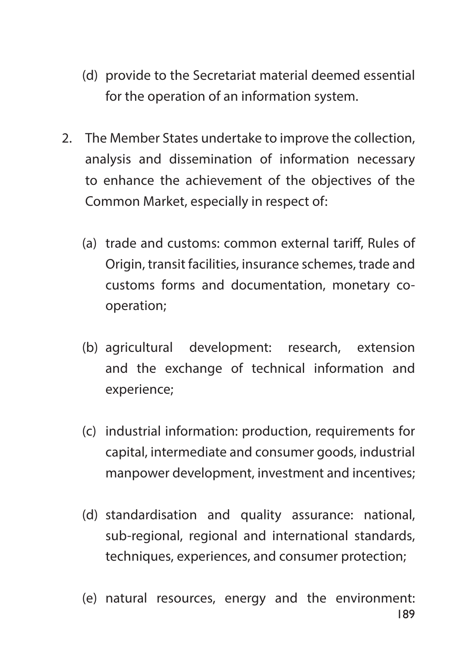- (d) provide to the Secretariat material deemed essential for the operation of an information system.
- 2. The Member States undertake to improve the collection, analysis and dissemination of information necessary to enhance the achievement of the objectives of the Common Market, especially in respect of:
	- (a) trade and customs: common external tariff, Rules of Origin, transit facilities, insurance schemes, trade and customs forms and documentation, monetary cooperation;
	- (b) agricultural development: research, extension and the exchange of technical information and experience;
	- (c) industrial information: production, requirements for capital, intermediate and consumer goods, industrial manpower development, investment and incentives;
	- (d) standardisation and quality assurance: national, sub-regional, regional and international standards, techniques, experiences, and consumer protection;
	- 189 (e) natural resources, energy and the environment: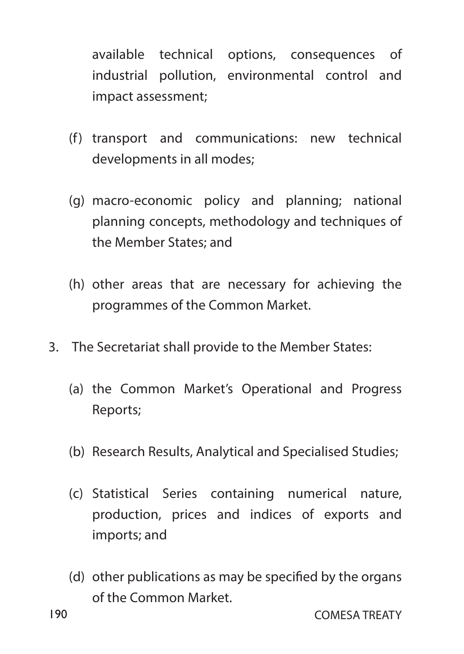available technical options, consequences of industrial pollution, environmental control and impact assessment;

- (f) transport and communications: new technical developments in all modes;
- (g) macro-economic policy and planning; national planning concepts, methodology and techniques of the Member States; and
- (h) other areas that are necessary for achieving the programmes of the Common Market.
- 3. The Secretariat shall provide to the Member States:
	- (a) the Common Market's Operational and Progress Reports;
	- (b) Research Results, Analytical and Specialised Studies;
	- (c) Statistical Series containing numerical nature, production, prices and indices of exports and imports; and
	- (d) other publications as may be specified by the organs of the Common Market.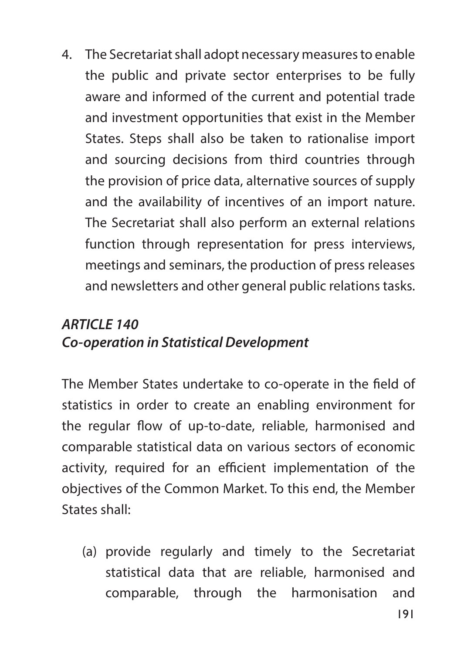4. The Secretariat shall adopt necessary measures to enable the public and private sector enterprises to be fully aware and informed of the current and potential trade and investment opportunities that exist in the Member States. Steps shall also be taken to rationalise import and sourcing decisions from third countries through the provision of price data, alternative sources of supply and the availability of incentives of an import nature. The Secretariat shall also perform an external relations function through representation for press interviews, meetings and seminars, the production of press releases and newsletters and other general public relations tasks.

## *ARTICLE 140 Co-operation in Statistical Development*

The Member States undertake to co-operate in the field of statistics in order to create an enabling environment for the regular flow of up-to-date, reliable, harmonised and comparable statistical data on various sectors of economic activity, required for an efficient implementation of the objectives of the Common Market. To this end, the Member States shall:

(a) provide regularly and timely to the Secretariat statistical data that are reliable, harmonised and comparable, through the harmonisation and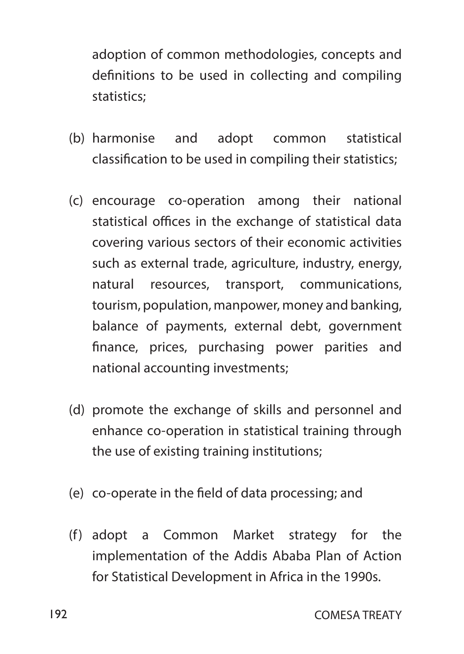adoption of common methodologies, concepts and definitions to be used in collecting and compiling statistics;

- (b) harmonise and adopt common statistical classification to be used in compiling their statistics;
- (c) encourage co-operation among their national statistical offices in the exchange of statistical data covering various sectors of their economic activities such as external trade, agriculture, industry, energy, natural resources, transport, communications, tourism, population, manpower, money and banking, balance of payments, external debt, government finance, prices, purchasing power parities and national accounting investments;
- (d) promote the exchange of skills and personnel and enhance co-operation in statistical training through the use of existing training institutions;
- (e) co-operate in the field of data processing; and
- (f) adopt a Common Market strategy for the implementation of the Addis Ababa Plan of Action for Statistical Development in Africa in the 1990s.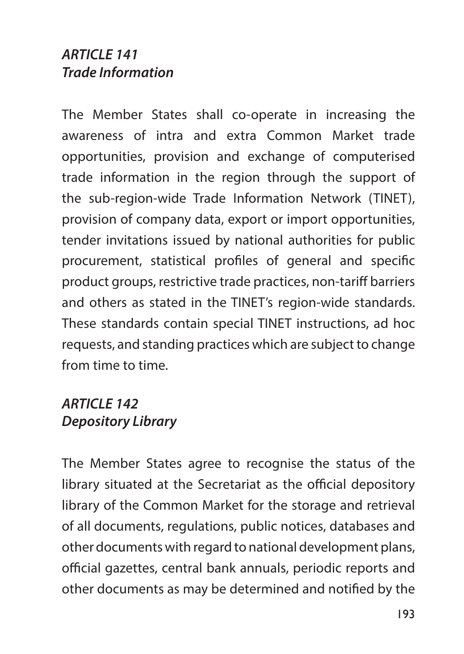## *ARTICLE 141 Trade Information*

The Member States shall co-operate in increasing the awareness of intra and extra Common Market trade opportunities, provision and exchange of computerised trade information in the region through the support of the sub-region-wide Trade Information Network (TINET), provision of company data, export or import opportunities, tender invitations issued by national authorities for public procurement, statistical profiles of general and specific product groups, restrictive trade practices, non-tariff barriers and others as stated in the TINET's region-wide standards. These standards contain special TINET instructions, ad hoc requests, and standing practices which are subject to change from time to time.

### *ARTICLE 142 Depository Library*

The Member States agree to recognise the status of the library situated at the Secretariat as the official depository library of the Common Market for the storage and retrieval of all documents, regulations, public notices, databases and other documents with regard to national development plans, official gazettes, central bank annuals, periodic reports and other documents as may be determined and notified by the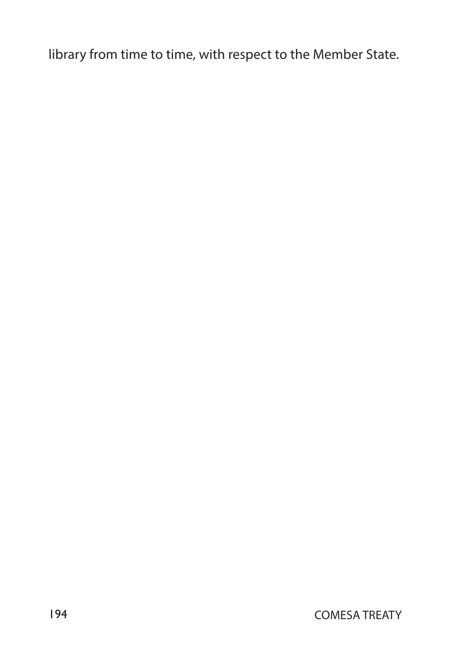library from time to time, with respect to the Member State.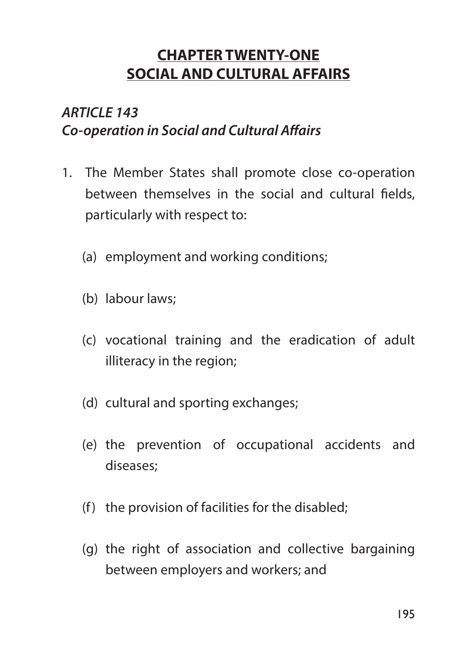## **CHAPTER TWENTY-ONE SOCIAL AND CULTURAL AFFAIRS**

## *ARTICLE 143 Co-operation in Social and Cultural Affairs*

- 1. The Member States shall promote close co-operation between themselves in the social and cultural fields, particularly with respect to:
	- (a) employment and working conditions;
	- (b) labour laws;
	- (c) vocational training and the eradication of adult illiteracy in the region;
	- (d) cultural and sporting exchanges;
	- (e) the prevention of occupational accidents and diseases;
	- (f) the provision of facilities for the disabled;
	- (g) the right of association and collective bargaining between employers and workers; and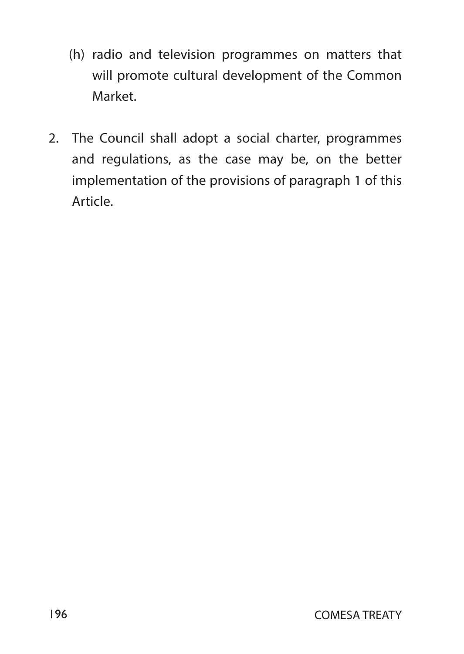- (h) radio and television programmes on matters that will promote cultural development of the Common Market.
- 2. The Council shall adopt a social charter, programmes and regulations, as the case may be, on the better implementation of the provisions of paragraph 1 of this Article.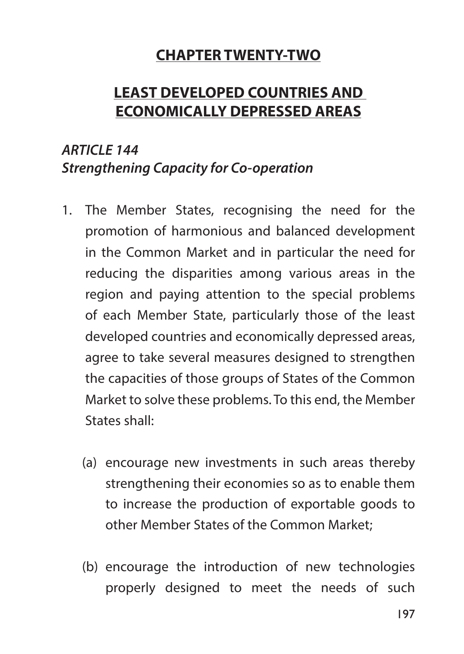### **CHAPTER TWENTY-TWO**

## **LEAST DEVELOPED COUNTRIES AND ECONOMICALLY DEPRESSED AREAS**

## **ARTICLE 144** *Strengthening Capacity for Co-operation*

- 1. The Member States, recognising the need for the promotion of harmonious and balanced development in the Common Market and in particular the need for reducing the disparities among various areas in the region and paying attention to the special problems of each Member State, particularly those of the least developed countries and economically depressed areas, agree to take several measures designed to strengthen the capacities of those groups of States of the Common Market to solve these problems. To this end, the Member States shall:
	- (a) encourage new investments in such areas thereby strengthening their economies so as to enable them to increase the production of exportable goods to other Member States of the Common Market;
	- (b) encourage the introduction of new technologies properly designed to meet the needs of such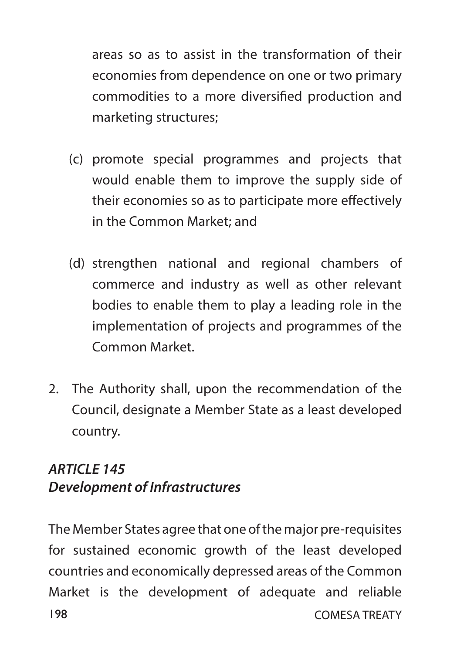areas so as to assist in the transformation of their economies from dependence on one or two primary commodities to a more diversified production and marketing structures;

- (c) promote special programmes and projects that would enable them to improve the supply side of their economies so as to participate more effectively in the Common Market; and
- (d) strengthen national and regional chambers of commerce and industry as well as other relevant bodies to enable them to play a leading role in the implementation of projects and programmes of the Common Market.
- 2. The Authority shall, upon the recommendation of the Council, designate a Member State as a least developed country.

### *ARTICLE 145 Development of Infrastructures*

198 COMESA TREATY The Member States agree that one of the major pre-requisites for sustained economic growth of the least developed countries and economically depressed areas of the Common Market is the development of adequate and reliable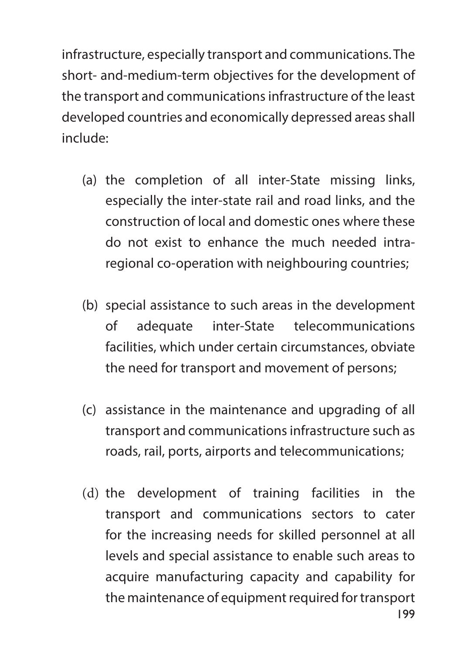infrastructure, especially transport and communications. The short- and-medium-term objectives for the development of the transport and communications infrastructure of the least developed countries and economically depressed areas shall include:

- (a) the completion of all inter-State missing links, especially the inter-state rail and road links, and the construction of local and domestic ones where these do not exist to enhance the much needed intraregional co-operation with neighbouring countries;
- (b) special assistance to such areas in the development of adequate inter-State telecommunications facilities, which under certain circumstances, obviate the need for transport and movement of persons;
- (c) assistance in the maintenance and upgrading of all transport and communications infrastructure such as roads, rail, ports, airports and telecommunications;
- (d) the development of training facilities in the transport and communications sectors to cater for the increasing needs for skilled personnel at all levels and special assistance to enable such areas to acquire manufacturing capacity and capability for the maintenance of equipment required for transport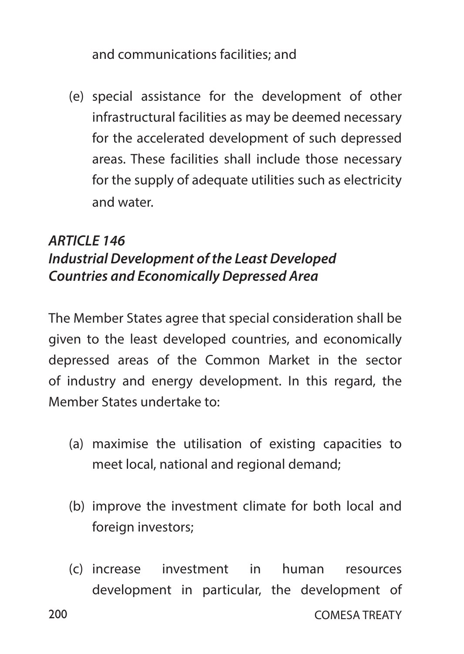and communications facilities; and

(e) special assistance for the development of other infrastructural facilities as may be deemed necessary for the accelerated development of such depressed areas. These facilities shall include those necessary for the supply of adequate utilities such as electricity and water.

### *ARTICLE 146 Industrial Development of the Least Developed Countries and Economically Depressed Area*

The Member States agree that special consideration shall be given to the least developed countries, and economically depressed areas of the Common Market in the sector of industry and energy development. In this regard, the Member States undertake to:

- (a) maximise the utilisation of existing capacities to meet local, national and regional demand;
- (b) improve the investment climate for both local and foreign investors;
- (c) increase investment in human resources development in particular, the development of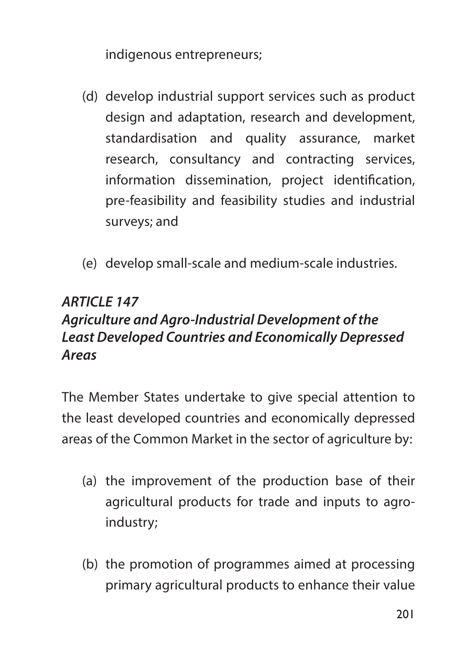indigenous entrepreneurs;

- (d) develop industrial support services such as product design and adaptation, research and development, standardisation and quality assurance, market research, consultancy and contracting services, information dissemination, project identification, pre-feasibility and feasibility studies and industrial surveys; and
- (e) develop small-scale and medium-scale industries.

### *ARTICLE 147 Agriculture and Agro-Industrial Development of the Least Developed Countries and Economically Depressed Areas*

The Member States undertake to give special attention to the least developed countries and economically depressed areas of the Common Market in the sector of agriculture by:

- (a) the improvement of the production base of their agricultural products for trade and inputs to agroindustry;
- (b) the promotion of programmes aimed at processing primary agricultural products to enhance their value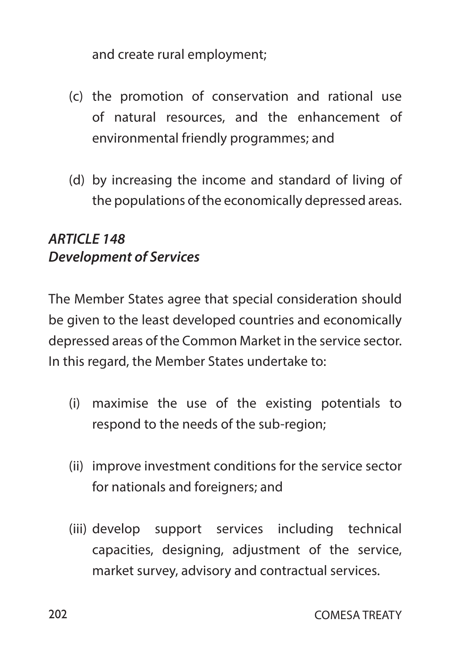and create rural employment;

- (c) the promotion of conservation and rational use of natural resources, and the enhancement of environmental friendly programmes; and
- (d) by increasing the income and standard of living of the populations of the economically depressed areas.

### **ARTICLE 148** *Development of Services*

The Member States agree that special consideration should be given to the least developed countries and economically depressed areas of the Common Market in the service sector. In this regard, the Member States undertake to:

- (i) maximise the use of the existing potentials to respond to the needs of the sub-region;
- (ii) improve investment conditions for the service sector for nationals and foreigners; and
- (iii) develop support services including technical capacities, designing, adjustment of the service, market survey, advisory and contractual services.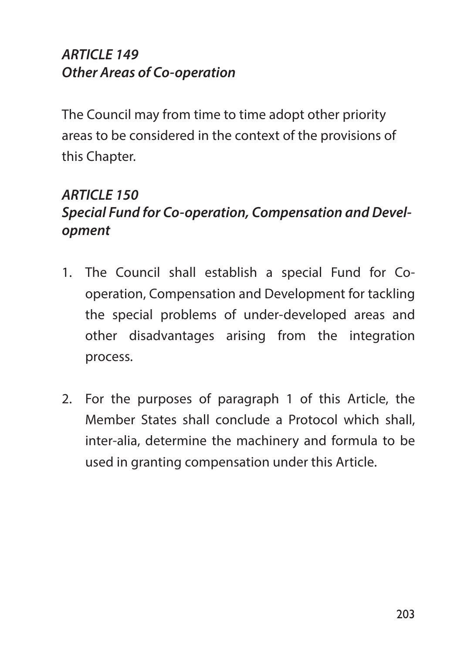# *ARTICLE 149 Other Areas of Co-operation*

The Council may from time to time adopt other priority areas to be considered in the context of the provisions of this Chapter.

## *ARTICLE 150 Special Fund for Co-operation, Compensation and Development*

- 1. The Council shall establish a special Fund for Cooperation, Compensation and Development for tackling the special problems of under-developed areas and other disadvantages arising from the integration process.
- 2. For the purposes of paragraph 1 of this Article, the Member States shall conclude a Protocol which shall, inter-alia, determine the machinery and formula to be used in granting compensation under this Article.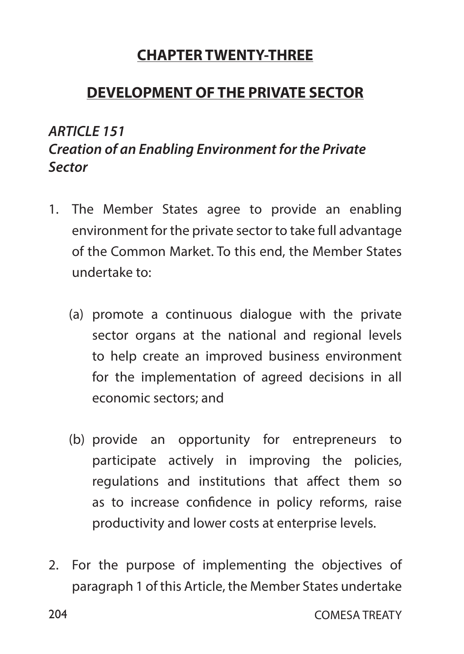## **CHAPTER TWENTY-THREE**

#### **DEVELOPMENT OF THE PRIVATE SECTOR**

### *ARTICLE 151 Creation of an Enabling Environment for the Private Sector*

- 1. The Member States agree to provide an enabling environment for the private sector to take full advantage of the Common Market. To this end, the Member States undertake to:
	- (a) promote a continuous dialogue with the private sector organs at the national and regional levels to help create an improved business environment for the implementation of agreed decisions in all economic sectors; and
	- (b) provide an opportunity for entrepreneurs to participate actively in improving the policies, regulations and institutions that affect them so as to increase confidence in policy reforms, raise productivity and lower costs at enterprise levels.
- 2. For the purpose of implementing the objectives of paragraph 1 of this Article, the Member States undertake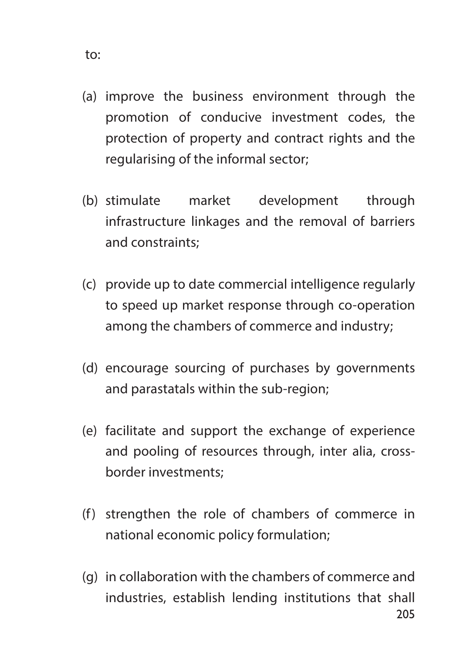- (a) improve the business environment through the promotion of conducive investment codes, the protection of property and contract rights and the regularising of the informal sector;
- (b) stimulate market development through infrastructure linkages and the removal of barriers and constraints;
- (c) provide up to date commercial intelligence regularly to speed up market response through co-operation among the chambers of commerce and industry;
- (d) encourage sourcing of purchases by governments and parastatals within the sub-region;
- (e) facilitate and support the exchange of experience and pooling of resources through, inter alia, crossborder investments;
- (f) strengthen the role of chambers of commerce in national economic policy formulation;
- 205 (g) in collaboration with the chambers of commerce and industries, establish lending institutions that shall

to: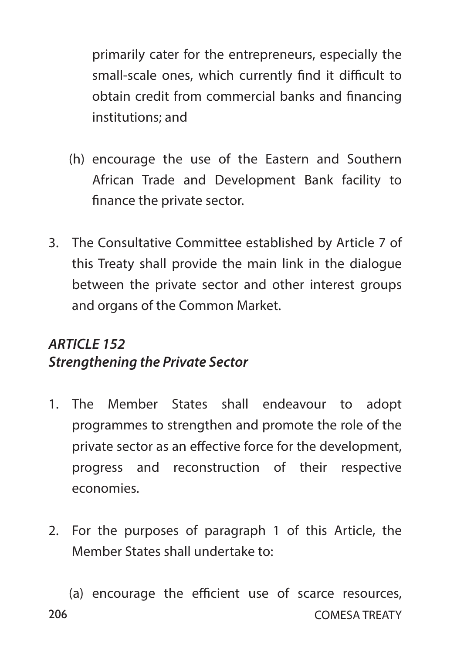primarily cater for the entrepreneurs, especially the small-scale ones, which currently find it difficult to obtain credit from commercial banks and financing institutions; and

- (h) encourage the use of the Eastern and Southern African Trade and Development Bank facility to finance the private sector.
- 3. The Consultative Committee established by Article 7 of this Treaty shall provide the main link in the dialogue between the private sector and other interest groups and organs of the Common Market.

### *ARTICLE 152 Strengthening the Private Sector*

- 1. The Member States shall endeavour to adopt programmes to strengthen and promote the role of the private sector as an effective force for the development, progress and reconstruction of their respective economies.
- 2. For the purposes of paragraph 1 of this Article, the Member States shall undertake to:

206 COMESA TREATY (a) encourage the efficient use of scarce resources,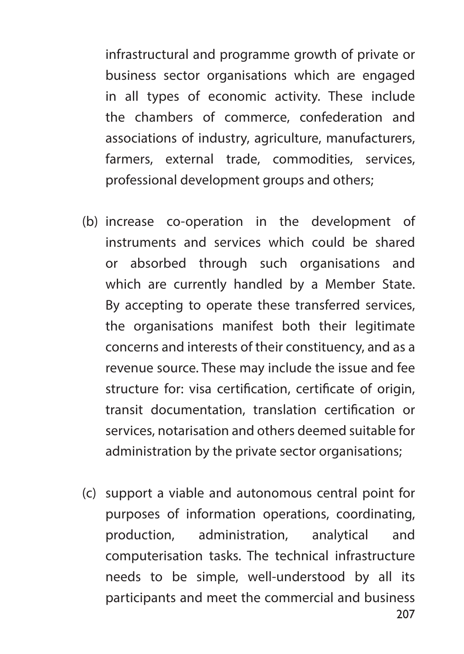infrastructural and programme growth of private or business sector organisations which are engaged in all types of economic activity. These include the chambers of commerce, confederation and associations of industry, agriculture, manufacturers, farmers, external trade, commodities, services, professional development groups and others;

- (b) increase co-operation in the development of instruments and services which could be shared or absorbed through such organisations and which are currently handled by a Member State. By accepting to operate these transferred services, the organisations manifest both their legitimate concerns and interests of their constituency, and as a revenue source. These may include the issue and fee structure for: visa certification, certificate of origin, transit documentation, translation certification or services, notarisation and others deemed suitable for administration by the private sector organisations;
- (c) support a viable and autonomous central point for purposes of information operations, coordinating, production, administration, analytical and computerisation tasks. The technical infrastructure needs to be simple, well-understood by all its participants and meet the commercial and business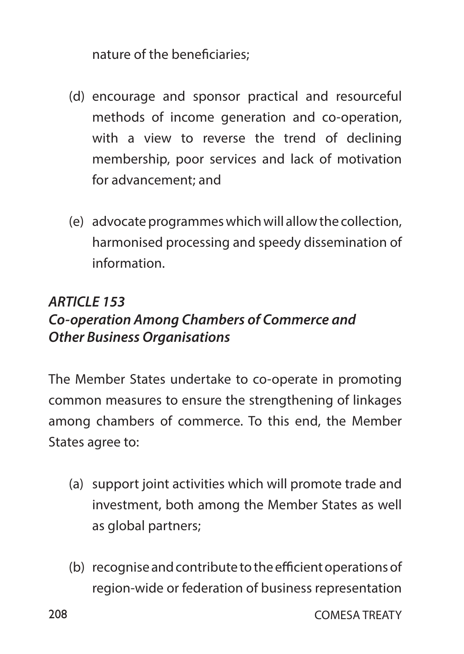nature of the beneficiaries;

- (d) encourage and sponsor practical and resourceful methods of income generation and co-operation, with a view to reverse the trend of declining membership, poor services and lack of motivation for advancement; and
- (e) advocate programmes which will allow the collection, harmonised processing and speedy dissemination of information.

### *ARTICLE 153 Co-operation Among Chambers of Commerce and Other Business Organisations*

The Member States undertake to co-operate in promoting common measures to ensure the strengthening of linkages among chambers of commerce. To this end, the Member States agree to:

- (a) support joint activities which will promote trade and investment, both among the Member States as well as global partners;
- (b) recognise and contribute to the efficient operations of region-wide or federation of business representation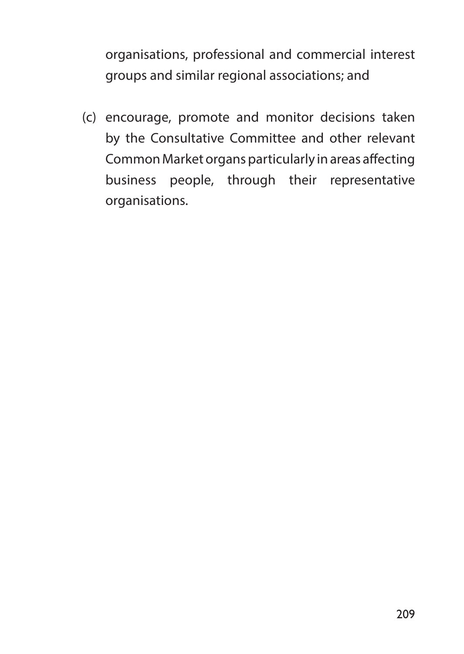organisations, professional and commercial interest groups and similar regional associations; and

(c) encourage, promote and monitor decisions taken by the Consultative Committee and other relevant Common Market organs particularly in areas affecting business people, through their representative organisations.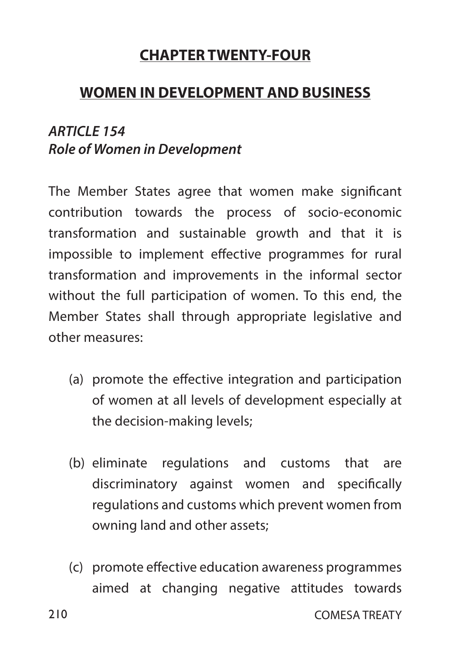### **CHAPTER TWENTY-FOUR**

#### **WOMEN IN DEVELOPMENT AND BUSINESS**

#### **ARTICLE 154** *Role of Women in Development*

The Member States agree that women make significant contribution towards the process of socio-economic transformation and sustainable growth and that it is impossible to implement effective programmes for rural transformation and improvements in the informal sector without the full participation of women. To this end, the Member States shall through appropriate legislative and other measures:

- (a) promote the effective integration and participation of women at all levels of development especially at the decision-making levels;
- (b) eliminate regulations and customs that are discriminatory against women and specifically regulations and customs which prevent women from owning land and other assets;
- (c) promote effective education awareness programmes aimed at changing negative attitudes towards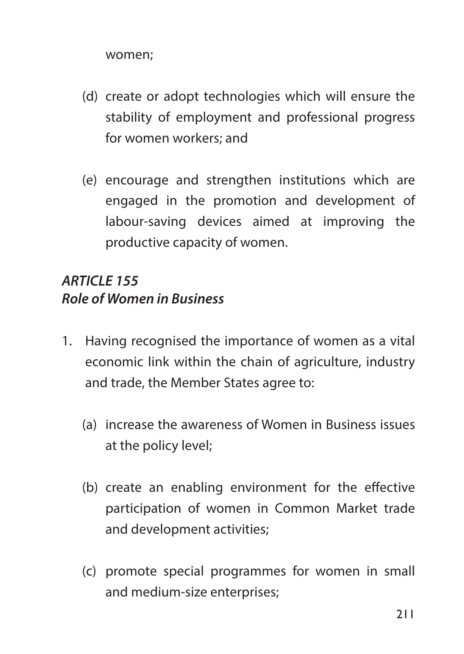women;

- (d) create or adopt technologies which will ensure the stability of employment and professional progress for women workers; and
- (e) encourage and strengthen institutions which are engaged in the promotion and development of labour-saving devices aimed at improving the productive capacity of women.

# *ARTICLE 155 Role of Women in Business*

- 1. Having recognised the importance of women as a vital economic link within the chain of agriculture, industry and trade, the Member States agree to:
	- (a) increase the awareness of Women in Business issues at the policy level;
	- (b) create an enabling environment for the effective participation of women in Common Market trade and development activities;
	- (c) promote special programmes for women in small and medium-size enterprises;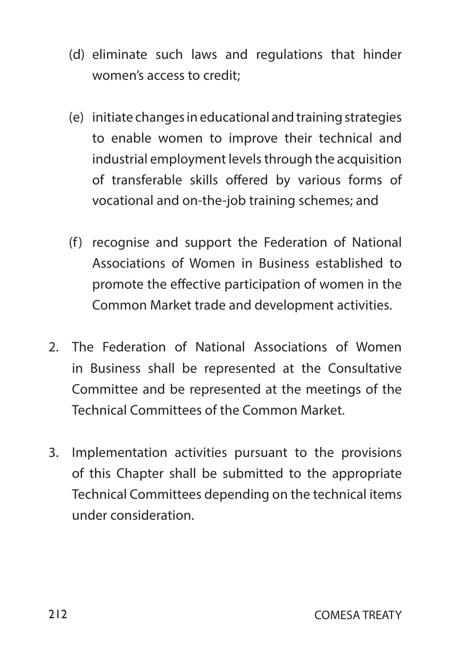- (d) eliminate such laws and regulations that hinder women's access to credit;
- (e) initiate changes in educational and training strategies to enable women to improve their technical and industrial employment levels through the acquisition of transferable skills offered by various forms of vocational and on-the-job training schemes; and
- (f) recognise and support the Federation of National Associations of Women in Business established to promote the effective participation of women in the Common Market trade and development activities.
- 2. The Federation of National Associations of Women in Business shall be represented at the Consultative Committee and be represented at the meetings of the Technical Committees of the Common Market.
- 3. Implementation activities pursuant to the provisions of this Chapter shall be submitted to the appropriate Technical Committees depending on the technical items under consideration.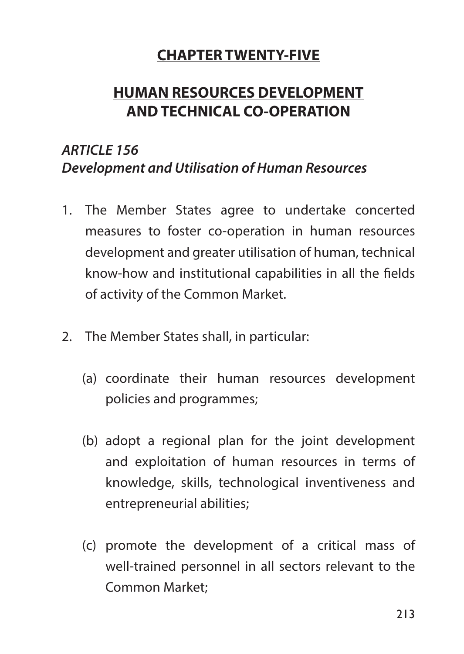## **CHAPTER TWENTY-FIVE**

### **HUMAN RESOURCES DEVELOPMENT AND TECHNICAL CO-OPERATION**

### *ARTICLE 156 Development and Utilisation of Human Resources*

- 1. The Member States agree to undertake concerted measures to foster co-operation in human resources development and greater utilisation of human, technical know-how and institutional capabilities in all the fields of activity of the Common Market.
- 2. The Member States shall, in particular:
	- (a) coordinate their human resources development policies and programmes;
	- (b) adopt a regional plan for the joint development and exploitation of human resources in terms of knowledge, skills, technological inventiveness and entrepreneurial abilities;
	- (c) promote the development of a critical mass of well-trained personnel in all sectors relevant to the Common Market;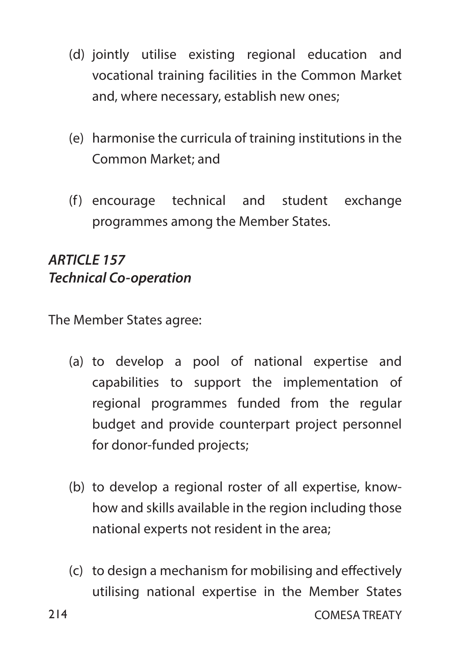- (d) jointly utilise existing regional education and vocational training facilities in the Common Market and, where necessary, establish new ones;
- (e) harmonise the curricula of training institutions in the Common Market; and
- (f) encourage technical and student exchange programmes among the Member States.

### *ARTICLE 157 Technical Co-operation*

The Member States agree:

- (a) to develop a pool of national expertise and capabilities to support the implementation of regional programmes funded from the regular budget and provide counterpart project personnel for donor-funded projects;
- (b) to develop a regional roster of all expertise, knowhow and skills available in the region including those national experts not resident in the area;
- (c) to design a mechanism for mobilising and effectively utilising national expertise in the Member States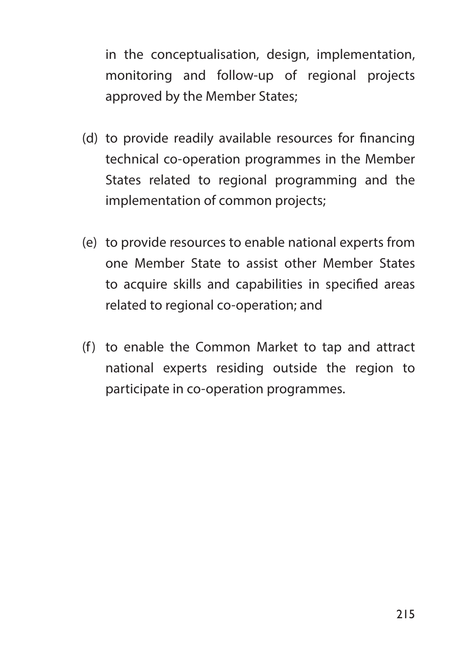in the conceptualisation, design, implementation, monitoring and follow-up of regional projects approved by the Member States;

- (d) to provide readily available resources for financing technical co-operation programmes in the Member States related to regional programming and the implementation of common projects;
- (e) to provide resources to enable national experts from one Member State to assist other Member States to acquire skills and capabilities in specified areas related to regional co-operation; and
- (f) to enable the Common Market to tap and attract national experts residing outside the region to participate in co-operation programmes.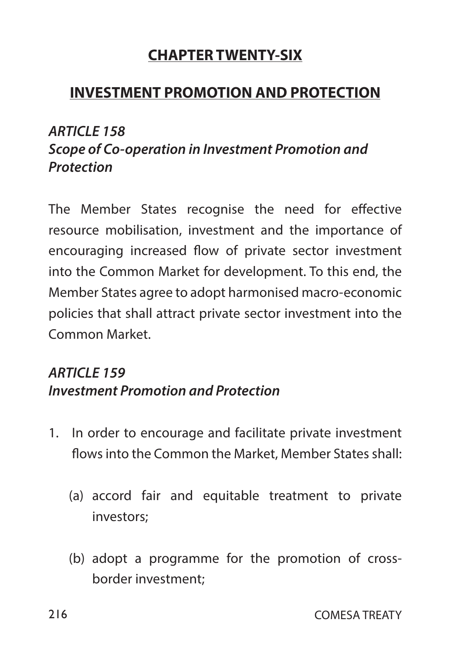## **CHAPTER TWENTY-SIX**

#### **INVESTMENT PROMOTION AND PROTECTION**

#### *ARTICLE 158 Scope of Co-operation in Investment Promotion and Protection*

The Member States recognise the need for effective resource mobilisation, investment and the importance of encouraging increased flow of private sector investment into the Common Market for development. To this end, the Member States agree to adopt harmonised macro-economic policies that shall attract private sector investment into the Common Market.

### **ARTICLE 159** *Investment Promotion and Protection*

- 1. In order to encourage and facilitate private investment flows into the Common the Market, Member States shall:
	- (a) accord fair and equitable treatment to private investors;
	- (b) adopt a programme for the promotion of crossborder investment;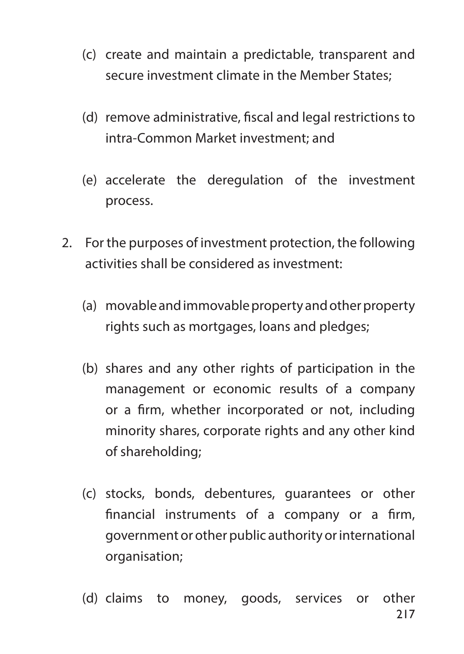- (c) create and maintain a predictable, transparent and secure investment climate in the Member States;
- (d) remove administrative, fiscal and legal restrictions to intra-Common Market investment; and
- (e) accelerate the deregulation of the investment process.
- 2. For the purposes of investment protection, the following activities shall be considered as investment:
	- (a) movable and immovable property and other property rights such as mortgages, loans and pledges;
	- (b) shares and any other rights of participation in the management or economic results of a company or a firm, whether incorporated or not, including minority shares, corporate rights and any other kind of shareholding;
	- (c) stocks, bonds, debentures, guarantees or other financial instruments of a company or a firm, government or other public authority or international organisation;
	- 217 (d) claims to money, goods, services or other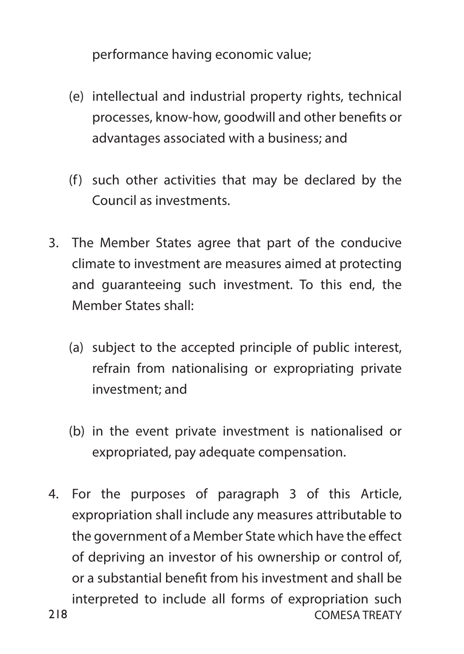performance having economic value;

- (e) intellectual and industrial property rights, technical processes, know-how, goodwill and other benefits or advantages associated with a business; and
- (f) such other activities that may be declared by the Council as investments.
- 3. The Member States agree that part of the conducive climate to investment are measures aimed at protecting and guaranteeing such investment. To this end, the Member States shall:
	- (a) subject to the accepted principle of public interest, refrain from nationalising or expropriating private investment; and
	- (b) in the event private investment is nationalised or expropriated, pay adequate compensation.
- 218 COMESA TREATY 4. For the purposes of paragraph 3 of this Article, expropriation shall include any measures attributable to the government of a Member State which have the effect of depriving an investor of his ownership or control of, or a substantial benefit from his investment and shall be interpreted to include all forms of expropriation such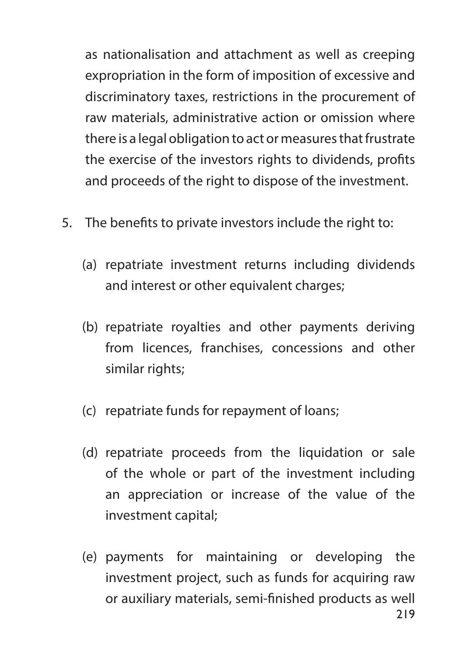as nationalisation and attachment as well as creeping expropriation in the form of imposition of excessive and discriminatory taxes, restrictions in the procurement of raw materials, administrative action or omission where there is a legal obligation to act or measures that frustrate the exercise of the investors rights to dividends, profits and proceeds of the right to dispose of the investment.

- 5. The benefits to private investors include the right to:
	- (a) repatriate investment returns including dividends and interest or other equivalent charges;
	- (b) repatriate royalties and other payments deriving from licences, franchises, concessions and other similar rights;
	- (c) repatriate funds for repayment of loans;
	- (d) repatriate proceeds from the liquidation or sale of the whole or part of the investment including an appreciation or increase of the value of the investment capital;
	- 219 (e) payments for maintaining or developing the investment project, such as funds for acquiring raw or auxiliary materials, semi-finished products as well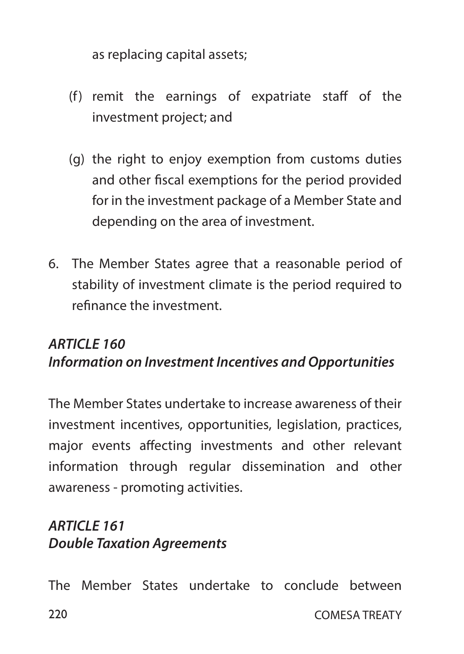as replacing capital assets;

- (f) remit the earnings of expatriate staff of the investment project; and
- (g) the right to enjoy exemption from customs duties and other fiscal exemptions for the period provided for in the investment package of a Member State and depending on the area of investment.
- 6. The Member States agree that a reasonable period of stability of investment climate is the period required to refinance the investment.

## *ARTICLE 160 Information on Investment Incentives and Opportunities*

The Member States undertake to increase awareness of their investment incentives, opportunities, legislation, practices, major events affecting investments and other relevant information through regular dissemination and other awareness - promoting activities.

# *ARTICLE 161 Double Taxation Agreements*

The Member States undertake to conclude between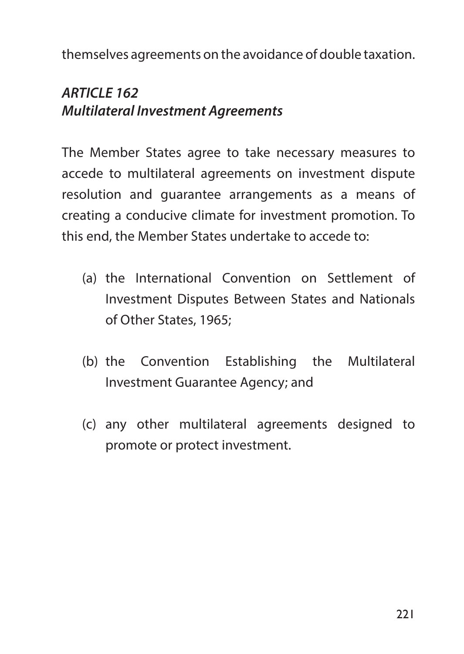themselves agreements on the avoidance of double taxation.

### *ARTICLE 162 Multilateral Investment Agreements*

The Member States agree to take necessary measures to accede to multilateral agreements on investment dispute resolution and guarantee arrangements as a means of creating a conducive climate for investment promotion. To this end, the Member States undertake to accede to:

- (a) the International Convention on Settlement of Investment Disputes Between States and Nationals of Other States, 1965;
- (b) the Convention Establishing the Multilateral Investment Guarantee Agency; and
- (c) any other multilateral agreements designed to promote or protect investment.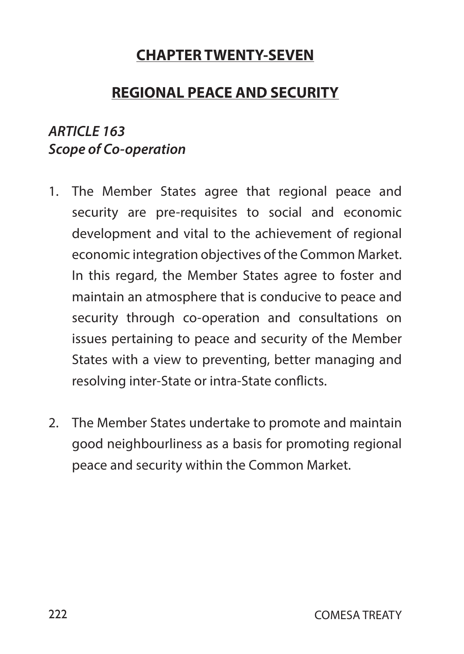### **CHAPTER TWENTY-SEVEN**

#### **REGIONAL PEACE AND SECURITY**

### *ARTICLE 163 Scope of Co-operation*

- 1. The Member States agree that regional peace and security are pre-requisites to social and economic development and vital to the achievement of regional economic integration objectives of the Common Market. In this regard, the Member States agree to foster and maintain an atmosphere that is conducive to peace and security through co-operation and consultations on issues pertaining to peace and security of the Member States with a view to preventing, better managing and resolving inter-State or intra-State conflicts.
- 2. The Member States undertake to promote and maintain good neighbourliness as a basis for promoting regional peace and security within the Common Market.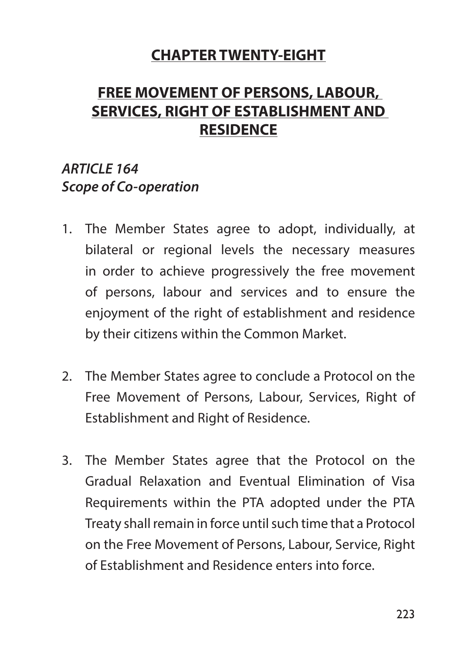### **CHAPTER TWENTY-EIGHT**

## **FREE MOVEMENT OF PERSONS, LABOUR, SERVICES, RIGHT OF ESTABLISHMENT AND RESIDENCE**

#### *ARTICLE 164 Scope of Co-operation*

- 1. The Member States agree to adopt, individually, at bilateral or regional levels the necessary measures in order to achieve progressively the free movement of persons, labour and services and to ensure the enjoyment of the right of establishment and residence by their citizens within the Common Market.
- 2. The Member States agree to conclude a Protocol on the Free Movement of Persons, Labour, Services, Right of Establishment and Right of Residence.
- 3. The Member States agree that the Protocol on the Gradual Relaxation and Eventual Elimination of Visa Requirements within the PTA adopted under the PTA Treaty shall remain in force until such time that a Protocol on the Free Movement of Persons, Labour, Service, Right of Establishment and Residence enters into force.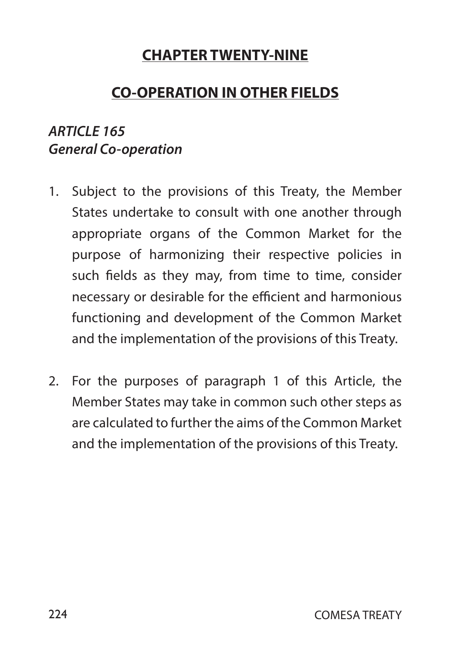### **CHAPTER TWENTY-NINE**

#### **CO-OPERATION IN OTHER FIELDS**

#### *ARTICLE 165 General Co-operation*

- 1. Subject to the provisions of this Treaty, the Member States undertake to consult with one another through appropriate organs of the Common Market for the purpose of harmonizing their respective policies in such fields as they may, from time to time, consider necessary or desirable for the efficient and harmonious functioning and development of the Common Market and the implementation of the provisions of this Treaty.
- 2. For the purposes of paragraph 1 of this Article, the Member States may take in common such other steps as are calculated to further the aims of the Common Market and the implementation of the provisions of this Treaty.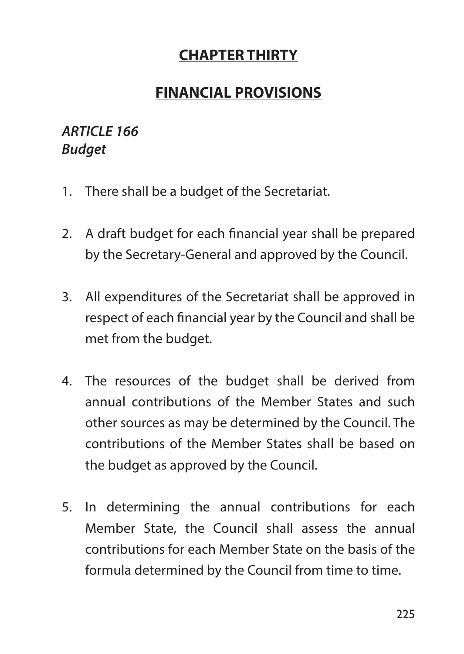## **CHAPTER THIRTY**

### **FINANCIAL PROVISIONS**

## *ARTICLE 166 Budget*

- 1. There shall be a budget of the Secretariat.
- 2. A draft budget for each financial year shall be prepared by the Secretary-General and approved by the Council.
- 3. All expenditures of the Secretariat shall be approved in respect of each financial year by the Council and shall be met from the budget.
- 4. The resources of the budget shall be derived from annual contributions of the Member States and such other sources as may be determined by the Council. The contributions of the Member States shall be based on the budget as approved by the Council.
- 5. In determining the annual contributions for each Member State, the Council shall assess the annual contributions for each Member State on the basis of the formula determined by the Council from time to time.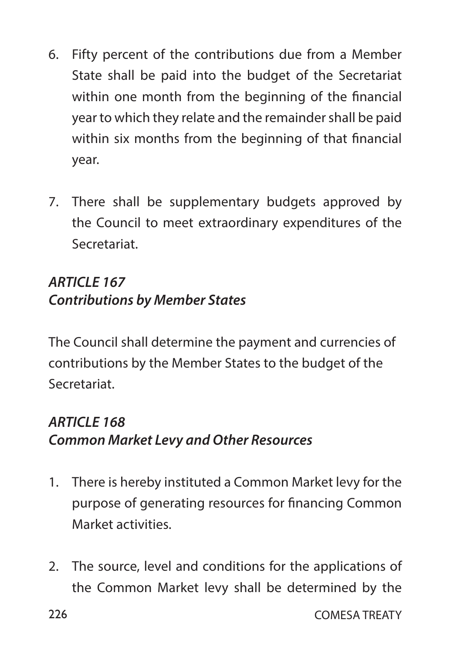- 6. Fifty percent of the contributions due from a Member State shall be paid into the budget of the Secretariat within one month from the beginning of the financial year to which they relate and the remainder shall be paid within six months from the beginning of that financial year.
- 7. There shall be supplementary budgets approved by the Council to meet extraordinary expenditures of the Secretariat.

## *ARTICLE 167 Contributions by Member States*

The Council shall determine the payment and currencies of contributions by the Member States to the budget of the Secretariat.

# *ARTICLE 168 Common Market Levy and Other Resources*

- 1. There is hereby instituted a Common Market levy for the purpose of generating resources for financing Common Market activities.
- 2. The source, level and conditions for the applications of the Common Market levy shall be determined by the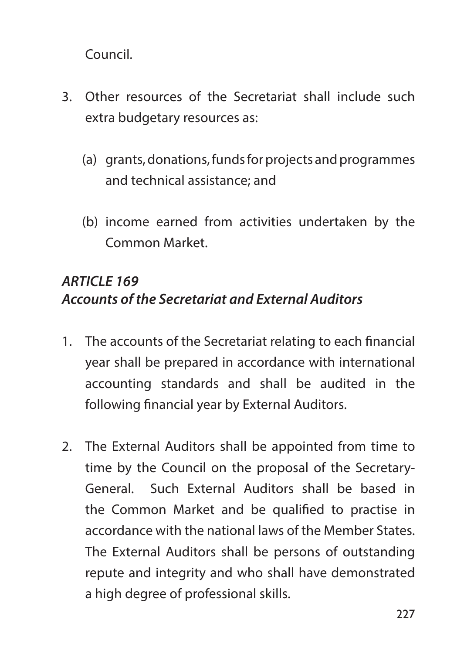Council.

- 3. Other resources of the Secretariat shall include such extra budgetary resources as:
	- (a) grants, donations, funds for projects and programmes and technical assistance; and
	- (b) income earned from activities undertaken by the Common Market.

# **ARTICLE 169** *Accounts of the Secretariat and External Auditors*

- 1. The accounts of the Secretariat relating to each financial year shall be prepared in accordance with international accounting standards and shall be audited in the following financial year by External Auditors.
- 2. The External Auditors shall be appointed from time to time by the Council on the proposal of the Secretary-General. Such External Auditors shall be based in the Common Market and be qualified to practise in accordance with the national laws of the Member States. The External Auditors shall be persons of outstanding repute and integrity and who shall have demonstrated a high degree of professional skills.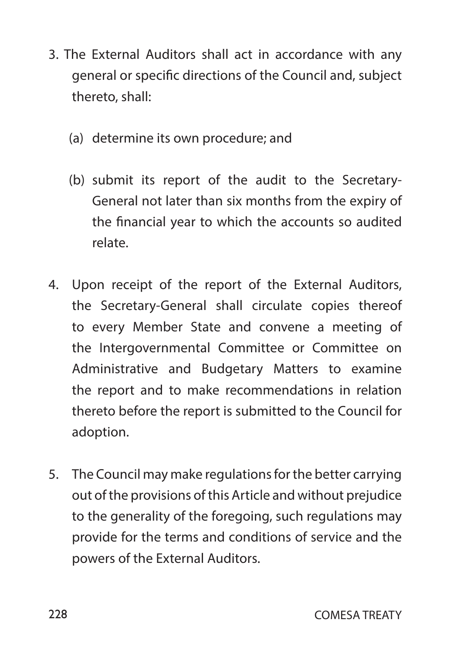- 3. The External Auditors shall act in accordance with any general or specific directions of the Council and, subject thereto, shall:
	- (a) determine its own procedure; and
	- (b) submit its report of the audit to the Secretary-General not later than six months from the expiry of the financial year to which the accounts so audited relate.
- 4. Upon receipt of the report of the External Auditors, the Secretary-General shall circulate copies thereof to every Member State and convene a meeting of the Intergovernmental Committee or Committee on Administrative and Budgetary Matters to examine the report and to make recommendations in relation thereto before the report is submitted to the Council for adoption.
- 5. The Council may make regulations for the better carrying out of the provisions of this Article and without prejudice to the generality of the foregoing, such regulations may provide for the terms and conditions of service and the powers of the External Auditors.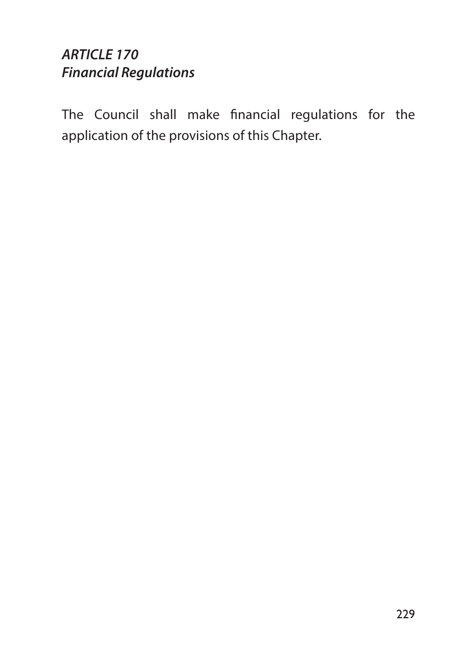## *ARTICLE 170 Financial Regulations*

The Council shall make financial regulations for the application of the provisions of this Chapter.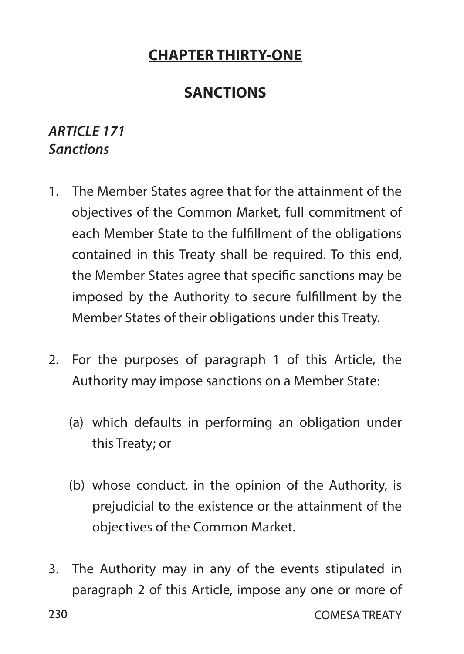# **CHAPTER THIRTY-ONE**

### **SANCTIONS**

#### *ARTICLE 171 Sanctions*

- 1. The Member States agree that for the attainment of the objectives of the Common Market, full commitment of each Member State to the fulfillment of the obligations contained in this Treaty shall be required. To this end, the Member States agree that specific sanctions may be imposed by the Authority to secure fulfillment by the Member States of their obligations under this Treaty.
- 2. For the purposes of paragraph 1 of this Article, the Authority may impose sanctions on a Member State:
	- (a) which defaults in performing an obligation under this Treaty; or
	- (b) whose conduct, in the opinion of the Authority, is prejudicial to the existence or the attainment of the objectives of the Common Market.
- 3. The Authority may in any of the events stipulated in paragraph 2 of this Article, impose any one or more of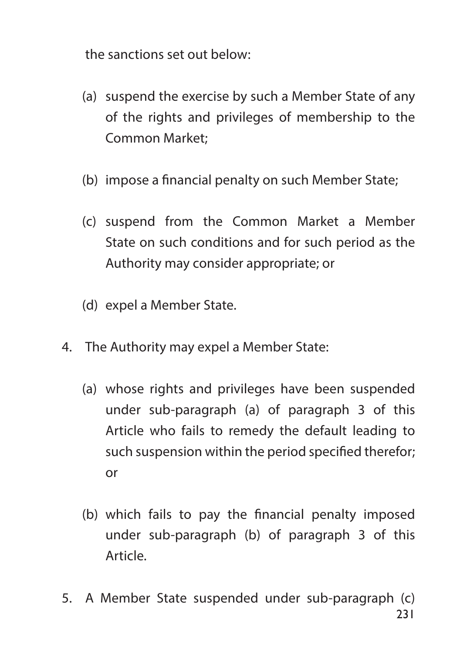the sanctions set out below:

- (a) suspend the exercise by such a Member State of any of the rights and privileges of membership to the Common Market;
- (b) impose a financial penalty on such Member State;
- (c) suspend from the Common Market a Member State on such conditions and for such period as the Authority may consider appropriate; or
- (d) expel a Member State.
- 4. The Authority may expel a Member State:
	- (a) whose rights and privileges have been suspended under sub-paragraph (a) of paragraph 3 of this Article who fails to remedy the default leading to such suspension within the period specified therefor; or
	- (b) which fails to pay the financial penalty imposed under sub-paragraph (b) of paragraph 3 of this Article.
- 231 5. A Member State suspended under sub-paragraph (c)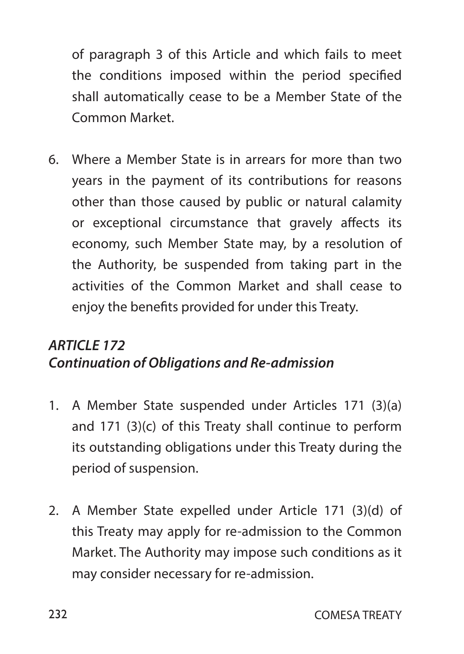of paragraph 3 of this Article and which fails to meet the conditions imposed within the period specified shall automatically cease to be a Member State of the Common Market.

6. Where a Member State is in arrears for more than two years in the payment of its contributions for reasons other than those caused by public or natural calamity or exceptional circumstance that gravely affects its economy, such Member State may, by a resolution of the Authority, be suspended from taking part in the activities of the Common Market and shall cease to enjoy the benefits provided for under this Treaty.

# *ARTICLE 172 Continuation of Obligations and Re-admission*

- 1. A Member State suspended under Articles 171 (3)(a) and 171 (3)(c) of this Treaty shall continue to perform its outstanding obligations under this Treaty during the period of suspension.
- 2. A Member State expelled under Article 171 (3)(d) of this Treaty may apply for re-admission to the Common Market. The Authority may impose such conditions as it may consider necessary for re-admission.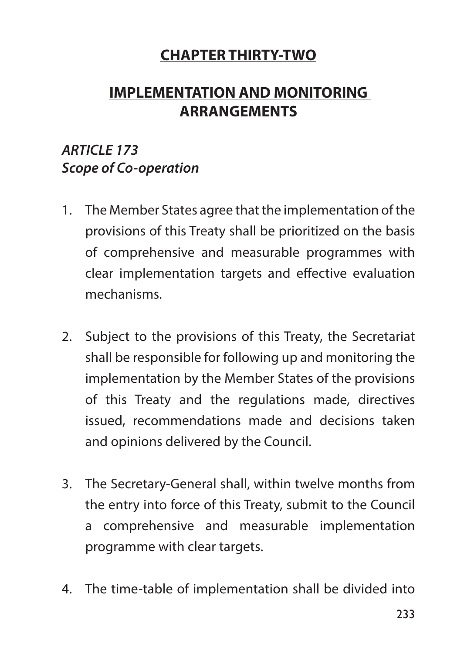## **CHAPTER THIRTY-TWO**

# **IMPLEMENTATION AND MONITORING ARRANGEMENTS**

### *ARTICLE 173 Scope of Co-operation*

- 1. The Member States agree that the implementation of the provisions of this Treaty shall be prioritized on the basis of comprehensive and measurable programmes with clear implementation targets and effective evaluation mechanisms.
- 2. Subject to the provisions of this Treaty, the Secretariat shall be responsible for following up and monitoring the implementation by the Member States of the provisions of this Treaty and the regulations made, directives issued, recommendations made and decisions taken and opinions delivered by the Council.
- 3. The Secretary-General shall, within twelve months from the entry into force of this Treaty, submit to the Council a comprehensive and measurable implementation programme with clear targets.
- 4. The time-table of implementation shall be divided into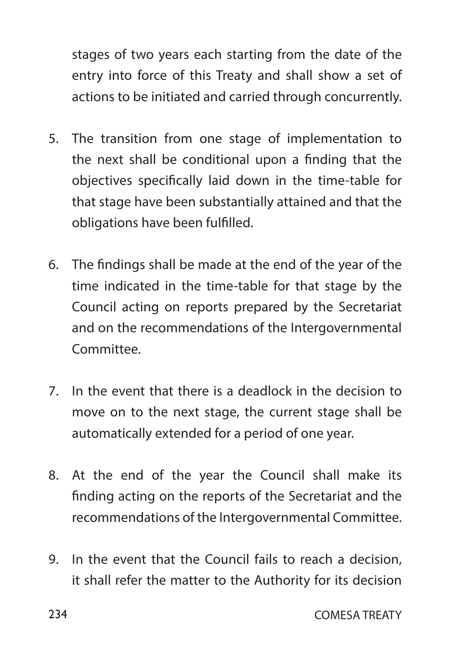stages of two years each starting from the date of the entry into force of this Treaty and shall show a set of actions to be initiated and carried through concurrently.

- 5. The transition from one stage of implementation to the next shall be conditional upon a finding that the objectives specifically laid down in the time-table for that stage have been substantially attained and that the obligations have been fulfilled.
- 6. The findings shall be made at the end of the year of the time indicated in the time-table for that stage by the Council acting on reports prepared by the Secretariat and on the recommendations of the Intergovernmental Committee.
- 7. In the event that there is a deadlock in the decision to move on to the next stage, the current stage shall be automatically extended for a period of one year.
- 8. At the end of the year the Council shall make its finding acting on the reports of the Secretariat and the recommendations of the Intergovernmental Committee.
- 9. In the event that the Council fails to reach a decision, it shall refer the matter to the Authority for its decision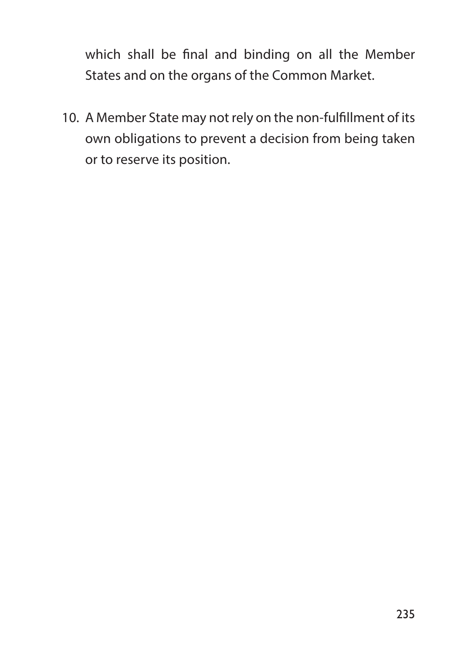which shall be final and binding on all the Member States and on the organs of the Common Market.

10. A Member State may not rely on the non-fulfillment of its own obligations to prevent a decision from being taken or to reserve its position.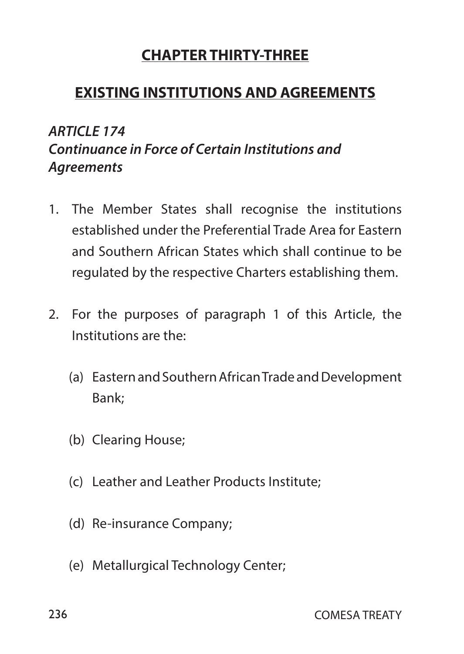# **CHAPTER THIRTY-THREE**

### **EXISTING INSTITUTIONS AND AGREEMENTS**

### *ARTICLE 174 Continuance in Force of Certain Institutions and Agreements*

- 1. The Member States shall recognise the institutions established under the Preferential Trade Area for Eastern and Southern African States which shall continue to be regulated by the respective Charters establishing them.
- 2. For the purposes of paragraph 1 of this Article, the Institutions are the:
	- (a) Eastern and Southern African Trade and Development Bank;
	- (b) Clearing House;
	- (c) Leather and Leather Products Institute;
	- (d) Re-insurance Company;
	- (e) Metallurgical Technology Center;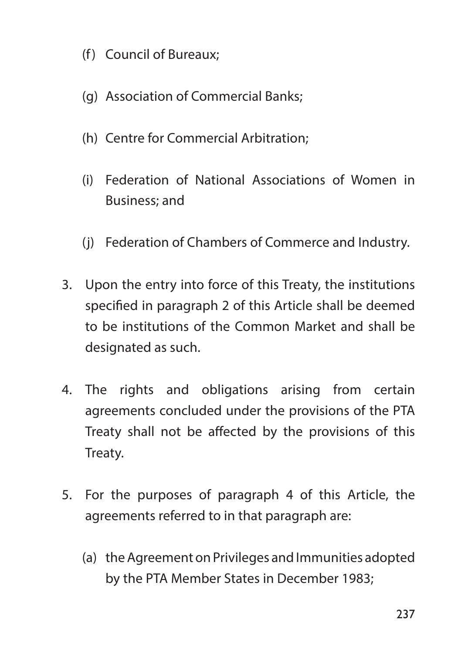- (f) Council of Bureaux;
- (g) Association of Commercial Banks;
- (h) Centre for Commercial Arbitration;
- (i) Federation of National Associations of Women in Business; and
- (j) Federation of Chambers of Commerce and Industry.
- 3. Upon the entry into force of this Treaty, the institutions specified in paragraph 2 of this Article shall be deemed to be institutions of the Common Market and shall be designated as such.
- 4. The rights and obligations arising from certain agreements concluded under the provisions of the PTA Treaty shall not be affected by the provisions of this Treaty.
- 5. For the purposes of paragraph 4 of this Article, the agreements referred to in that paragraph are:
	- (a) the Agreement on Privileges and Immunities adopted by the PTA Member States in December 1983;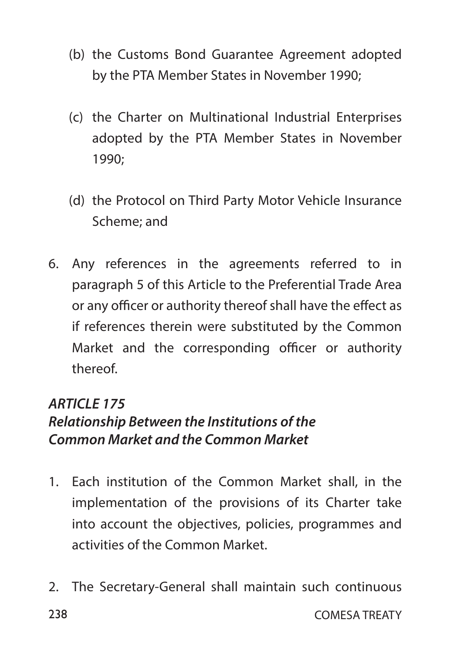- (b) the Customs Bond Guarantee Agreement adopted by the PTA Member States in November 1990;
- (c) the Charter on Multinational Industrial Enterprises adopted by the PTA Member States in November 1990;
- (d) the Protocol on Third Party Motor Vehicle Insurance Scheme; and
- 6. Any references in the agreements referred to in paragraph 5 of this Article to the Preferential Trade Area or any officer or authority thereof shall have the effect as if references therein were substituted by the Common Market and the corresponding officer or authority thereof.

### *ARTICLE 175 Relationship Between the Institutions of the Common Market and the Common Market*

- 1. Each institution of the Common Market shall, in the implementation of the provisions of its Charter take into account the objectives, policies, programmes and activities of the Common Market.
- 2. The Secretary-General shall maintain such continuous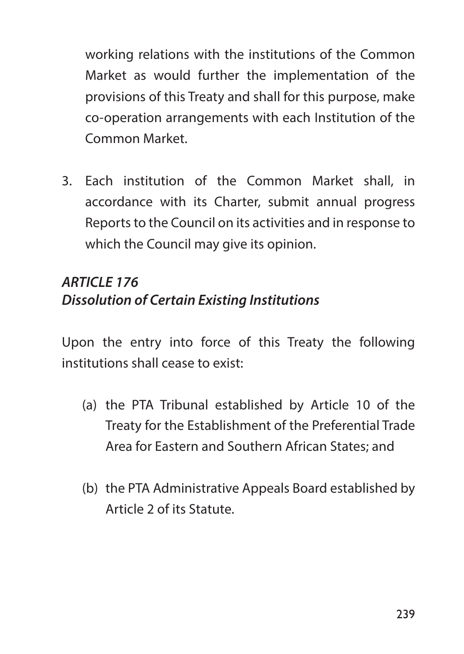working relations with the institutions of the Common Market as would further the implementation of the provisions of this Treaty and shall for this purpose, make co-operation arrangements with each Institution of the Common Market.

3. Each institution of the Common Market shall, in accordance with its Charter, submit annual progress Reports to the Council on its activities and in response to which the Council may give its opinion.

# *ARTICLE 176 Dissolution of Certain Existing Institutions*

Upon the entry into force of this Treaty the following institutions shall cease to exist:

- (a) the PTA Tribunal established by Article 10 of the Treaty for the Establishment of the Preferential Trade Area for Eastern and Southern African States; and
- (b) the PTA Administrative Appeals Board established by Article 2 of its Statute.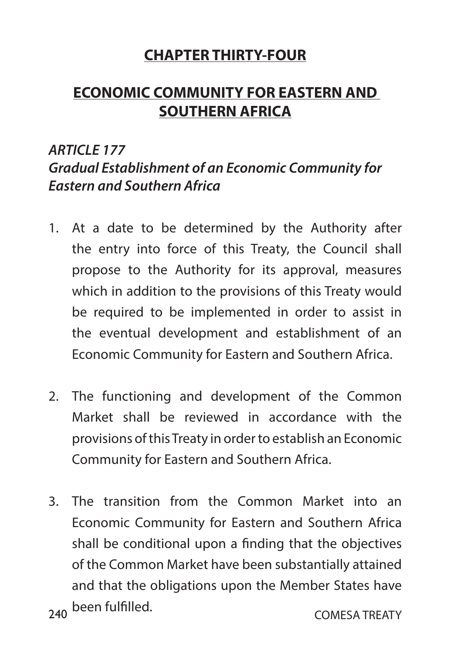## **CHAPTER THIRTY-FOUR**

# **ECONOMIC COMMUNITY FOR EASTERN AND SOUTHERN AFRICA**

### *ARTICLE 177 Gradual Establishment of an Economic Community for Eastern and Southern Africa*

- 1. At a date to be determined by the Authority after the entry into force of this Treaty, the Council shall propose to the Authority for its approval, measures which in addition to the provisions of this Treaty would be required to be implemented in order to assist in the eventual development and establishment of an Economic Community for Eastern and Southern Africa.
- 2. The functioning and development of the Common Market shall be reviewed in accordance with the provisions of this Treaty in order to establish an Economic Community for Eastern and Southern Africa.
- 240 Deen Julilleu.<br>
COMESA TREATY 3. The transition from the Common Market into an Economic Community for Eastern and Southern Africa shall be conditional upon a finding that the objectives of the Common Market have been substantially attained and that the obligations upon the Member States have been fulfilled.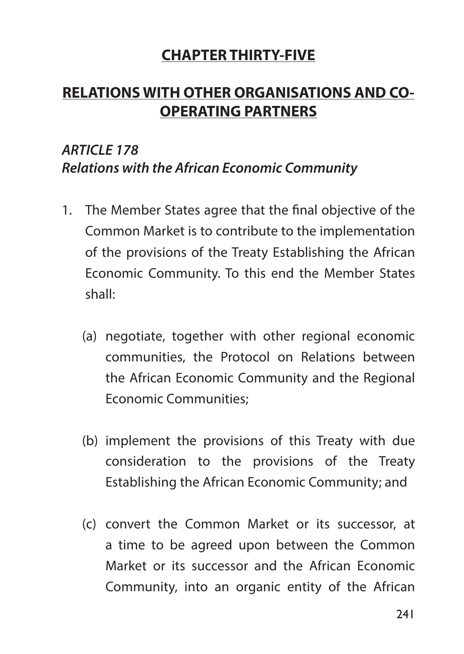### **CHAPTER THIRTY-FIVE**

## **RELATIONS WITH OTHER ORGANISATIONS AND CO-OPERATING PARTNERS**

# *ARTICLE 178 Relations with the African Economic Community*

- 1. The Member States agree that the final objective of the Common Market is to contribute to the implementation of the provisions of the Treaty Establishing the African Economic Community. To this end the Member States shall:
	- (a) negotiate, together with other regional economic communities, the Protocol on Relations between the African Economic Community and the Regional Economic Communities;
	- (b) implement the provisions of this Treaty with due consideration to the provisions of the Treaty Establishing the African Economic Community; and
	- (c) convert the Common Market or its successor, at a time to be agreed upon between the Common Market or its successor and the African Economic Community, into an organic entity of the African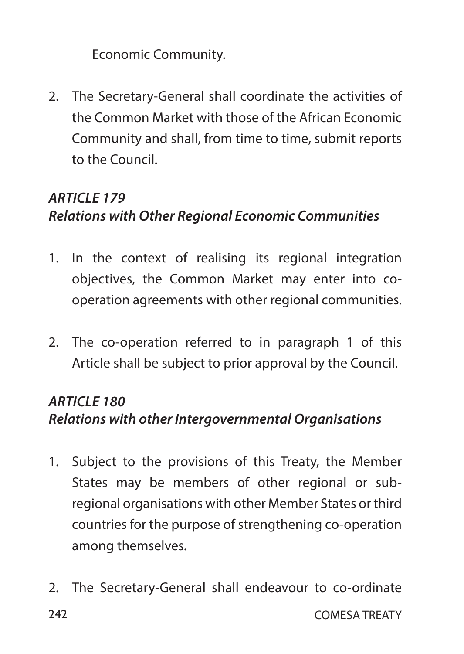Economic Community.

2. The Secretary-General shall coordinate the activities of the Common Market with those of the African Economic Community and shall, from time to time, submit reports to the Council.

# *ARTICLE 179 Relations with Other Regional Economic Communities*

- 1. In the context of realising its regional integration objectives, the Common Market may enter into cooperation agreements with other regional communities.
- 2. The co-operation referred to in paragraph 1 of this Article shall be subject to prior approval by the Council.

#### *ARTICLE 180 Relations with other Intergovernmental Organisations*

- 1. Subject to the provisions of this Treaty, the Member States may be members of other regional or subregional organisations with other Member States or third countries for the purpose of strengthening co-operation among themselves.
- 2. The Secretary-General shall endeavour to co-ordinate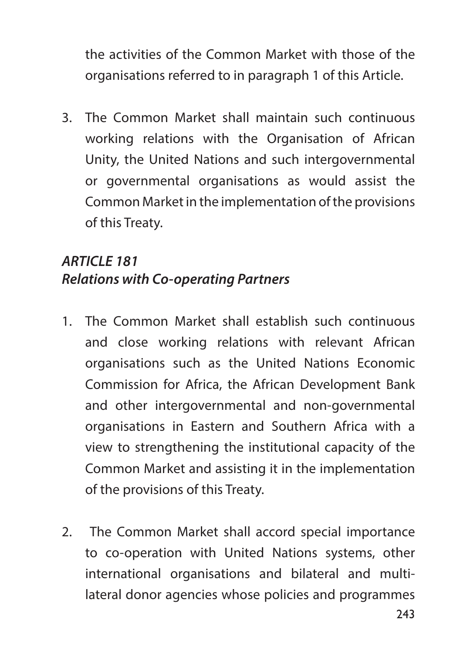the activities of the Common Market with those of the organisations referred to in paragraph 1 of this Article.

3. The Common Market shall maintain such continuous working relations with the Organisation of African Unity, the United Nations and such intergovernmental or governmental organisations as would assist the Common Market in the implementation of the provisions of this Treaty.

# *ARTICLE 181 Relations with Co-operating Partners*

- 1. The Common Market shall establish such continuous and close working relations with relevant African organisations such as the United Nations Economic Commission for Africa, the African Development Bank and other intergovernmental and non-governmental organisations in Eastern and Southern Africa with a view to strengthening the institutional capacity of the Common Market and assisting it in the implementation of the provisions of this Treaty.
- 2. The Common Market shall accord special importance to co-operation with United Nations systems, other international organisations and bilateral and multilateral donor agencies whose policies and programmes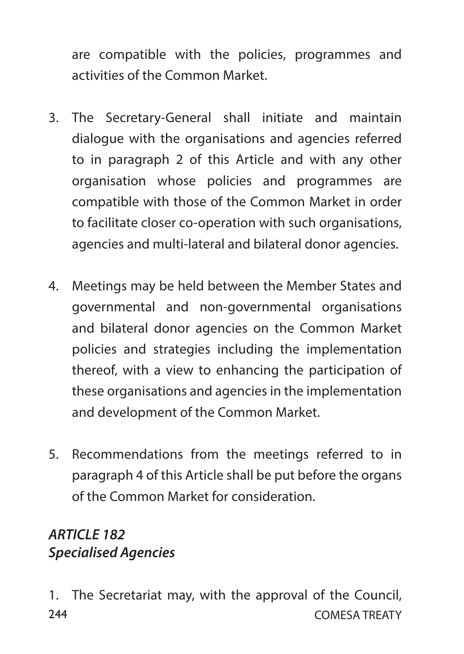are compatible with the policies, programmes and activities of the Common Market.

- 3. The Secretary-General shall initiate and maintain dialogue with the organisations and agencies referred to in paragraph 2 of this Article and with any other organisation whose policies and programmes are compatible with those of the Common Market in order to facilitate closer co-operation with such organisations, agencies and multi-lateral and bilateral donor agencies.
- 4. Meetings may be held between the Member States and governmental and non-governmental organisations and bilateral donor agencies on the Common Market policies and strategies including the implementation thereof, with a view to enhancing the participation of these organisations and agencies in the implementation and development of the Common Market.
- 5. Recommendations from the meetings referred to in paragraph 4 of this Article shall be put before the organs of the Common Market for consideration.

# *ARTICLE 182 Specialised Agencies*

244 COMESA TREATY 1. The Secretariat may, with the approval of the Council,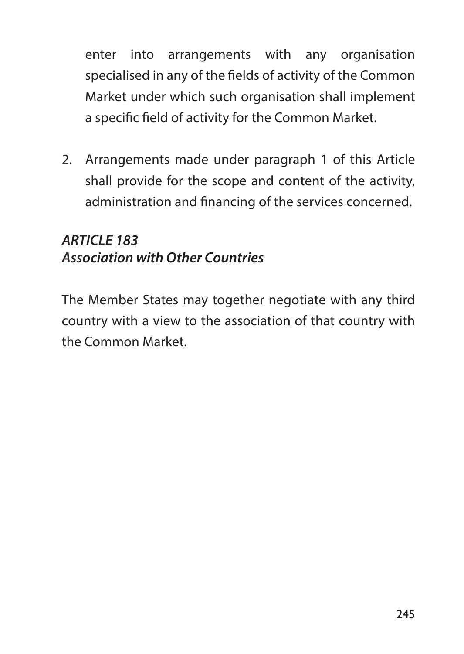enter into arrangements with any organisation specialised in any of the fields of activity of the Common Market under which such organisation shall implement a specific field of activity for the Common Market.

2. Arrangements made under paragraph 1 of this Article shall provide for the scope and content of the activity, administration and financing of the services concerned.

# *ARTICLE 183 Association with Other Countries*

The Member States may together negotiate with any third country with a view to the association of that country with the Common Market.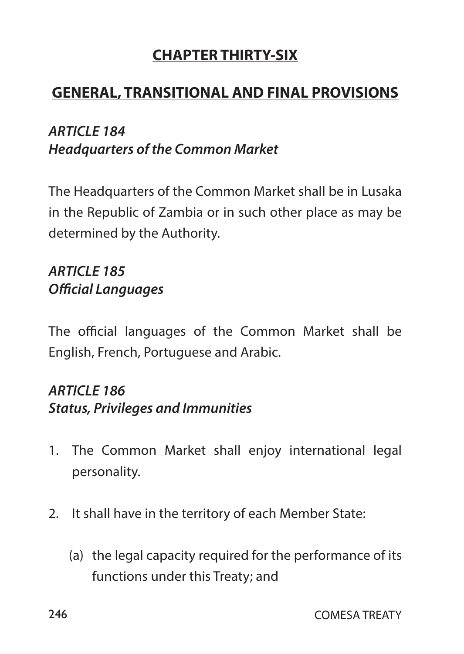# **CHAPTER THIRTY-SIX**

## **GENERAL, TRANSITIONAL AND FINAL PROVISIONS**

### *ARTICLE 184 Headquarters of the Common Market*

The Headquarters of the Common Market shall be in Lusaka in the Republic of Zambia or in such other place as may be determined by the Authority.

#### *ARTICLE 185 Official Languages*

The official languages of the Common Market shall be English, French, Portuguese and Arabic.

### *ARTICLE 186 Status, Privileges and Immunities*

- 1. The Common Market shall enjoy international legal personality.
- 2. It shall have in the territory of each Member State:
	- (a) the legal capacity required for the performance of its functions under this Treaty; and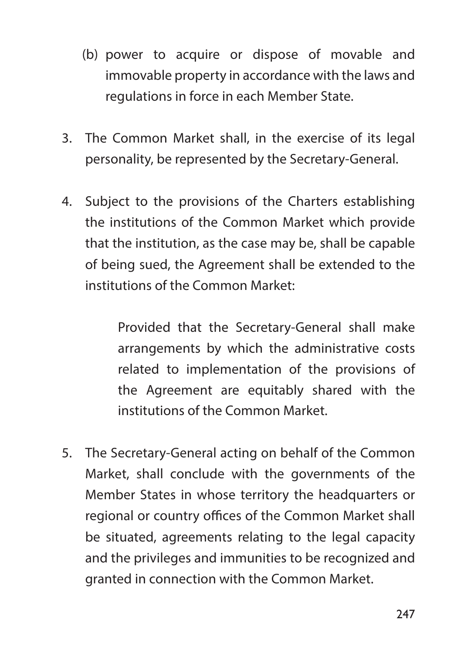- (b) power to acquire or dispose of movable and immovable property in accordance with the laws and regulations in force in each Member State.
- 3. The Common Market shall, in the exercise of its legal personality, be represented by the Secretary-General.
- 4. Subject to the provisions of the Charters establishing the institutions of the Common Market which provide that the institution, as the case may be, shall be capable of being sued, the Agreement shall be extended to the institutions of the Common Market:

Provided that the Secretary-General shall make arrangements by which the administrative costs related to implementation of the provisions of the Agreement are equitably shared with the institutions of the Common Market.

5. The Secretary-General acting on behalf of the Common Market, shall conclude with the governments of the Member States in whose territory the headquarters or regional or country offices of the Common Market shall be situated, agreements relating to the legal capacity and the privileges and immunities to be recognized and granted in connection with the Common Market.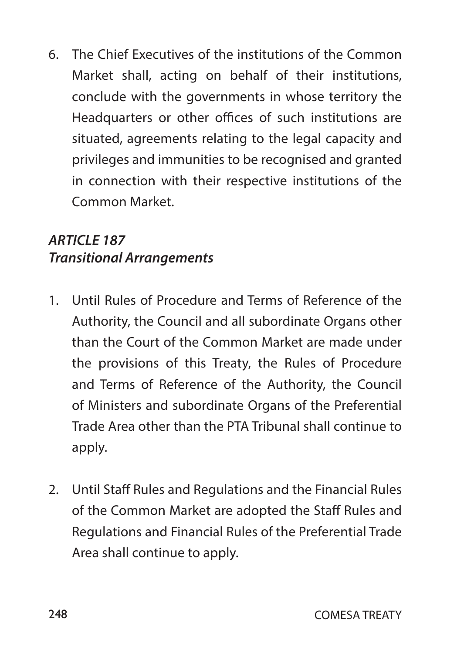6. The Chief Executives of the institutions of the Common Market shall, acting on behalf of their institutions, conclude with the governments in whose territory the Headquarters or other offices of such institutions are situated, agreements relating to the legal capacity and privileges and immunities to be recognised and granted in connection with their respective institutions of the Common Market.

# *ARTICLE 187 Transitional Arrangements*

- 1. Until Rules of Procedure and Terms of Reference of the Authority, the Council and all subordinate Organs other than the Court of the Common Market are made under the provisions of this Treaty, the Rules of Procedure and Terms of Reference of the Authority, the Council of Ministers and subordinate Organs of the Preferential Trade Area other than the PTA Tribunal shall continue to apply.
- 2. Until Staff Rules and Regulations and the Financial Rules of the Common Market are adopted the Staff Rules and Regulations and Financial Rules of the Preferential Trade Area shall continue to apply.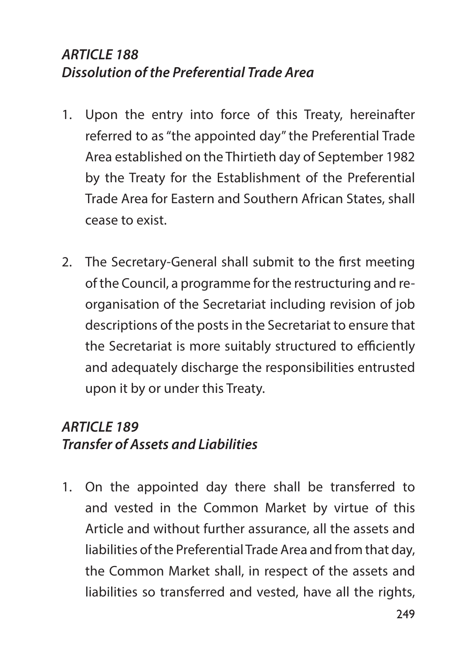# *ARTICLE 188 Dissolution of the Preferential Trade Area*

- 1. Upon the entry into force of this Treaty, hereinafter referred to as "the appointed day" the Preferential Trade Area established on the Thirtieth day of September 1982 by the Treaty for the Establishment of the Preferential Trade Area for Eastern and Southern African States, shall cease to exist.
- 2. The Secretary-General shall submit to the first meeting of the Council, a programme for the restructuring and reorganisation of the Secretariat including revision of job descriptions of the posts in the Secretariat to ensure that the Secretariat is more suitably structured to efficiently and adequately discharge the responsibilities entrusted upon it by or under this Treaty.

# *ARTICLE 189 Transfer of Assets and Liabilities*

1. On the appointed day there shall be transferred to and vested in the Common Market by virtue of this Article and without further assurance, all the assets and liabilities of the Preferential Trade Area and from that day, the Common Market shall, in respect of the assets and liabilities so transferred and vested, have all the rights,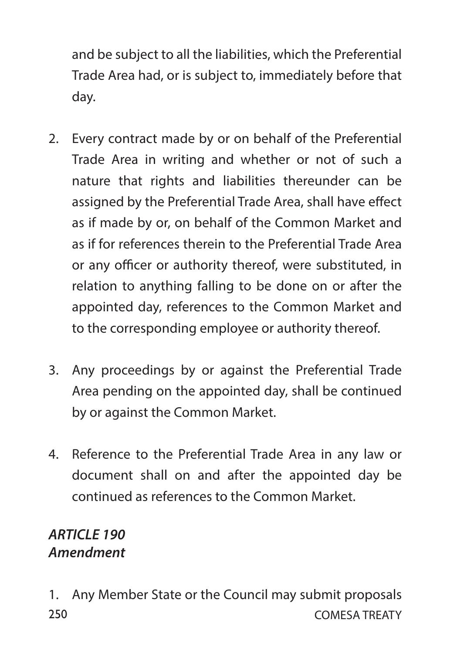and be subject to all the liabilities, which the Preferential Trade Area had, or is subject to, immediately before that day.

- 2. Every contract made by or on behalf of the Preferential Trade Area in writing and whether or not of such a nature that rights and liabilities thereunder can be assigned by the Preferential Trade Area, shall have effect as if made by or, on behalf of the Common Market and as if for references therein to the Preferential Trade Area or any officer or authority thereof, were substituted, in relation to anything falling to be done on or after the appointed day, references to the Common Market and to the corresponding employee or authority thereof.
- 3. Any proceedings by or against the Preferential Trade Area pending on the appointed day, shall be continued by or against the Common Market.
- 4. Reference to the Preferential Trade Area in any law or document shall on and after the appointed day be continued as references to the Common Market.

## *ARTICLE 190 Amendment*

250 COMESA TREATY 1. Any Member State or the Council may submit proposals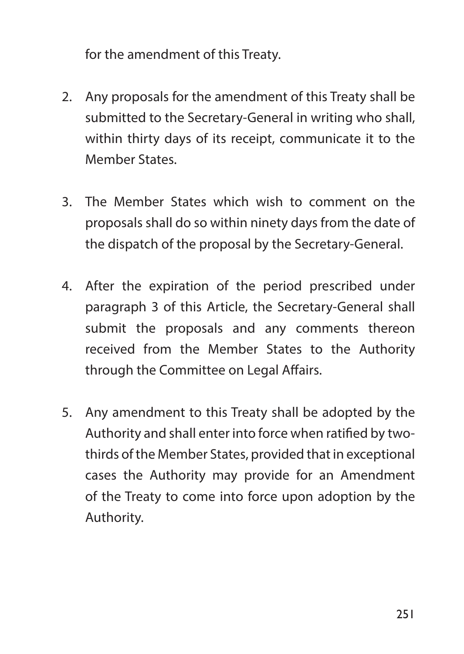for the amendment of this Treaty.

- 2. Any proposals for the amendment of this Treaty shall be submitted to the Secretary-General in writing who shall, within thirty days of its receipt, communicate it to the Member States.
- 3. The Member States which wish to comment on the proposals shall do so within ninety days from the date of the dispatch of the proposal by the Secretary-General.
- 4. After the expiration of the period prescribed under paragraph 3 of this Article, the Secretary-General shall submit the proposals and any comments thereon received from the Member States to the Authority through the Committee on Legal Affairs.
- 5. Any amendment to this Treaty shall be adopted by the Authority and shall enter into force when ratified by twothirds of the Member States, provided that in exceptional cases the Authority may provide for an Amendment of the Treaty to come into force upon adoption by the Authority.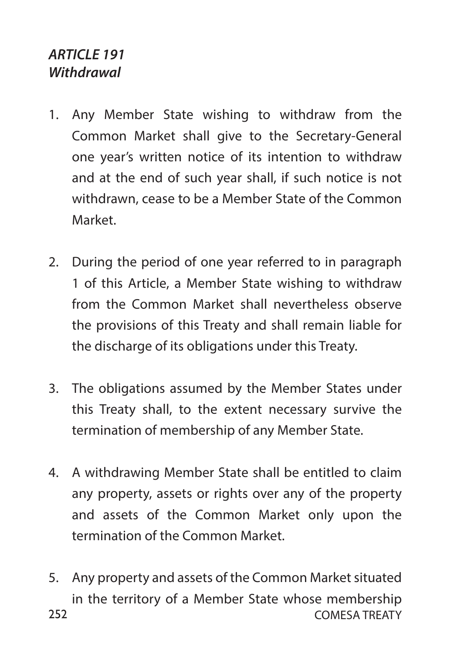### *ARTICLE 191 Withdrawal*

- 1. Any Member State wishing to withdraw from the Common Market shall give to the Secretary-General one year's written notice of its intention to withdraw and at the end of such year shall, if such notice is not withdrawn, cease to be a Member State of the Common Market.
- 2. During the period of one year referred to in paragraph 1 of this Article, a Member State wishing to withdraw from the Common Market shall nevertheless observe the provisions of this Treaty and shall remain liable for the discharge of its obligations under this Treaty.
- 3. The obligations assumed by the Member States under this Treaty shall, to the extent necessary survive the termination of membership of any Member State.
- 4. A withdrawing Member State shall be entitled to claim any property, assets or rights over any of the property and assets of the Common Market only upon the termination of the Common Market.
- 252 COMESA TREATY 5. Any property and assets of the Common Market situated in the territory of a Member State whose membership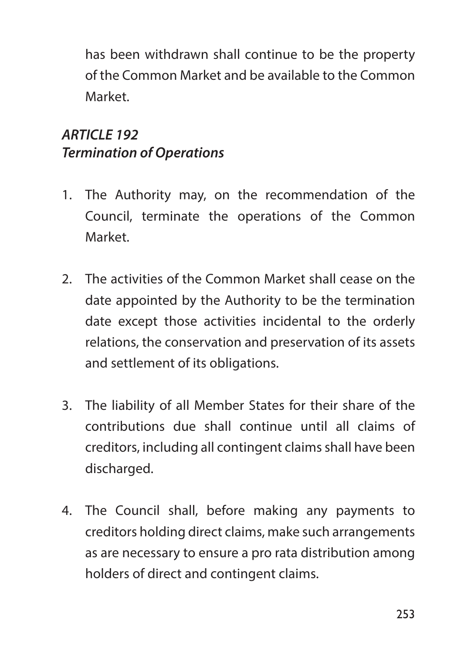has been withdrawn shall continue to be the property of the Common Market and be available to the Common Market.

### *ARTICLE 192 Termination of Operations*

- 1. The Authority may, on the recommendation of the Council, terminate the operations of the Common Market.
- 2. The activities of the Common Market shall cease on the date appointed by the Authority to be the termination date except those activities incidental to the orderly relations, the conservation and preservation of its assets and settlement of its obligations.
- 3. The liability of all Member States for their share of the contributions due shall continue until all claims of creditors, including all contingent claims shall have been discharged.
- 4. The Council shall, before making any payments to creditors holding direct claims, make such arrangements as are necessary to ensure a pro rata distribution among holders of direct and contingent claims.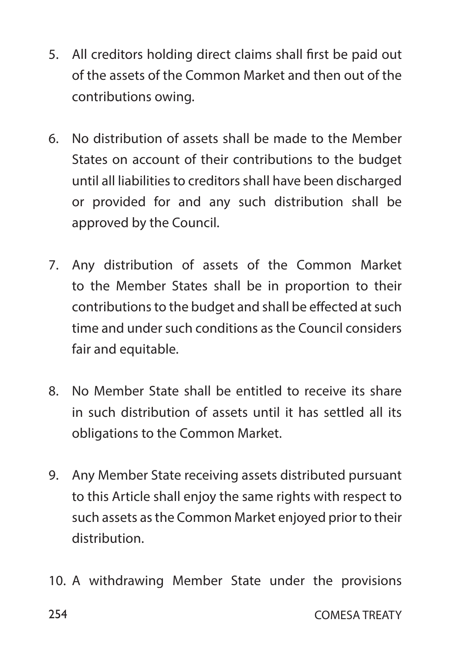- 5. All creditors holding direct claims shall first be paid out of the assets of the Common Market and then out of the contributions owing.
- 6. No distribution of assets shall be made to the Member States on account of their contributions to the budget until all liabilities to creditors shall have been discharged or provided for and any such distribution shall be approved by the Council.
- 7. Any distribution of assets of the Common Market to the Member States shall be in proportion to their contributions to the budget and shall be effected at such time and under such conditions as the Council considers fair and equitable.
- 8. No Member State shall be entitled to receive its share in such distribution of assets until it has settled all its obligations to the Common Market.
- 9. Any Member State receiving assets distributed pursuant to this Article shall enjoy the same rights with respect to such assets as the Common Market enjoyed prior to their distribution.
- 10. A withdrawing Member State under the provisions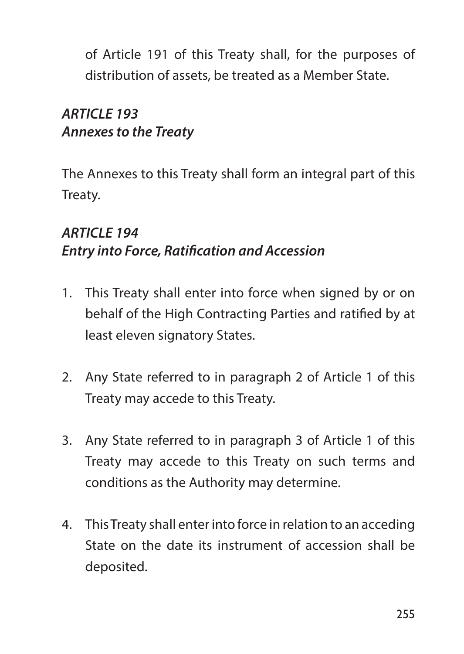of Article 191 of this Treaty shall, for the purposes of distribution of assets, be treated as a Member State.

# *ARTICLE 193 Annexes to the Treaty*

The Annexes to this Treaty shall form an integral part of this Treaty.

# *ARTICLE 194 Entry into Force, Ratification and Accession*

- 1. This Treaty shall enter into force when signed by or on behalf of the High Contracting Parties and ratified by at least eleven signatory States.
- 2. Any State referred to in paragraph 2 of Article 1 of this Treaty may accede to this Treaty.
- 3. Any State referred to in paragraph 3 of Article 1 of this Treaty may accede to this Treaty on such terms and conditions as the Authority may determine.
- 4. This Treaty shall enter into force in relation to an acceding State on the date its instrument of accession shall be deposited.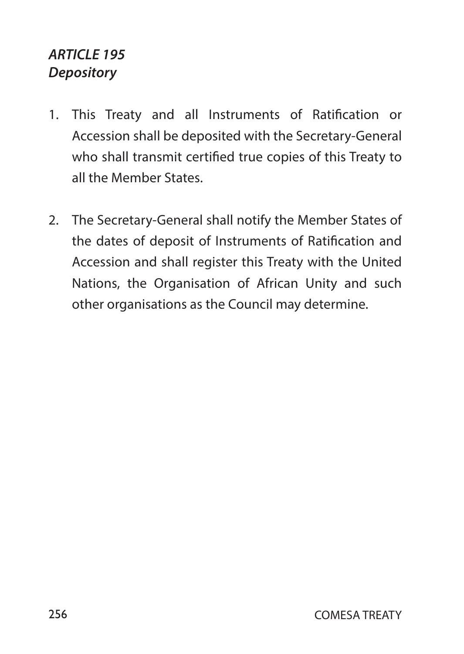## *ARTICLE 195 Depository*

- 1. This Treaty and all Instruments of Ratification or Accession shall be deposited with the Secretary-General who shall transmit certified true copies of this Treaty to all the Member States.
- 2. The Secretary-General shall notify the Member States of the dates of deposit of Instruments of Ratification and Accession and shall register this Treaty with the United Nations, the Organisation of African Unity and such other organisations as the Council may determine.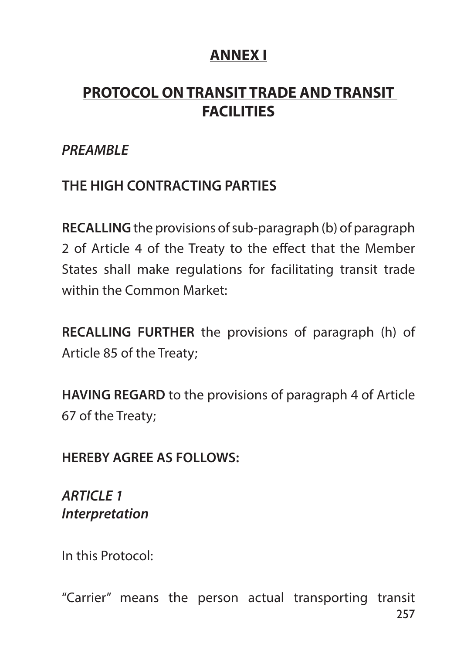## **ANNEX I**

# **PROTOCOL ON TRANSIT TRADE AND TRANSIT FACILITIES**

#### *PREAMBLE*

#### **THE HIGH CONTRACTING PARTIES**

**RECALLING** the provisions of sub-paragraph (b) of paragraph 2 of Article 4 of the Treaty to the effect that the Member States shall make regulations for facilitating transit trade within the Common Market:

**RECALLING FURTHER** the provisions of paragraph (h) of Article 85 of the Treaty;

**HAVING REGARD** to the provisions of paragraph 4 of Article 67 of the Treaty;

**HEREBY AGREE AS FOLLOWS:**

*ARTICLE 1 Interpretation*

In this Protocol:

257 "Carrier" means the person actual transporting transit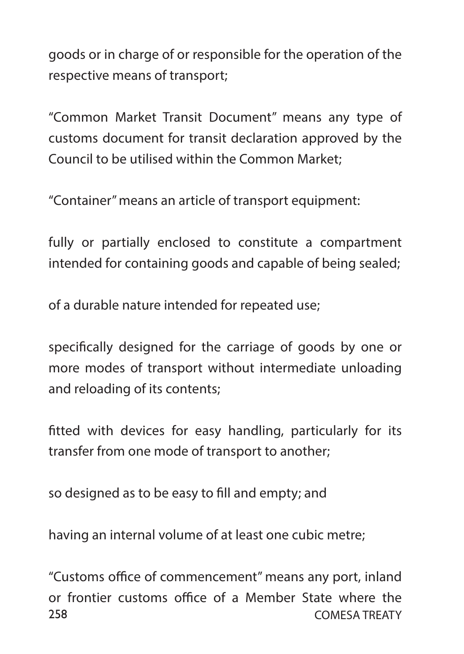goods or in charge of or responsible for the operation of the respective means of transport;

"Common Market Transit Document" means any type of customs document for transit declaration approved by the Council to be utilised within the Common Market;

"Container" means an article of transport equipment:

fully or partially enclosed to constitute a compartment intended for containing goods and capable of being sealed;

of a durable nature intended for repeated use;

specifically designed for the carriage of goods by one or more modes of transport without intermediate unloading and reloading of its contents;

fitted with devices for easy handling, particularly for its transfer from one mode of transport to another;

so designed as to be easy to fill and empty; and

having an internal volume of at least one cubic metre;

258 COMESA TREATY "Customs office of commencement" means any port, inland or frontier customs office of a Member State where the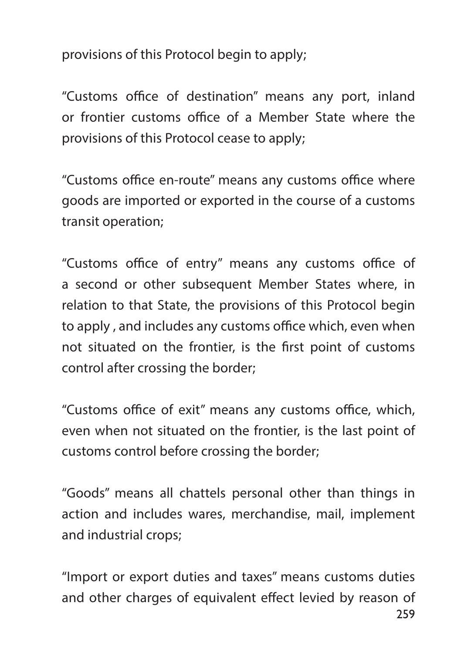provisions of this Protocol begin to apply;

"Customs office of destination" means any port, inland or frontier customs office of a Member State where the provisions of this Protocol cease to apply;

"Customs office en-route" means any customs office where goods are imported or exported in the course of a customs transit operation;

"Customs office of entry" means any customs office of a second or other subsequent Member States where, in relation to that State, the provisions of this Protocol begin to apply , and includes any customs office which, even when not situated on the frontier, is the first point of customs control after crossing the border;

"Customs office of exit" means any customs office, which, even when not situated on the frontier, is the last point of customs control before crossing the border;

"Goods" means all chattels personal other than things in action and includes wares, merchandise, mail, implement and industrial crops;

259 "Import or export duties and taxes" means customs duties and other charges of equivalent effect levied by reason of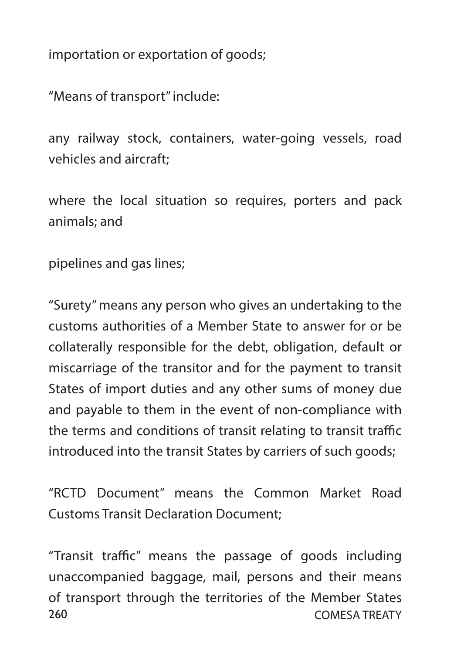importation or exportation of goods;

"Means of transport" include:

any railway stock, containers, water-going vessels, road vehicles and aircraft;

where the local situation so requires, porters and pack animals; and

pipelines and gas lines;

"Surety" means any person who gives an undertaking to the customs authorities of a Member State to answer for or be collaterally responsible for the debt, obligation, default or miscarriage of the transitor and for the payment to transit States of import duties and any other sums of money due and payable to them in the event of non-compliance with the terms and conditions of transit relating to transit traffic introduced into the transit States by carriers of such goods;

"RCTD Document" means the Common Market Road Customs Transit Declaration Document;

260 COMESA TREATY "Transit traffic" means the passage of goods including unaccompanied baggage, mail, persons and their means of transport through the territories of the Member States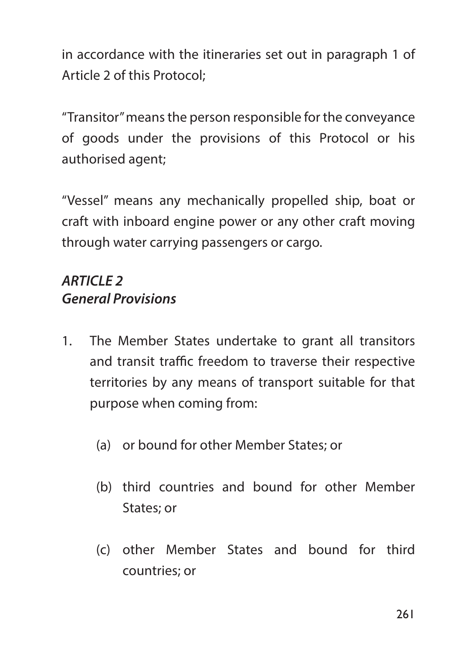in accordance with the itineraries set out in paragraph 1 of Article 2 of this Protocol;

"Transitor" means the person responsible for the conveyance of goods under the provisions of this Protocol or his authorised agent;

"Vessel" means any mechanically propelled ship, boat or craft with inboard engine power or any other craft moving through water carrying passengers or cargo.

# *ARTICLE 2 General Provisions*

- 1. The Member States undertake to grant all transitors and transit traffic freedom to traverse their respective territories by any means of transport suitable for that purpose when coming from:
	- (a) or bound for other Member States; or
	- (b) third countries and bound for other Member States; or
	- (c) other Member States and bound for third countries; or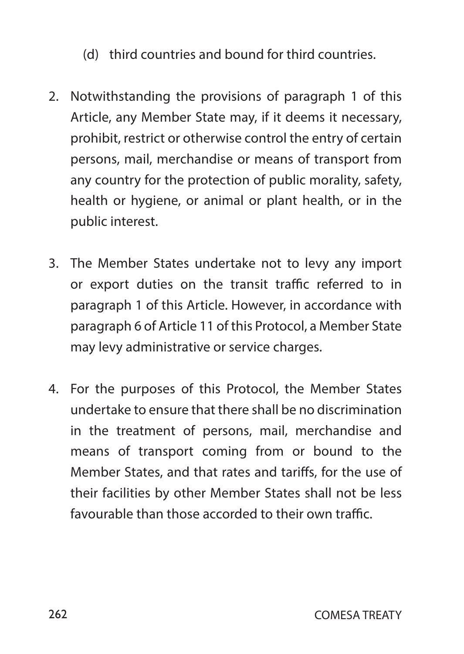- (d) third countries and bound for third countries.
- 2. Notwithstanding the provisions of paragraph 1 of this Article, any Member State may, if it deems it necessary, prohibit, restrict or otherwise control the entry of certain persons, mail, merchandise or means of transport from any country for the protection of public morality, safety, health or hygiene, or animal or plant health, or in the public interest.
- 3. The Member States undertake not to levy any import or export duties on the transit traffic referred to in paragraph 1 of this Article. However, in accordance with paragraph 6 of Article 11 of this Protocol, a Member State may levy administrative or service charges.
- 4. For the purposes of this Protocol, the Member States undertake to ensure that there shall be no discrimination in the treatment of persons, mail, merchandise and means of transport coming from or bound to the Member States, and that rates and tariffs, for the use of their facilities by other Member States shall not be less favourable than those accorded to their own traffic.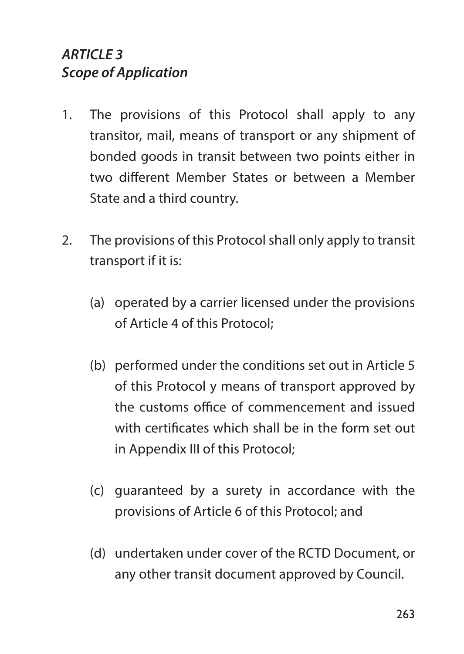# **ARTICLE 3** *Scope of Application*

- 1. The provisions of this Protocol shall apply to any transitor, mail, means of transport or any shipment of bonded goods in transit between two points either in two different Member States or between a Member State and a third country.
- 2. The provisions of this Protocol shall only apply to transit transport if it is:
	- (a) operated by a carrier licensed under the provisions of Article 4 of this Protocol;
	- (b) performed under the conditions set out in Article 5 of this Protocol y means of transport approved by the customs office of commencement and issued with certificates which shall be in the form set out in Appendix III of this Protocol;
	- (c) guaranteed by a surety in accordance with the provisions of Article 6 of this Protocol; and
	- (d) undertaken under cover of the RCTD Document, or any other transit document approved by Council.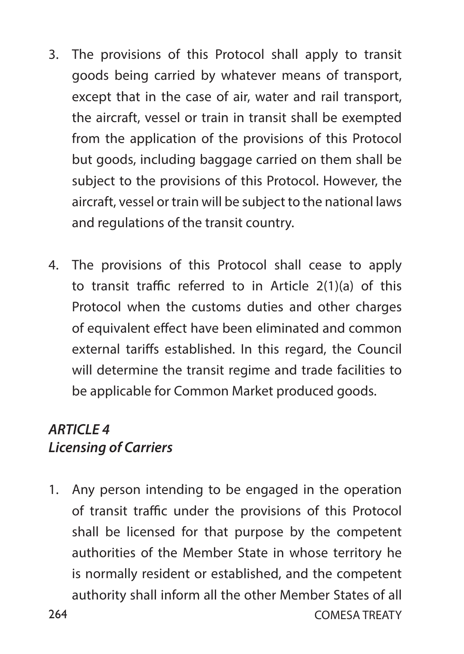- 3. The provisions of this Protocol shall apply to transit goods being carried by whatever means of transport, except that in the case of air, water and rail transport, the aircraft, vessel or train in transit shall be exempted from the application of the provisions of this Protocol but goods, including baggage carried on them shall be subject to the provisions of this Protocol. However, the aircraft, vessel or train will be subject to the national laws and regulations of the transit country.
- 4. The provisions of this Protocol shall cease to apply to transit traffic referred to in Article 2(1)(a) of this Protocol when the customs duties and other charges of equivalent effect have been eliminated and common external tariffs established. In this regard, the Council will determine the transit regime and trade facilities to be applicable for Common Market produced goods.

### *ARTICLE 4 Licensing of Carriers*

264 COMESA TREATY 1. Any person intending to be engaged in the operation of transit traffic under the provisions of this Protocol shall be licensed for that purpose by the competent authorities of the Member State in whose territory he is normally resident or established, and the competent authority shall inform all the other Member States of all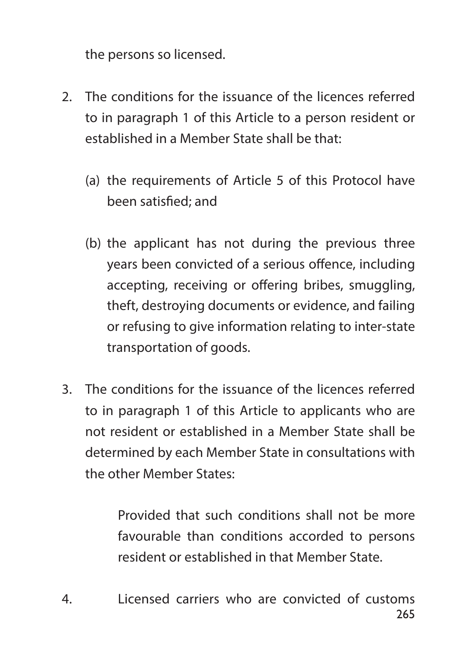the persons so licensed.

- 2. The conditions for the issuance of the licences referred to in paragraph 1 of this Article to a person resident or established in a Member State shall be that:
	- (a) the requirements of Article 5 of this Protocol have been satisfied; and
	- (b) the applicant has not during the previous three years been convicted of a serious offence, including accepting, receiving or offering bribes, smuggling, theft, destroying documents or evidence, and failing or refusing to give information relating to inter-state transportation of goods.
- 3. The conditions for the issuance of the licences referred to in paragraph 1 of this Article to applicants who are not resident or established in a Member State shall be determined by each Member State in consultations with the other Member States:

Provided that such conditions shall not be more favourable than conditions accorded to persons resident or established in that Member State.

265 4. Licensed carriers who are convicted of customs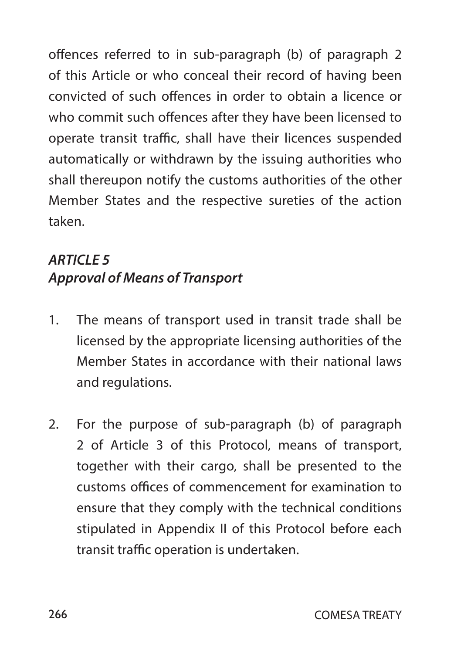offences referred to in sub-paragraph (b) of paragraph 2 of this Article or who conceal their record of having been convicted of such offences in order to obtain a licence or who commit such offences after they have been licensed to operate transit traffic, shall have their licences suspended automatically or withdrawn by the issuing authorities who shall thereupon notify the customs authorities of the other Member States and the respective sureties of the action taken.

# *ARTICLE 5 Approval of Means of Transport*

- 1. The means of transport used in transit trade shall be licensed by the appropriate licensing authorities of the Member States in accordance with their national laws and regulations.
- 2. For the purpose of sub-paragraph (b) of paragraph 2 of Article 3 of this Protocol, means of transport, together with their cargo, shall be presented to the customs offices of commencement for examination to ensure that they comply with the technical conditions stipulated in Appendix II of this Protocol before each transit traffic operation is undertaken.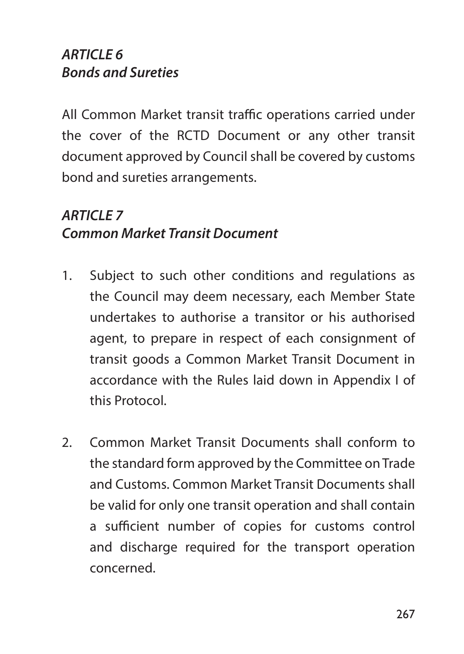### *ARTICLE 6 Bonds and Sureties*

All Common Market transit traffic operations carried under the cover of the RCTD Document or any other transit document approved by Council shall be covered by customs bond and sureties arrangements.

### *ARTICLE 7 Common Market Transit Document*

- 1. Subject to such other conditions and regulations as the Council may deem necessary, each Member State undertakes to authorise a transitor or his authorised agent, to prepare in respect of each consignment of transit goods a Common Market Transit Document in accordance with the Rules laid down in Appendix I of this Protocol.
- 2. Common Market Transit Documents shall conform to the standard form approved by the Committee on Trade and Customs. Common Market Transit Documents shall be valid for only one transit operation and shall contain a sufficient number of copies for customs control and discharge required for the transport operation concerned.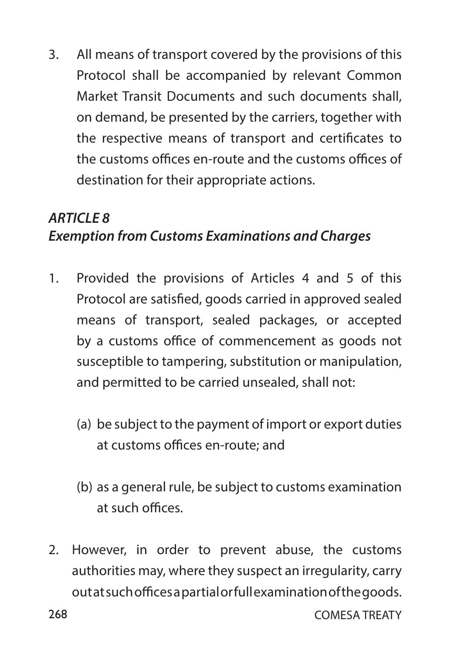3. All means of transport covered by the provisions of this Protocol shall be accompanied by relevant Common Market Transit Documents and such documents shall, on demand, be presented by the carriers, together with the respective means of transport and certificates to the customs offices en-route and the customs offices of destination for their appropriate actions.

### *ARTICLE 8 Exemption from Customs Examinations and Charges*

- 1. Provided the provisions of Articles 4 and 5 of this Protocol are satisfied, goods carried in approved sealed means of transport, sealed packages, or accepted by a customs office of commencement as goods not susceptible to tampering, substitution or manipulation, and permitted to be carried unsealed, shall not:
	- (a) be subject to the payment of import or export duties at customs offices en-route; and
	- (b) as a general rule, be subject to customs examination at such offices.
- 2. However, in order to prevent abuse, the customs authorities may, where they suspect an irregularity, carry out at such offices a partial or full examination of the goods.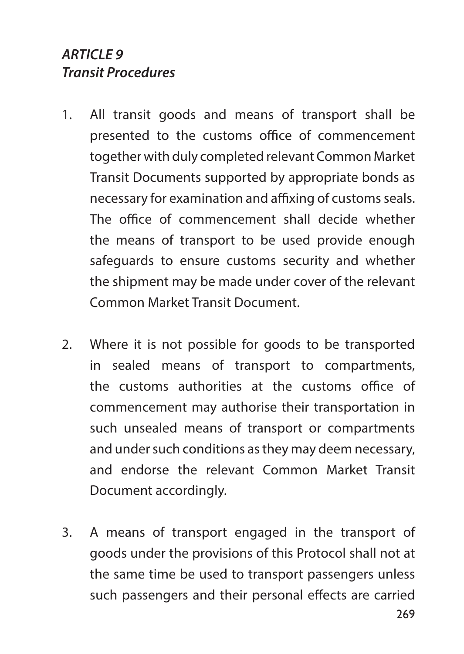#### *ARTICLE 9 Transit Procedures*

- 1. All transit goods and means of transport shall be presented to the customs office of commencement together with duly completed relevant Common Market Transit Documents supported by appropriate bonds as necessary for examination and affixing of customs seals. The office of commencement shall decide whether the means of transport to be used provide enough safeguards to ensure customs security and whether the shipment may be made under cover of the relevant Common Market Transit Document.
- 2. Where it is not possible for goods to be transported in sealed means of transport to compartments, the customs authorities at the customs office of commencement may authorise their transportation in such unsealed means of transport or compartments and under such conditions as they may deem necessary, and endorse the relevant Common Market Transit Document accordingly.
- 3. A means of transport engaged in the transport of goods under the provisions of this Protocol shall not at the same time be used to transport passengers unless such passengers and their personal effects are carried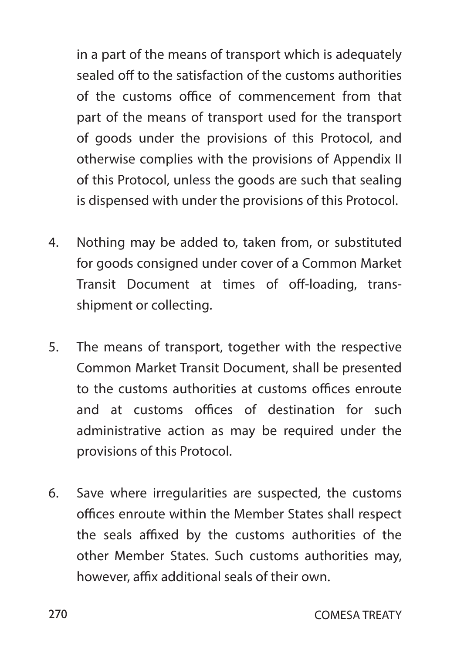in a part of the means of transport which is adequately sealed off to the satisfaction of the customs authorities of the customs office of commencement from that part of the means of transport used for the transport of goods under the provisions of this Protocol, and otherwise complies with the provisions of Appendix II of this Protocol, unless the goods are such that sealing is dispensed with under the provisions of this Protocol.

- 4. Nothing may be added to, taken from, or substituted for goods consigned under cover of a Common Market Transit Document at times of off-loading, transshipment or collecting.
- 5. The means of transport, together with the respective Common Market Transit Document, shall be presented to the customs authorities at customs offices enroute and at customs offices of destination for such administrative action as may be required under the provisions of this Protocol.
- 6. Save where irregularities are suspected, the customs offices enroute within the Member States shall respect the seals affixed by the customs authorities of the other Member States. Such customs authorities may, however, affix additional seals of their own.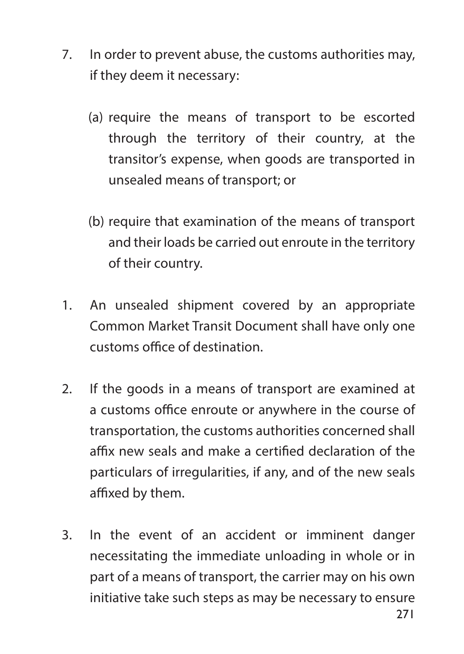- 7. In order to prevent abuse, the customs authorities may, if they deem it necessary:
	- (a) require the means of transport to be escorted through the territory of their country, at the transitor's expense, when goods are transported in unsealed means of transport; or
	- (b) require that examination of the means of transport and their loads be carried out enroute in the territory of their country.
- 1. An unsealed shipment covered by an appropriate Common Market Transit Document shall have only one customs office of destination.
- 2. If the goods in a means of transport are examined at a customs office enroute or anywhere in the course of transportation, the customs authorities concerned shall affix new seals and make a certified declaration of the particulars of irregularities, if any, and of the new seals affixed by them.
- 3. In the event of an accident or imminent danger necessitating the immediate unloading in whole or in part of a means of transport, the carrier may on his own initiative take such steps as may be necessary to ensure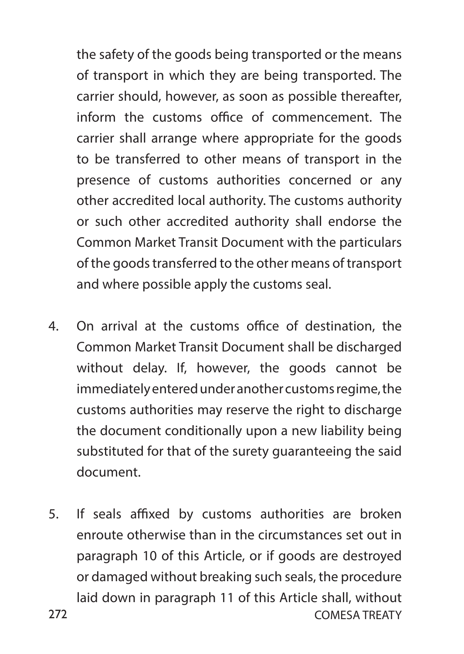the safety of the goods being transported or the means of transport in which they are being transported. The carrier should, however, as soon as possible thereafter, inform the customs office of commencement. The carrier shall arrange where appropriate for the goods to be transferred to other means of transport in the presence of customs authorities concerned or any other accredited local authority. The customs authority or such other accredited authority shall endorse the Common Market Transit Document with the particulars of the goods transferred to the other means of transport and where possible apply the customs seal.

- 4. On arrival at the customs office of destination, the Common Market Transit Document shall be discharged without delay. If, however, the goods cannot be immediately entered under another customs regime, the customs authorities may reserve the right to discharge the document conditionally upon a new liability being substituted for that of the surety guaranteeing the said document.
- 272 COMESA TREATY 5. If seals affixed by customs authorities are broken enroute otherwise than in the circumstances set out in paragraph 10 of this Article, or if goods are destroyed or damaged without breaking such seals, the procedure laid down in paragraph 11 of this Article shall, without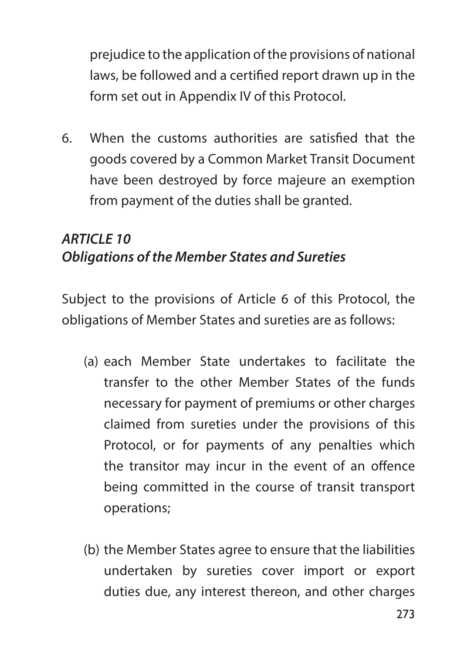prejudice to the application of the provisions of national laws, be followed and a certified report drawn up in the form set out in Appendix IV of this Protocol.

6. When the customs authorities are satisfied that the goods covered by a Common Market Transit Document have been destroyed by force majeure an exemption from payment of the duties shall be granted.

#### *ARTICLE 10 Obligations of the Member States and Sureties*

Subject to the provisions of Article 6 of this Protocol, the obligations of Member States and sureties are as follows:

- (a) each Member State undertakes to facilitate the transfer to the other Member States of the funds necessary for payment of premiums or other charges claimed from sureties under the provisions of this Protocol, or for payments of any penalties which the transitor may incur in the event of an offence being committed in the course of transit transport operations;
- (b) the Member States agree to ensure that the liabilities undertaken by sureties cover import or export duties due, any interest thereon, and other charges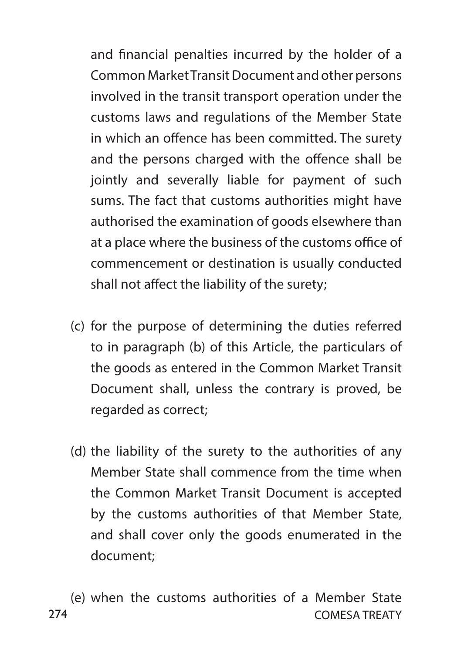and financial penalties incurred by the holder of a Common Market Transit Document and other persons involved in the transit transport operation under the customs laws and regulations of the Member State in which an offence has been committed. The surety and the persons charged with the offence shall be jointly and severally liable for payment of such sums. The fact that customs authorities might have authorised the examination of goods elsewhere than at a place where the business of the customs office of commencement or destination is usually conducted shall not affect the liability of the surety;

- (c) for the purpose of determining the duties referred to in paragraph (b) of this Article, the particulars of the goods as entered in the Common Market Transit Document shall, unless the contrary is proved, be regarded as correct;
- (d) the liability of the surety to the authorities of any Member State shall commence from the time when the Common Market Transit Document is accepted by the customs authorities of that Member State, and shall cover only the goods enumerated in the document;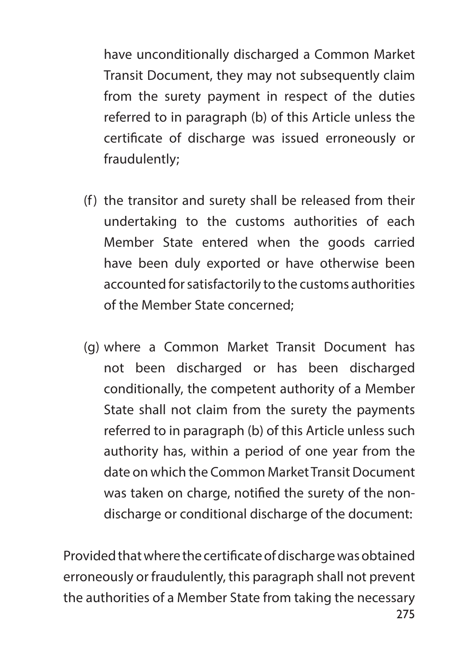have unconditionally discharged a Common Market Transit Document, they may not subsequently claim from the surety payment in respect of the duties referred to in paragraph (b) of this Article unless the certificate of discharge was issued erroneously or fraudulently;

- (f) the transitor and surety shall be released from their undertaking to the customs authorities of each Member State entered when the goods carried have been duly exported or have otherwise been accounted for satisfactorily to the customs authorities of the Member State concerned;
- (g) where a Common Market Transit Document has not been discharged or has been discharged conditionally, the competent authority of a Member State shall not claim from the surety the payments referred to in paragraph (b) of this Article unless such authority has, within a period of one year from the date on which the Common Market Transit Document was taken on charge, notified the surety of the nondischarge or conditional discharge of the document:

275 Provided that where the certificate of discharge was obtained erroneously or fraudulently, this paragraph shall not prevent the authorities of a Member State from taking the necessary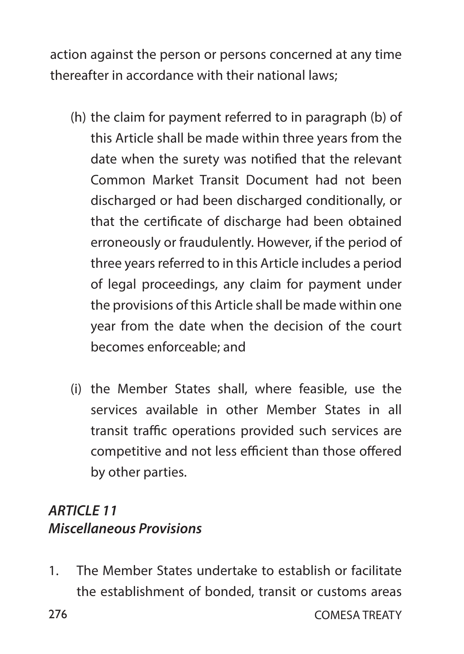action against the person or persons concerned at any time thereafter in accordance with their national laws;

- (h) the claim for payment referred to in paragraph (b) of this Article shall be made within three years from the date when the surety was notified that the relevant Common Market Transit Document had not been discharged or had been discharged conditionally, or that the certificate of discharge had been obtained erroneously or fraudulently. However, if the period of three years referred to in this Article includes a period of legal proceedings, any claim for payment under the provisions of this Article shall be made within one year from the date when the decision of the court becomes enforceable; and
- (i) the Member States shall, where feasible, use the services available in other Member States in all transit traffic operations provided such services are competitive and not less efficient than those offered by other parties.

#### *ARTICLE 11 Miscellaneous Provisions*

1. The Member States undertake to establish or facilitate the establishment of bonded, transit or customs areas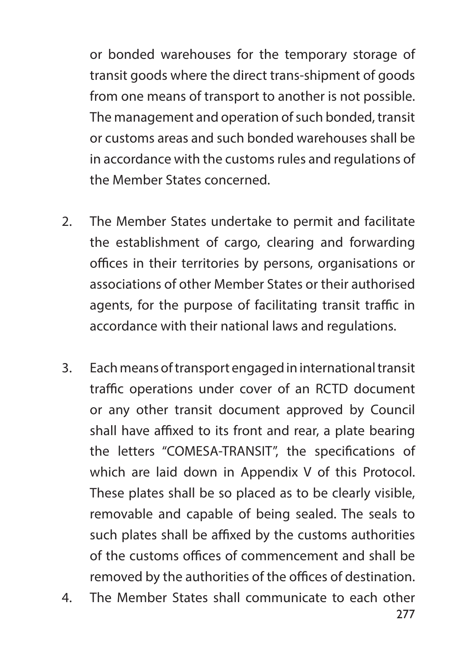or bonded warehouses for the temporary storage of transit goods where the direct trans-shipment of goods from one means of transport to another is not possible. The management and operation of such bonded, transit or customs areas and such bonded warehouses shall be in accordance with the customs rules and regulations of the Member States concerned.

- 2. The Member States undertake to permit and facilitate the establishment of cargo, clearing and forwarding offices in their territories by persons, organisations or associations of other Member States or their authorised agents, for the purpose of facilitating transit traffic in accordance with their national laws and regulations.
- 3. Each means of transport engaged in international transit traffic operations under cover of an RCTD document or any other transit document approved by Council shall have affixed to its front and rear, a plate bearing the letters "COMESA-TRANSIT", the specifications of which are laid down in Appendix V of this Protocol. These plates shall be so placed as to be clearly visible, removable and capable of being sealed. The seals to such plates shall be affixed by the customs authorities of the customs offices of commencement and shall be removed by the authorities of the offices of destination.
- 4. The Member States shall communicate to each other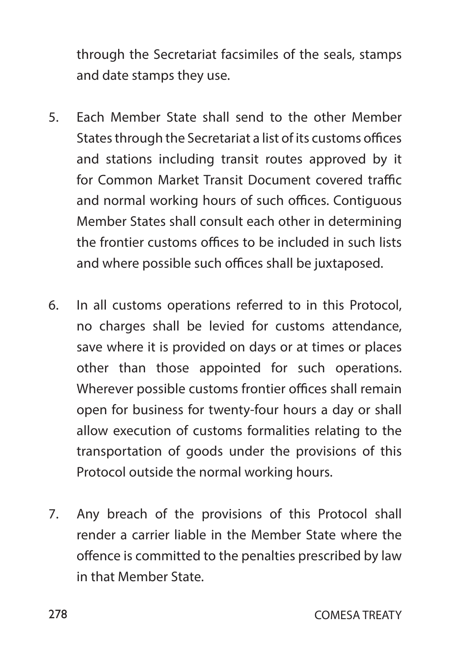through the Secretariat facsimiles of the seals, stamps and date stamps they use.

- 5. Each Member State shall send to the other Member States through the Secretariat a list of its customs offices and stations including transit routes approved by it for Common Market Transit Document covered traffic and normal working hours of such offices. Contiguous Member States shall consult each other in determining the frontier customs offices to be included in such lists and where possible such offices shall be juxtaposed.
- 6. In all customs operations referred to in this Protocol, no charges shall be levied for customs attendance, save where it is provided on days or at times or places other than those appointed for such operations. Wherever possible customs frontier offices shall remain open for business for twenty-four hours a day or shall allow execution of customs formalities relating to the transportation of goods under the provisions of this Protocol outside the normal working hours.
- 7. Any breach of the provisions of this Protocol shall render a carrier liable in the Member State where the offence is committed to the penalties prescribed by law in that Member State.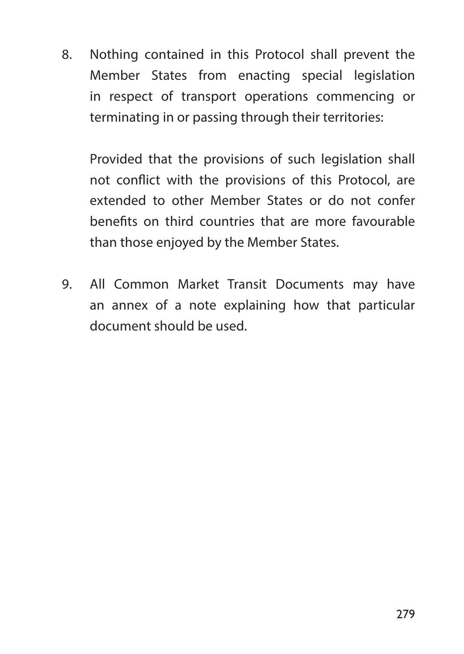8. Nothing contained in this Protocol shall prevent the Member States from enacting special legislation in respect of transport operations commencing or terminating in or passing through their territories:

Provided that the provisions of such legislation shall not conflict with the provisions of this Protocol, are extended to other Member States or do not confer benefits on third countries that are more favourable than those enjoyed by the Member States.

9. All Common Market Transit Documents may have an annex of a note explaining how that particular document should be used.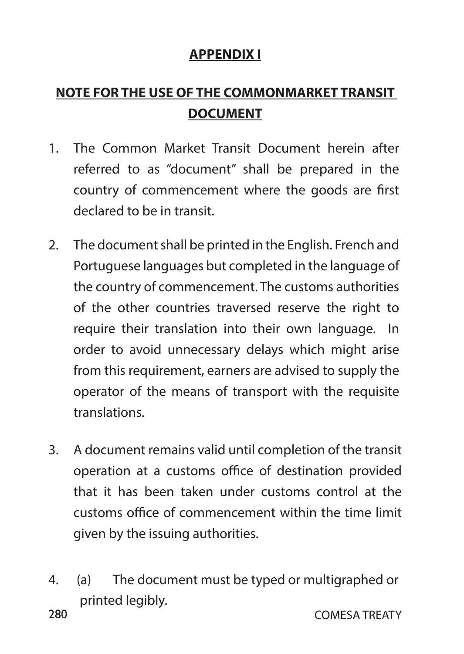#### **APPENDIX I**

## **NOTE FOR THE USE OF THE COMMONMARKET TRANSIT DOCUMENT**

- 1. The Common Market Transit Document herein after referred to as "document" shall be prepared in the country of commencement where the goods are first declared to be in transit.
- 2. The document shall be printed in the English. French and Portuguese languages but completed in the language of the country of commencement. The customs authorities of the other countries traversed reserve the right to require their translation into their own language. In order to avoid unnecessary delays which might arise from this requirement, earners are advised to supply the operator of the means of transport with the requisite translations.
- 3. A document remains valid until completion of the transit operation at a customs office of destination provided that it has been taken under customs control at the customs office of commencement within the time limit given by the issuing authorities.
- 280 COMESA TREATY 4. (a) The document must be typed or multigraphed or printed legibly.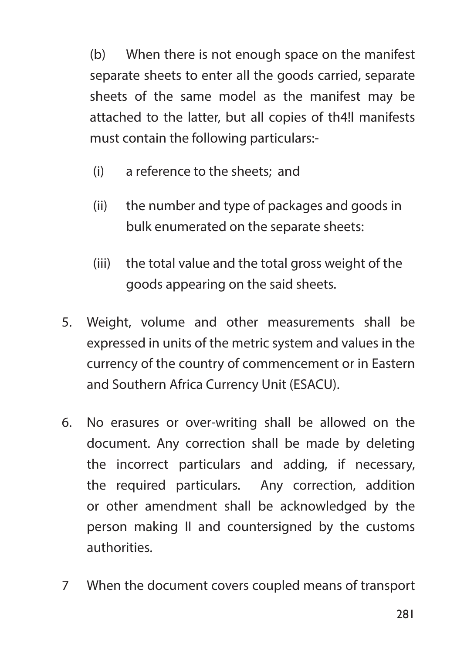(b) When there is not enough space on the manifest separate sheets to enter all the goods carried, separate sheets of the same model as the manifest may be attached to the latter, but all copies of th4!l manifests must contain the following particulars:-

- (i) a reference to the sheets; and
- (ii) the number and type of packages and goods in bulk enumerated on the separate sheets:
- (iii) the total value and the total gross weight of the goods appearing on the said sheets.
- 5. Weight, volume and other measurements shall be expressed in units of the metric system and values in the currency of the country of commencement or in Eastern and Southern Africa Currency Unit (ESACU).
- 6. No erasures or over-writing shall be allowed on the document. Any correction shall be made by deleting the incorrect particulars and adding, if necessary, the required particulars. Any correction, addition or other amendment shall be acknowledged by the person making II and countersigned by the customs authorities.
- 7 When the document covers coupled means of transport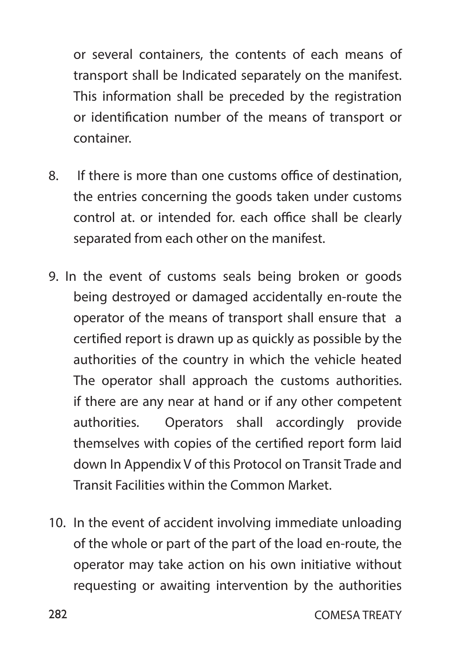or several containers, the contents of each means of transport shall be Indicated separately on the manifest. This information shall be preceded by the registration or identification number of the means of transport or container.

- 8. If there is more than one customs office of destination the entries concerning the goods taken under customs control at. or intended for. each office shall be clearly separated from each other on the manifest.
- 9. In the event of customs seals being broken or goods being destroyed or damaged accidentally en-route the operator of the means of transport shall ensure that a certified report is drawn up as quickly as possible by the authorities of the country in which the vehicle heated The operator shall approach the customs authorities. if there are any near at hand or if any other competent authorities. Operators shall accordingly provide themselves with copies of the certified report form laid down In Appendix V of this Protocol on Transit Trade and Transit Facilities within the Common Market.
- 10. In the event of accident involving immediate unloading of the whole or part of the part of the load en-route, the operator may take action on his own initiative without requesting or awaiting intervention by the authorities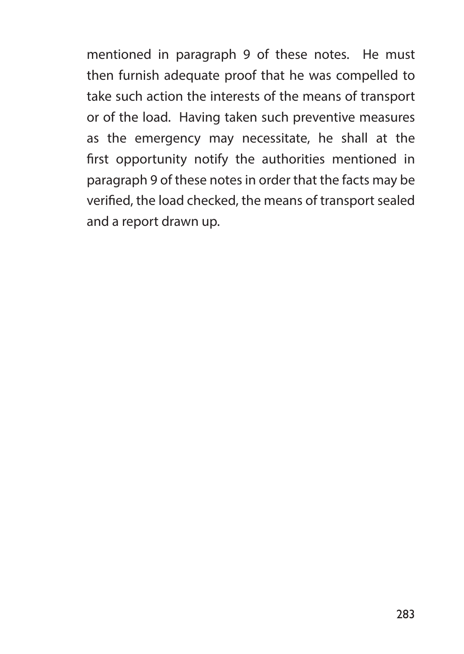mentioned in paragraph 9 of these notes. He must then furnish adequate proof that he was compelled to take such action the interests of the means of transport or of the load. Having taken such preventive measures as the emergency may necessitate, he shall at the first opportunity notify the authorities mentioned in paragraph 9 of these notes in order that the facts may be verified, the load checked, the means of transport sealed and a report drawn up.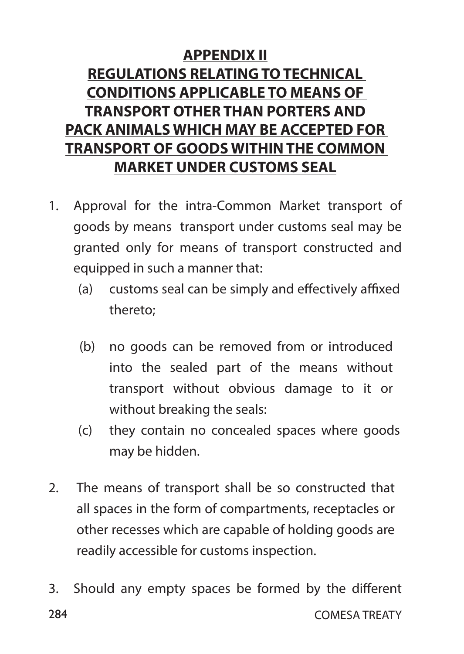## **APPENDIX II REGULATIONS RELATING TO TECHNICAL CONDITIONS APPLICABLE TO MEANS OF TRANSPORT OTHER THAN PORTERS AND PACK ANIMALS WHICH MAY BE ACCEPTED FOR TRANSPORT OF GOODS WITHIN THE COMMON MARKET UNDER CUSTOMS SEAL**

- 1. Approval for the intra-Common Market transport of goods by means transport under customs seal may be granted only for means of transport constructed and equipped in such a manner that:
	- (a) customs seal can be simply and effectively affixed thereto;
	- (b) no goods can be removed from or introduced into the sealed part of the means without transport without obvious damage to it or without breaking the seals:
	- (c) they contain no concealed spaces where goods may be hidden.
- 2. The means of transport shall be so constructed that all spaces in the form of compartments, receptacles or other recesses which are capable of holding goods are readily accessible for customs inspection.
- 284 COMESA TREATY 3. Should any empty spaces be formed by the different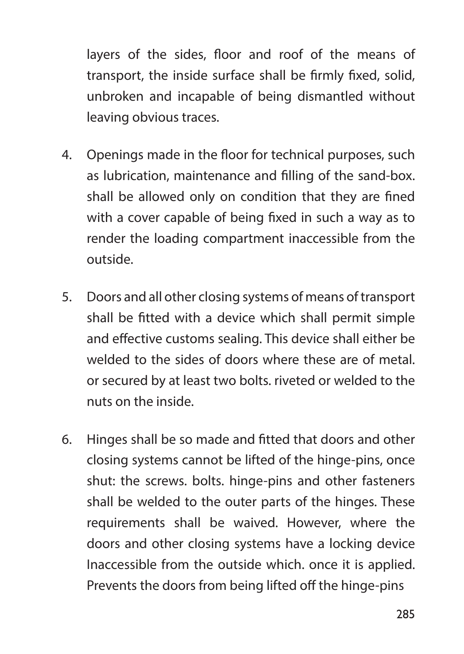layers of the sides, floor and roof of the means of transport, the inside surface shall be firmly fixed, solid, unbroken and incapable of being dismantled without leaving obvious traces.

- 4. Openings made in the floor for technical purposes, such as lubrication, maintenance and filling of the sand-box. shall be allowed only on condition that they are fined with a cover capable of being fixed in such a way as to render the loading compartment inaccessible from the outside.
- 5. Doors and all other closing systems of means of transport shall be fitted with a device which shall permit simple and effective customs sealing. This device shall either be welded to the sides of doors where these are of metal. or secured by at least two bolts. riveted or welded to the nuts on the inside.
- 6. Hinges shall be so made and fitted that doors and other closing systems cannot be lifted of the hinge-pins, once shut: the screws. bolts. hinge-pins and other fasteners shall be welded to the outer parts of the hinges. These requirements shall be waived. However, where the doors and other closing systems have a locking device Inaccessible from the outside which. once it is applied. Prevents the doors from being lifted off the hinge-pins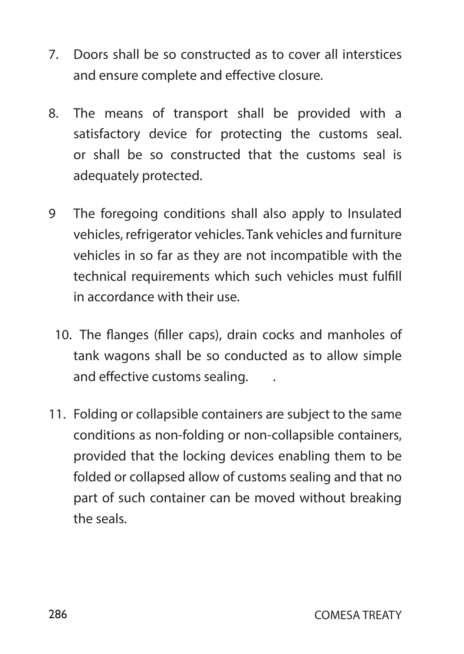- 7. Doors shall be so constructed as to cover all interstices and ensure complete and effective closure.
- 8. The means of transport shall be provided with a satisfactory device for protecting the customs seal. or shall be so constructed that the customs seal is adequately protected.
- 9 The foregoing conditions shall also apply to Insulated vehicles, refrigerator vehicles. Tank vehicles and furniture vehicles in so far as they are not incompatible with the technical requirements which such vehicles must fulfill in accordance with their use.
	- 10. The flanges (filler caps), drain cocks and manholes of tank wagons shall be so conducted as to allow simple and effective customs sealing. .
- 11. Folding or collapsible containers are subject to the same conditions as non-folding or non-collapsible containers, provided that the locking devices enabling them to be folded or collapsed allow of customs sealing and that no part of such container can be moved without breaking the seals.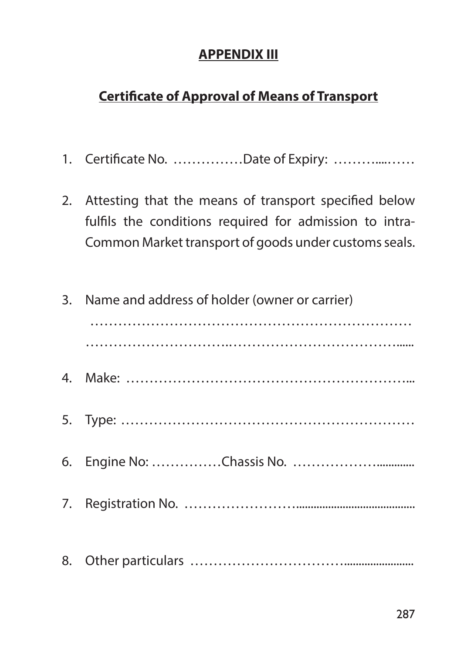#### **APPENDIX III**

#### **Certificate of Approval of Means of Transport**

- 1. Certificate No. ……………Date of Expiry: ………....……
- 2. Attesting that the means of transport specified below fulfils the conditions required for admission to intra-Common Market transport of goods under customs seals.
- 3. Name and address of holder (owner or carrier) ………………………….………………………………...... 4. Make: ……………………………………………………... 5. Type: ……………………………………………………… 6. Engine No: ……………Chassis No. ………………............. 7. Registration No. ……………………......................................... 8. Other particulars ……………………………........................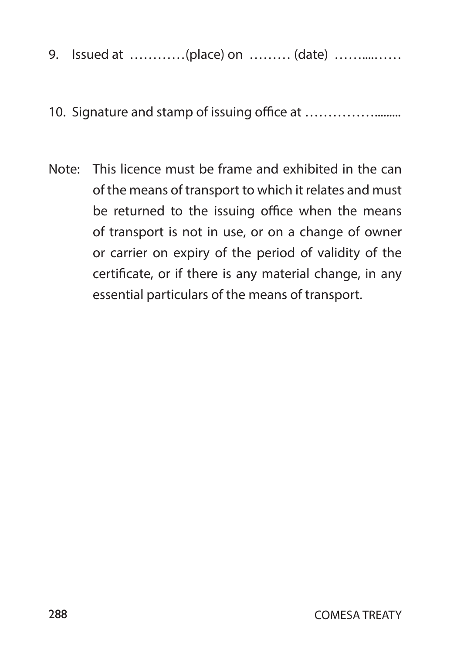- 9. Issued at …………(place) on ……… (date) ……....……
- 10. Signature and stamp of issuing office at …………….........
- Note: This licence must be frame and exhibited in the can of the means of transport to which it relates and must be returned to the issuing office when the means of transport is not in use, or on a change of owner or carrier on expiry of the period of validity of the certificate, or if there is any material change, in any essential particulars of the means of transport.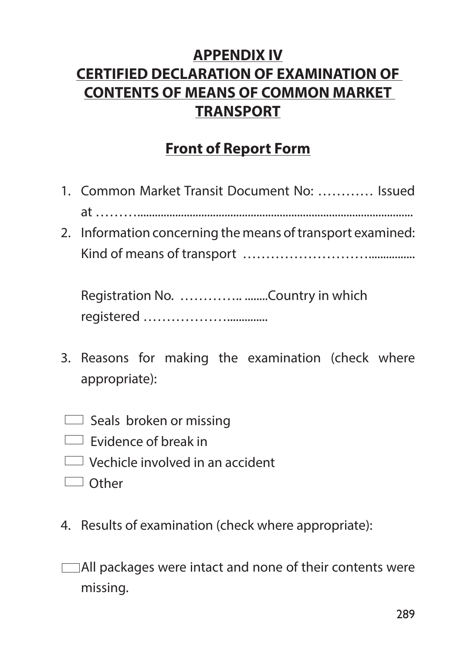## **APPENDIX IV CERTIFIED DECLARATION OF EXAMINATION OF CONTENTS OF MEANS OF COMMON MARKET TRANSPORT**

## **Front of Report Form**

- 1. Common Market Transit Document No: ………… Issued at ………...............................................................................................
- 2. Information concerning the means of transport examined: Kind of means of transport ………………………................

Registration No. ..............................Country in which registered ………………..............

- 3. Reasons for making the examination (check where appropriate):
- $\Box$  Seals broken or missing
- Evidence of break in
- $\Box$  Vechicle involved in an accident
- $\Box$  Other
- 4. Results of examination (check where appropriate):

All packages were intact and none of their contents were missing.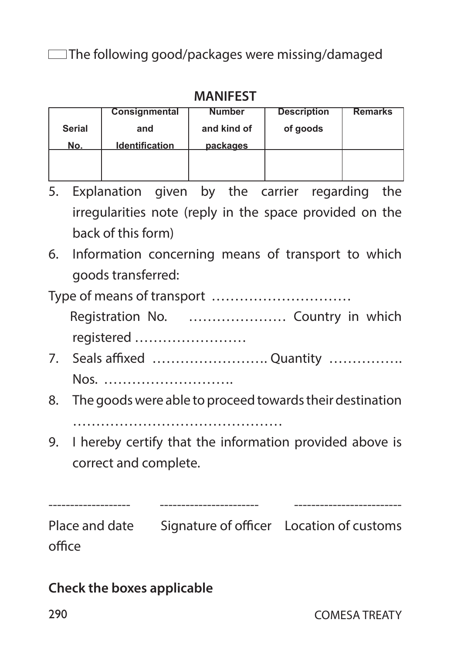#### The following good/packages were missing/damaged

#### **MANIFEST**

|        | Consignmental         | <b>Number</b> | <b>Description</b> | <b>Remarks</b> |
|--------|-----------------------|---------------|--------------------|----------------|
| Serial | and                   | and kind of   | of goods           |                |
| No.    | <b>Identification</b> | packages      |                    |                |
|        |                       |               |                    |                |
|        |                       |               |                    |                |

- 5. Explanation given by the carrier regarding the irregularities note (reply in the space provided on the back of this form)
- 6. Information concerning means of transport to which goods transferred:

Type of means of transport …………………………

 Registration No. ………………… Country in which registered ……………………

- 7. Seals affixed ……………………. Quantity ……………. Nos. ……………………….
- 8. The goods were able to proceed towards their destination

………………………………………

9. I hereby certify that the information provided above is correct and complete.

------------------- ----------------------- ------------------------- Place and date Signature of officer Location of customs office

#### **Check the boxes applicable**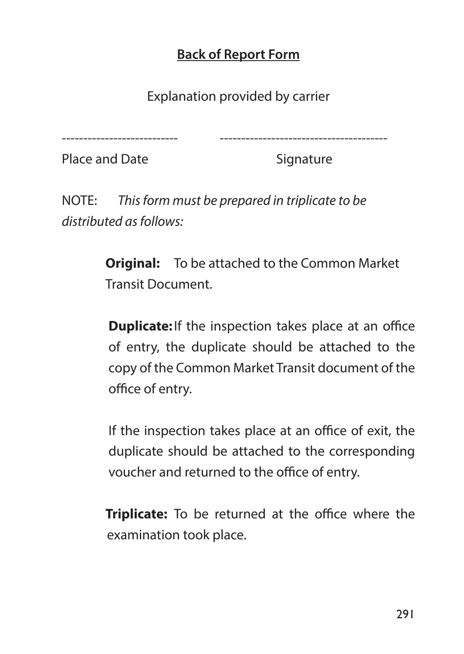#### **Back of Report Form**

Explanation provided by carrier

Place and Date Signature

NOTE: *This form must be prepared in triplicate to be distributed as follows:*

--------------------------- ---------------------------------------

**Original:** To be attached to the Common Market Transit Document.

**Duplicate:**If the inspection takes place at an office of entry, the duplicate should be attached to the copy of the Common Market Transit document of the office of entry.

If the inspection takes place at an office of exit, the duplicate should be attached to the corresponding voucher and returned to the office of entry.

**Triplicate:** To be returned at the office where the examination took place.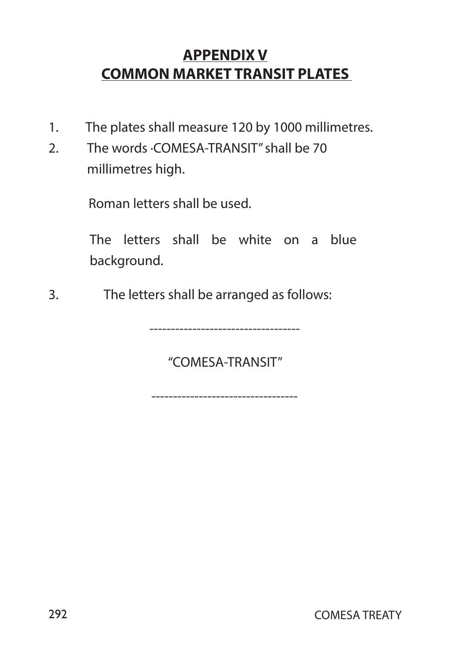## **APPENDIX V COMMON MARKET TRANSIT PLATES**

- 1. The plates shall measure 120 by 1000 millimetres.
- 2. The words ·COMESA-TRANSIT" shall be 70 millimetres high.

Roman letters shall be used.

The letters shall be white on a blue background.

3. The letters shall be arranged as follows:

-----------------------------------

"COMESA-TRANSIT"

----------------------------------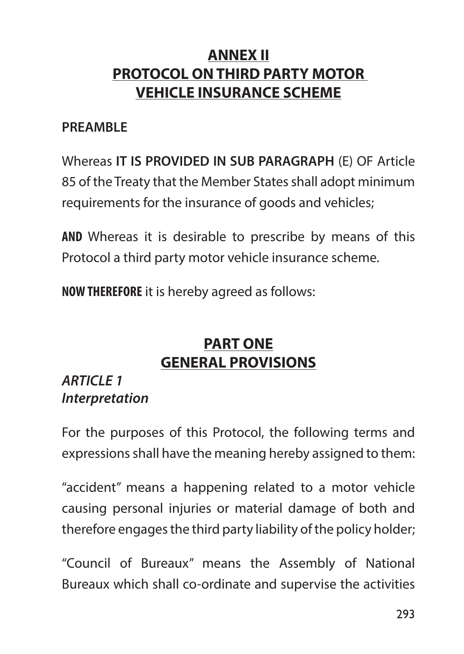## **ANNEX II PROTOCOL ON THIRD PARTY MOTOR VEHICLE INSURANCE SCHEME**

#### **PREAMBLE**

Whereas **IT IS PROVIDED IN SUB PARAGRAPH** (E) OF Article 85 of the Treaty that the Member States shall adopt minimum requirements for the insurance of goods and vehicles;

**AND** Whereas it is desirable to prescribe by means of this Protocol a third party motor vehicle insurance scheme.

**NOW THEREFORE** it is hereby agreed as follows:

## **PART ONE GENERAL PROVISIONS**

### **ARTICLE 1** *Interpretation*

For the purposes of this Protocol, the following terms and expressions shall have the meaning hereby assigned to them:

"accident" means a happening related to a motor vehicle causing personal injuries or material damage of both and therefore engages the third party liability of the policy holder;

"Council of Bureaux" means the Assembly of National Bureaux which shall co-ordinate and supervise the activities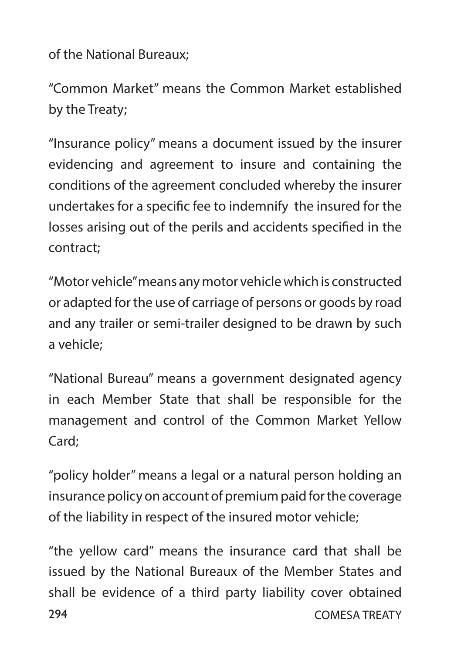of the National Bureaux;

"Common Market" means the Common Market established by the Treaty;

"Insurance policy" means a document issued by the insurer evidencing and agreement to insure and containing the conditions of the agreement concluded whereby the insurer undertakes for a specific fee to indemnify the insured for the losses arising out of the perils and accidents specified in the contract;

"Motor vehicle" means any motor vehicle which is constructed or adapted for the use of carriage of persons or goods by road and any trailer or semi-trailer designed to be drawn by such a vehicle;

"National Bureau" means a government designated agency in each Member State that shall be responsible for the management and control of the Common Market Yellow Card;

"policy holder" means a legal or a natural person holding an insurance policy on account of premium paid for the coverage of the liability in respect of the insured motor vehicle;

294 COMESA TREATY "the yellow card" means the insurance card that shall be issued by the National Bureaux of the Member States and shall be evidence of a third party liability cover obtained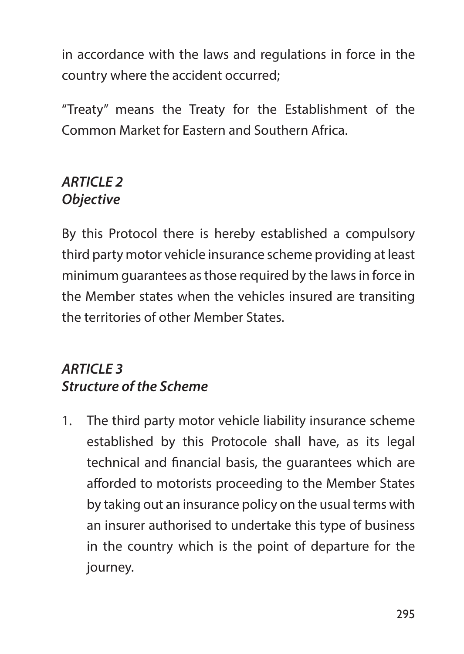in accordance with the laws and regulations in force in the country where the accident occurred;

"Treaty" means the Treaty for the Establishment of the Common Market for Eastern and Southern Africa.

#### *ARTICLE 2 Objective*

By this Protocol there is hereby established a compulsory third party motor vehicle insurance scheme providing at least minimum guarantees as those required by the laws in force in the Member states when the vehicles insured are transiting the territories of other Member States.

## *ARTICLE 3 Structure of the Scheme*

1. The third party motor vehicle liability insurance scheme established by this Protocole shall have, as its legal technical and financial basis, the guarantees which are afforded to motorists proceeding to the Member States by taking out an insurance policy on the usual terms with an insurer authorised to undertake this type of business in the country which is the point of departure for the journey.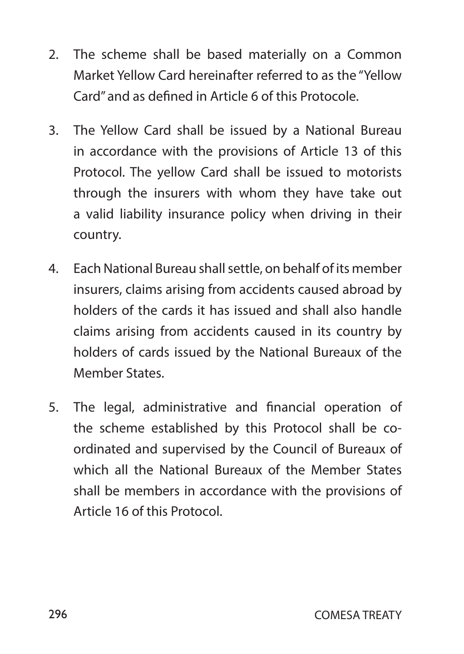- 2. The scheme shall be based materially on a Common Market Yellow Card hereinafter referred to as the "Yellow Card" and as defined in Article 6 of this Protocole.
- 3. The Yellow Card shall be issued by a National Bureau in accordance with the provisions of Article 13 of this Protocol. The yellow Card shall be issued to motorists through the insurers with whom they have take out a valid liability insurance policy when driving in their country.
- 4. Each National Bureau shall settle, on behalf of its member insurers, claims arising from accidents caused abroad by holders of the cards it has issued and shall also handle claims arising from accidents caused in its country by holders of cards issued by the National Bureaux of the Member States.
- 5. The legal, administrative and financial operation of the scheme established by this Protocol shall be coordinated and supervised by the Council of Bureaux of which all the National Bureaux of the Member States shall be members in accordance with the provisions of Article 16 of this Protocol.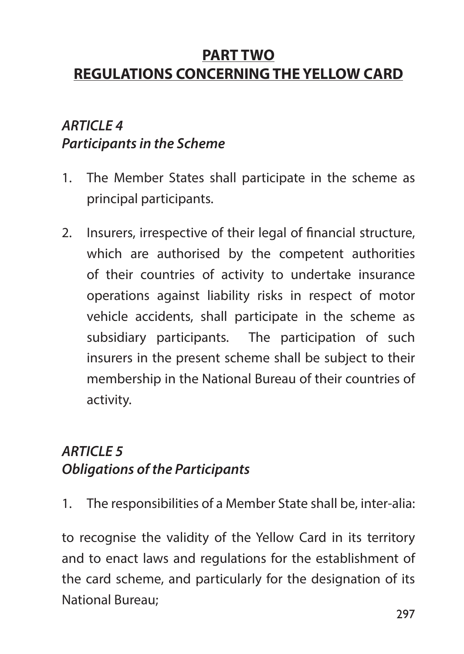## **PART TWO REGULATIONS CONCERNING THE YELLOW CARD**

#### **ARTICI F4** *Participants in the Scheme*

- 1. The Member States shall participate in the scheme as principal participants.
- 2. Insurers, irrespective of their legal of financial structure, which are authorised by the competent authorities of their countries of activity to undertake insurance operations against liability risks in respect of motor vehicle accidents, shall participate in the scheme as subsidiary participants. The participation of such insurers in the present scheme shall be subject to their membership in the National Bureau of their countries of activity.

#### *ARTICLE 5 Obligations of the Participants*

1. The responsibilities of a Member State shall be, inter-alia:

to recognise the validity of the Yellow Card in its territory and to enact laws and regulations for the establishment of the card scheme, and particularly for the designation of its National Bureau;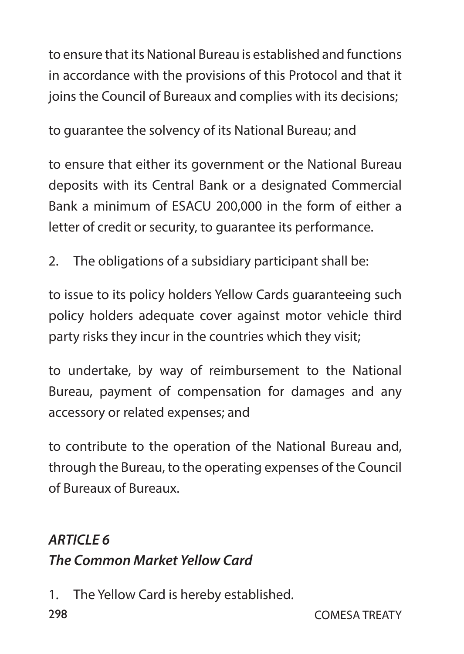to ensure that its National Bureau is established and functions in accordance with the provisions of this Protocol and that it joins the Council of Bureaux and complies with its decisions;

to guarantee the solvency of its National Bureau; and

to ensure that either its government or the National Bureau deposits with its Central Bank or a designated Commercial Bank a minimum of ESACU 200,000 in the form of either a letter of credit or security, to guarantee its performance.

2. The obligations of a subsidiary participant shall be:

to issue to its policy holders Yellow Cards guaranteeing such policy holders adequate cover against motor vehicle third party risks they incur in the countries which they visit;

to undertake, by way of reimbursement to the National Bureau, payment of compensation for damages and any accessory or related expenses; and

to contribute to the operation of the National Bureau and, through the Bureau, to the operating expenses of the Council of Bureaux of Bureaux.

# *ARTICLE 6 The Common Market Yellow Card*

1. The Yellow Card is hereby established.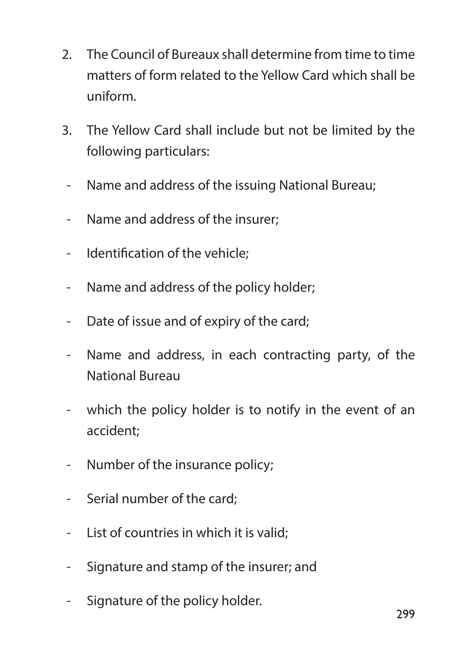- 2. The Council of Bureaux shall determine from time to time matters of form related to the Yellow Card which shall be uniform.
- 3. The Yellow Card shall include but not be limited by the following particulars:
- Name and address of the issuing National Bureau;
- Name and address of the insurer;
- Identification of the vehicle;
- Name and address of the policy holder;
- Date of issue and of expiry of the card;
- Name and address, in each contracting party, of the National Bureau
- which the policy holder is to notify in the event of an accident;
- Number of the insurance policy;
- Serial number of the card;
- List of countries in which it is valid;
- Signature and stamp of the insurer; and
- Signature of the policy holder.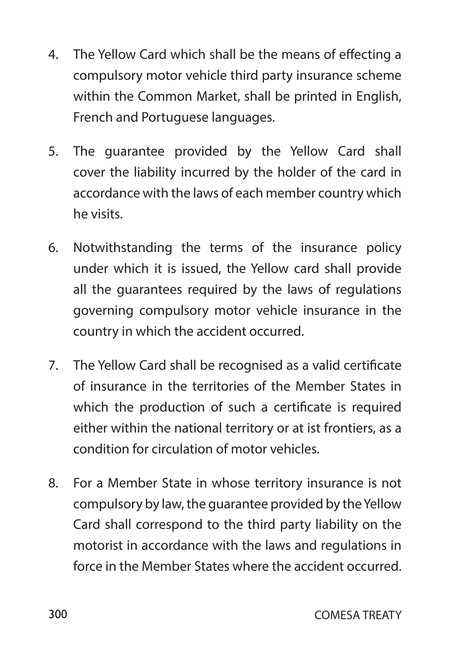- 4. The Yellow Card which shall be the means of effecting a compulsory motor vehicle third party insurance scheme within the Common Market, shall be printed in English, French and Portuguese languages.
- 5. The guarantee provided by the Yellow Card shall cover the liability incurred by the holder of the card in accordance with the laws of each member country which he visits.
- 6. Notwithstanding the terms of the insurance policy under which it is issued, the Yellow card shall provide all the guarantees required by the laws of regulations governing compulsory motor vehicle insurance in the country in which the accident occurred.
- 7. The Yellow Card shall be recognised as a valid certificate of insurance in the territories of the Member States in which the production of such a certificate is required either within the national territory or at ist frontiers, as a condition for circulation of motor vehicles.
- 8. For a Member State in whose territory insurance is not compulsory by law, the guarantee provided by the Yellow Card shall correspond to the third party liability on the motorist in accordance with the laws and regulations in force in the Member States where the accident occurred.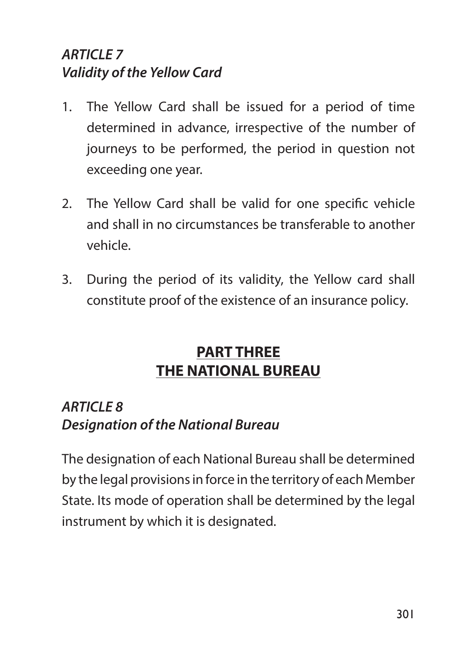## **ARTICLE 7** *Validity of the Yellow Card*

- 1. The Yellow Card shall be issued for a period of time determined in advance, irrespective of the number of journeys to be performed, the period in question not exceeding one year.
- 2. The Yellow Card shall be valid for one specific vehicle and shall in no circumstances be transferable to another vehicle.
- 3. During the period of its validity, the Yellow card shall constitute proof of the existence of an insurance policy.

### **PART THREE THE NATIONAL BUREAU**

#### *ARTICLE 8 Designation of the National Bureau*

The designation of each National Bureau shall be determined by the legal provisions in force in the territory of each Member State. Its mode of operation shall be determined by the legal instrument by which it is designated.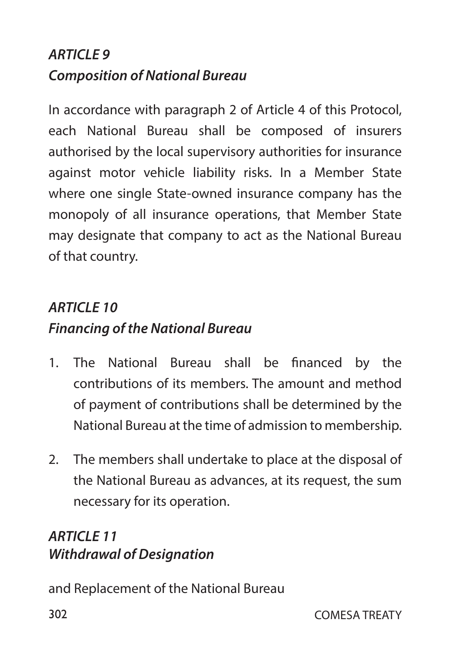# **ARTICLE 9** *Composition of National Bureau*

In accordance with paragraph 2 of Article 4 of this Protocol, each National Bureau shall be composed of insurers authorised by the local supervisory authorities for insurance against motor vehicle liability risks. In a Member State where one single State-owned insurance company has the monopoly of all insurance operations, that Member State may designate that company to act as the National Bureau of that country.

# *ARTICLE 10 Financing of the National Bureau*

- 1. The National Bureau shall be financed by the contributions of its members. The amount and method of payment of contributions shall be determined by the National Bureau at the time of admission to membership.
- 2. The members shall undertake to place at the disposal of the National Bureau as advances, at its request, the sum necessary for its operation.

## *ARTICLE 11 Withdrawal of Designation*

and Replacement of the National Bureau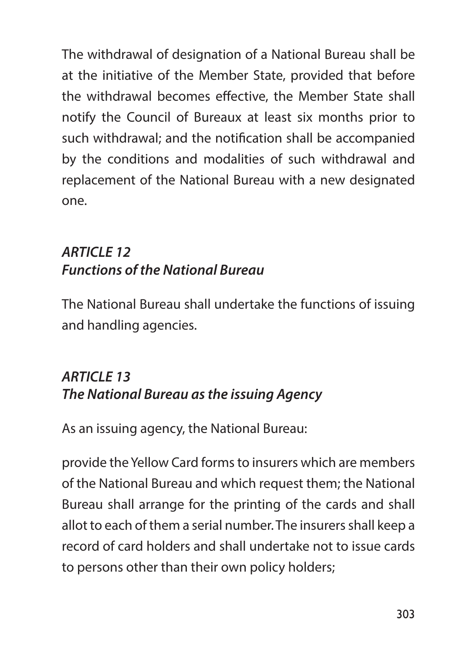The withdrawal of designation of a National Bureau shall be at the initiative of the Member State, provided that before the withdrawal becomes effective, the Member State shall notify the Council of Bureaux at least six months prior to such withdrawal; and the notification shall be accompanied by the conditions and modalities of such withdrawal and replacement of the National Bureau with a new designated one.

### *ARTICLE 12 Functions of the National Bureau*

The National Bureau shall undertake the functions of issuing and handling agencies.

## *ARTICLE 13 The National Bureau as the issuing Agency*

As an issuing agency, the National Bureau:

provide the Yellow Card forms to insurers which are members of the National Bureau and which request them; the National Bureau shall arrange for the printing of the cards and shall allot to each of them a serial number. The insurers shall keep a record of card holders and shall undertake not to issue cards to persons other than their own policy holders;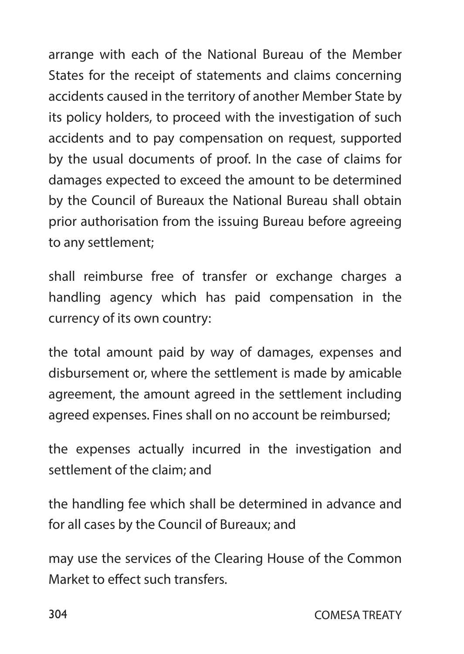arrange with each of the National Bureau of the Member States for the receipt of statements and claims concerning accidents caused in the territory of another Member State by its policy holders, to proceed with the investigation of such accidents and to pay compensation on request, supported by the usual documents of proof. In the case of claims for damages expected to exceed the amount to be determined by the Council of Bureaux the National Bureau shall obtain prior authorisation from the issuing Bureau before agreeing to any settlement;

shall reimburse free of transfer or exchange charges a handling agency which has paid compensation in the currency of its own country:

the total amount paid by way of damages, expenses and disbursement or, where the settlement is made by amicable agreement, the amount agreed in the settlement including agreed expenses. Fines shall on no account be reimbursed;

the expenses actually incurred in the investigation and settlement of the claim; and

the handling fee which shall be determined in advance and for all cases by the Council of Bureaux; and

may use the services of the Clearing House of the Common Market to effect such transfers.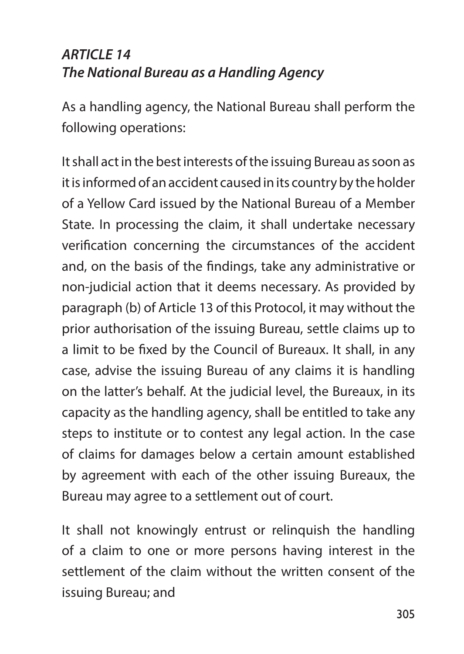### *ARTICLE 14 The National Bureau as a Handling Agency*

As a handling agency, the National Bureau shall perform the following operations:

It shall act in the best interests of the issuing Bureau as soon as it is informed of an accident caused in its country by the holder of a Yellow Card issued by the National Bureau of a Member State. In processing the claim, it shall undertake necessary verification concerning the circumstances of the accident and, on the basis of the findings, take any administrative or non-judicial action that it deems necessary. As provided by paragraph (b) of Article 13 of this Protocol, it may without the prior authorisation of the issuing Bureau, settle claims up to a limit to be fixed by the Council of Bureaux. It shall, in any case, advise the issuing Bureau of any claims it is handling on the latter's behalf. At the judicial level, the Bureaux, in its capacity as the handling agency, shall be entitled to take any steps to institute or to contest any legal action. In the case of claims for damages below a certain amount established by agreement with each of the other issuing Bureaux, the Bureau may agree to a settlement out of court.

It shall not knowingly entrust or relinquish the handling of a claim to one or more persons having interest in the settlement of the claim without the written consent of the issuing Bureau; and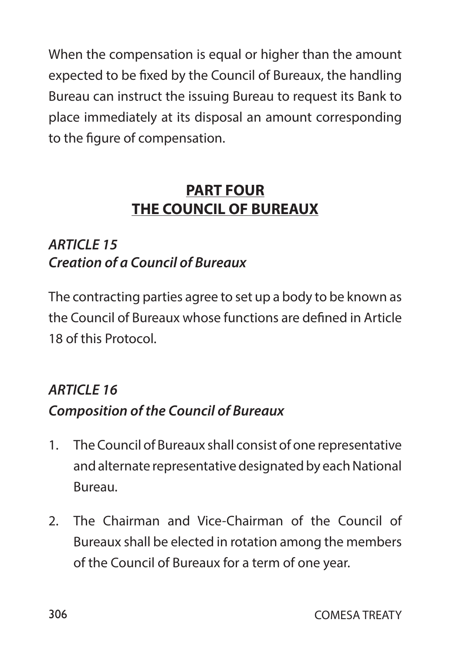When the compensation is equal or higher than the amount expected to be fixed by the Council of Bureaux, the handling Bureau can instruct the issuing Bureau to request its Bank to place immediately at its disposal an amount corresponding to the figure of compensation.

### **PART FOUR THE COUNCIL OF BUREAUX**

#### *ARTICLE 15 Creation of a Council of Bureaux*

The contracting parties agree to set up a body to be known as the Council of Bureaux whose functions are defined in Article 18 of this Protocol.

#### *ARTICLE 16*

## *Composition of the Council of Bureaux*

- 1. The Council of Bureaux shall consist of one representative and alternate representative designated by each National Bureau.
- 2. The Chairman and Vice-Chairman of the Council of Bureaux shall be elected in rotation among the members of the Council of Bureaux for a term of one year.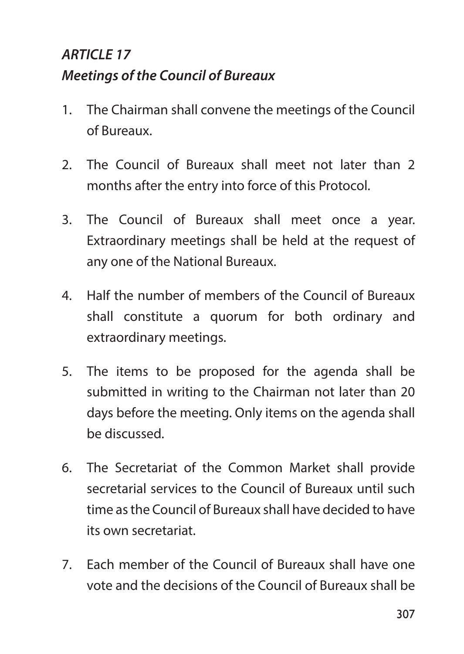# **ARTICLE 17** *Meetings of the Council of Bureaux*

- 1. The Chairman shall convene the meetings of the Council of Bureaux.
- 2. The Council of Bureaux shall meet not later than 2 months after the entry into force of this Protocol.
- 3. The Council of Bureaux shall meet once a year. Extraordinary meetings shall be held at the request of any one of the National Bureaux.
- 4. Half the number of members of the Council of Bureaux shall constitute a quorum for both ordinary and extraordinary meetings.
- 5. The items to be proposed for the agenda shall be submitted in writing to the Chairman not later than 20 days before the meeting. Only items on the agenda shall be discussed.
- 6. The Secretariat of the Common Market shall provide secretarial services to the Council of Bureaux until such time as the Council of Bureaux shall have decided to have its own secretariat.
- 7. Each member of the Council of Bureaux shall have one vote and the decisions of the Council of Bureaux shall be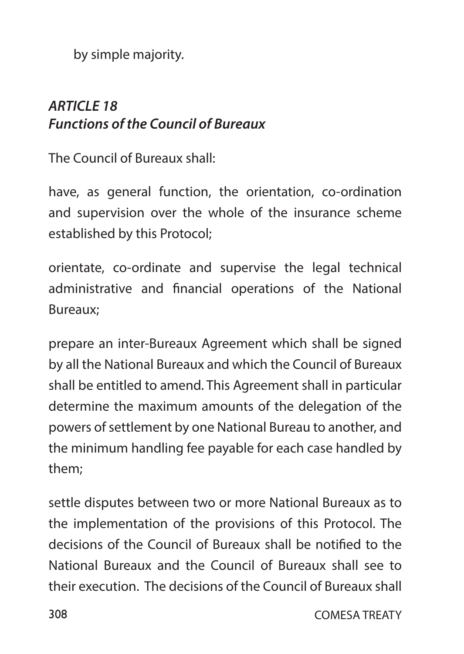by simple majority.

#### **ARTICLE 18** *Functions of the Council of Bureaux*

The Council of Bureaux shall:

have, as general function, the orientation, co-ordination and supervision over the whole of the insurance scheme established by this Protocol;

orientate, co-ordinate and supervise the legal technical administrative and financial operations of the National Bureaux;

prepare an inter-Bureaux Agreement which shall be signed by all the National Bureaux and which the Council of Bureaux shall be entitled to amend. This Agreement shall in particular determine the maximum amounts of the delegation of the powers of settlement by one National Bureau to another, and the minimum handling fee payable for each case handled by them;

settle disputes between two or more National Bureaux as to the implementation of the provisions of this Protocol. The decisions of the Council of Bureaux shall be notified to the National Bureaux and the Council of Bureaux shall see to their execution. The decisions of the Council of Bureaux shall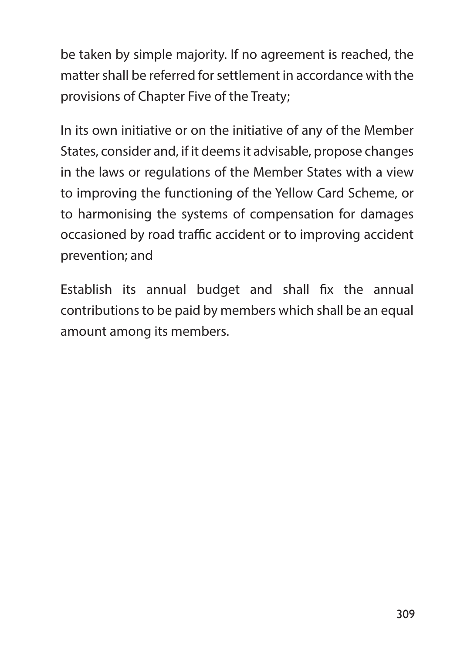be taken by simple majority. If no agreement is reached, the matter shall be referred for settlement in accordance with the provisions of Chapter Five of the Treaty;

In its own initiative or on the initiative of any of the Member States, consider and, if it deems it advisable, propose changes in the laws or regulations of the Member States with a view to improving the functioning of the Yellow Card Scheme, or to harmonising the systems of compensation for damages occasioned by road traffic accident or to improving accident prevention; and

Establish its annual budget and shall fix the annual contributions to be paid by members which shall be an equal amount among its members.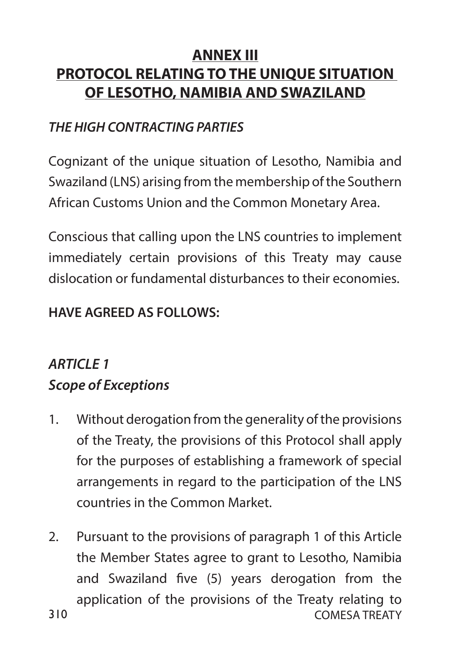### **ANNEX III PROTOCOL RELATING TO THE UNIQUE SITUATION OF LESOTHO, NAMIBIA AND SWAZILAND**

#### *THE HIGH CONTRACTING PARTIES*

Cognizant of the unique situation of Lesotho, Namibia and Swaziland (LNS) arising from the membership of the Southern African Customs Union and the Common Monetary Area.

Conscious that calling upon the LNS countries to implement immediately certain provisions of this Treaty may cause dislocation or fundamental disturbances to their economies.

#### **HAVE AGREED AS FOLLOWS:**

# *ARTICLE 1 Scope of Exceptions*

- 1. Without derogation from the generality of the provisions of the Treaty, the provisions of this Protocol shall apply for the purposes of establishing a framework of special arrangements in regard to the participation of the LNS countries in the Common Market.
- 310 COMESA TREATY 2. Pursuant to the provisions of paragraph 1 of this Article the Member States agree to grant to Lesotho, Namibia and Swaziland five (5) years derogation from the application of the provisions of the Treaty relating to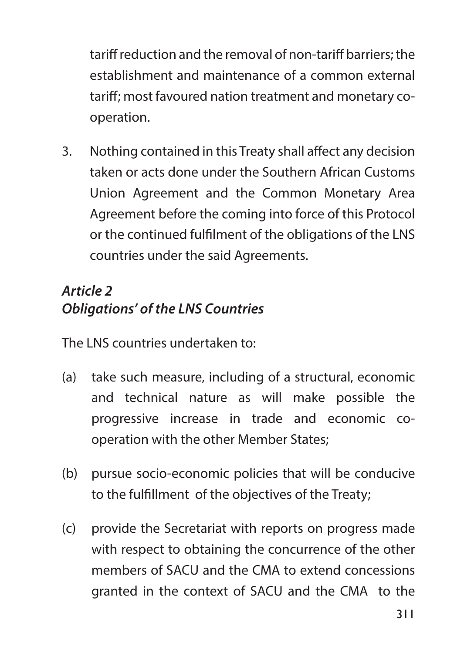tariff reduction and the removal of non-tariff barriers; the establishment and maintenance of a common external tariff; most favoured nation treatment and monetary cooperation.

3. Nothing contained in this Treaty shall affect any decision taken or acts done under the Southern African Customs Union Agreement and the Common Monetary Area Agreement before the coming into force of this Protocol or the continued fulfilment of the obligations of the LNS countries under the said Agreements.

### *Article 2 Obligations' of the LNS Countries*

The LNS countries undertaken to:

- (a) take such measure, including of a structural, economic and technical nature as will make possible the progressive increase in trade and economic cooperation with the other Member States;
- (b) pursue socio-economic policies that will be conducive to the fulfillment of the objectives of the Treaty;
- (c) provide the Secretariat with reports on progress made with respect to obtaining the concurrence of the other members of SACU and the CMA to extend concessions granted in the context of SACU and the CMA to the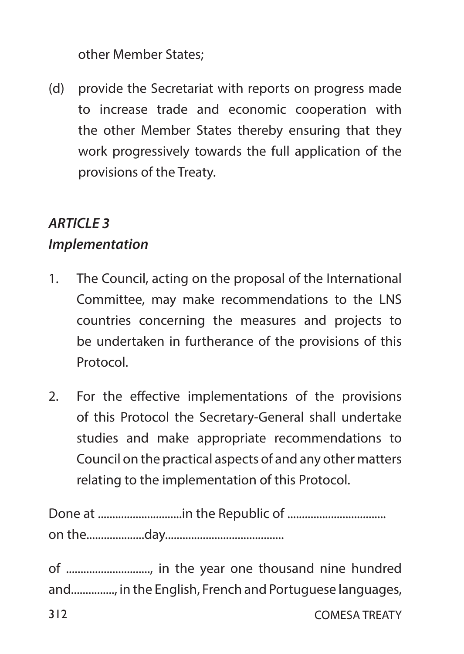other Member States;

(d) provide the Secretariat with reports on progress made to increase trade and economic cooperation with the other Member States thereby ensuring that they work progressively towards the full application of the provisions of the Treaty.

## *ARTICLE 3 Implementation*

- 1. The Council, acting on the proposal of the International Committee, may make recommendations to the LNS countries concerning the measures and projects to be undertaken in furtherance of the provisions of this Protocol.
- 2. For the effective implementations of the provisions of this Protocol the Secretary-General shall undertake studies and make appropriate recommendations to Council on the practical aspects of and any other matters relating to the implementation of this Protocol.

Done at .............................in the Republic of .................................. on the....................day.........................................

of ............................., in the year one thousand nine hundred and..............., in the English, French and Portuguese languages,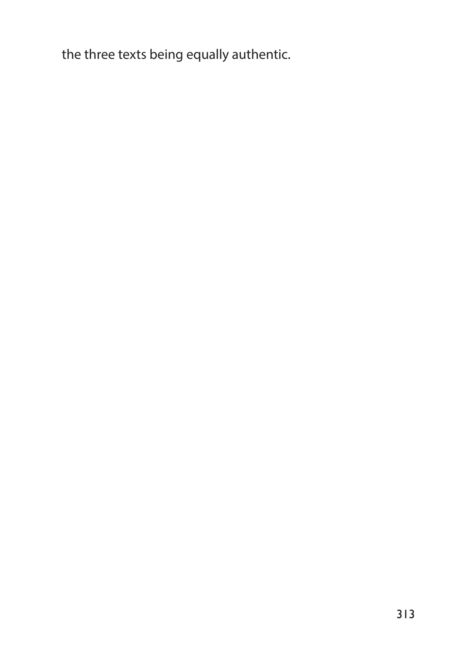the three texts being equally authentic.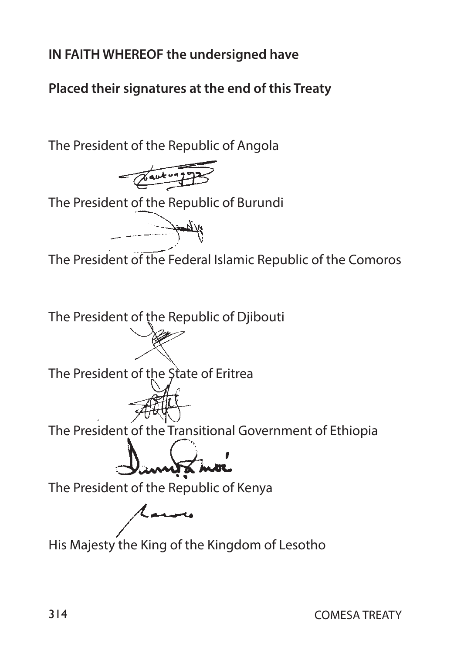#### **IN FAITH WHEREOF the undersigned have**

#### **Placed their signatures at the end of this Treaty**

The President of the Republic of Angola



The President of the Republic of Burundi



The President of the Federal Islamic Republic of the Comoros

The President of the Republic of Djibouti

The President of the State of Eritrea

The President of the Transitional Government of Ethiopia



The President of the Republic of Kenya

His Majesty the King of the Kingdom of Lesotho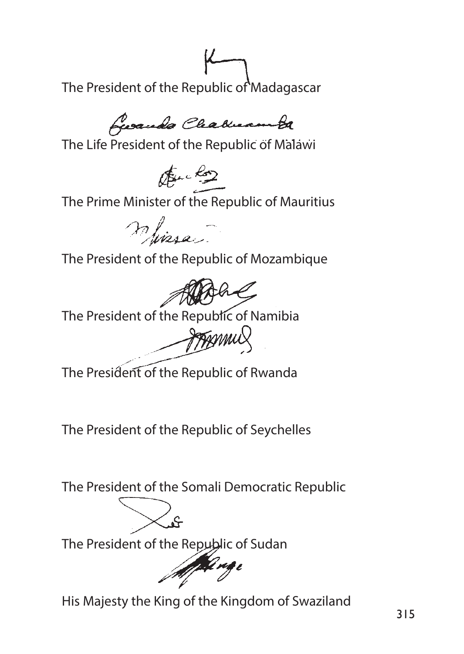The President of the Republic of Madagascar

fuscudo Charmanda

The Life President of the Republic of Malawi

the log

The Prime Minister of the Republic of Mauritius

minsa

The President of the Republic of Mozambique

The President of the Republic of Namibia

Innmur

The President of the Republic of Rwanda

The President of the Republic of Seychelles

The President of the Somali Democratic Republic

 $\mathop{\bigtriangledown_{\mathsf{c}}}$ 

The President of the Republic of Sudan<br>  $\mathcal{M}$ 

His Majesty the King of the Kingdom of Swaziland